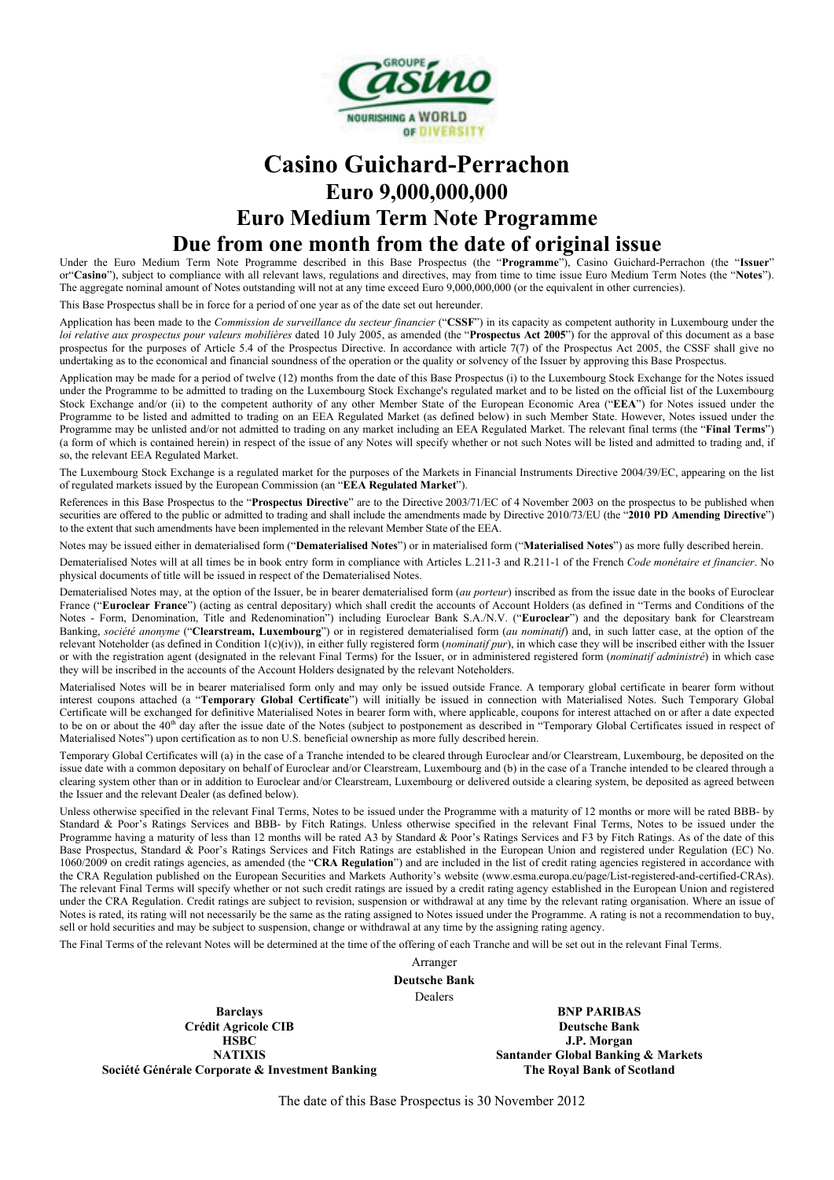

# **Casino Guichard-Perrachon Euro 9,000,000,000 Euro Medium Term Note Programme Due from one month from the date of original issue**

Under the Euro Medium Term Note Programme described in this Base Prospectus (the "**Programme**"), Casino Guichard-Perrachon (the "**Issuer**" or"**Casino**"), subject to compliance with all relevant laws, regulations and directives, may from time to time issue Euro Medium Term Notes (the "**Notes**"). The aggregate nominal amount of Notes outstanding will not at any time exceed Euro 9,000,000,000 (or the equivalent in other currencies).

This Base Prospectus shall be in force for a period of one year as of the date set out hereunder.

Application has been made to the *Commission de surveillance du secteur financier* ("**CSSF**") in its capacity as competent authority in Luxembourg under the *loi relative aux prospectus pour valeurs mobilières* dated 10 July 2005, as amended (the "**Prospectus Act 2005**") for the approval of this document as a base prospectus for the purposes of Article 5.4 of the Prospectus Directive. In accordance with article 7(7) of the Prospectus Act 2005, the CSSF shall give no undertaking as to the economical and financial soundness of the operation or the quality or solvency of the Issuer by approving this Base Prospectus.

Application may be made for a period of twelve (12) months from the date of this Base Prospectus (i) to the Luxembourg Stock Exchange for the Notes issued under the Programme to be admitted to trading on the Luxembourg Stock Exchange's regulated market and to be listed on the official list of the Luxembourg Stock Exchange and/or (ii) to the competent authority of any other Member State of the European Economic Area ("**EEA**") for Notes issued under the Programme to be listed and admitted to trading on an EEA Regulated Market (as defined below) in such Member State. However, Notes issued under the Programme may be unlisted and/or not admitted to trading on any market including an EEA Regulated Market. The relevant final terms (the "**Final Terms**") (a form of which is contained herein) in respect of the issue of any Notes will specify whether or not such Notes will be listed and admitted to trading and, if so, the relevant EEA Regulated Market.

The Luxembourg Stock Exchange is a regulated market for the purposes of the Markets in Financial Instruments Directive 2004/39/EC, appearing on the list of regulated markets issued by the European Commission (an "**EEA Regulated Market**").

References in this Base Prospectus to the "**Prospectus Directive**" are to the Directive 2003/71/EC of 4 November 2003 on the prospectus to be published when securities are offered to the public or admitted to trading and shall include the amendments made by Directive 2010/73/EU (the "**2010 PD Amending Directive**") to the extent that such amendments have been implemented in the relevant Member State of the EEA.

Notes may be issued either in dematerialised form ("**Dematerialised Notes**") or in materialised form ("**Materialised Notes**") as more fully described herein.

Dematerialised Notes will at all times be in book entry form in compliance with Articles L.211-3 and R.211-1 of the French *Code monétaire et financier*. No physical documents of title will be issued in respect of the Dematerialised Notes.

Dematerialised Notes may, at the option of the Issuer, be in bearer dematerialised form (*au porteur*) inscribed as from the issue date in the books of Euroclear France ("Euroclear France") (acting as central depositary) which shall credit the accounts of Account Holders (as defined in "Terms and Conditions of the Notes - Form, Denomination, Title and Redenomination") including Euroclear Bank S.A./N.V. ("**Euroclear**") and the depositary bank for Clearstream Banking, *société anonyme* ("**Clearstream, Luxembourg**") or in registered dematerialised form (*au nominatif*) and, in such latter case, at the option of the relevant Noteholder (as defined in Condition 1(c)(iv)), in either fully registered form (*nominatif pur*), in which case they will be inscribed either with the Issuer or with the registration agent (designated in the relevant Final Terms) for the Issuer, or in administered registered form (*nominatif administré*) in which case they will be inscribed in the accounts of the Account Holders designated by the relevant Noteholders.

Materialised Notes will be in bearer materialised form only and may only be issued outside France. A temporary global certificate in bearer form without interest coupons attached (a "**Temporary Global Certificate**") will initially be issued in connection with Materialised Notes. Such Temporary Global Certificate will be exchanged for definitive Materialised Notes in bearer form with, where applicable, coupons for interest attached on or after a date expected to be on or about the 40<sup>th</sup> day after the issue date of the Notes (subject to postponement as described in "Temporary Global Certificates issued in respect of Materialised Notes") upon certification as to non U.S. beneficial ownership as more fully described herein.

Temporary Global Certificates will (a) in the case of a Tranche intended to be cleared through Euroclear and/or Clearstream, Luxembourg, be deposited on the issue date with a common depositary on behalf of Euroclear and/or Clearstream, Luxembourg and (b) in the case of a Tranche intended to be cleared through a clearing system other than or in addition to Euroclear and/or Clearstream, Luxembourg or delivered outside a clearing system, be deposited as agreed between the Issuer and the relevant Dealer (as defined below).

Unless otherwise specified in the relevant Final Terms, Notes to be issued under the Programme with a maturity of 12 months or more will be rated BBB- by Standard & Poor's Ratings Services and BBB- by Fitch Ratings. Unless otherwise specified in the relevant Final Terms, Notes to be issued under the Programme having a maturity of less than 12 months will be rated A3 by Standard & Poor's Ratings Services and F3 by Fitch Ratings. As of the date of this Base Prospectus, Standard & Poor's Ratings Services and Fitch Ratings are established in the European Union and registered under Regulation (EC) No. 1060/2009 on credit ratings agencies, as amended (the "**CRA Regulation**") and are included in the list of credit rating agencies registered in accordance with the CRA Regulation published on the European Securities and Markets Authority's website (www.esma.europa.eu/page/List-registered-and-certified-CRAs). The relevant Final Terms will specify whether or not such credit ratings are issued by a credit rating agency established in the European Union and registered under the CRA Regulation. Credit ratings are subject to revision, suspension or withdrawal at any time by the relevant rating organisation. Where an issue of Notes is rated, its rating will not necessarily be the same as the rating assigned to Notes issued under the Programme. A rating is not a recommendation to buy, sell or hold securities and may be subject to suspension, change or withdrawal at any time by the assigning rating agency.

The Final Terms of the relevant Notes will be determined at the time of the offering of each Tranche and will be set out in the relevant Final Terms.

Arranger **Deutsche Bank**

Dealers

**Barclays Crédit Agricole CIB HSBC NATIXIS Société Générale Corporate & Investment Banking**

**BNP PARIBAS Deutsche Bank J.P. Morgan Santander Global Banking & Markets The Royal Bank of Scotland**

The date of this Base Prospectus is 30 November 2012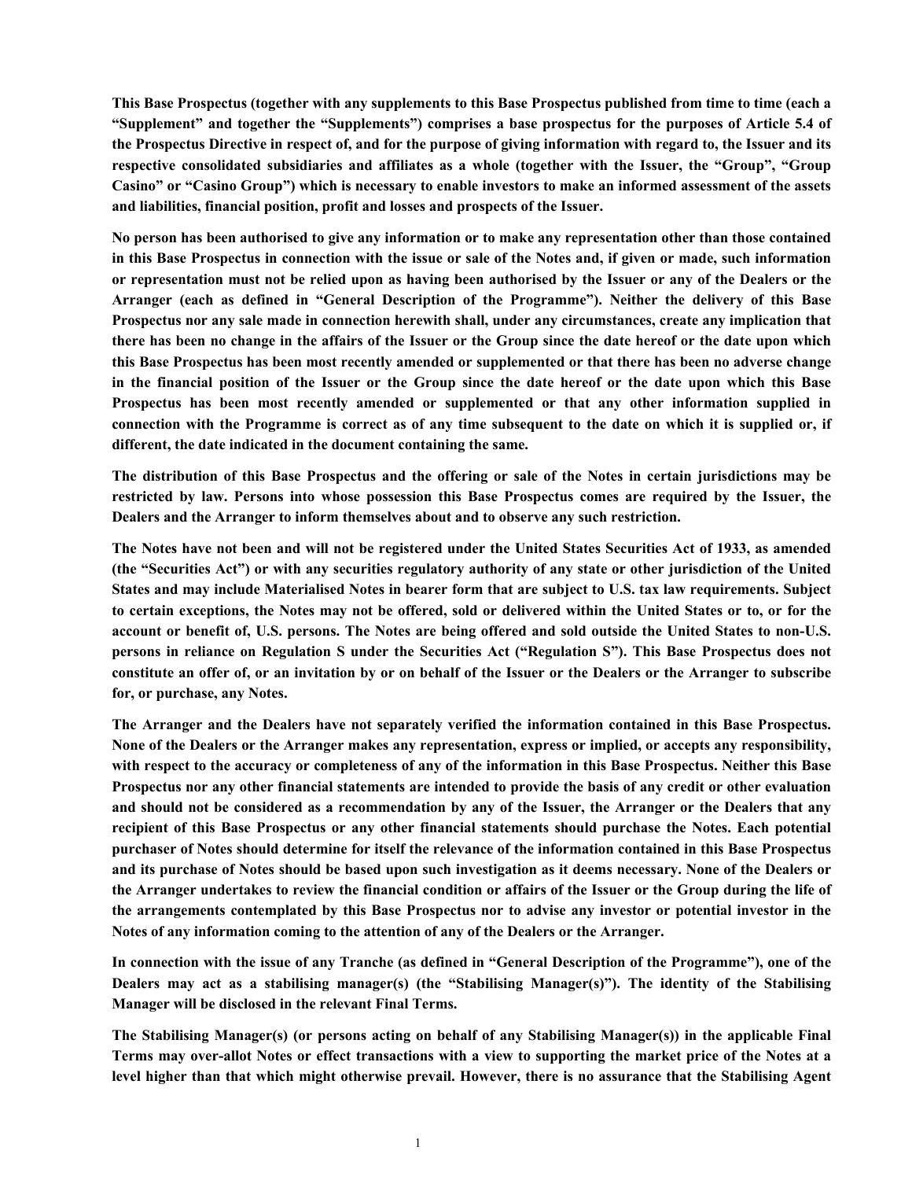**This Base Prospectus (together with any supplements to this Base Prospectus published from time to time (each a "Supplement" and together the "Supplements") comprises a base prospectus for the purposes of Article 5.4 of the Prospectus Directive in respect of, and for the purpose of giving information with regard to, the Issuer and its respective consolidated subsidiaries and affiliates as a whole (together with the Issuer, the "Group", "Group Casino" or "Casino Group") which is necessary to enable investors to make an informed assessment of the assets and liabilities, financial position, profit and losses and prospects of the Issuer.**

**No person has been authorised to give any information or to make any representation other than those contained in this Base Prospectus in connection with the issue or sale of the Notes and, if given or made, such information or representation must not be relied upon as having been authorised by the Issuer or any of the Dealers or the Arranger (each as defined in "General Description of the Programme"). Neither the delivery of this Base Prospectus nor any sale made in connection herewith shall, under any circumstances, create any implication that there has been no change in the affairs of the Issuer or the Group since the date hereof or the date upon which this Base Prospectus has been most recently amended or supplemented or that there has been no adverse change in the financial position of the Issuer or the Group since the date hereof or the date upon which this Base Prospectus has been most recently amended or supplemented or that any other information supplied in connection with the Programme is correct as of any time subsequent to the date on which it is supplied or, if different, the date indicated in the document containing the same.**

**The distribution of this Base Prospectus and the offering or sale of the Notes in certain jurisdictions may be restricted by law. Persons into whose possession this Base Prospectus comes are required by the Issuer, the Dealers and the Arranger to inform themselves about and to observe any such restriction.** 

**The Notes have not been and will not be registered under the United States Securities Act of 1933, as amended (the "Securities Act") or with any securities regulatory authority of any state or other jurisdiction of the United States and may include Materialised Notes in bearer form that are subject to U.S. tax law requirements. Subject to certain exceptions, the Notes may not be offered, sold or delivered within the United States or to, or for the account or benefit of, U.S. persons. The Notes are being offered and sold outside the United States to non-U.S. persons in reliance on Regulation S under the Securities Act ("Regulation S"). This Base Prospectus does not constitute an offer of, or an invitation by or on behalf of the Issuer or the Dealers or the Arranger to subscribe for, or purchase, any Notes.**

**The Arranger and the Dealers have not separately verified the information contained in this Base Prospectus. None of the Dealers or the Arranger makes any representation, express or implied, or accepts any responsibility, with respect to the accuracy or completeness of any of the information in this Base Prospectus. Neither this Base Prospectus nor any other financial statements are intended to provide the basis of any credit or other evaluation and should not be considered as a recommendation by any of the Issuer, the Arranger or the Dealers that any recipient of this Base Prospectus or any other financial statements should purchase the Notes. Each potential purchaser of Notes should determine for itself the relevance of the information contained in this Base Prospectus and its purchase of Notes should be based upon such investigation as it deems necessary. None of the Dealers or the Arranger undertakes to review the financial condition or affairs of the Issuer or the Group during the life of the arrangements contemplated by this Base Prospectus nor to advise any investor or potential investor in the Notes of any information coming to the attention of any of the Dealers or the Arranger.**

**In connection with the issue of any Tranche (as defined in "General Description of the Programme"), one of the Dealers may act as a stabilising manager(s) (the "Stabilising Manager(s)"). The identity of the Stabilising Manager will be disclosed in the relevant Final Terms.** 

**The Stabilising Manager(s) (or persons acting on behalf of any Stabilising Manager(s)) in the applicable Final Terms may over-allot Notes or effect transactions with a view to supporting the market price of the Notes at a level higher than that which might otherwise prevail. However, there is no assurance that the Stabilising Agent**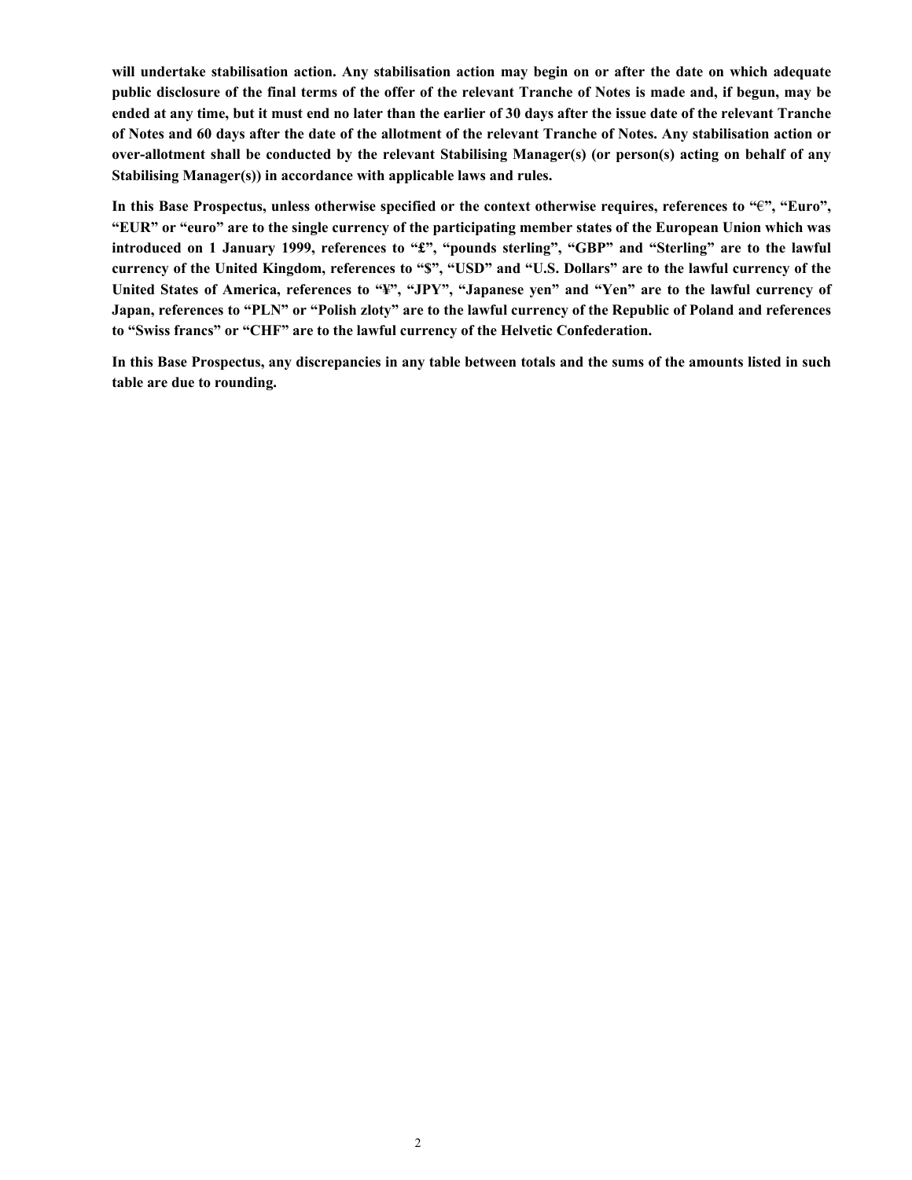**will undertake stabilisation action. Any stabilisation action may begin on or after the date on which adequate public disclosure of the final terms of the offer of the relevant Tranche of Notes is made and, if begun, may be ended at any time, but it must end no later than the earlier of 30 days after the issue date of the relevant Tranche of Notes and 60 days after the date of the allotment of the relevant Tranche of Notes. Any stabilisation action or over-allotment shall be conducted by the relevant Stabilising Manager(s) (or person(s) acting on behalf of any Stabilising Manager(s)) in accordance with applicable laws and rules.**

**In this Base Prospectus, unless otherwise specified or the context otherwise requires, references to "**€**", "Euro", "EUR" or "euro" are to the single currency of the participating member states of the European Union which was introduced on 1 January 1999, references to "£", "pounds sterling", "GBP" and "Sterling" are to the lawful currency of the United Kingdom, references to "\$", "USD" and "U.S. Dollars" are to the lawful currency of the United States of America, references to "¥", "JPY", "Japanese yen" and "Yen" are to the lawful currency of Japan, references to "PLN" or "Polish zloty" are to the lawful currency of the Republic of Poland and references to "Swiss francs" or "CHF" are to the lawful currency of the Helvetic Confederation.**

**In this Base Prospectus, any discrepancies in any table between totals and the sums of the amounts listed in such table are due to rounding.**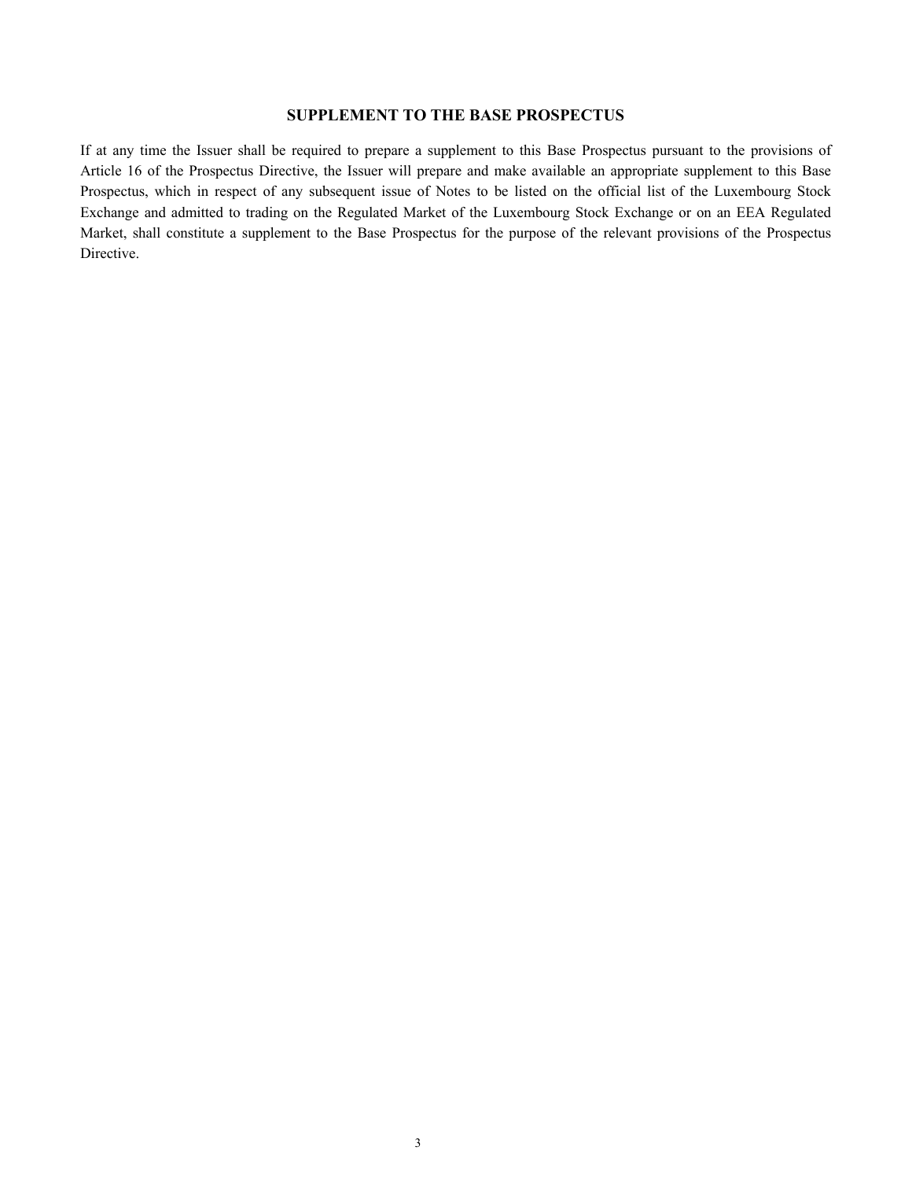# **SUPPLEMENT TO THE BASE PROSPECTUS**

If at any time the Issuer shall be required to prepare a supplement to this Base Prospectus pursuant to the provisions of Article 16 of the Prospectus Directive, the Issuer will prepare and make available an appropriate supplement to this Base Prospectus, which in respect of any subsequent issue of Notes to be listed on the official list of the Luxembourg Stock Exchange and admitted to trading on the Regulated Market of the Luxembourg Stock Exchange or on an EEA Regulated Market, shall constitute a supplement to the Base Prospectus for the purpose of the relevant provisions of the Prospectus Directive.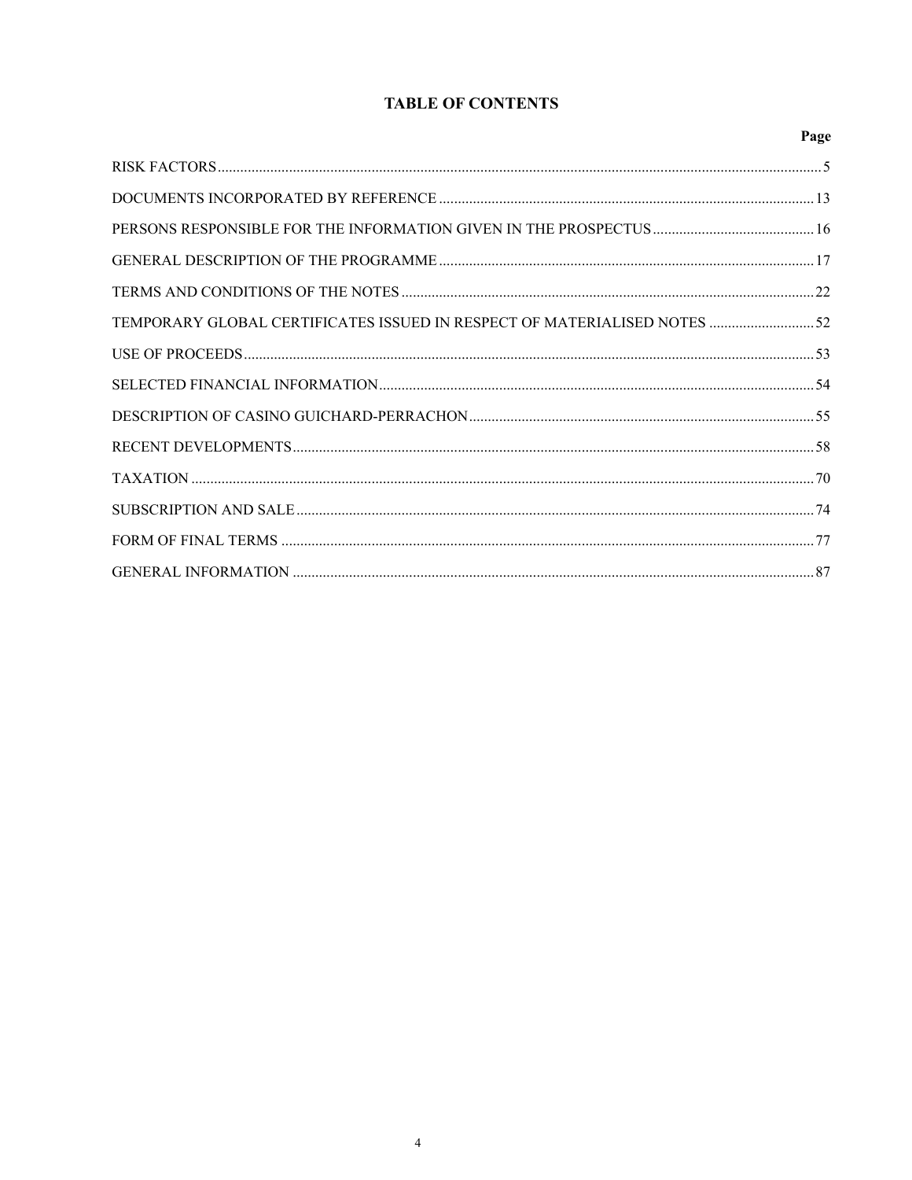# **TABLE OF CONTENTS**

|                                                                           | Page |
|---------------------------------------------------------------------------|------|
|                                                                           |      |
|                                                                           |      |
|                                                                           |      |
|                                                                           |      |
|                                                                           |      |
| TEMPORARY GLOBAL CERTIFICATES ISSUED IN RESPECT OF MATERIALISED NOTES  52 |      |
|                                                                           |      |
|                                                                           |      |
|                                                                           |      |
|                                                                           |      |
|                                                                           |      |
|                                                                           |      |
|                                                                           |      |
|                                                                           |      |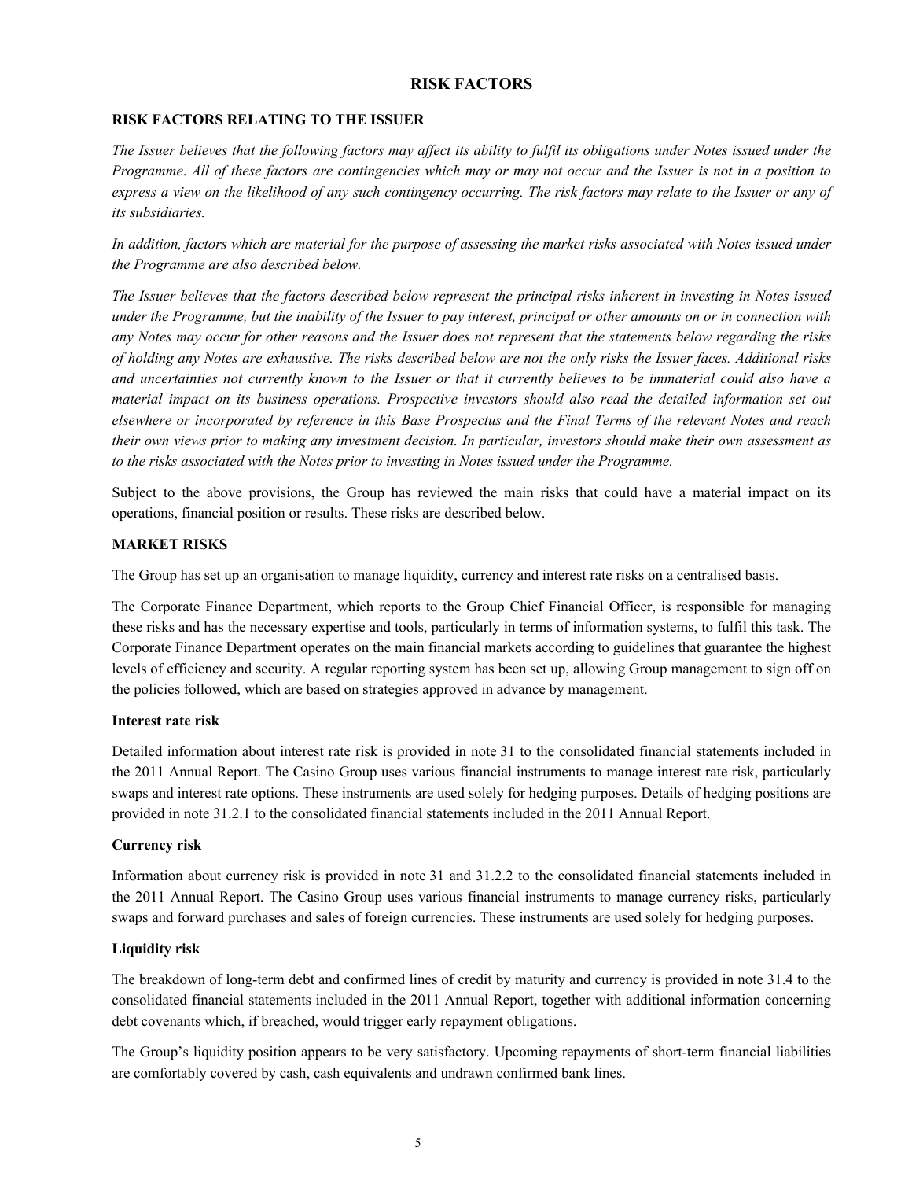#### **RISK FACTORS**

# **RISK FACTORS RELATING TO THE ISSUER**

*The Issuer believes that the following factors may affect its ability to fulfil its obligations under Notes issued under the Programme*. *All of these factors are contingencies which may or may not occur and the Issuer is not in a position to express a view on the likelihood of any such contingency occurring. The risk factors may relate to the Issuer or any of its subsidiaries.*

*In addition, factors which are material for the purpose of assessing the market risks associated with Notes issued under the Programme are also described below.*

*The Issuer believes that the factors described below represent the principal risks inherent in investing in Notes issued under the Programme, but the inability of the Issuer to pay interest, principal or other amounts on or in connection with any Notes may occur for other reasons and the Issuer does not represent that the statements below regarding the risks of holding any Notes are exhaustive. The risks described below are not the only risks the Issuer faces. Additional risks and uncertainties not currently known to the Issuer or that it currently believes to be immaterial could also have a material impact on its business operations. Prospective investors should also read the detailed information set out elsewhere or incorporated by reference in this Base Prospectus and the Final Terms of the relevant Notes and reach their own views prior to making any investment decision. In particular, investors should make their own assessment as to the risks associated with the Notes prior to investing in Notes issued under the Programme.*

Subject to the above provisions, the Group has reviewed the main risks that could have a material impact on its operations, financial position or results. These risks are described below.

#### **MARKET RISKS**

The Group has set up an organisation to manage liquidity, currency and interest rate risks on a centralised basis.

The Corporate Finance Department, which reports to the Group Chief Financial Officer, is responsible for managing these risks and has the necessary expertise and tools, particularly in terms of information systems, to fulfil this task. The Corporate Finance Department operates on the main financial markets according to guidelines that guarantee the highest levels of efficiency and security. A regular reporting system has been set up, allowing Group management to sign off on the policies followed, which are based on strategies approved in advance by management.

#### **Interest rate risk**

Detailed information about interest rate risk is provided in note 31 to the consolidated financial statements included in the 2011 Annual Report. The Casino Group uses various financial instruments to manage interest rate risk, particularly swaps and interest rate options. These instruments are used solely for hedging purposes. Details of hedging positions are provided in note 31.2.1 to the consolidated financial statements included in the 2011 Annual Report.

#### **Currency risk**

Information about currency risk is provided in note 31 and 31.2.2 to the consolidated financial statements included in the 2011 Annual Report. The Casino Group uses various financial instruments to manage currency risks, particularly swaps and forward purchases and sales of foreign currencies. These instruments are used solely for hedging purposes.

# **Liquidity risk**

The breakdown of long-term debt and confirmed lines of credit by maturity and currency is provided in note 31.4 to the consolidated financial statements included in the 2011 Annual Report, together with additional information concerning debt covenants which, if breached, would trigger early repayment obligations.

The Group's liquidity position appears to be very satisfactory. Upcoming repayments of short-term financial liabilities are comfortably covered by cash, cash equivalents and undrawn confirmed bank lines.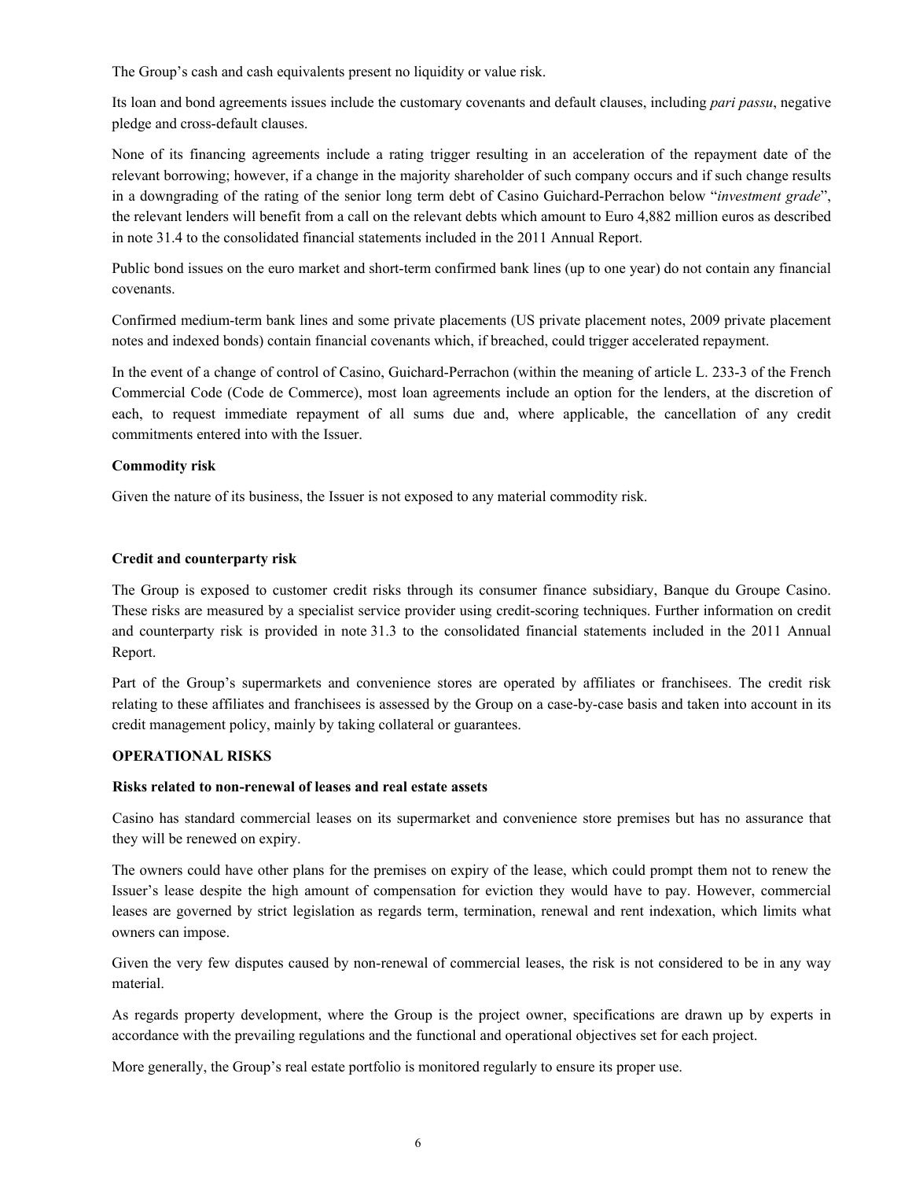The Group's cash and cash equivalents present no liquidity or value risk.

Its loan and bond agreements issues include the customary covenants and default clauses, including *pari passu*, negative pledge and cross-default clauses.

None of its financing agreements include a rating trigger resulting in an acceleration of the repayment date of the relevant borrowing; however, if a change in the majority shareholder of such company occurs and if such change results in a downgrading of the rating of the senior long term debt of Casino Guichard-Perrachon below "*investment grade*", the relevant lenders will benefit from a call on the relevant debts which amount to Euro 4,882 million euros as described in note 31.4 to the consolidated financial statements included in the 2011 Annual Report.

Public bond issues on the euro market and short-term confirmed bank lines (up to one year) do not contain any financial covenants.

Confirmed medium-term bank lines and some private placements (US private placement notes, 2009 private placement notes and indexed bonds) contain financial covenants which, if breached, could trigger accelerated repayment.

In the event of a change of control of Casino, Guichard-Perrachon (within the meaning of article L. 233-3 of the French Commercial Code (Code de Commerce), most loan agreements include an option for the lenders, at the discretion of each, to request immediate repayment of all sums due and, where applicable, the cancellation of any credit commitments entered into with the Issuer.

# **Commodity risk**

Given the nature of its business, the Issuer is not exposed to any material commodity risk.

#### **Credit and counterparty risk**

The Group is exposed to customer credit risks through its consumer finance subsidiary, Banque du Groupe Casino. These risks are measured by a specialist service provider using credit-scoring techniques. Further information on credit and counterparty risk is provided in note 31.3 to the consolidated financial statements included in the 2011 Annual Report.

Part of the Group's supermarkets and convenience stores are operated by affiliates or franchisees. The credit risk relating to these affiliates and franchisees is assessed by the Group on a case-by-case basis and taken into account in its credit management policy, mainly by taking collateral or guarantees.

#### **OPERATIONAL RISKS**

#### **Risks related to non-renewal of leases and real estate assets**

Casino has standard commercial leases on its supermarket and convenience store premises but has no assurance that they will be renewed on expiry.

The owners could have other plans for the premises on expiry of the lease, which could prompt them not to renew the Issuer's lease despite the high amount of compensation for eviction they would have to pay. However, commercial leases are governed by strict legislation as regards term, termination, renewal and rent indexation, which limits what owners can impose.

Given the very few disputes caused by non-renewal of commercial leases, the risk is not considered to be in any way material.

As regards property development, where the Group is the project owner, specifications are drawn up by experts in accordance with the prevailing regulations and the functional and operational objectives set for each project.

More generally, the Group's real estate portfolio is monitored regularly to ensure its proper use.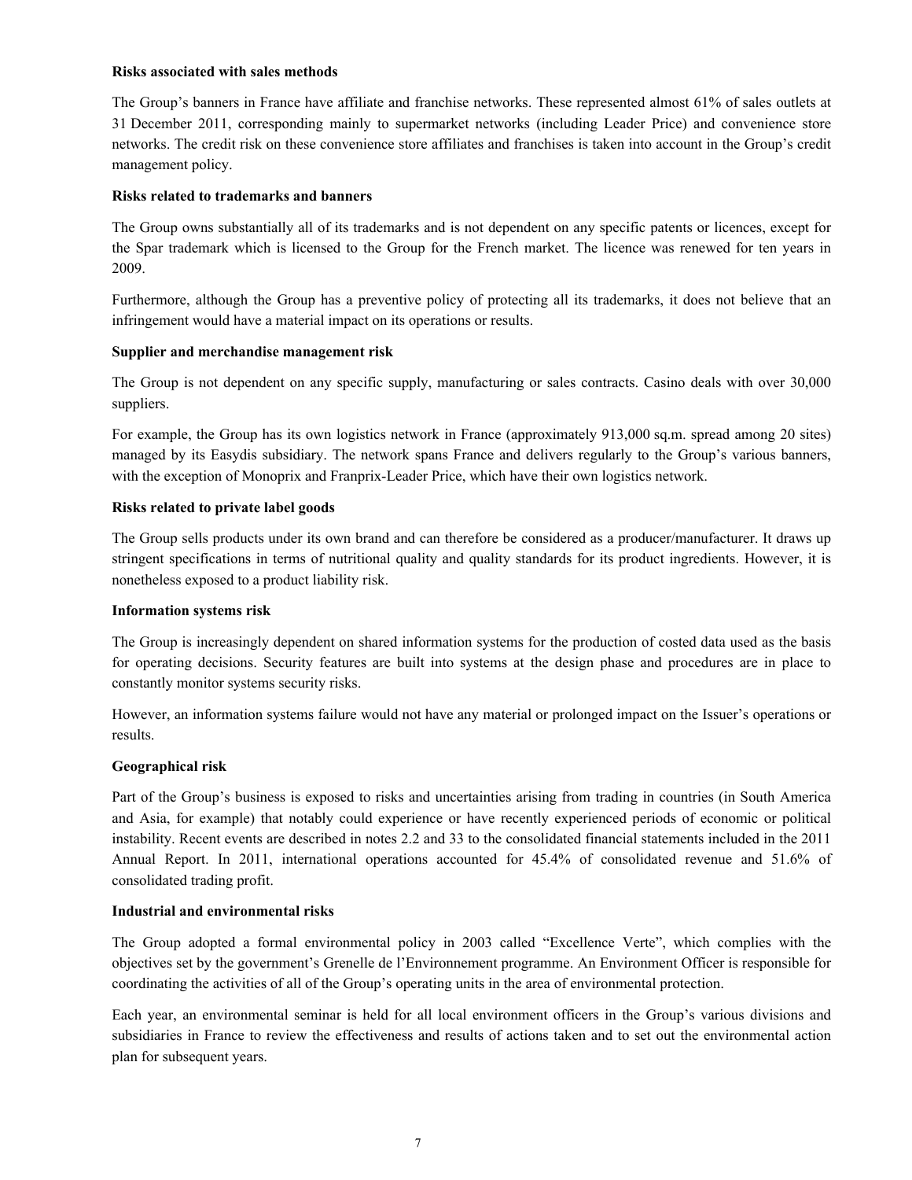#### **Risks associated with sales methods**

The Group's banners in France have affiliate and franchise networks. These represented almost 61% of sales outlets at 31 December 2011, corresponding mainly to supermarket networks (including Leader Price) and convenience store networks. The credit risk on these convenience store affiliates and franchises is taken into account in the Group's credit management policy.

#### **Risks related to trademarks and banners**

The Group owns substantially all of its trademarks and is not dependent on any specific patents or licences, except for the Spar trademark which is licensed to the Group for the French market. The licence was renewed for ten years in 2009.

Furthermore, although the Group has a preventive policy of protecting all its trademarks, it does not believe that an infringement would have a material impact on its operations or results.

#### **Supplier and merchandise management risk**

The Group is not dependent on any specific supply, manufacturing or sales contracts. Casino deals with over 30,000 suppliers.

For example, the Group has its own logistics network in France (approximately 913,000 sq.m. spread among 20 sites) managed by its Easydis subsidiary. The network spans France and delivers regularly to the Group's various banners, with the exception of Monoprix and Franprix-Leader Price, which have their own logistics network.

#### **Risks related to private label goods**

The Group sells products under its own brand and can therefore be considered as a producer/manufacturer. It draws up stringent specifications in terms of nutritional quality and quality standards for its product ingredients. However, it is nonetheless exposed to a product liability risk.

#### **Information systems risk**

The Group is increasingly dependent on shared information systems for the production of costed data used as the basis for operating decisions. Security features are built into systems at the design phase and procedures are in place to constantly monitor systems security risks.

However, an information systems failure would not have any material or prolonged impact on the Issuer's operations or results.

# **Geographical risk**

Part of the Group's business is exposed to risks and uncertainties arising from trading in countries (in South America and Asia, for example) that notably could experience or have recently experienced periods of economic or political instability. Recent events are described in notes 2.2 and 33 to the consolidated financial statements included in the 2011 Annual Report. In 2011, international operations accounted for 45.4% of consolidated revenue and 51.6% of consolidated trading profit.

#### **Industrial and environmental risks**

The Group adopted a formal environmental policy in 2003 called "Excellence Verte", which complies with the objectives set by the government's Grenelle de l'Environnement programme. An Environment Officer is responsible for coordinating the activities of all of the Group's operating units in the area of environmental protection.

Each year, an environmental seminar is held for all local environment officers in the Group's various divisions and subsidiaries in France to review the effectiveness and results of actions taken and to set out the environmental action plan for subsequent years.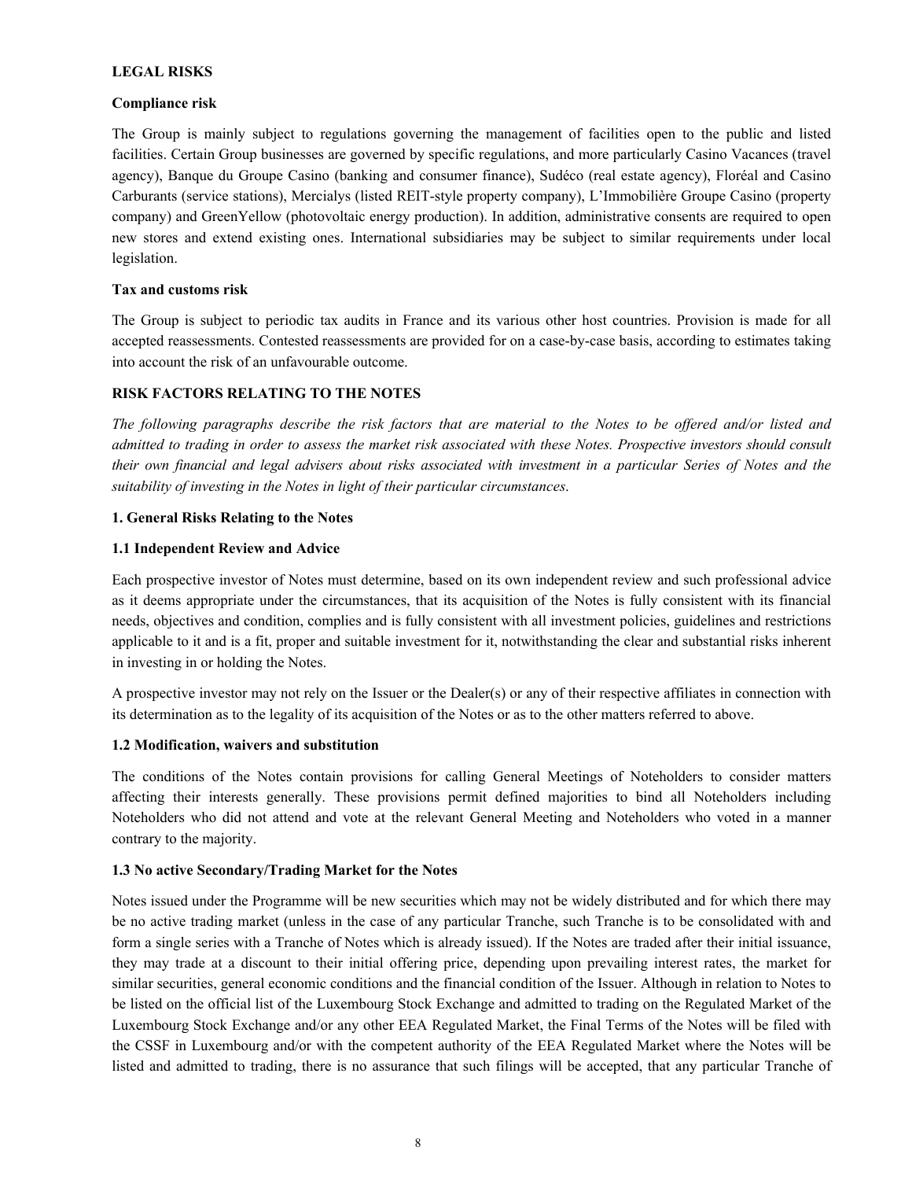#### **LEGAL RISKS**

#### **Compliance risk**

The Group is mainly subject to regulations governing the management of facilities open to the public and listed facilities. Certain Group businesses are governed by specific regulations, and more particularly Casino Vacances (travel agency), Banque du Groupe Casino (banking and consumer finance), Sudéco (real estate agency), Floréal and Casino Carburants (service stations), Mercialys (listed REIT-style property company), L'Immobilière Groupe Casino (property company) and GreenYellow (photovoltaic energy production). In addition, administrative consents are required to open new stores and extend existing ones. International subsidiaries may be subject to similar requirements under local legislation.

# **Tax and customs risk**

The Group is subject to periodic tax audits in France and its various other host countries. Provision is made for all accepted reassessments. Contested reassessments are provided for on a case-by-case basis, according to estimates taking into account the risk of an unfavourable outcome.

# **RISK FACTORS RELATING TO THE NOTES**

*The following paragraphs describe the risk factors that are material to the Notes to be offered and/or listed and admitted to trading in order to assess the market risk associated with these Notes. Prospective investors should consult their own financial and legal advisers about risks associated with investment in a particular Series of Notes and the suitability of investing in the Notes in light of their particular circumstances*.

# **1. General Risks Relating to the Notes**

#### **1.1 Independent Review and Advice**

Each prospective investor of Notes must determine, based on its own independent review and such professional advice as it deems appropriate under the circumstances, that its acquisition of the Notes is fully consistent with its financial needs, objectives and condition, complies and is fully consistent with all investment policies, guidelines and restrictions applicable to it and is a fit, proper and suitable investment for it, notwithstanding the clear and substantial risks inherent in investing in or holding the Notes.

A prospective investor may not rely on the Issuer or the Dealer(s) or any of their respective affiliates in connection with its determination as to the legality of its acquisition of the Notes or as to the other matters referred to above.

# **1.2 Modification, waivers and substitution**

The conditions of the Notes contain provisions for calling General Meetings of Noteholders to consider matters affecting their interests generally. These provisions permit defined majorities to bind all Noteholders including Noteholders who did not attend and vote at the relevant General Meeting and Noteholders who voted in a manner contrary to the majority.

# **1.3 No active Secondary/Trading Market for the Notes**

Notes issued under the Programme will be new securities which may not be widely distributed and for which there may be no active trading market (unless in the case of any particular Tranche, such Tranche is to be consolidated with and form a single series with a Tranche of Notes which is already issued). If the Notes are traded after their initial issuance, they may trade at a discount to their initial offering price, depending upon prevailing interest rates, the market for similar securities, general economic conditions and the financial condition of the Issuer. Although in relation to Notes to be listed on the official list of the Luxembourg Stock Exchange and admitted to trading on the Regulated Market of the Luxembourg Stock Exchange and/or any other EEA Regulated Market, the Final Terms of the Notes will be filed with the CSSF in Luxembourg and/or with the competent authority of the EEA Regulated Market where the Notes will be listed and admitted to trading, there is no assurance that such filings will be accepted, that any particular Tranche of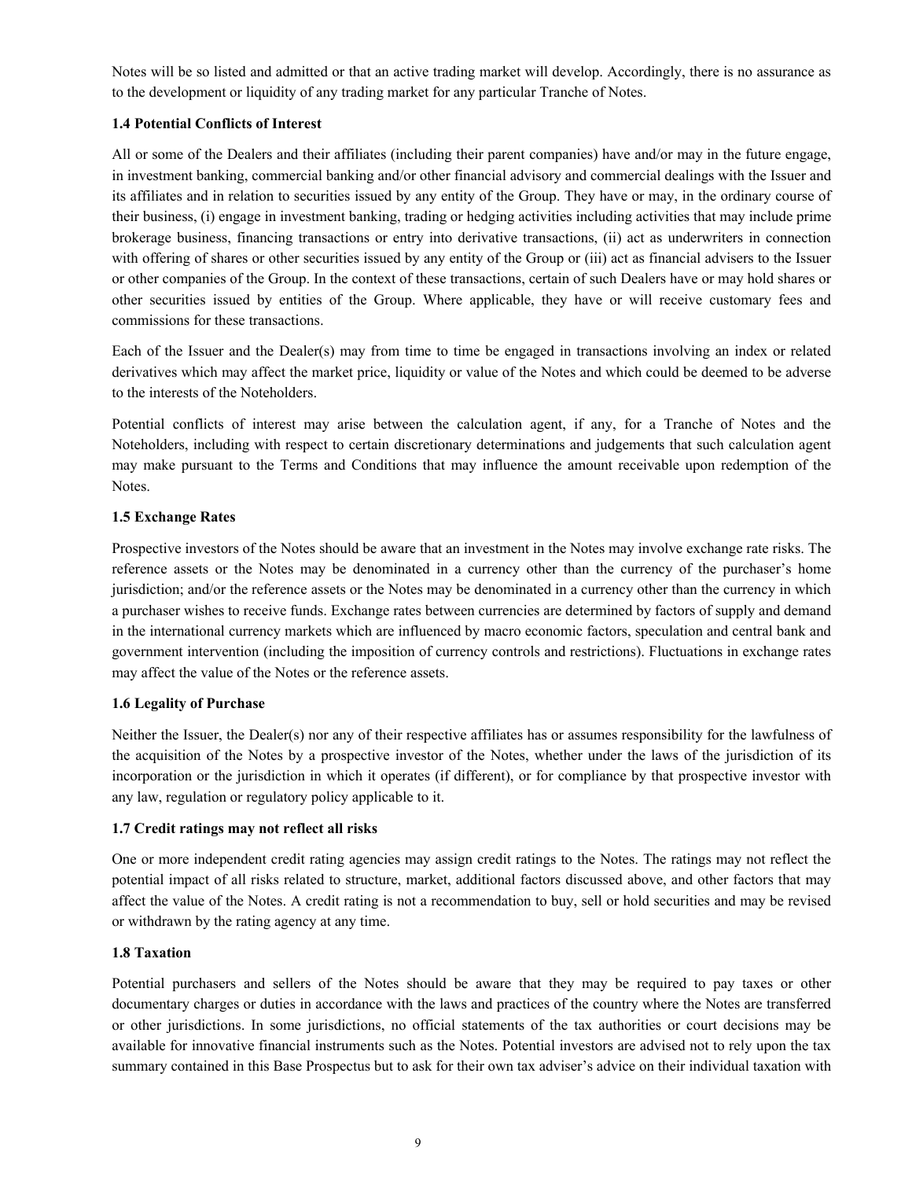Notes will be so listed and admitted or that an active trading market will develop. Accordingly, there is no assurance as to the development or liquidity of any trading market for any particular Tranche of Notes.

# **1.4 Potential Conflicts of Interest**

All or some of the Dealers and their affiliates (including their parent companies) have and/or may in the future engage, in investment banking, commercial banking and/or other financial advisory and commercial dealings with the Issuer and its affiliates and in relation to securities issued by any entity of the Group. They have or may, in the ordinary course of their business, (i) engage in investment banking, trading or hedging activities including activities that may include prime brokerage business, financing transactions or entry into derivative transactions, (ii) act as underwriters in connection with offering of shares or other securities issued by any entity of the Group or (iii) act as financial advisers to the Issuer or other companies of the Group. In the context of these transactions, certain of such Dealers have or may hold shares or other securities issued by entities of the Group. Where applicable, they have or will receive customary fees and commissions for these transactions.

Each of the Issuer and the Dealer(s) may from time to time be engaged in transactions involving an index or related derivatives which may affect the market price, liquidity or value of the Notes and which could be deemed to be adverse to the interests of the Noteholders.

Potential conflicts of interest may arise between the calculation agent, if any, for a Tranche of Notes and the Noteholders, including with respect to certain discretionary determinations and judgements that such calculation agent may make pursuant to the Terms and Conditions that may influence the amount receivable upon redemption of the Notes.

# **1.5 Exchange Rates**

Prospective investors of the Notes should be aware that an investment in the Notes may involve exchange rate risks. The reference assets or the Notes may be denominated in a currency other than the currency of the purchaser's home jurisdiction; and/or the reference assets or the Notes may be denominated in a currency other than the currency in which a purchaser wishes to receive funds. Exchange rates between currencies are determined by factors of supply and demand in the international currency markets which are influenced by macro economic factors, speculation and central bank and government intervention (including the imposition of currency controls and restrictions). Fluctuations in exchange rates may affect the value of the Notes or the reference assets.

# **1.6 Legality of Purchase**

Neither the Issuer, the Dealer(s) nor any of their respective affiliates has or assumes responsibility for the lawfulness of the acquisition of the Notes by a prospective investor of the Notes, whether under the laws of the jurisdiction of its incorporation or the jurisdiction in which it operates (if different), or for compliance by that prospective investor with any law, regulation or regulatory policy applicable to it.

# **1.7 Credit ratings may not reflect all risks**

One or more independent credit rating agencies may assign credit ratings to the Notes. The ratings may not reflect the potential impact of all risks related to structure, market, additional factors discussed above, and other factors that may affect the value of the Notes. A credit rating is not a recommendation to buy, sell or hold securities and may be revised or withdrawn by the rating agency at any time.

# **1.8 Taxation**

Potential purchasers and sellers of the Notes should be aware that they may be required to pay taxes or other documentary charges or duties in accordance with the laws and practices of the country where the Notes are transferred or other jurisdictions. In some jurisdictions, no official statements of the tax authorities or court decisions may be available for innovative financial instruments such as the Notes. Potential investors are advised not to rely upon the tax summary contained in this Base Prospectus but to ask for their own tax adviser's advice on their individual taxation with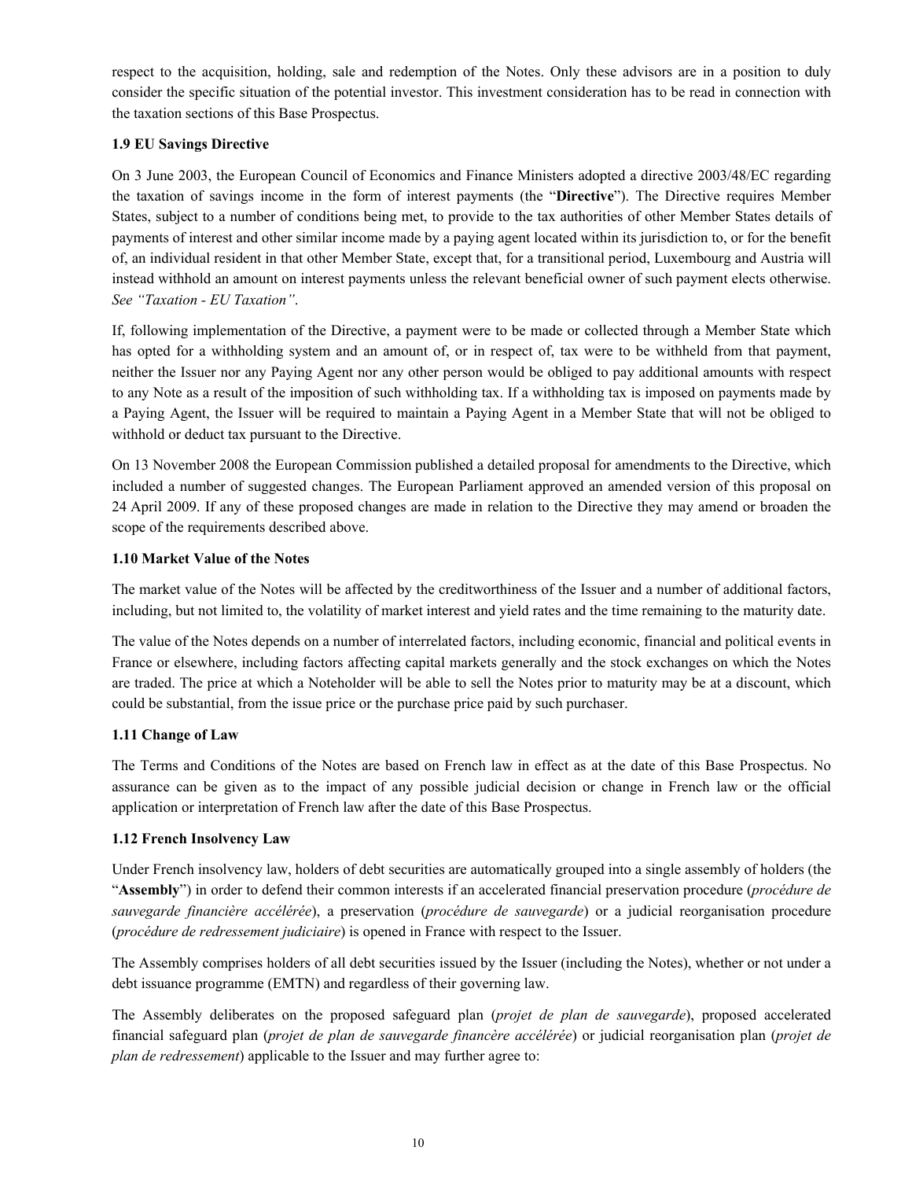respect to the acquisition, holding, sale and redemption of the Notes. Only these advisors are in a position to duly consider the specific situation of the potential investor. This investment consideration has to be read in connection with the taxation sections of this Base Prospectus.

# **1.9 EU Savings Directive**

On 3 June 2003, the European Council of Economics and Finance Ministers adopted a directive 2003/48/EC regarding the taxation of savings income in the form of interest payments (the "**Directive**"). The Directive requires Member States, subject to a number of conditions being met, to provide to the tax authorities of other Member States details of payments of interest and other similar income made by a paying agent located within its jurisdiction to, or for the benefit of, an individual resident in that other Member State, except that, for a transitional period, Luxembourg and Austria will instead withhold an amount on interest payments unless the relevant beneficial owner of such payment elects otherwise. *See "Taxation - EU Taxation"*.

If, following implementation of the Directive, a payment were to be made or collected through a Member State which has opted for a withholding system and an amount of, or in respect of, tax were to be withheld from that payment, neither the Issuer nor any Paying Agent nor any other person would be obliged to pay additional amounts with respect to any Note as a result of the imposition of such withholding tax. If a withholding tax is imposed on payments made by a Paying Agent, the Issuer will be required to maintain a Paying Agent in a Member State that will not be obliged to withhold or deduct tax pursuant to the Directive.

On 13 November 2008 the European Commission published a detailed proposal for amendments to the Directive, which included a number of suggested changes. The European Parliament approved an amended version of this proposal on 24 April 2009. If any of these proposed changes are made in relation to the Directive they may amend or broaden the scope of the requirements described above.

# **1.10 Market Value of the Notes**

The market value of the Notes will be affected by the creditworthiness of the Issuer and a number of additional factors, including, but not limited to, the volatility of market interest and yield rates and the time remaining to the maturity date.

The value of the Notes depends on a number of interrelated factors, including economic, financial and political events in France or elsewhere, including factors affecting capital markets generally and the stock exchanges on which the Notes are traded. The price at which a Noteholder will be able to sell the Notes prior to maturity may be at a discount, which could be substantial, from the issue price or the purchase price paid by such purchaser.

# **1.11 Change of Law**

The Terms and Conditions of the Notes are based on French law in effect as at the date of this Base Prospectus. No assurance can be given as to the impact of any possible judicial decision or change in French law or the official application or interpretation of French law after the date of this Base Prospectus.

# **1.12 French Insolvency Law**

Under French insolvency law, holders of debt securities are automatically grouped into a single assembly of holders (the "**Assembly**") in order to defend their common interests if an accelerated financial preservation procedure (*procédure de sauvegarde financière accélérée*), a preservation (*procédure de sauvegarde*) or a judicial reorganisation procedure (*procédure de redressement judiciaire*) is opened in France with respect to the Issuer.

The Assembly comprises holders of all debt securities issued by the Issuer (including the Notes), whether or not under a debt issuance programme (EMTN) and regardless of their governing law.

The Assembly deliberates on the proposed safeguard plan (*projet de plan de sauvegarde*), proposed accelerated financial safeguard plan (*projet de plan de sauvegarde financère accélérée*) or judicial reorganisation plan (*projet de plan de redressement*) applicable to the Issuer and may further agree to: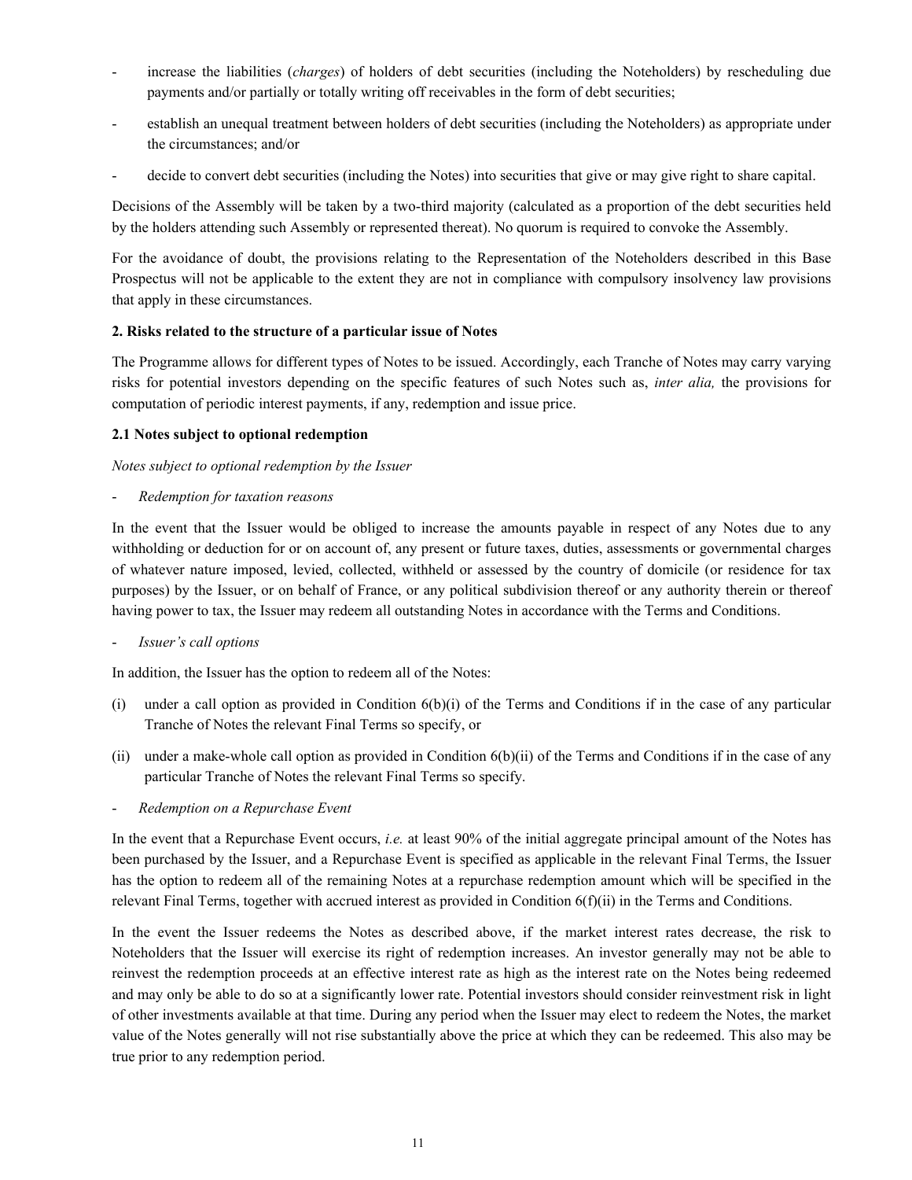- increase the liabilities (*charges*) of holders of debt securities (including the Noteholders) by rescheduling due payments and/or partially or totally writing off receivables in the form of debt securities;
- establish an unequal treatment between holders of debt securities (including the Noteholders) as appropriate under the circumstances; and/or
- decide to convert debt securities (including the Notes) into securities that give or may give right to share capital.

Decisions of the Assembly will be taken by a two-third majority (calculated as a proportion of the debt securities held by the holders attending such Assembly or represented thereat). No quorum is required to convoke the Assembly.

For the avoidance of doubt, the provisions relating to the Representation of the Noteholders described in this Base Prospectus will not be applicable to the extent they are not in compliance with compulsory insolvency law provisions that apply in these circumstances.

# **2. Risks related to the structure of a particular issue of Notes**

The Programme allows for different types of Notes to be issued. Accordingly, each Tranche of Notes may carry varying risks for potential investors depending on the specific features of such Notes such as, *inter alia,* the provisions for computation of periodic interest payments, if any, redemption and issue price.

# **2.1 Notes subject to optional redemption**

# *Notes subject to optional redemption by the Issuer*

- *Redemption for taxation reasons*

In the event that the Issuer would be obliged to increase the amounts payable in respect of any Notes due to any withholding or deduction for or on account of, any present or future taxes, duties, assessments or governmental charges of whatever nature imposed, levied, collected, withheld or assessed by the country of domicile (or residence for tax purposes) by the Issuer, or on behalf of France, or any political subdivision thereof or any authority therein or thereof having power to tax, the Issuer may redeem all outstanding Notes in accordance with the Terms and Conditions.

- *Issuer's call options*

In addition, the Issuer has the option to redeem all of the Notes:

- (i) under a call option as provided in Condition 6(b)(i) of the Terms and Conditions if in the case of any particular Tranche of Notes the relevant Final Terms so specify, or
- (ii) under a make-whole call option as provided in Condition  $6(b)(ii)$  of the Terms and Conditions if in the case of any particular Tranche of Notes the relevant Final Terms so specify.
- *Redemption on a Repurchase Event*

In the event that a Repurchase Event occurs, *i.e.* at least 90% of the initial aggregate principal amount of the Notes has been purchased by the Issuer, and a Repurchase Event is specified as applicable in the relevant Final Terms, the Issuer has the option to redeem all of the remaining Notes at a repurchase redemption amount which will be specified in the relevant Final Terms, together with accrued interest as provided in Condition 6(f)(ii) in the Terms and Conditions.

In the event the Issuer redeems the Notes as described above, if the market interest rates decrease, the risk to Noteholders that the Issuer will exercise its right of redemption increases. An investor generally may not be able to reinvest the redemption proceeds at an effective interest rate as high as the interest rate on the Notes being redeemed and may only be able to do so at a significantly lower rate. Potential investors should consider reinvestment risk in light of other investments available at that time. During any period when the Issuer may elect to redeem the Notes, the market value of the Notes generally will not rise substantially above the price at which they can be redeemed. This also may be true prior to any redemption period.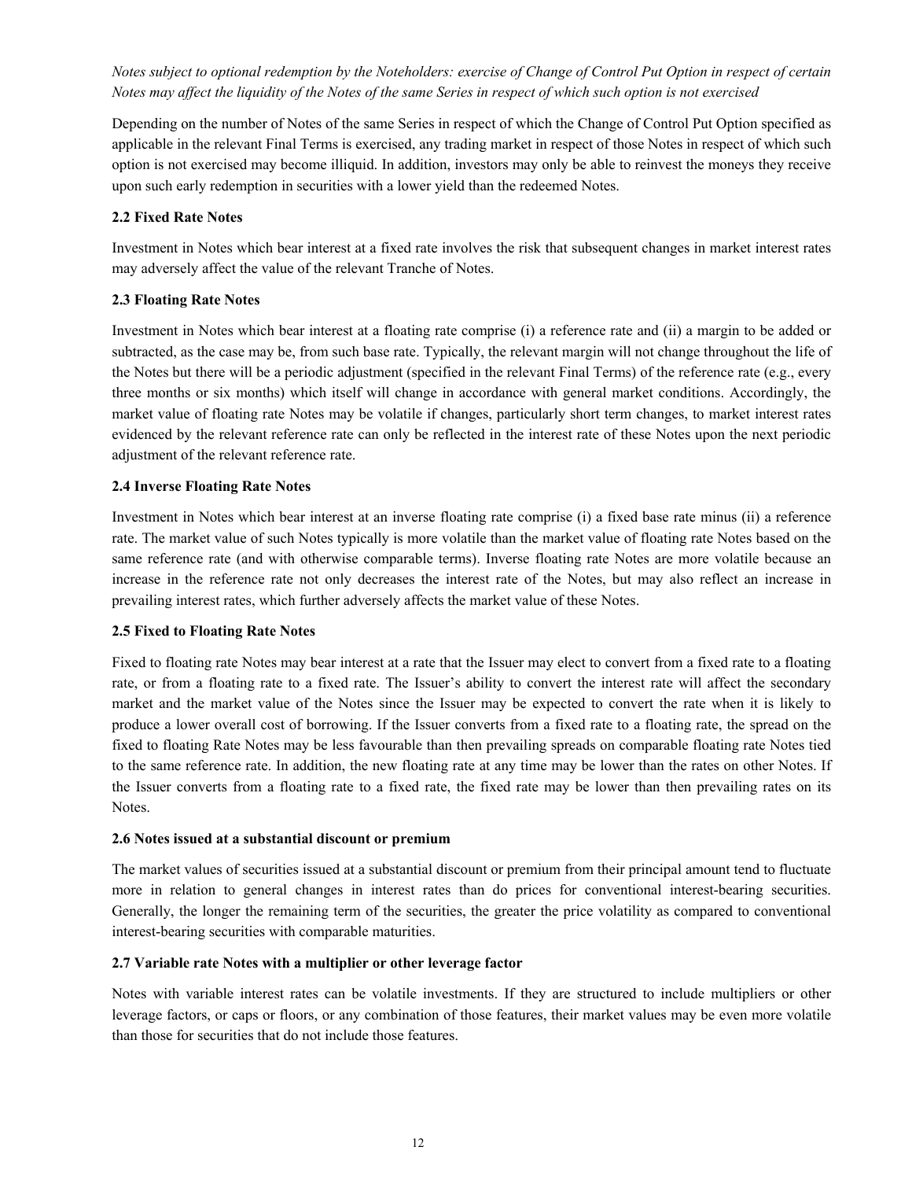*Notes subject to optional redemption by the Noteholders: exercise of Change of Control Put Option in respect of certain Notes may affect the liquidity of the Notes of the same Series in respect of which such option is not exercised*

Depending on the number of Notes of the same Series in respect of which the Change of Control Put Option specified as applicable in the relevant Final Terms is exercised, any trading market in respect of those Notes in respect of which such option is not exercised may become illiquid. In addition, investors may only be able to reinvest the moneys they receive upon such early redemption in securities with a lower yield than the redeemed Notes.

# **2.2 Fixed Rate Notes**

Investment in Notes which bear interest at a fixed rate involves the risk that subsequent changes in market interest rates may adversely affect the value of the relevant Tranche of Notes.

#### **2.3 Floating Rate Notes**

Investment in Notes which bear interest at a floating rate comprise (i) a reference rate and (ii) a margin to be added or subtracted, as the case may be, from such base rate. Typically, the relevant margin will not change throughout the life of the Notes but there will be a periodic adjustment (specified in the relevant Final Terms) of the reference rate (e.g., every three months or six months) which itself will change in accordance with general market conditions. Accordingly, the market value of floating rate Notes may be volatile if changes, particularly short term changes, to market interest rates evidenced by the relevant reference rate can only be reflected in the interest rate of these Notes upon the next periodic adjustment of the relevant reference rate.

#### **2.4 Inverse Floating Rate Notes**

Investment in Notes which bear interest at an inverse floating rate comprise (i) a fixed base rate minus (ii) a reference rate. The market value of such Notes typically is more volatile than the market value of floating rate Notes based on the same reference rate (and with otherwise comparable terms). Inverse floating rate Notes are more volatile because an increase in the reference rate not only decreases the interest rate of the Notes, but may also reflect an increase in prevailing interest rates, which further adversely affects the market value of these Notes.

#### **2.5 Fixed to Floating Rate Notes**

Fixed to floating rate Notes may bear interest at a rate that the Issuer may elect to convert from a fixed rate to a floating rate, or from a floating rate to a fixed rate. The Issuer's ability to convert the interest rate will affect the secondary market and the market value of the Notes since the Issuer may be expected to convert the rate when it is likely to produce a lower overall cost of borrowing. If the Issuer converts from a fixed rate to a floating rate, the spread on the fixed to floating Rate Notes may be less favourable than then prevailing spreads on comparable floating rate Notes tied to the same reference rate. In addition, the new floating rate at any time may be lower than the rates on other Notes. If the Issuer converts from a floating rate to a fixed rate, the fixed rate may be lower than then prevailing rates on its Notes.

#### **2.6 Notes issued at a substantial discount or premium**

The market values of securities issued at a substantial discount or premium from their principal amount tend to fluctuate more in relation to general changes in interest rates than do prices for conventional interest-bearing securities. Generally, the longer the remaining term of the securities, the greater the price volatility as compared to conventional interest-bearing securities with comparable maturities.

#### **2.7 Variable rate Notes with a multiplier or other leverage factor**

Notes with variable interest rates can be volatile investments. If they are structured to include multipliers or other leverage factors, or caps or floors, or any combination of those features, their market values may be even more volatile than those for securities that do not include those features.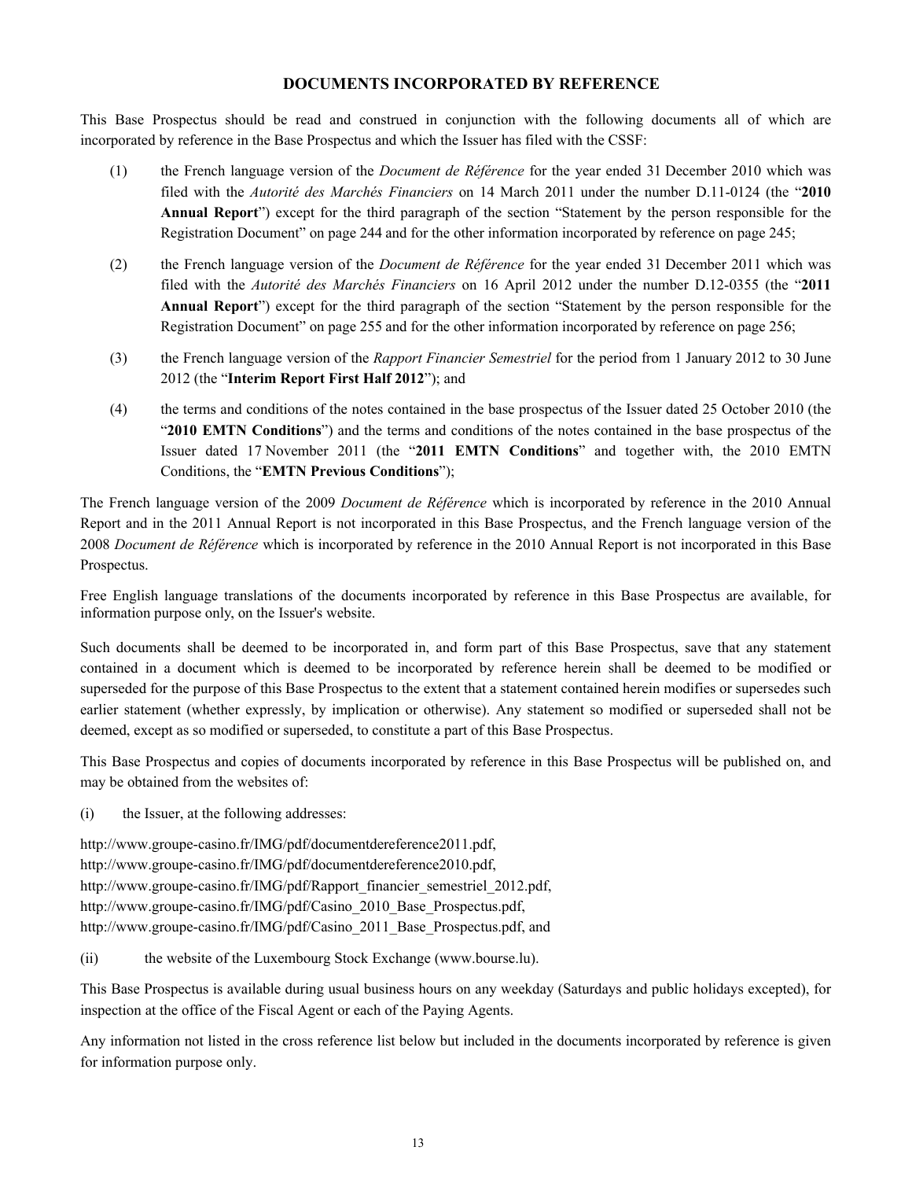# **DOCUMENTS INCORPORATED BY REFERENCE**

This Base Prospectus should be read and construed in conjunction with the following documents all of which are incorporated by reference in the Base Prospectus and which the Issuer has filed with the CSSF:

- (1) the French language version of the *Document de Référence* for the year ended 31 December 2010 which was filed with the *Autorité des Marchés Financiers* on 14 March 2011 under the number D.11-0124 (the "**2010 Annual Report**") except for the third paragraph of the section "Statement by the person responsible for the Registration Document" on page 244 and for the other information incorporated by reference on page 245;
- (2) the French language version of the *Document de Référence* for the year ended 31 December 2011 which was filed with the *Autorité des Marchés Financiers* on 16 April 2012 under the number D.12-0355 (the "**2011 Annual Report**") except for the third paragraph of the section "Statement by the person responsible for the Registration Document" on page 255 and for the other information incorporated by reference on page 256;
- (3) the French language version of the *Rapport Financier Semestriel* for the period from 1 January 2012 to 30 June 2012 (the "**Interim Report First Half 2012**"); and
- (4) the terms and conditions of the notes contained in the base prospectus of the Issuer dated 25 October 2010 (the "**2010 EMTN Conditions**") and the terms and conditions of the notes contained in the base prospectus of the Issuer dated 17 November 2011 (the "**2011 EMTN Conditions**" and together with, the 2010 EMTN Conditions, the "**EMTN Previous Conditions**");

The French language version of the 2009 *Document de Référence* which is incorporated by reference in the 2010 Annual Report and in the 2011 Annual Report is not incorporated in this Base Prospectus, and the French language version of the 2008 *Document de Référence* which is incorporated by reference in the 2010 Annual Report is not incorporated in this Base Prospectus.

Free English language translations of the documents incorporated by reference in this Base Prospectus are available, for information purpose only, on the Issuer's website.

Such documents shall be deemed to be incorporated in, and form part of this Base Prospectus, save that any statement contained in a document which is deemed to be incorporated by reference herein shall be deemed to be modified or superseded for the purpose of this Base Prospectus to the extent that a statement contained herein modifies or supersedes such earlier statement (whether expressly, by implication or otherwise). Any statement so modified or superseded shall not be deemed, except as so modified or superseded, to constitute a part of this Base Prospectus.

This Base Prospectus and copies of documents incorporated by reference in this Base Prospectus will be published on, and may be obtained from the websites of:

(i) the Issuer, at the following addresses:

http://www.groupe-casino.fr/IMG/pdf/documentdereference2011.pdf, http://www.groupe-casino.fr/IMG/pdf/documentdereference2010.pdf, http://www.groupe-casino.fr/IMG/pdf/Rapport\_financier\_semestriel\_2012.pdf, http://www.groupe-casino.fr/IMG/pdf/Casino\_2010\_Base\_Prospectus.pdf, http://www.groupe-casino.fr/IMG/pdf/Casino\_2011\_Base\_Prospectus.pdf, and

(ii) the website of the Luxembourg Stock Exchange (www.bourse.lu).

This Base Prospectus is available during usual business hours on any weekday (Saturdays and public holidays excepted), for inspection at the office of the Fiscal Agent or each of the Paying Agents.

Any information not listed in the cross reference list below but included in the documents incorporated by reference is given for information purpose only.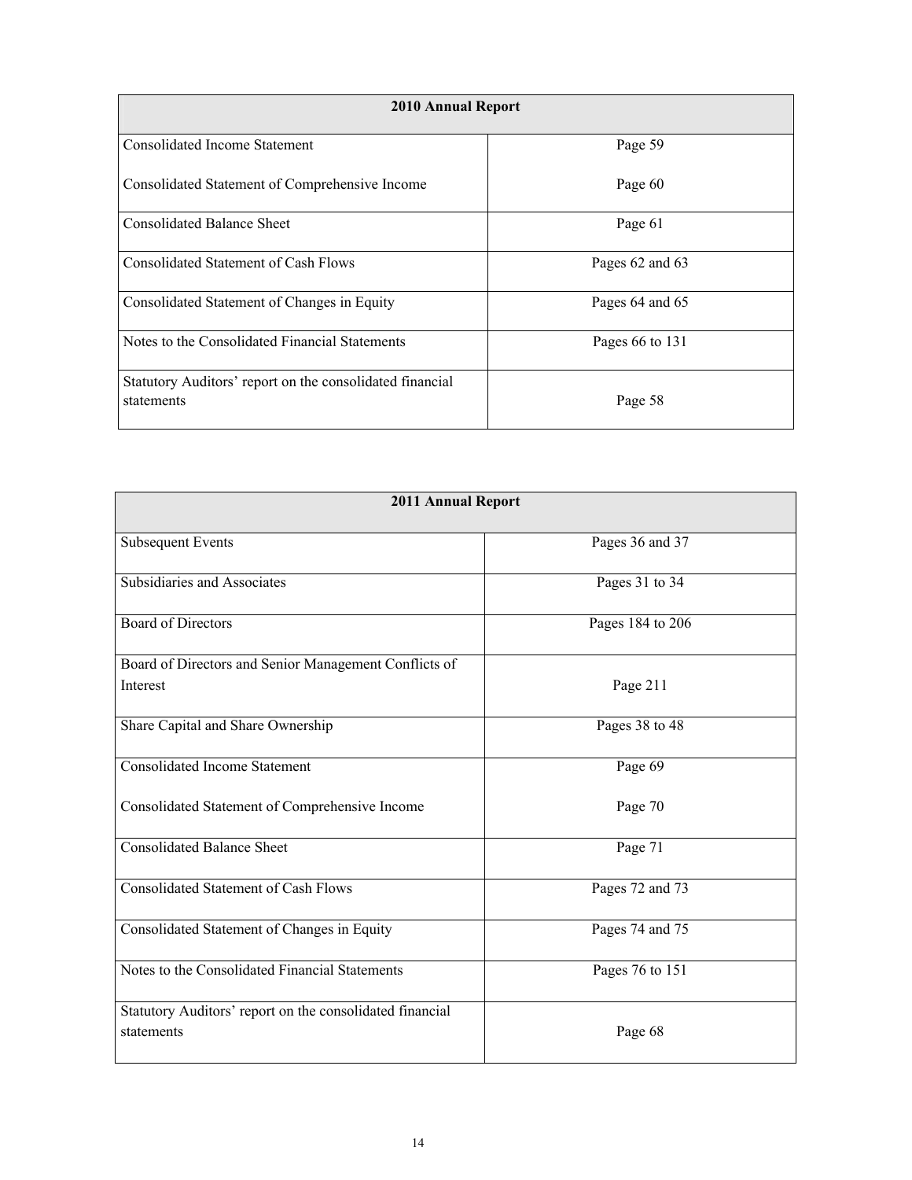| 2010 Annual Report                                                     |                 |
|------------------------------------------------------------------------|-----------------|
| Consolidated Income Statement                                          | Page 59         |
| Consolidated Statement of Comprehensive Income                         | Page 60         |
| <b>Consolidated Balance Sheet</b>                                      | Page 61         |
| Consolidated Statement of Cash Flows                                   | Pages 62 and 63 |
| Consolidated Statement of Changes in Equity                            | Pages 64 and 65 |
| Notes to the Consolidated Financial Statements                         | Pages 66 to 131 |
| Statutory Auditors' report on the consolidated financial<br>statements | Page 58         |

| <b>2011 Annual Report</b>                                              |                  |
|------------------------------------------------------------------------|------------------|
| <b>Subsequent Events</b>                                               | Pages 36 and 37  |
| Subsidiaries and Associates                                            | Pages 31 to 34   |
| <b>Board of Directors</b>                                              | Pages 184 to 206 |
| Board of Directors and Senior Management Conflicts of<br>Interest      | Page 211         |
| Share Capital and Share Ownership                                      | Pages 38 to 48   |
| Consolidated Income Statement                                          | Page 69          |
| Consolidated Statement of Comprehensive Income                         | Page 70          |
| <b>Consolidated Balance Sheet</b>                                      | Page 71          |
| <b>Consolidated Statement of Cash Flows</b>                            | Pages 72 and 73  |
| Consolidated Statement of Changes in Equity                            | Pages 74 and 75  |
| Notes to the Consolidated Financial Statements                         | Pages 76 to 151  |
| Statutory Auditors' report on the consolidated financial<br>statements | Page 68          |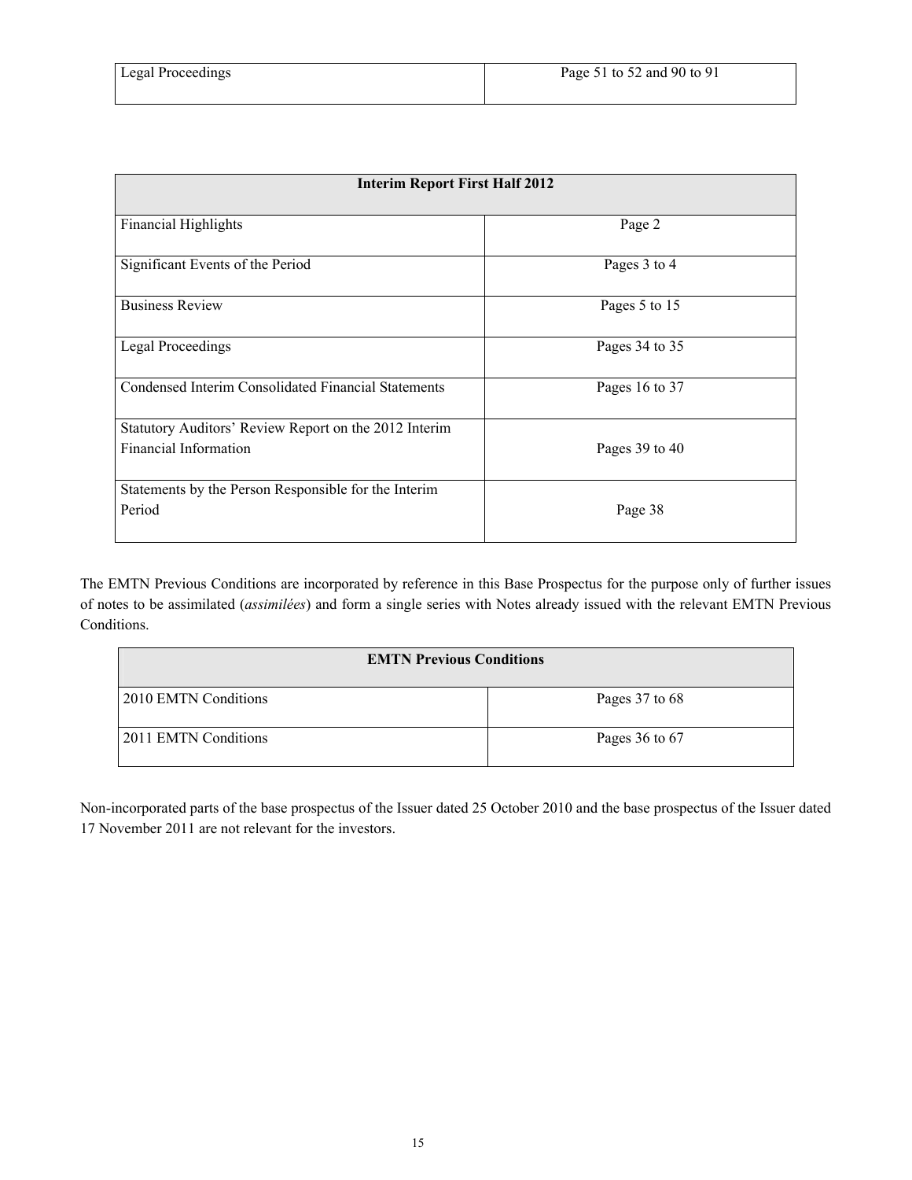| <b>Interim Report First Half 2012</b>                                          |                |
|--------------------------------------------------------------------------------|----------------|
| <b>Financial Highlights</b>                                                    | Page 2         |
| Significant Events of the Period                                               | Pages 3 to 4   |
| <b>Business Review</b>                                                         | Pages 5 to 15  |
| <b>Legal Proceedings</b>                                                       | Pages 34 to 35 |
| Condensed Interim Consolidated Financial Statements                            | Pages 16 to 37 |
| Statutory Auditors' Review Report on the 2012 Interim<br>Financial Information | Pages 39 to 40 |
| Statements by the Person Responsible for the Interim<br>Period                 | Page 38        |

The EMTN Previous Conditions are incorporated by reference in this Base Prospectus for the purpose only of further issues of notes to be assimilated (*assimilées*) and form a single series with Notes already issued with the relevant EMTN Previous Conditions.

| <b>EMTN Previous Conditions</b> |                    |
|---------------------------------|--------------------|
| 2010 EMTN Conditions            | Pages 37 to 68     |
| 2011 EMTN Conditions            | Pages $36$ to $67$ |

Non-incorporated parts of the base prospectus of the Issuer dated 25 October 2010 and the base prospectus of the Issuer dated 17 November 2011 are not relevant for the investors.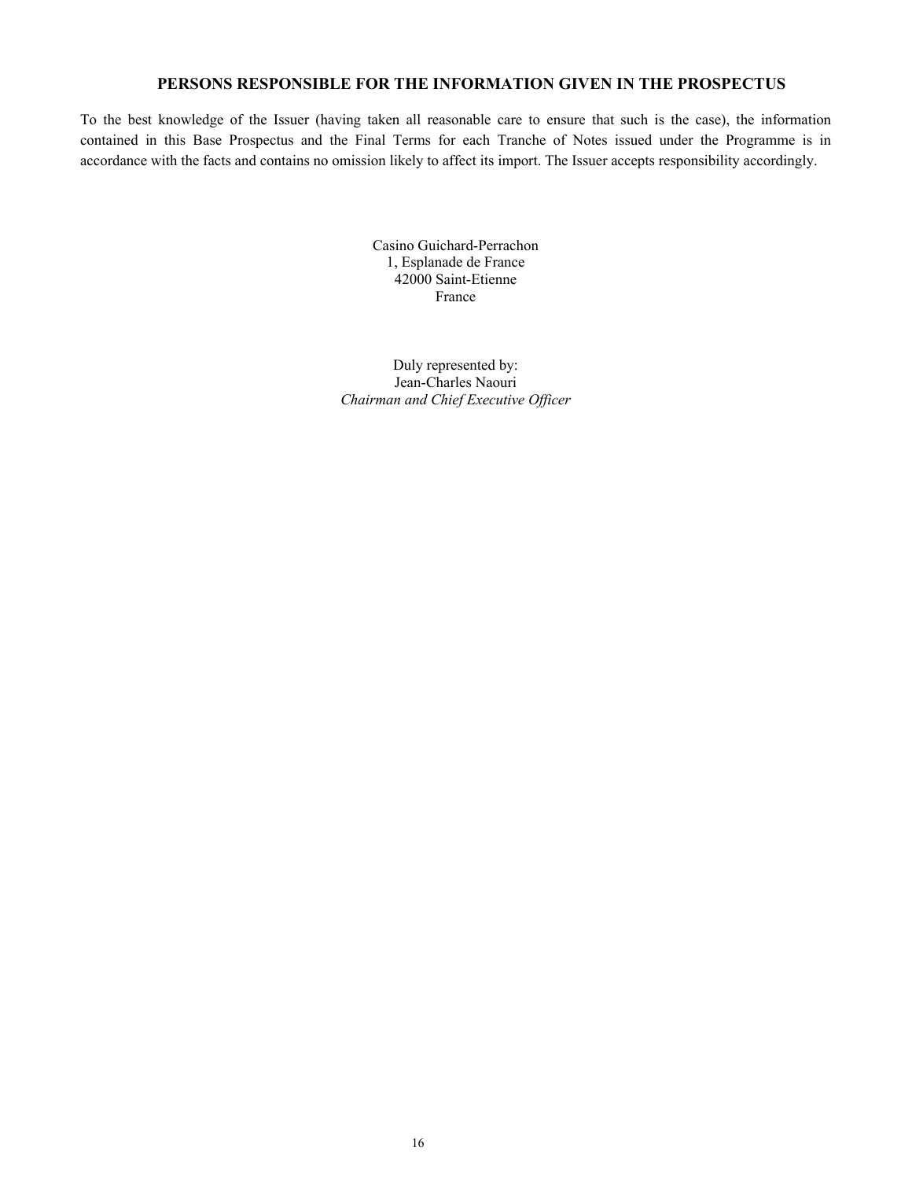# **PERSONS RESPONSIBLE FOR THE INFORMATION GIVEN IN THE PROSPECTUS**

To the best knowledge of the Issuer (having taken all reasonable care to ensure that such is the case), the information contained in this Base Prospectus and the Final Terms for each Tranche of Notes issued under the Programme is in accordance with the facts and contains no omission likely to affect its import. The Issuer accepts responsibility accordingly.

> Casino Guichard-Perrachon 1, Esplanade de France 42000 Saint-Etienne France

Duly represented by: Jean-Charles Naouri *Chairman and Chief Executive Officer*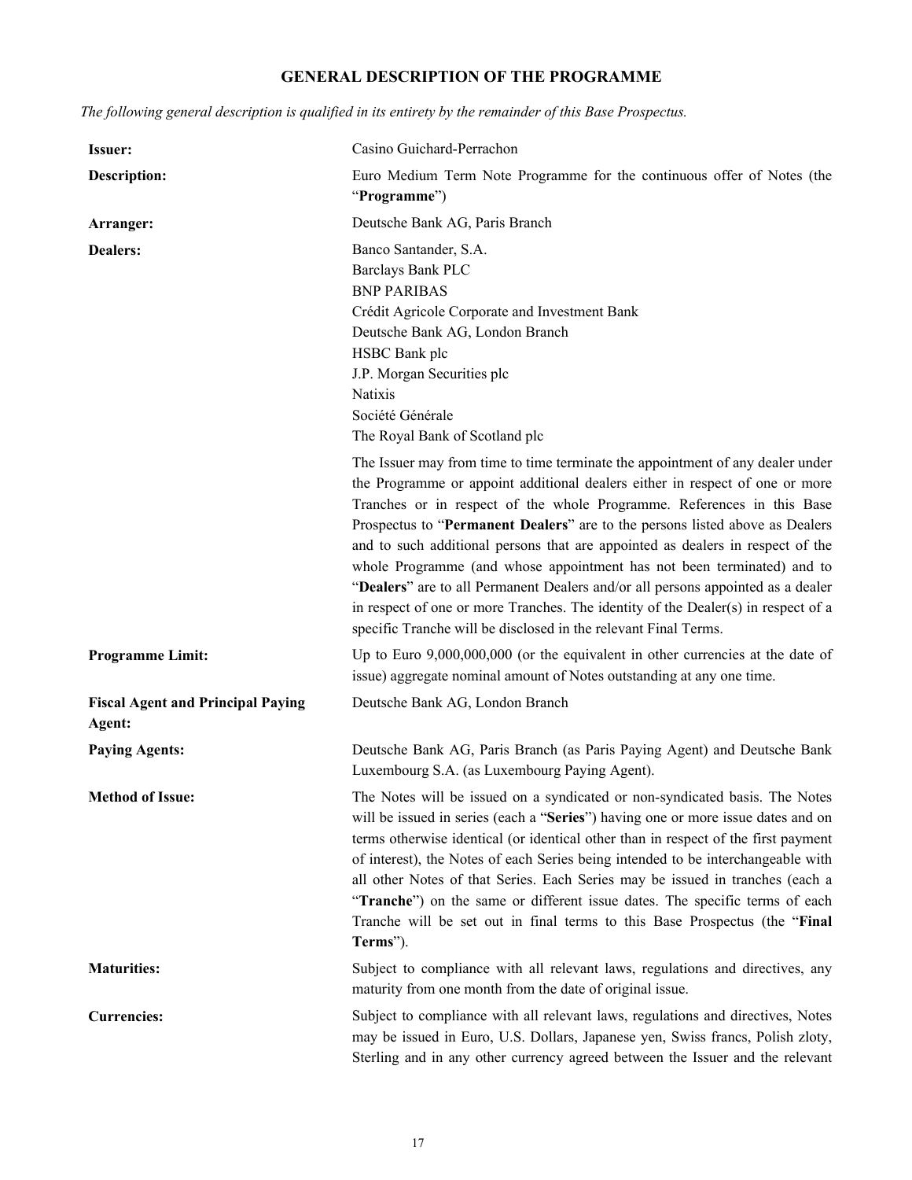# **GENERAL DESCRIPTION OF THE PROGRAMME**

*The following general description is qualified in its entirety by the remainder of this Base Prospectus.*

| Issuer:                                            | Casino Guichard-Perrachon                                                                                                                                                                                                                                                                                                                                                                                                                                                                                                                                                                                                                                                                                                       |
|----------------------------------------------------|---------------------------------------------------------------------------------------------------------------------------------------------------------------------------------------------------------------------------------------------------------------------------------------------------------------------------------------------------------------------------------------------------------------------------------------------------------------------------------------------------------------------------------------------------------------------------------------------------------------------------------------------------------------------------------------------------------------------------------|
| <b>Description:</b>                                | Euro Medium Term Note Programme for the continuous offer of Notes (the<br>"Programme")                                                                                                                                                                                                                                                                                                                                                                                                                                                                                                                                                                                                                                          |
| Arranger:                                          | Deutsche Bank AG, Paris Branch                                                                                                                                                                                                                                                                                                                                                                                                                                                                                                                                                                                                                                                                                                  |
| <b>Dealers:</b>                                    | Banco Santander, S.A.<br><b>Barclays Bank PLC</b><br><b>BNP PARIBAS</b><br>Crédit Agricole Corporate and Investment Bank<br>Deutsche Bank AG, London Branch<br>HSBC Bank plc<br>J.P. Morgan Securities plc<br><b>Natixis</b><br>Société Générale<br>The Royal Bank of Scotland plc                                                                                                                                                                                                                                                                                                                                                                                                                                              |
|                                                    | The Issuer may from time to time terminate the appointment of any dealer under<br>the Programme or appoint additional dealers either in respect of one or more<br>Tranches or in respect of the whole Programme. References in this Base<br>Prospectus to "Permanent Dealers" are to the persons listed above as Dealers<br>and to such additional persons that are appointed as dealers in respect of the<br>whole Programme (and whose appointment has not been terminated) and to<br>"Dealers" are to all Permanent Dealers and/or all persons appointed as a dealer<br>in respect of one or more Tranches. The identity of the Dealer(s) in respect of a<br>specific Tranche will be disclosed in the relevant Final Terms. |
| <b>Programme Limit:</b>                            | Up to Euro $9,000,000,000$ (or the equivalent in other currencies at the date of<br>issue) aggregate nominal amount of Notes outstanding at any one time.                                                                                                                                                                                                                                                                                                                                                                                                                                                                                                                                                                       |
| <b>Fiscal Agent and Principal Paying</b><br>Agent: | Deutsche Bank AG, London Branch                                                                                                                                                                                                                                                                                                                                                                                                                                                                                                                                                                                                                                                                                                 |
| <b>Paying Agents:</b>                              | Deutsche Bank AG, Paris Branch (as Paris Paying Agent) and Deutsche Bank<br>Luxembourg S.A. (as Luxembourg Paying Agent).                                                                                                                                                                                                                                                                                                                                                                                                                                                                                                                                                                                                       |
| <b>Method of Issue:</b>                            | The Notes will be issued on a syndicated or non-syndicated basis. The Notes<br>will be issued in series (each a "Series") having one or more issue dates and on<br>terms otherwise identical (or identical other than in respect of the first payment<br>of interest), the Notes of each Series being intended to be interchangeable with<br>all other Notes of that Series. Each Series may be issued in tranches (each a<br>"Tranche") on the same or different issue dates. The specific terms of each<br>Tranche will be set out in final terms to this Base Prospectus (the "Final<br>Terms").                                                                                                                             |
| <b>Maturities:</b>                                 | Subject to compliance with all relevant laws, regulations and directives, any<br>maturity from one month from the date of original issue.                                                                                                                                                                                                                                                                                                                                                                                                                                                                                                                                                                                       |
| <b>Currencies:</b>                                 | Subject to compliance with all relevant laws, regulations and directives, Notes<br>may be issued in Euro, U.S. Dollars, Japanese yen, Swiss francs, Polish zloty,<br>Sterling and in any other currency agreed between the Issuer and the relevant                                                                                                                                                                                                                                                                                                                                                                                                                                                                              |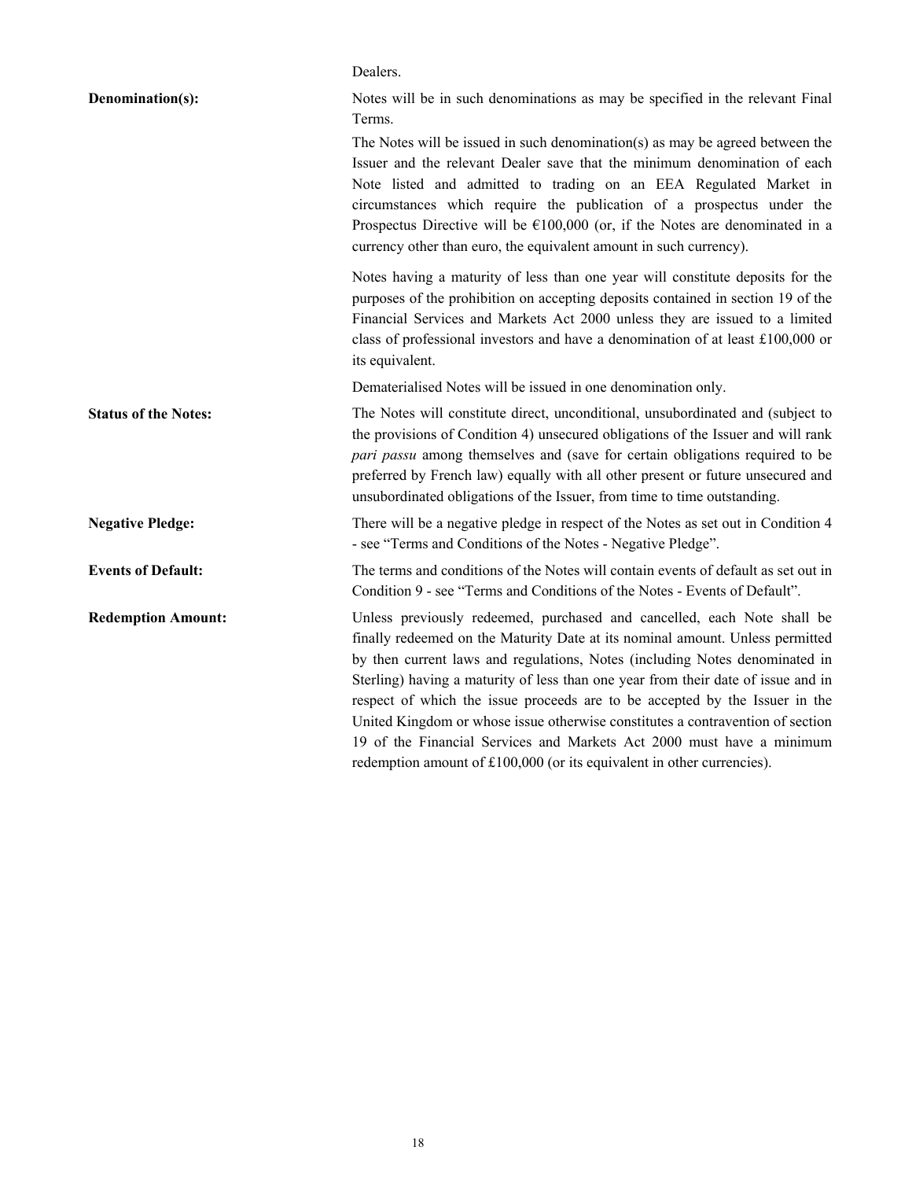|                             | Dealers.                                                                                                                                                                                                                                                                                                                                                                                                                                                                                                                                                                                                                                         |
|-----------------------------|--------------------------------------------------------------------------------------------------------------------------------------------------------------------------------------------------------------------------------------------------------------------------------------------------------------------------------------------------------------------------------------------------------------------------------------------------------------------------------------------------------------------------------------------------------------------------------------------------------------------------------------------------|
| Denomination(s):            | Notes will be in such denominations as may be specified in the relevant Final<br>Terms.                                                                                                                                                                                                                                                                                                                                                                                                                                                                                                                                                          |
|                             | The Notes will be issued in such denomination(s) as may be agreed between the<br>Issuer and the relevant Dealer save that the minimum denomination of each<br>Note listed and admitted to trading on an EEA Regulated Market in<br>circumstances which require the publication of a prospectus under the<br>Prospectus Directive will be $\epsilon$ 100,000 (or, if the Notes are denominated in a<br>currency other than euro, the equivalent amount in such currency).                                                                                                                                                                         |
|                             | Notes having a maturity of less than one year will constitute deposits for the<br>purposes of the prohibition on accepting deposits contained in section 19 of the<br>Financial Services and Markets Act 2000 unless they are issued to a limited<br>class of professional investors and have a denomination of at least £100,000 or<br>its equivalent.                                                                                                                                                                                                                                                                                          |
|                             | Dematerialised Notes will be issued in one denomination only.                                                                                                                                                                                                                                                                                                                                                                                                                                                                                                                                                                                    |
| <b>Status of the Notes:</b> | The Notes will constitute direct, unconditional, unsubordinated and (subject to<br>the provisions of Condition 4) unsecured obligations of the Issuer and will rank<br>pari passu among themselves and (save for certain obligations required to be<br>preferred by French law) equally with all other present or future unsecured and<br>unsubordinated obligations of the Issuer, from time to time outstanding.                                                                                                                                                                                                                               |
| <b>Negative Pledge:</b>     | There will be a negative pledge in respect of the Notes as set out in Condition 4<br>- see "Terms and Conditions of the Notes - Negative Pledge".                                                                                                                                                                                                                                                                                                                                                                                                                                                                                                |
| <b>Events of Default:</b>   | The terms and conditions of the Notes will contain events of default as set out in<br>Condition 9 - see "Terms and Conditions of the Notes - Events of Default".                                                                                                                                                                                                                                                                                                                                                                                                                                                                                 |
| <b>Redemption Amount:</b>   | Unless previously redeemed, purchased and cancelled, each Note shall be<br>finally redeemed on the Maturity Date at its nominal amount. Unless permitted<br>by then current laws and regulations, Notes (including Notes denominated in<br>Sterling) having a maturity of less than one year from their date of issue and in<br>respect of which the issue proceeds are to be accepted by the Issuer in the<br>United Kingdom or whose issue otherwise constitutes a contravention of section<br>19 of the Financial Services and Markets Act 2000 must have a minimum<br>redemption amount of £100,000 (or its equivalent in other currencies). |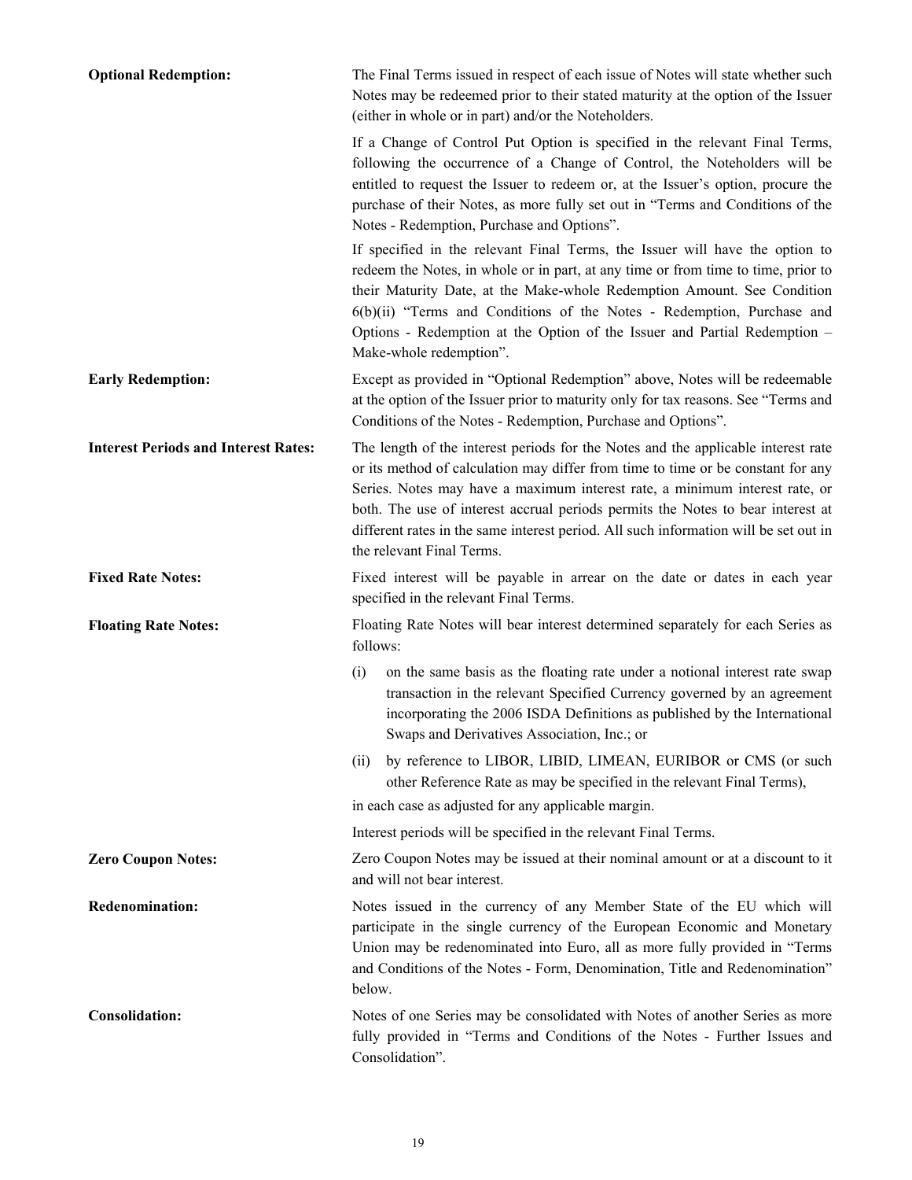| <b>Optional Redemption:</b>                 | The Final Terms issued in respect of each issue of Notes will state whether such<br>Notes may be redeemed prior to their stated maturity at the option of the Issuer<br>(either in whole or in part) and/or the Noteholders.                                                                                                                                                                                                                                 |
|---------------------------------------------|--------------------------------------------------------------------------------------------------------------------------------------------------------------------------------------------------------------------------------------------------------------------------------------------------------------------------------------------------------------------------------------------------------------------------------------------------------------|
|                                             | If a Change of Control Put Option is specified in the relevant Final Terms,<br>following the occurrence of a Change of Control, the Noteholders will be<br>entitled to request the Issuer to redeem or, at the Issuer's option, procure the<br>purchase of their Notes, as more fully set out in "Terms and Conditions of the<br>Notes - Redemption, Purchase and Options".                                                                                  |
|                                             | If specified in the relevant Final Terms, the Issuer will have the option to<br>redeem the Notes, in whole or in part, at any time or from time to time, prior to<br>their Maturity Date, at the Make-whole Redemption Amount. See Condition<br>6(b)(ii) "Terms and Conditions of the Notes - Redemption, Purchase and<br>Options - Redemption at the Option of the Issuer and Partial Redemption -<br>Make-whole redemption".                               |
| <b>Early Redemption:</b>                    | Except as provided in "Optional Redemption" above, Notes will be redeemable<br>at the option of the Issuer prior to maturity only for tax reasons. See "Terms and<br>Conditions of the Notes - Redemption, Purchase and Options".                                                                                                                                                                                                                            |
| <b>Interest Periods and Interest Rates:</b> | The length of the interest periods for the Notes and the applicable interest rate<br>or its method of calculation may differ from time to time or be constant for any<br>Series. Notes may have a maximum interest rate, a minimum interest rate, or<br>both. The use of interest accrual periods permits the Notes to bear interest at<br>different rates in the same interest period. All such information will be set out in<br>the relevant Final Terms. |
| <b>Fixed Rate Notes:</b>                    | Fixed interest will be payable in arrear on the date or dates in each year<br>specified in the relevant Final Terms.                                                                                                                                                                                                                                                                                                                                         |
| <b>Floating Rate Notes:</b>                 | Floating Rate Notes will bear interest determined separately for each Series as<br>follows:                                                                                                                                                                                                                                                                                                                                                                  |
|                                             | on the same basis as the floating rate under a notional interest rate swap<br>(i)<br>transaction in the relevant Specified Currency governed by an agreement<br>incorporating the 2006 ISDA Definitions as published by the International<br>Swaps and Derivatives Association, Inc.; or                                                                                                                                                                     |
|                                             | by reference to LIBOR, LIBID, LIMEAN, EURIBOR or CMS (or such<br>(ii)<br>other Reference Rate as may be specified in the relevant Final Terms),                                                                                                                                                                                                                                                                                                              |
|                                             | in each case as adjusted for any applicable margin.                                                                                                                                                                                                                                                                                                                                                                                                          |
|                                             | Interest periods will be specified in the relevant Final Terms.                                                                                                                                                                                                                                                                                                                                                                                              |
| <b>Zero Coupon Notes:</b>                   | Zero Coupon Notes may be issued at their nominal amount or at a discount to it<br>and will not bear interest.                                                                                                                                                                                                                                                                                                                                                |
| <b>Redenomination:</b>                      | Notes issued in the currency of any Member State of the EU which will<br>participate in the single currency of the European Economic and Monetary<br>Union may be redenominated into Euro, all as more fully provided in "Terms<br>and Conditions of the Notes - Form, Denomination, Title and Redenomination"<br>below.                                                                                                                                     |
|                                             |                                                                                                                                                                                                                                                                                                                                                                                                                                                              |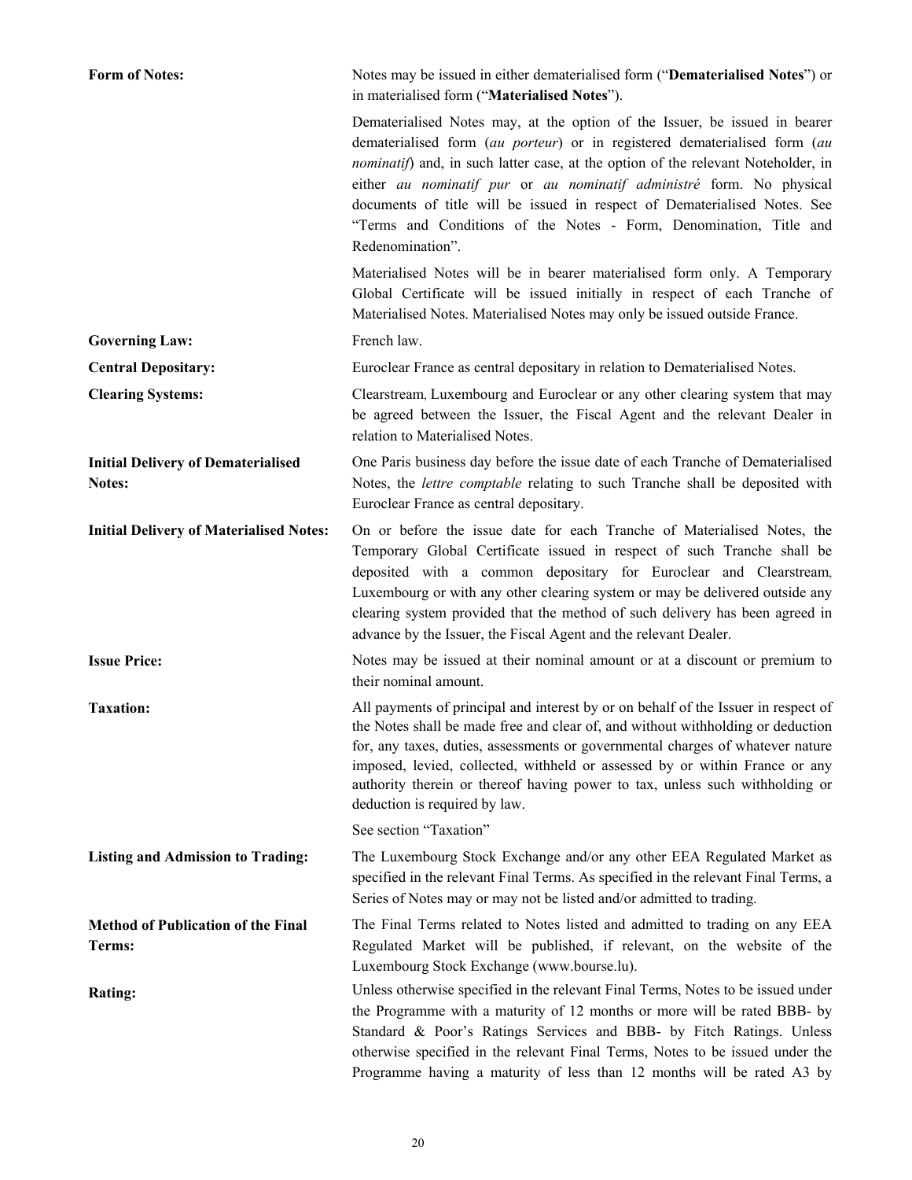| <b>Form of Notes:</b>                               | Notes may be issued in either dematerialised form ("Dematerialised Notes") or<br>in materialised form ("Materialised Notes").                                                                                                                                                                                                                                                                                                                                                               |
|-----------------------------------------------------|---------------------------------------------------------------------------------------------------------------------------------------------------------------------------------------------------------------------------------------------------------------------------------------------------------------------------------------------------------------------------------------------------------------------------------------------------------------------------------------------|
|                                                     | Dematerialised Notes may, at the option of the Issuer, be issued in bearer<br>dematerialised form (au porteur) or in registered dematerialised form (au<br>nominatif) and, in such latter case, at the option of the relevant Noteholder, in<br>either au nominatif pur or au nominatif administré form. No physical<br>documents of title will be issued in respect of Dematerialised Notes. See<br>"Terms and Conditions of the Notes - Form, Denomination, Title and<br>Redenomination". |
|                                                     | Materialised Notes will be in bearer materialised form only. A Temporary<br>Global Certificate will be issued initially in respect of each Tranche of<br>Materialised Notes. Materialised Notes may only be issued outside France.                                                                                                                                                                                                                                                          |
| <b>Governing Law:</b>                               | French law.                                                                                                                                                                                                                                                                                                                                                                                                                                                                                 |
| <b>Central Depositary:</b>                          | Euroclear France as central depositary in relation to Dematerialised Notes.                                                                                                                                                                                                                                                                                                                                                                                                                 |
| <b>Clearing Systems:</b>                            | Clearstream, Luxembourg and Euroclear or any other clearing system that may<br>be agreed between the Issuer, the Fiscal Agent and the relevant Dealer in<br>relation to Materialised Notes.                                                                                                                                                                                                                                                                                                 |
| <b>Initial Delivery of Dematerialised</b><br>Notes: | One Paris business day before the issue date of each Tranche of Dematerialised<br>Notes, the lettre comptable relating to such Tranche shall be deposited with<br>Euroclear France as central depositary.                                                                                                                                                                                                                                                                                   |
| <b>Initial Delivery of Materialised Notes:</b>      | On or before the issue date for each Tranche of Materialised Notes, the<br>Temporary Global Certificate issued in respect of such Tranche shall be<br>deposited with a common depositary for Euroclear and Clearstream,<br>Luxembourg or with any other clearing system or may be delivered outside any<br>clearing system provided that the method of such delivery has been agreed in<br>advance by the Issuer, the Fiscal Agent and the relevant Dealer.                                 |
| <b>Issue Price:</b>                                 | Notes may be issued at their nominal amount or at a discount or premium to<br>their nominal amount.                                                                                                                                                                                                                                                                                                                                                                                         |
| <b>Taxation:</b>                                    | All payments of principal and interest by or on behalf of the Issuer in respect of<br>the Notes shall be made free and clear of, and without withholding or deduction<br>for, any taxes, duties, assessments or governmental charges of whatever nature<br>imposed, levied, collected, withheld or assessed by or within France or any<br>authority therein or thereof having power to tax, unless such withholding or<br>deduction is required by law.                                     |
|                                                     | See section "Taxation"                                                                                                                                                                                                                                                                                                                                                                                                                                                                      |
| <b>Listing and Admission to Trading:</b>            | The Luxembourg Stock Exchange and/or any other EEA Regulated Market as<br>specified in the relevant Final Terms. As specified in the relevant Final Terms, a<br>Series of Notes may or may not be listed and/or admitted to trading.                                                                                                                                                                                                                                                        |
| <b>Method of Publication of the Final</b><br>Terms: | The Final Terms related to Notes listed and admitted to trading on any EEA<br>Regulated Market will be published, if relevant, on the website of the<br>Luxembourg Stock Exchange (www.bourse.lu).                                                                                                                                                                                                                                                                                          |
| Rating:                                             | Unless otherwise specified in the relevant Final Terms, Notes to be issued under<br>the Programme with a maturity of 12 months or more will be rated BBB- by<br>Standard & Poor's Ratings Services and BBB- by Fitch Ratings. Unless<br>otherwise specified in the relevant Final Terms, Notes to be issued under the<br>Programme having a maturity of less than 12 months will be rated A3 by                                                                                             |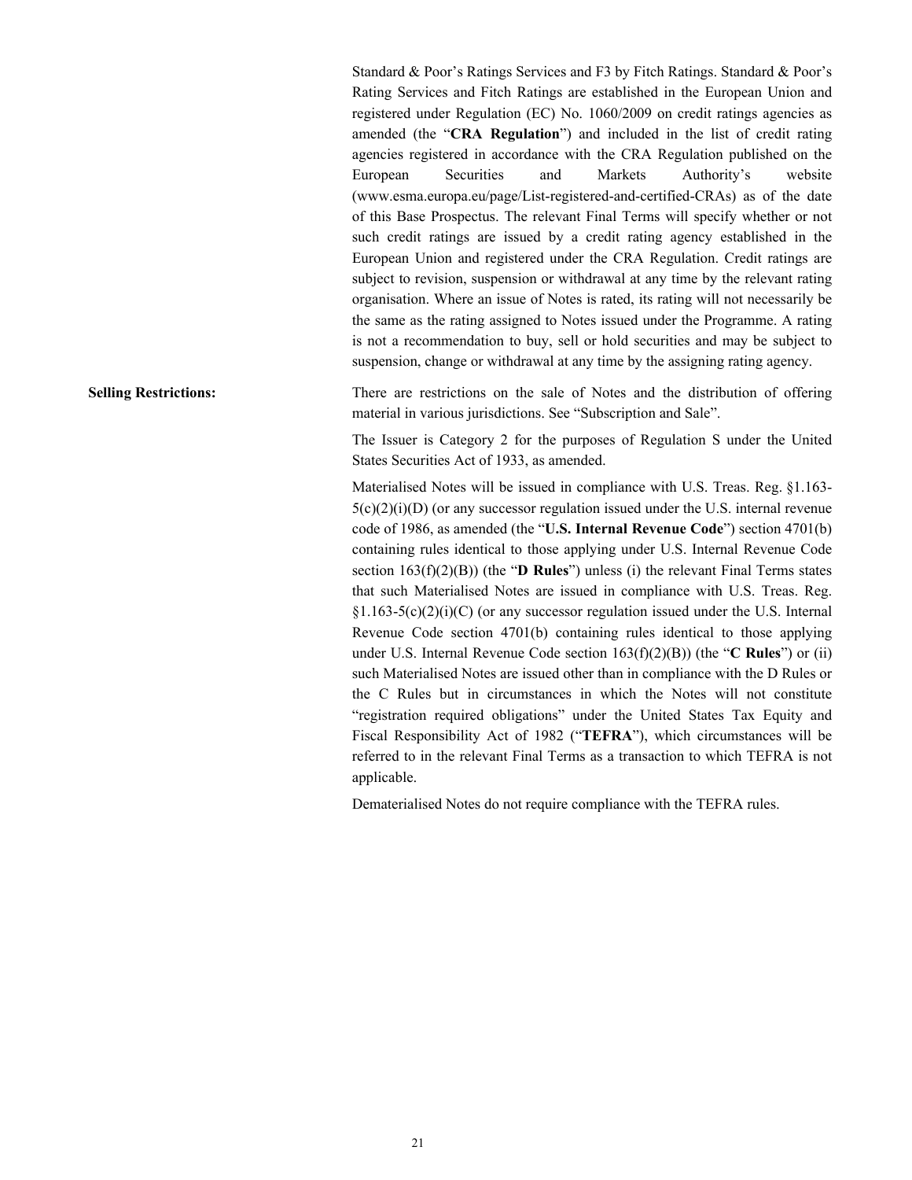Standard & Poor's Ratings Services and F3 by Fitch Ratings. Standard & Poor's Rating Services and Fitch Ratings are established in the European Union and registered under Regulation (EC) No. 1060/2009 on credit ratings agencies as amended (the "**CRA Regulation**") and included in the list of credit rating agencies registered in accordance with the CRA Regulation published on the European Securities and Markets Authority's website (www.esma.europa.eu/page/List-registered-and-certified-CRAs) as of the date of this Base Prospectus. The relevant Final Terms will specify whether or not such credit ratings are issued by a credit rating agency established in the European Union and registered under the CRA Regulation. Credit ratings are subject to revision, suspension or withdrawal at any time by the relevant rating organisation. Where an issue of Notes is rated, its rating will not necessarily be the same as the rating assigned to Notes issued under the Programme. A rating is not a recommendation to buy, sell or hold securities and may be subject to suspension, change or withdrawal at any time by the assigning rating agency.

**Selling Restrictions:** There are restrictions on the sale of Notes and the distribution of offering material in various jurisdictions. See "Subscription and Sale".

> The Issuer is Category 2 for the purposes of Regulation S under the United States Securities Act of 1933, as amended.

> Materialised Notes will be issued in compliance with U.S. Treas. Reg. §1.163-  $5(c)(2)(i)(D)$  (or any successor regulation issued under the U.S. internal revenue code of 1986, as amended (the "**U.S. Internal Revenue Code**") section 4701(b) containing rules identical to those applying under U.S. Internal Revenue Code section  $163(f)(2)(B)$ ) (the "**D Rules**") unless (i) the relevant Final Terms states that such Materialised Notes are issued in compliance with U.S. Treas. Reg.  $\S1.163-5(c)(2)(i)(C)$  (or any successor regulation issued under the U.S. Internal Revenue Code section 4701(b) containing rules identical to those applying under U.S. Internal Revenue Code section 163(f)(2)(B)) (the "**C Rules**") or (ii) such Materialised Notes are issued other than in compliance with the D Rules or the C Rules but in circumstances in which the Notes will not constitute "registration required obligations" under the United States Tax Equity and Fiscal Responsibility Act of 1982 ("**TEFRA**"), which circumstances will be referred to in the relevant Final Terms as a transaction to which TEFRA is not applicable.

Dematerialised Notes do not require compliance with the TEFRA rules.

21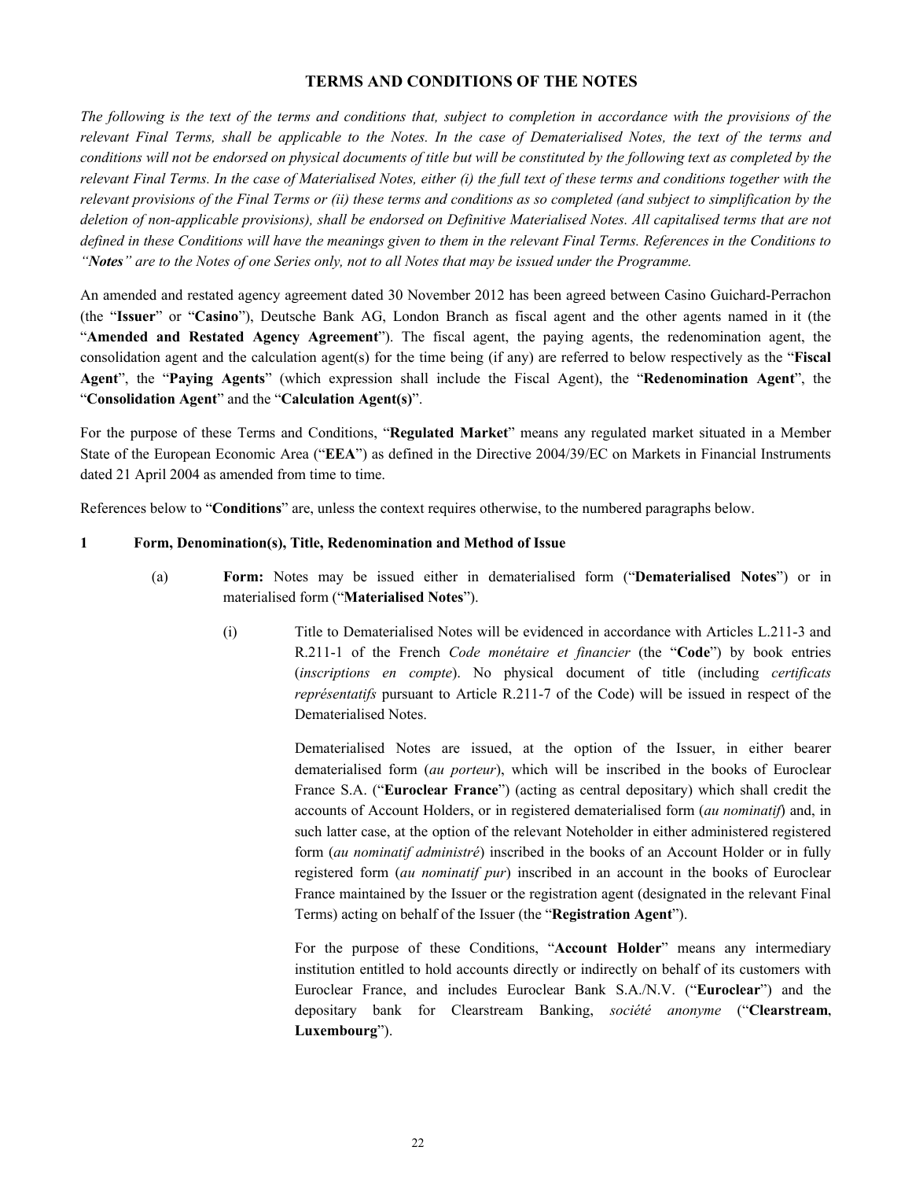# **TERMS AND CONDITIONS OF THE NOTES**

*The following is the text of the terms and conditions that, subject to completion in accordance with the provisions of the relevant Final Terms, shall be applicable to the Notes. In the case of Dematerialised Notes, the text of the terms and conditions will not be endorsed on physical documents of title but will be constituted by the following text as completed by the relevant Final Terms. In the case of Materialised Notes, either (i) the full text of these terms and conditions together with the relevant provisions of the Final Terms or (ii) these terms and conditions as so completed (and subject to simplification by the deletion of non-applicable provisions), shall be endorsed on Definitive Materialised Notes. All capitalised terms that are not defined in these Conditions will have the meanings given to them in the relevant Final Terms. References in the Conditions to "Notes" are to the Notes of one Series only, not to all Notes that may be issued under the Programme.*

An amended and restated agency agreement dated 30 November 2012 has been agreed between Casino Guichard-Perrachon (the "**Issuer**" or "**Casino**"), Deutsche Bank AG, London Branch as fiscal agent and the other agents named in it (the "**Amended and Restated Agency Agreement**"). The fiscal agent, the paying agents, the redenomination agent, the consolidation agent and the calculation agent(s) for the time being (if any) are referred to below respectively as the "**Fiscal Agent**", the "**Paying Agents**" (which expression shall include the Fiscal Agent), the "**Redenomination Agent**", the "**Consolidation Agent**" and the "**Calculation Agent(s)**".

For the purpose of these Terms and Conditions, "**Regulated Market**" means any regulated market situated in a Member State of the European Economic Area ("**EEA**") as defined in the Directive 2004/39/EC on Markets in Financial Instruments dated 21 April 2004 as amended from time to time.

References below to "**Conditions**" are, unless the context requires otherwise, to the numbered paragraphs below.

#### **1 Form, Denomination(s), Title, Redenomination and Method of Issue**

- (a) **Form:** Notes may be issued either in dematerialised form ("**Dematerialised Notes**") or in materialised form ("**Materialised Notes**").
	- (i) Title to Dematerialised Notes will be evidenced in accordance with Articles L.211-3 and R.211-1 of the French *Code monétaire et financier* (the "**Code**") by book entries (*inscriptions en compte*). No physical document of title (including *certificats représentatifs* pursuant to Article R.211-7 of the Code) will be issued in respect of the Dematerialised Notes.

Dematerialised Notes are issued, at the option of the Issuer, in either bearer dematerialised form (*au porteur*), which will be inscribed in the books of Euroclear France S.A. ("**Euroclear France**") (acting as central depositary) which shall credit the accounts of Account Holders, or in registered dematerialised form (*au nominatif*) and, in such latter case, at the option of the relevant Noteholder in either administered registered form (*au nominatif administré*) inscribed in the books of an Account Holder or in fully registered form (*au nominatif pur*) inscribed in an account in the books of Euroclear France maintained by the Issuer or the registration agent (designated in the relevant Final Terms) acting on behalf of the Issuer (the "**Registration Agent**").

For the purpose of these Conditions, "**Account Holder**" means any intermediary institution entitled to hold accounts directly or indirectly on behalf of its customers with Euroclear France, and includes Euroclear Bank S.A./N.V. ("**Euroclear**") and the depositary bank for Clearstream Banking, *société anonyme* ("**Clearstream, Luxembourg**").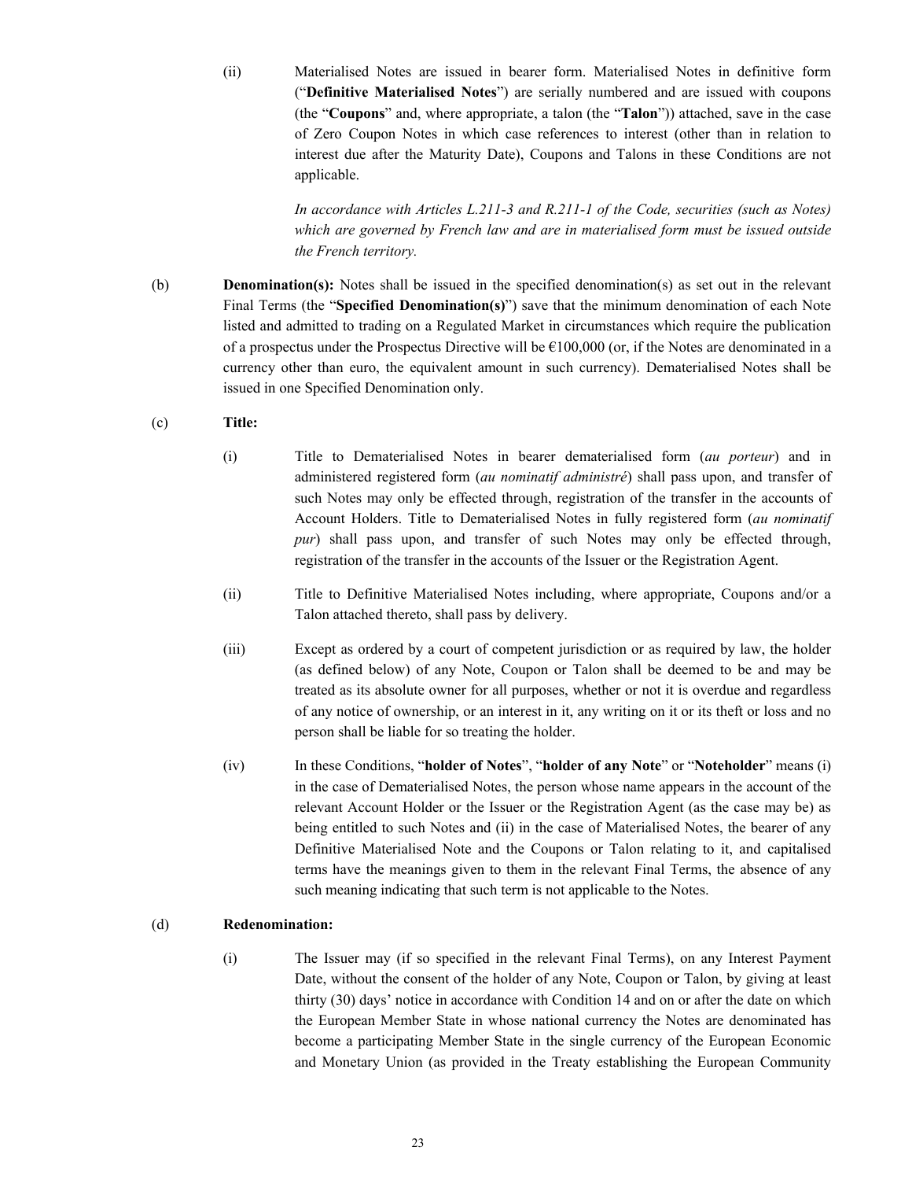(ii) Materialised Notes are issued in bearer form. Materialised Notes in definitive form ("**Definitive Materialised Notes**") are serially numbered and are issued with coupons (the "**Coupons**" and, where appropriate, a talon (the "**Talon**")) attached, save in the case of Zero Coupon Notes in which case references to interest (other than in relation to interest due after the Maturity Date), Coupons and Talons in these Conditions are not applicable.

> *In accordance with Articles L.211-3 and R.211-1 of the Code, securities (such as Notes) which are governed by French law and are in materialised form must be issued outside the French territory.*

(b) **Denomination(s):** Notes shall be issued in the specified denomination(s) as set out in the relevant Final Terms (the "**Specified Denomination(s)**") save that the minimum denomination of each Note listed and admitted to trading on a Regulated Market in circumstances which require the publication of a prospectus under the Prospectus Directive will be  $\epsilon$ 100,000 (or, if the Notes are denominated in a currency other than euro, the equivalent amount in such currency). Dematerialised Notes shall be issued in one Specified Denomination only.

# (c) **Title:**

- (i) Title to Dematerialised Notes in bearer dematerialised form (*au porteur*) and in administered registered form (*au nominatif administré*) shall pass upon, and transfer of such Notes may only be effected through, registration of the transfer in the accounts of Account Holders. Title to Dematerialised Notes in fully registered form (*au nominatif pur*) shall pass upon, and transfer of such Notes may only be effected through, registration of the transfer in the accounts of the Issuer or the Registration Agent.
- (ii) Title to Definitive Materialised Notes including, where appropriate, Coupons and/or a Talon attached thereto, shall pass by delivery.
- (iii) Except as ordered by a court of competent jurisdiction or as required by law, the holder (as defined below) of any Note, Coupon or Talon shall be deemed to be and may be treated as its absolute owner for all purposes, whether or not it is overdue and regardless of any notice of ownership, or an interest in it, any writing on it or its theft or loss and no person shall be liable for so treating the holder.
- (iv) In these Conditions, "**holder of Notes**", "**holder of any Note**" or "**Noteholder**" means (i) in the case of Dematerialised Notes, the person whose name appears in the account of the relevant Account Holder or the Issuer or the Registration Agent (as the case may be) as being entitled to such Notes and (ii) in the case of Materialised Notes, the bearer of any Definitive Materialised Note and the Coupons or Talon relating to it, and capitalised terms have the meanings given to them in the relevant Final Terms, the absence of any such meaning indicating that such term is not applicable to the Notes.

# (d) **Redenomination:**

(i) The Issuer may (if so specified in the relevant Final Terms), on any Interest Payment Date, without the consent of the holder of any Note, Coupon or Talon, by giving at least thirty (30) days' notice in accordance with Condition 14 and on or after the date on which the European Member State in whose national currency the Notes are denominated has become a participating Member State in the single currency of the European Economic and Monetary Union (as provided in the Treaty establishing the European Community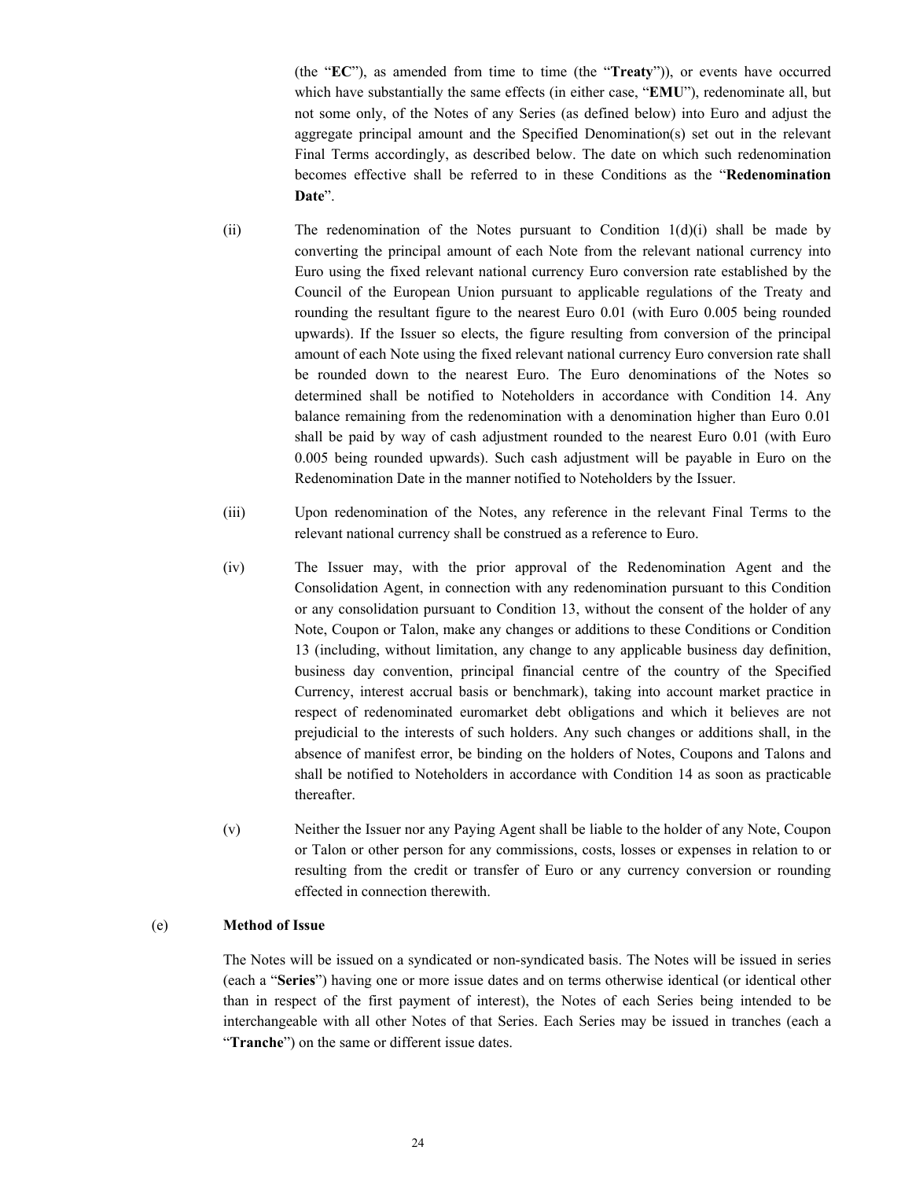(the "**EC**"), as amended from time to time (the "**Treaty**")), or events have occurred which have substantially the same effects (in either case, "**EMU**"), redenominate all, but not some only, of the Notes of any Series (as defined below) into Euro and adjust the aggregate principal amount and the Specified Denomination(s) set out in the relevant Final Terms accordingly, as described below. The date on which such redenomination becomes effective shall be referred to in these Conditions as the "**Redenomination Date**".

- (ii) The redenomination of the Notes pursuant to Condition 1(d)(i) shall be made by converting the principal amount of each Note from the relevant national currency into Euro using the fixed relevant national currency Euro conversion rate established by the Council of the European Union pursuant to applicable regulations of the Treaty and rounding the resultant figure to the nearest Euro 0.01 (with Euro 0.005 being rounded upwards). If the Issuer so elects, the figure resulting from conversion of the principal amount of each Note using the fixed relevant national currency Euro conversion rate shall be rounded down to the nearest Euro. The Euro denominations of the Notes so determined shall be notified to Noteholders in accordance with Condition 14. Any balance remaining from the redenomination with a denomination higher than Euro 0.01 shall be paid by way of cash adjustment rounded to the nearest Euro 0.01 (with Euro 0.005 being rounded upwards). Such cash adjustment will be payable in Euro on the Redenomination Date in the manner notified to Noteholders by the Issuer.
- (iii) Upon redenomination of the Notes, any reference in the relevant Final Terms to the relevant national currency shall be construed as a reference to Euro.
- (iv) The Issuer may, with the prior approval of the Redenomination Agent and the Consolidation Agent, in connection with any redenomination pursuant to this Condition or any consolidation pursuant to Condition 13, without the consent of the holder of any Note, Coupon or Talon, make any changes or additions to these Conditions or Condition 13 (including, without limitation, any change to any applicable business day definition, business day convention, principal financial centre of the country of the Specified Currency, interest accrual basis or benchmark), taking into account market practice in respect of redenominated euromarket debt obligations and which it believes are not prejudicial to the interests of such holders. Any such changes or additions shall, in the absence of manifest error, be binding on the holders of Notes, Coupons and Talons and shall be notified to Noteholders in accordance with Condition 14 as soon as practicable thereafter.
- (v) Neither the Issuer nor any Paying Agent shall be liable to the holder of any Note, Coupon or Talon or other person for any commissions, costs, losses or expenses in relation to or resulting from the credit or transfer of Euro or any currency conversion or rounding effected in connection therewith.

# (e) **Method of Issue**

The Notes will be issued on a syndicated or non-syndicated basis. The Notes will be issued in series (each a "**Series**") having one or more issue dates and on terms otherwise identical (or identical other than in respect of the first payment of interest), the Notes of each Series being intended to be interchangeable with all other Notes of that Series. Each Series may be issued in tranches (each a "**Tranche**") on the same or different issue dates.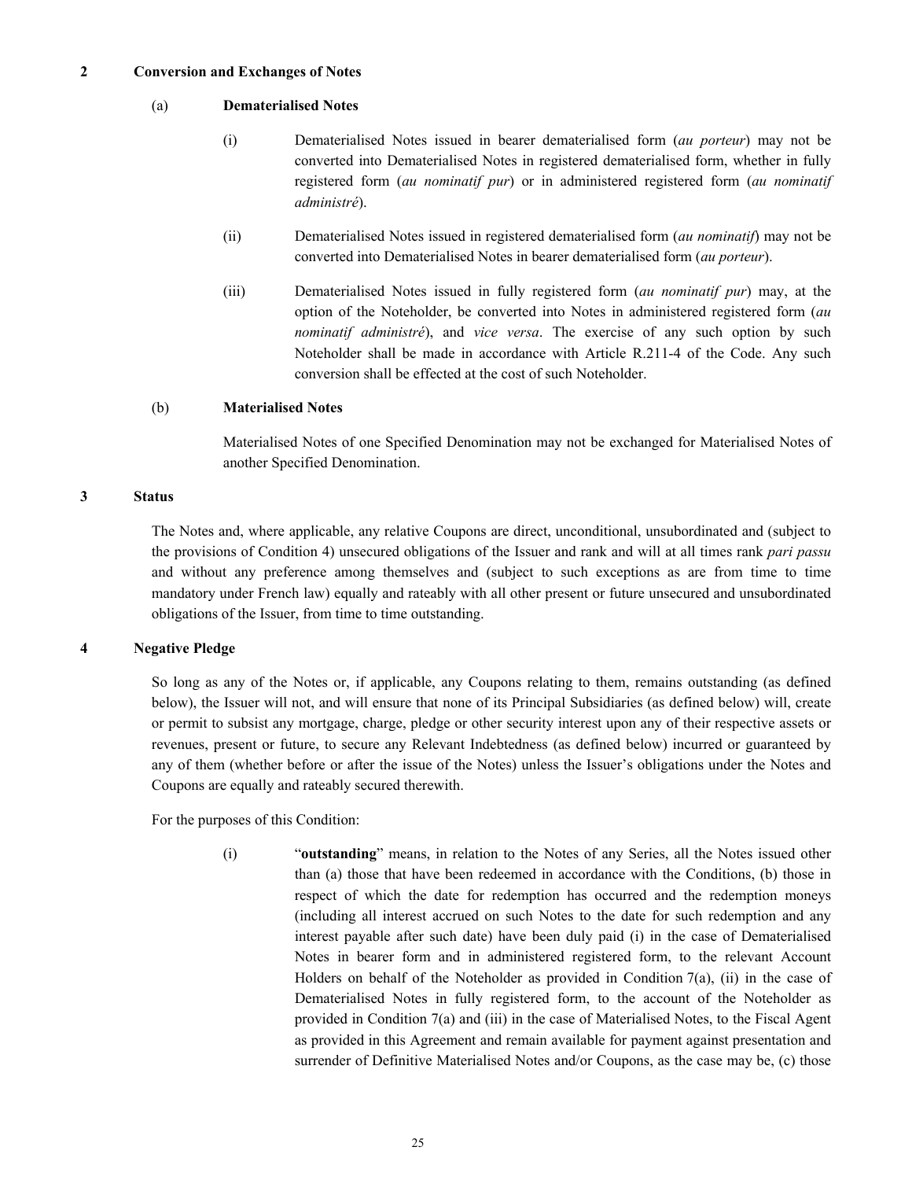#### **2 Conversion and Exchanges of Notes**

#### (a) **Dematerialised Notes**

- (i) Dematerialised Notes issued in bearer dematerialised form (*au porteur*) may not be converted into Dematerialised Notes in registered dematerialised form, whether in fully registered form (*au nominatif pur*) or in administered registered form (*au nominatif administré*).
- (ii) Dematerialised Notes issued in registered dematerialised form (*au nominatif*) may not be converted into Dematerialised Notes in bearer dematerialised form (*au porteur*).
- (iii) Dematerialised Notes issued in fully registered form (*au nominatif pur*) may, at the option of the Noteholder, be converted into Notes in administered registered form (*au nominatif administré*), and *vice versa*. The exercise of any such option by such Noteholder shall be made in accordance with Article R.211-4 of the Code. Any such conversion shall be effected at the cost of such Noteholder.

#### (b) **Materialised Notes**

Materialised Notes of one Specified Denomination may not be exchanged for Materialised Notes of another Specified Denomination.

#### **3 Status**

The Notes and, where applicable, any relative Coupons are direct, unconditional, unsubordinated and (subject to the provisions of Condition 4) unsecured obligations of the Issuer and rank and will at all times rank *pari passu*  and without any preference among themselves and (subject to such exceptions as are from time to time mandatory under French law) equally and rateably with all other present or future unsecured and unsubordinated obligations of the Issuer, from time to time outstanding.

# **4 Negative Pledge**

So long as any of the Notes or, if applicable, any Coupons relating to them, remains outstanding (as defined below), the Issuer will not, and will ensure that none of its Principal Subsidiaries (as defined below) will, create or permit to subsist any mortgage, charge, pledge or other security interest upon any of their respective assets or revenues, present or future, to secure any Relevant Indebtedness (as defined below) incurred or guaranteed by any of them (whether before or after the issue of the Notes) unless the Issuer's obligations under the Notes and Coupons are equally and rateably secured therewith.

For the purposes of this Condition:

(i) "**outstanding**" means, in relation to the Notes of any Series, all the Notes issued other than (a) those that have been redeemed in accordance with the Conditions, (b) those in respect of which the date for redemption has occurred and the redemption moneys (including all interest accrued on such Notes to the date for such redemption and any interest payable after such date) have been duly paid (i) in the case of Dematerialised Notes in bearer form and in administered registered form, to the relevant Account Holders on behalf of the Noteholder as provided in Condition 7(a), (ii) in the case of Dematerialised Notes in fully registered form, to the account of the Noteholder as provided in Condition 7(a) and (iii) in the case of Materialised Notes, to the Fiscal Agent as provided in this Agreement and remain available for payment against presentation and surrender of Definitive Materialised Notes and/or Coupons, as the case may be, (c) those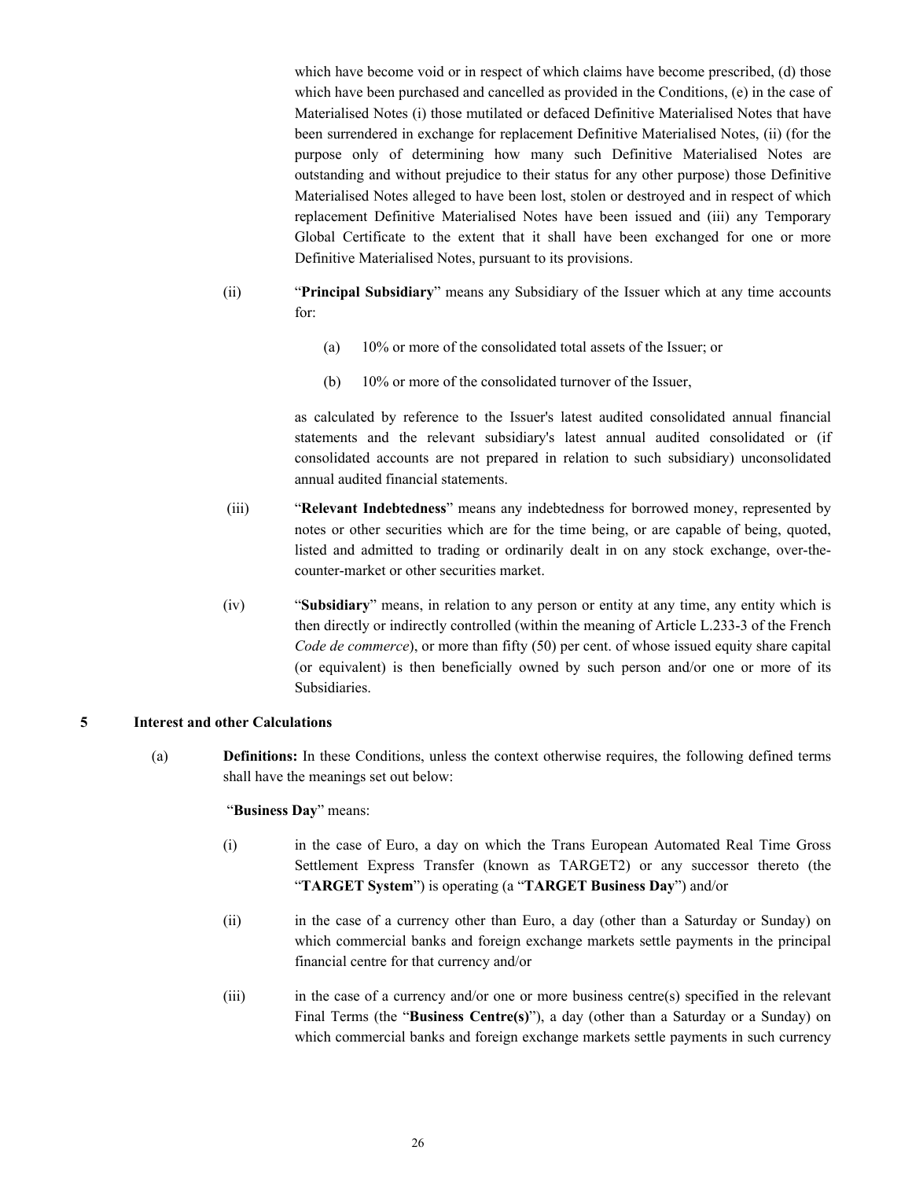which have become void or in respect of which claims have become prescribed, (d) those which have been purchased and cancelled as provided in the Conditions, (e) in the case of Materialised Notes (i) those mutilated or defaced Definitive Materialised Notes that have been surrendered in exchange for replacement Definitive Materialised Notes, (ii) (for the purpose only of determining how many such Definitive Materialised Notes are outstanding and without prejudice to their status for any other purpose) those Definitive Materialised Notes alleged to have been lost, stolen or destroyed and in respect of which replacement Definitive Materialised Notes have been issued and (iii) any Temporary Global Certificate to the extent that it shall have been exchanged for one or more Definitive Materialised Notes, pursuant to its provisions.

- (ii) "**Principal Subsidiary**" means any Subsidiary of the Issuer which at any time accounts for:
	- (a) 10% or more of the consolidated total assets of the Issuer; or
	- (b) 10% or more of the consolidated turnover of the Issuer,

as calculated by reference to the Issuer's latest audited consolidated annual financial statements and the relevant subsidiary's latest annual audited consolidated or (if consolidated accounts are not prepared in relation to such subsidiary) unconsolidated annual audited financial statements.

- (iii) "**Relevant Indebtedness**" means any indebtedness for borrowed money, represented by notes or other securities which are for the time being, or are capable of being, quoted, listed and admitted to trading or ordinarily dealt in on any stock exchange, over-thecounter-market or other securities market.
- (iv) "**Subsidiary**" means, in relation to any person or entity at any time, any entity which is then directly or indirectly controlled (within the meaning of Article L.233-3 of the French *Code de commerce*), or more than fifty (50) per cent. of whose issued equity share capital (or equivalent) is then beneficially owned by such person and/or one or more of its Subsidiaries.

# **5 Interest and other Calculations**

(a) **Definitions:** In these Conditions, unless the context otherwise requires, the following defined terms shall have the meanings set out below:

#### "**Business Day**" means:

- (i) in the case of Euro, a day on which the Trans European Automated Real Time Gross Settlement Express Transfer (known as TARGET2) or any successor thereto (the "**TARGET System**") is operating (a "**TARGET Business Day**") and/or
- (ii) in the case of a currency other than Euro, a day (other than a Saturday or Sunday) on which commercial banks and foreign exchange markets settle payments in the principal financial centre for that currency and/or
- (iii) in the case of a currency and/or one or more business centre(s) specified in the relevant Final Terms (the "**Business Centre(s)**"), a day (other than a Saturday or a Sunday) on which commercial banks and foreign exchange markets settle payments in such currency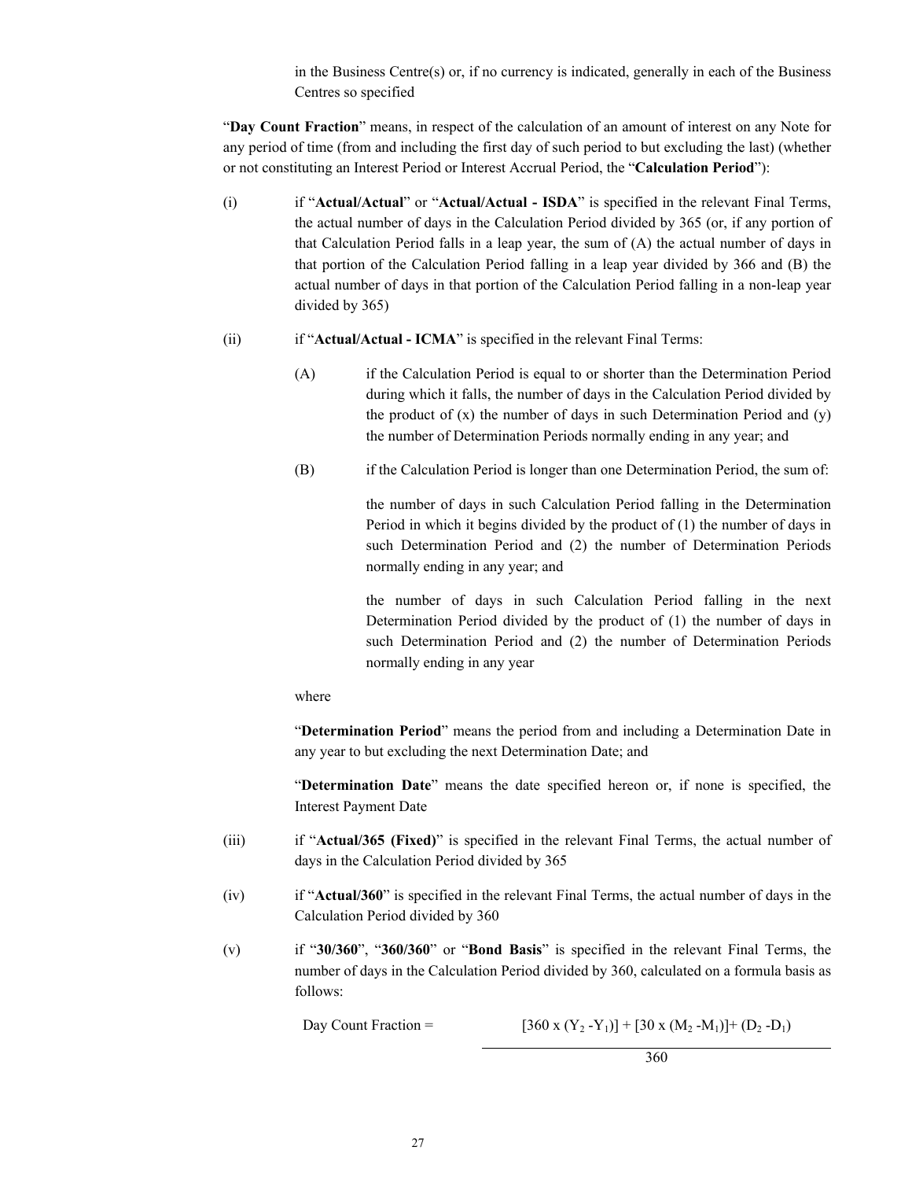in the Business Centre(s) or, if no currency is indicated, generally in each of the Business Centres so specified

"**Day Count Fraction**" means, in respect of the calculation of an amount of interest on any Note for any period of time (from and including the first day of such period to but excluding the last) (whether or not constituting an Interest Period or Interest Accrual Period, the "**Calculation Period**"):

- (i) if "**Actual/Actual**" or "**Actual/Actual - ISDA**" is specified in the relevant Final Terms, the actual number of days in the Calculation Period divided by 365 (or, if any portion of that Calculation Period falls in a leap year, the sum of (A) the actual number of days in that portion of the Calculation Period falling in a leap year divided by 366 and (B) the actual number of days in that portion of the Calculation Period falling in a non-leap year divided by 365)
- (ii) if "**Actual/Actual - ICMA**" is specified in the relevant Final Terms:
	- (A) if the Calculation Period is equal to or shorter than the Determination Period during which it falls, the number of days in the Calculation Period divided by the product of  $(x)$  the number of days in such Determination Period and  $(y)$ the number of Determination Periods normally ending in any year; and
	- (B) if the Calculation Period is longer than one Determination Period, the sum of:

the number of days in such Calculation Period falling in the Determination Period in which it begins divided by the product of (1) the number of days in such Determination Period and (2) the number of Determination Periods normally ending in any year; and

the number of days in such Calculation Period falling in the next Determination Period divided by the product of (1) the number of days in such Determination Period and (2) the number of Determination Periods normally ending in any year

# where

"**Determination Period**" means the period from and including a Determination Date in any year to but excluding the next Determination Date; and

"**Determination Date**" means the date specified hereon or, if none is specified, the Interest Payment Date

- (iii) if "**Actual/365 (Fixed)**" is specified in the relevant Final Terms, the actual number of days in the Calculation Period divided by 365
- (iv) if "**Actual/360**" is specified in the relevant Final Terms, the actual number of days in the Calculation Period divided by 360
- (v) if "**30/360**", "**360/360**" or "**Bond Basis**" is specified in the relevant Final Terms, the number of days in the Calculation Period divided by 360, calculated on a formula basis as follows:

Day Count Fraction =  $[360 \times (Y_2 - Y_1)] + [30 \times (M_2 - M_1)] + (D_2 - D_1)$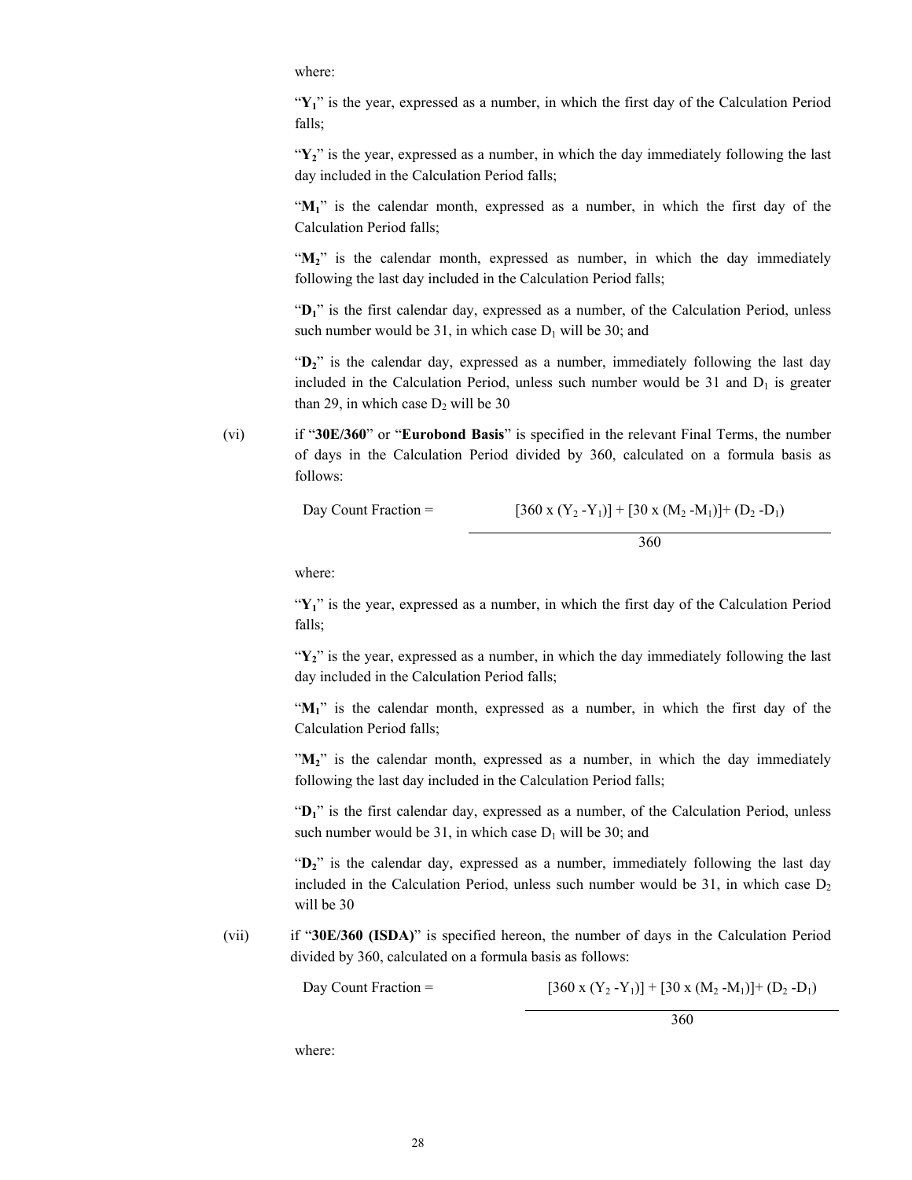where:

" $Y_1$ " is the year, expressed as a number, in which the first day of the Calculation Period falls;

"Y<sub>2</sub>" is the year, expressed as a number, in which the day immediately following the last day included in the Calculation Period falls;

"**M1**" is the calendar month, expressed as a number, in which the first day of the Calculation Period falls;

" $M_2$ " is the calendar month, expressed as number, in which the day immediately following the last day included in the Calculation Period falls;

"D<sub>1</sub>" is the first calendar day, expressed as a number, of the Calculation Period, unless such number would be 31, in which case  $D_1$  will be 30; and

"D<sub>2</sub>" is the calendar day, expressed as a number, immediately following the last day included in the Calculation Period, unless such number would be  $31$  and  $D_1$  is greater than 29, in which case  $D_2$  will be 30

(vi) if "**30E/360**" or "**Eurobond Basis**" is specified in the relevant Final Terms, the number of days in the Calculation Period divided by 360, calculated on a formula basis as follows:

Day Count Fraction = 
$$
[360 \times (Y_2 - Y_1)] + [30 \times (M_2 - M_1)] + (D_2 - D_1)
$$

$$
360
$$

where:

"Y<sub>1</sub>" is the year, expressed as a number, in which the first day of the Calculation Period falls;

"Y<sub>2</sub>" is the year, expressed as a number, in which the day immediately following the last day included in the Calculation Period falls;

"**M1**" is the calendar month, expressed as a number, in which the first day of the Calculation Period falls;

"**M2**" is the calendar month, expressed as a number, in which the day immediately following the last day included in the Calculation Period falls;

"D<sub>1</sub>" is the first calendar day, expressed as a number, of the Calculation Period, unless such number would be 31, in which case  $D_1$  will be 30; and

"D<sub>2</sub>" is the calendar day, expressed as a number, immediately following the last day included in the Calculation Period, unless such number would be 31, in which case  $D_2$ will be 30

(vii) if "**30E/360 (ISDA)**" is specified hereon, the number of days in the Calculation Period divided by 360, calculated on a formula basis as follows:

Day Count Fraction =  $[360 \times (Y_2 - Y_1)] + [30 \times (M_2 - M_1)] + (D_2 - D_1)$ 

360

where: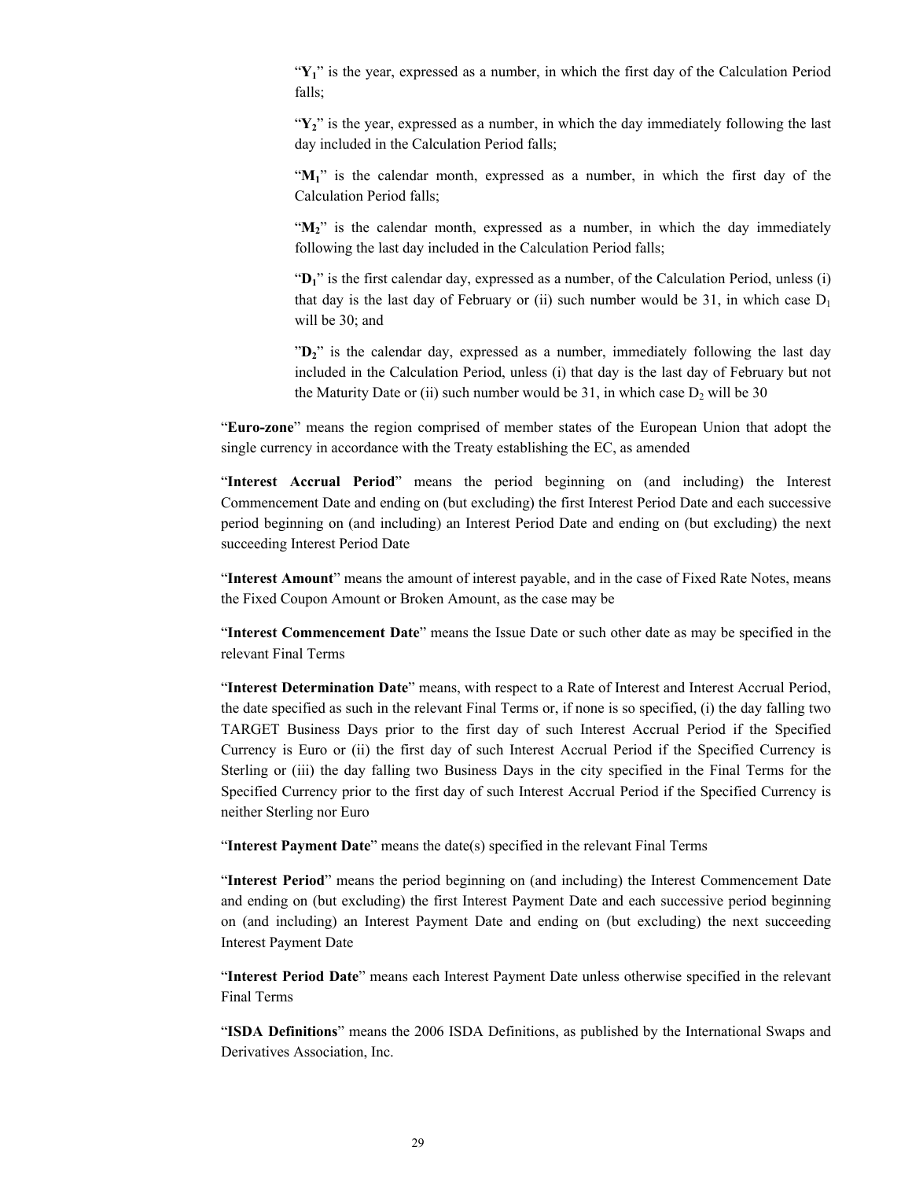"Y<sub>1</sub>" is the year, expressed as a number, in which the first day of the Calculation Period falls;

"Y<sub>2</sub>" is the year, expressed as a number, in which the day immediately following the last day included in the Calculation Period falls;

"**M1**" is the calendar month, expressed as a number, in which the first day of the Calculation Period falls;

" $M_2$ " is the calendar month, expressed as a number, in which the day immediately following the last day included in the Calculation Period falls;

"D<sub>1</sub>" is the first calendar day, expressed as a number, of the Calculation Period, unless (i) that day is the last day of February or (ii) such number would be 31, in which case  $D_1$ will be 30; and

"D<sub>2</sub>" is the calendar day, expressed as a number, immediately following the last day included in the Calculation Period, unless (i) that day is the last day of February but not the Maturity Date or (ii) such number would be 31, in which case  $D_2$  will be 30

"**Euro-zone**" means the region comprised of member states of the European Union that adopt the single currency in accordance with the Treaty establishing the EC, as amended

"**Interest Accrual Period**" means the period beginning on (and including) the Interest Commencement Date and ending on (but excluding) the first Interest Period Date and each successive period beginning on (and including) an Interest Period Date and ending on (but excluding) the next succeeding Interest Period Date

"**Interest Amount**" means the amount of interest payable, and in the case of Fixed Rate Notes, means the Fixed Coupon Amount or Broken Amount, as the case may be

"**Interest Commencement Date**" means the Issue Date or such other date as may be specified in the relevant Final Terms

"**Interest Determination Date**" means, with respect to a Rate of Interest and Interest Accrual Period, the date specified as such in the relevant Final Terms or, if none is so specified, (i) the day falling two TARGET Business Days prior to the first day of such Interest Accrual Period if the Specified Currency is Euro or (ii) the first day of such Interest Accrual Period if the Specified Currency is Sterling or (iii) the day falling two Business Days in the city specified in the Final Terms for the Specified Currency prior to the first day of such Interest Accrual Period if the Specified Currency is neither Sterling nor Euro

"**Interest Payment Date**" means the date(s) specified in the relevant Final Terms

"**Interest Period**" means the period beginning on (and including) the Interest Commencement Date and ending on (but excluding) the first Interest Payment Date and each successive period beginning on (and including) an Interest Payment Date and ending on (but excluding) the next succeeding Interest Payment Date

"**Interest Period Date**" means each Interest Payment Date unless otherwise specified in the relevant Final Terms

"**ISDA Definitions**" means the 2006 ISDA Definitions, as published by the International Swaps and Derivatives Association, Inc.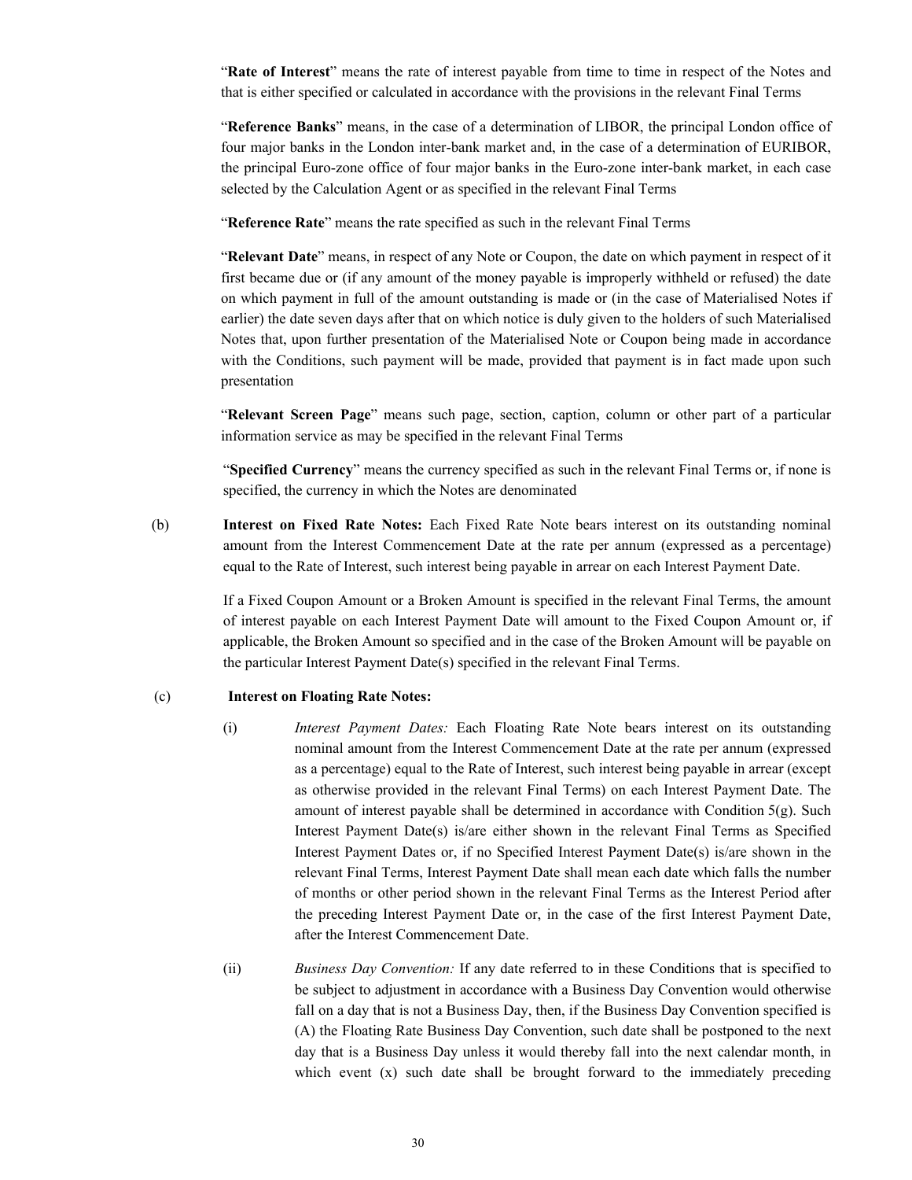"**Rate of Interest**" means the rate of interest payable from time to time in respect of the Notes and that is either specified or calculated in accordance with the provisions in the relevant Final Terms

"**Reference Banks**" means, in the case of a determination of LIBOR, the principal London office of four major banks in the London inter-bank market and, in the case of a determination of EURIBOR, the principal Euro-zone office of four major banks in the Euro-zone inter-bank market, in each case selected by the Calculation Agent or as specified in the relevant Final Terms

"**Reference Rate**" means the rate specified as such in the relevant Final Terms

"**Relevant Date**" means, in respect of any Note or Coupon, the date on which payment in respect of it first became due or (if any amount of the money payable is improperly withheld or refused) the date on which payment in full of the amount outstanding is made or (in the case of Materialised Notes if earlier) the date seven days after that on which notice is duly given to the holders of such Materialised Notes that, upon further presentation of the Materialised Note or Coupon being made in accordance with the Conditions, such payment will be made, provided that payment is in fact made upon such presentation

"**Relevant Screen Page**" means such page, section, caption, column or other part of a particular information service as may be specified in the relevant Final Terms

"**Specified Currency**" means the currency specified as such in the relevant Final Terms or, if none is specified, the currency in which the Notes are denominated

(b) **Interest on Fixed Rate Notes:** Each Fixed Rate Note bears interest on its outstanding nominal amount from the Interest Commencement Date at the rate per annum (expressed as a percentage) equal to the Rate of Interest, such interest being payable in arrear on each Interest Payment Date.

> If a Fixed Coupon Amount or a Broken Amount is specified in the relevant Final Terms, the amount of interest payable on each Interest Payment Date will amount to the Fixed Coupon Amount or, if applicable, the Broken Amount so specified and in the case of the Broken Amount will be payable on the particular Interest Payment Date(s) specified in the relevant Final Terms.

# (c) **Interest on Floating Rate Notes:**

- (i) *Interest Payment Dates:* Each Floating Rate Note bears interest on its outstanding nominal amount from the Interest Commencement Date at the rate per annum (expressed as a percentage) equal to the Rate of Interest, such interest being payable in arrear (except as otherwise provided in the relevant Final Terms) on each Interest Payment Date. The amount of interest payable shall be determined in accordance with Condition  $5(g)$ . Such Interest Payment Date(s) is/are either shown in the relevant Final Terms as Specified Interest Payment Dates or, if no Specified Interest Payment Date(s) is/are shown in the relevant Final Terms, Interest Payment Date shall mean each date which falls the number of months or other period shown in the relevant Final Terms as the Interest Period after the preceding Interest Payment Date or, in the case of the first Interest Payment Date, after the Interest Commencement Date.
- (ii) *Business Day Convention:* If any date referred to in these Conditions that is specified to be subject to adjustment in accordance with a Business Day Convention would otherwise fall on a day that is not a Business Day, then, if the Business Day Convention specified is (A) the Floating Rate Business Day Convention, such date shall be postponed to the next day that is a Business Day unless it would thereby fall into the next calendar month, in which event (x) such date shall be brought forward to the immediately preceding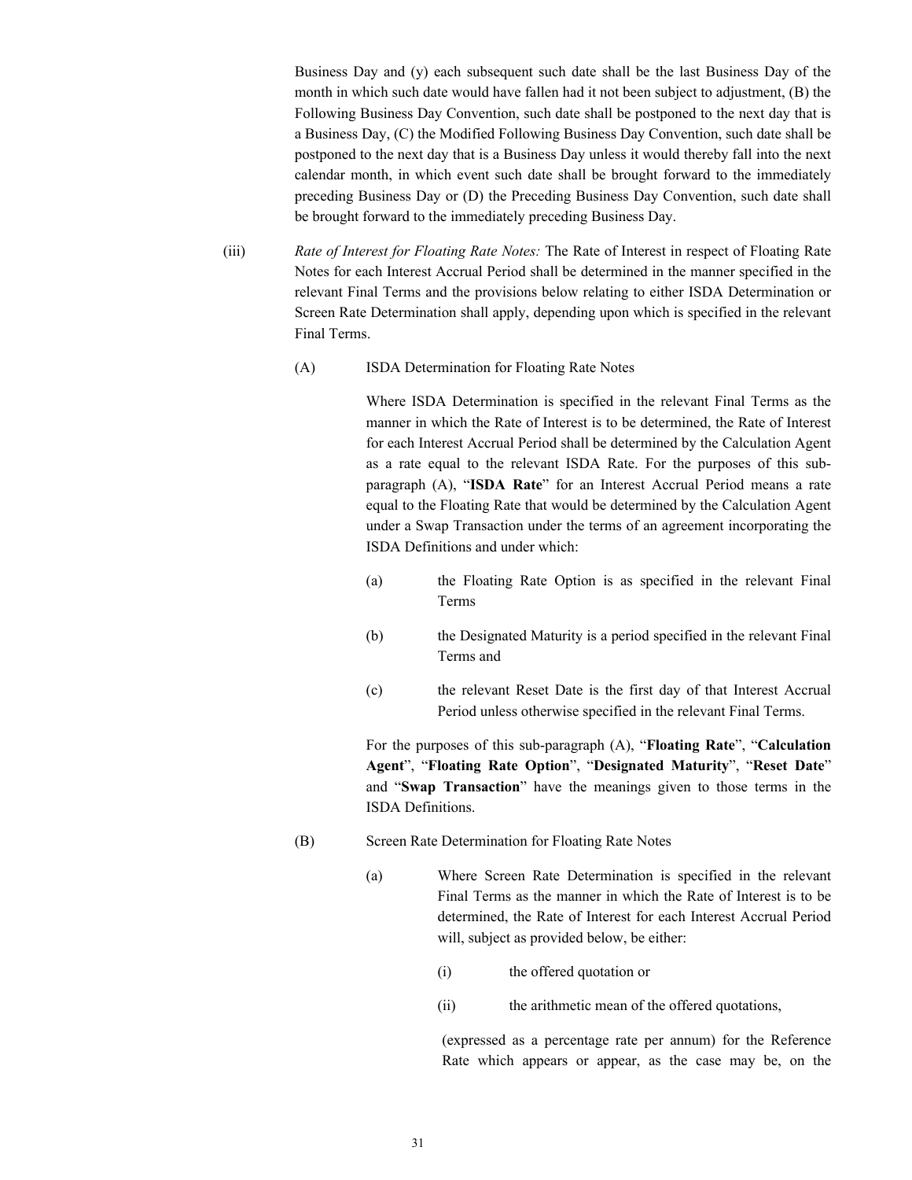Business Day and (y) each subsequent such date shall be the last Business Day of the month in which such date would have fallen had it not been subject to adjustment, (B) the Following Business Day Convention, such date shall be postponed to the next day that is a Business Day, (C) the Modified Following Business Day Convention, such date shall be postponed to the next day that is a Business Day unless it would thereby fall into the next calendar month, in which event such date shall be brought forward to the immediately preceding Business Day or (D) the Preceding Business Day Convention, such date shall be brought forward to the immediately preceding Business Day.

- (iii) *Rate of Interest for Floating Rate Notes:* The Rate of Interest in respect of Floating Rate Notes for each Interest Accrual Period shall be determined in the manner specified in the relevant Final Terms and the provisions below relating to either ISDA Determination or Screen Rate Determination shall apply, depending upon which is specified in the relevant Final Terms.
	- (A) ISDA Determination for Floating Rate Notes

Where ISDA Determination is specified in the relevant Final Terms as the manner in which the Rate of Interest is to be determined, the Rate of Interest for each Interest Accrual Period shall be determined by the Calculation Agent as a rate equal to the relevant ISDA Rate. For the purposes of this subparagraph (A), "**ISDA Rate**" for an Interest Accrual Period means a rate equal to the Floating Rate that would be determined by the Calculation Agent under a Swap Transaction under the terms of an agreement incorporating the ISDA Definitions and under which:

- (a) the Floating Rate Option is as specified in the relevant Final Terms
- (b) the Designated Maturity is a period specified in the relevant Final Terms and
- (c) the relevant Reset Date is the first day of that Interest Accrual Period unless otherwise specified in the relevant Final Terms.

For the purposes of this sub-paragraph (A), "**Floating Rate**", "**Calculation Agent**", "**Floating Rate Option**", "**Designated Maturity**", "**Reset Date**" and "**Swap Transaction**" have the meanings given to those terms in the ISDA Definitions.

- (B) Screen Rate Determination for Floating Rate Notes
	- (a) Where Screen Rate Determination is specified in the relevant Final Terms as the manner in which the Rate of Interest is to be determined, the Rate of Interest for each Interest Accrual Period will, subject as provided below, be either:
		- (i) the offered quotation or
		- (ii) the arithmetic mean of the offered quotations,

(expressed as a percentage rate per annum) for the Reference Rate which appears or appear, as the case may be, on the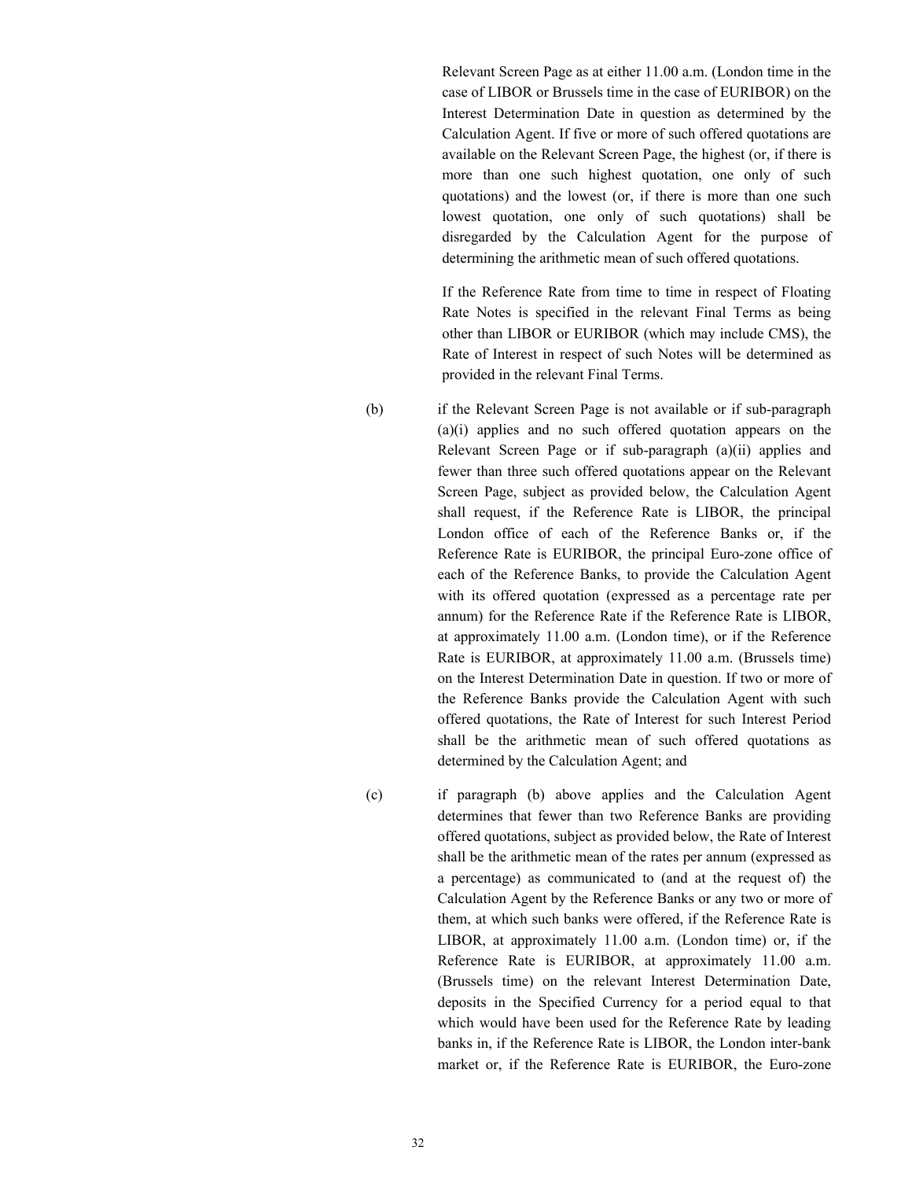Relevant Screen Page as at either 11.00 a.m. (London time in the case of LIBOR or Brussels time in the case of EURIBOR) on the Interest Determination Date in question as determined by the Calculation Agent. If five or more of such offered quotations are available on the Relevant Screen Page, the highest (or, if there is more than one such highest quotation, one only of such quotations) and the lowest (or, if there is more than one such lowest quotation, one only of such quotations) shall be disregarded by the Calculation Agent for the purpose of determining the arithmetic mean of such offered quotations.

If the Reference Rate from time to time in respect of Floating Rate Notes is specified in the relevant Final Terms as being other than LIBOR or EURIBOR (which may include CMS), the Rate of Interest in respect of such Notes will be determined as provided in the relevant Final Terms.

(b) if the Relevant Screen Page is not available or if sub-paragraph (a)(i) applies and no such offered quotation appears on the Relevant Screen Page or if sub-paragraph (a)(ii) applies and fewer than three such offered quotations appear on the Relevant Screen Page, subject as provided below, the Calculation Agent shall request, if the Reference Rate is LIBOR, the principal London office of each of the Reference Banks or, if the Reference Rate is EURIBOR, the principal Euro-zone office of each of the Reference Banks, to provide the Calculation Agent with its offered quotation (expressed as a percentage rate per annum) for the Reference Rate if the Reference Rate is LIBOR, at approximately 11.00 a.m. (London time), or if the Reference Rate is EURIBOR, at approximately 11.00 a.m. (Brussels time) on the Interest Determination Date in question. If two or more of the Reference Banks provide the Calculation Agent with such offered quotations, the Rate of Interest for such Interest Period shall be the arithmetic mean of such offered quotations as determined by the Calculation Agent; and

(c) if paragraph (b) above applies and the Calculation Agent determines that fewer than two Reference Banks are providing offered quotations, subject as provided below, the Rate of Interest shall be the arithmetic mean of the rates per annum (expressed as a percentage) as communicated to (and at the request of) the Calculation Agent by the Reference Banks or any two or more of them, at which such banks were offered, if the Reference Rate is LIBOR, at approximately 11.00 a.m. (London time) or, if the Reference Rate is EURIBOR, at approximately 11.00 a.m. (Brussels time) on the relevant Interest Determination Date, deposits in the Specified Currency for a period equal to that which would have been used for the Reference Rate by leading banks in, if the Reference Rate is LIBOR, the London inter-bank market or, if the Reference Rate is EURIBOR, the Euro-zone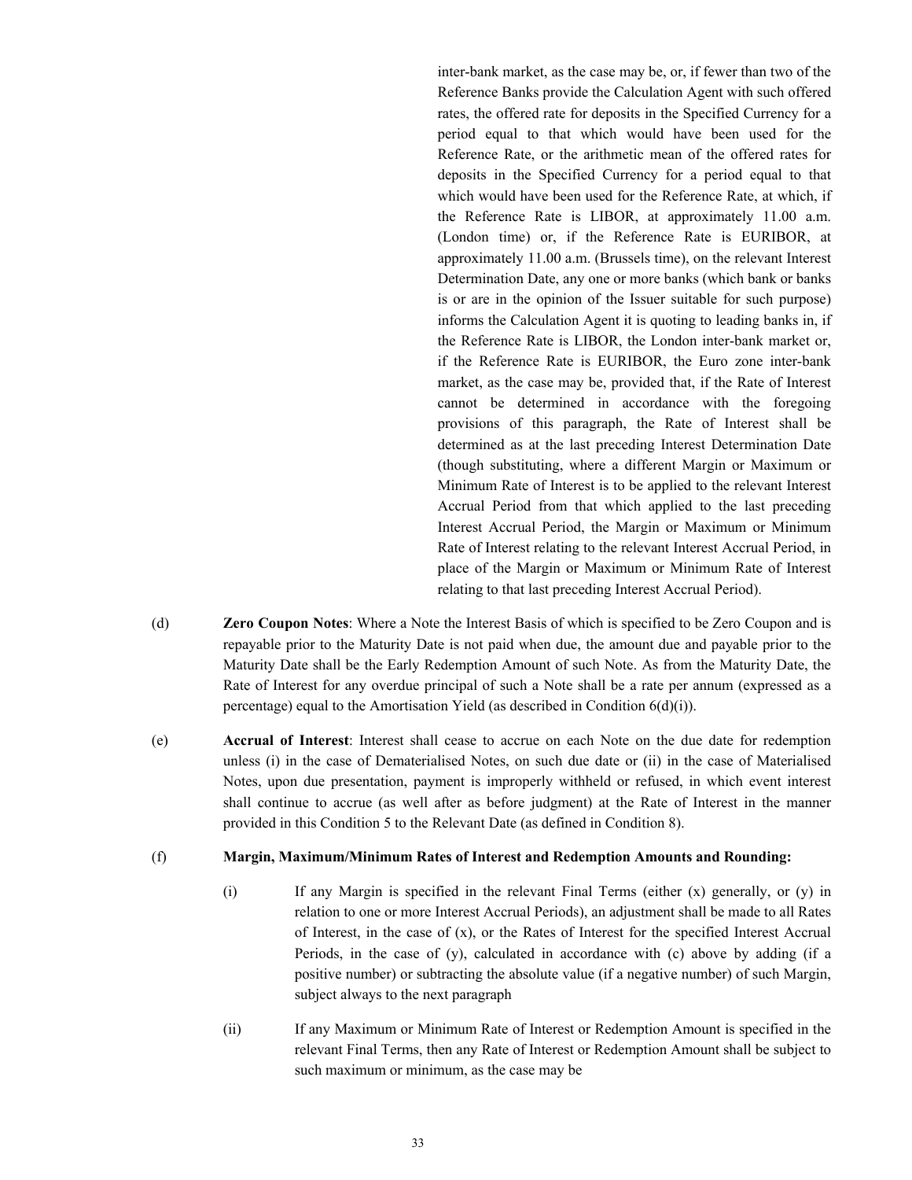inter-bank market, as the case may be, or, if fewer than two of the Reference Banks provide the Calculation Agent with such offered rates, the offered rate for deposits in the Specified Currency for a period equal to that which would have been used for the Reference Rate, or the arithmetic mean of the offered rates for deposits in the Specified Currency for a period equal to that which would have been used for the Reference Rate, at which, if the Reference Rate is LIBOR, at approximately 11.00 a.m. (London time) or, if the Reference Rate is EURIBOR, at approximately 11.00 a.m. (Brussels time), on the relevant Interest Determination Date, any one or more banks (which bank or banks is or are in the opinion of the Issuer suitable for such purpose) informs the Calculation Agent it is quoting to leading banks in, if the Reference Rate is LIBOR, the London inter-bank market or, if the Reference Rate is EURIBOR, the Euro zone inter-bank market, as the case may be, provided that, if the Rate of Interest cannot be determined in accordance with the foregoing provisions of this paragraph, the Rate of Interest shall be determined as at the last preceding Interest Determination Date (though substituting, where a different Margin or Maximum or Minimum Rate of Interest is to be applied to the relevant Interest Accrual Period from that which applied to the last preceding Interest Accrual Period, the Margin or Maximum or Minimum Rate of Interest relating to the relevant Interest Accrual Period, in place of the Margin or Maximum or Minimum Rate of Interest relating to that last preceding Interest Accrual Period).

- (d) **Zero Coupon Notes**: Where a Note the Interest Basis of which is specified to be Zero Coupon and is repayable prior to the Maturity Date is not paid when due, the amount due and payable prior to the Maturity Date shall be the Early Redemption Amount of such Note. As from the Maturity Date, the Rate of Interest for any overdue principal of such a Note shall be a rate per annum (expressed as a percentage) equal to the Amortisation Yield (as described in Condition 6(d)(i)).
- (e) **Accrual of Interest**: Interest shall cease to accrue on each Note on the due date for redemption unless (i) in the case of Dematerialised Notes, on such due date or (ii) in the case of Materialised Notes, upon due presentation, payment is improperly withheld or refused, in which event interest shall continue to accrue (as well after as before judgment) at the Rate of Interest in the manner provided in this Condition 5 to the Relevant Date (as defined in Condition 8).

#### (f) **Margin, Maximum/Minimum Rates of Interest and Redemption Amounts and Rounding:**

- (i) If any Margin is specified in the relevant Final Terms (either (x) generally, or (y) in relation to one or more Interest Accrual Periods), an adjustment shall be made to all Rates of Interest, in the case of (x), or the Rates of Interest for the specified Interest Accrual Periods, in the case of (y), calculated in accordance with (c) above by adding (if a positive number) or subtracting the absolute value (if a negative number) of such Margin, subject always to the next paragraph
- (ii) If any Maximum or Minimum Rate of Interest or Redemption Amount is specified in the relevant Final Terms, then any Rate of Interest or Redemption Amount shall be subject to such maximum or minimum, as the case may be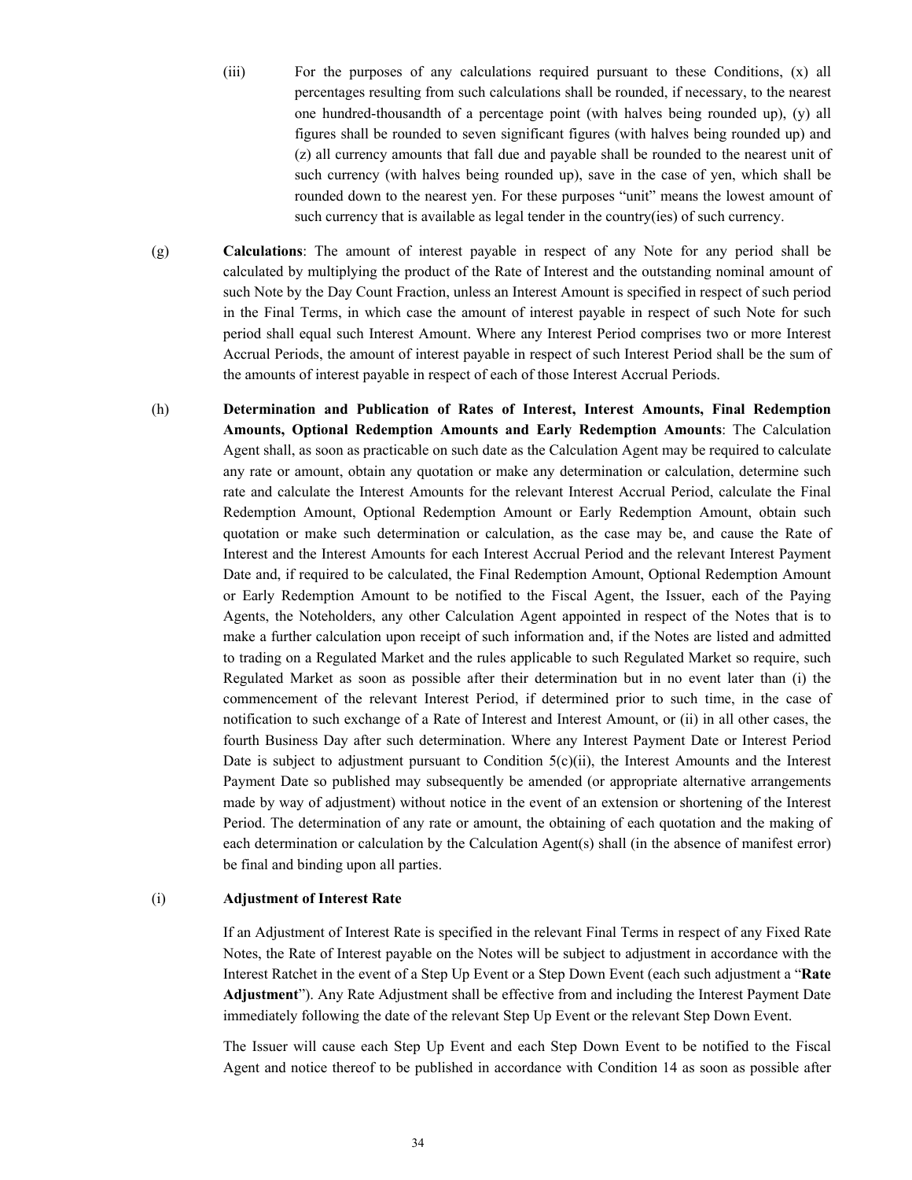- (iii) For the purposes of any calculations required pursuant to these Conditions, (x) all percentages resulting from such calculations shall be rounded, if necessary, to the nearest one hundred-thousandth of a percentage point (with halves being rounded up), (y) all figures shall be rounded to seven significant figures (with halves being rounded up) and (z) all currency amounts that fall due and payable shall be rounded to the nearest unit of such currency (with halves being rounded up), save in the case of yen, which shall be rounded down to the nearest yen. For these purposes "unit" means the lowest amount of such currency that is available as legal tender in the country(ies) of such currency.
- (g) **Calculations**: The amount of interest payable in respect of any Note for any period shall be calculated by multiplying the product of the Rate of Interest and the outstanding nominal amount of such Note by the Day Count Fraction, unless an Interest Amount is specified in respect of such period in the Final Terms, in which case the amount of interest payable in respect of such Note for such period shall equal such Interest Amount. Where any Interest Period comprises two or more Interest Accrual Periods, the amount of interest payable in respect of such Interest Period shall be the sum of the amounts of interest payable in respect of each of those Interest Accrual Periods.
- (h) **Determination and Publication of Rates of Interest, Interest Amounts, Final Redemption Amounts, Optional Redemption Amounts and Early Redemption Amounts**: The Calculation Agent shall, as soon as practicable on such date as the Calculation Agent may be required to calculate any rate or amount, obtain any quotation or make any determination or calculation, determine such rate and calculate the Interest Amounts for the relevant Interest Accrual Period, calculate the Final Redemption Amount, Optional Redemption Amount or Early Redemption Amount, obtain such quotation or make such determination or calculation, as the case may be, and cause the Rate of Interest and the Interest Amounts for each Interest Accrual Period and the relevant Interest Payment Date and, if required to be calculated, the Final Redemption Amount, Optional Redemption Amount or Early Redemption Amount to be notified to the Fiscal Agent, the Issuer, each of the Paying Agents, the Noteholders, any other Calculation Agent appointed in respect of the Notes that is to make a further calculation upon receipt of such information and, if the Notes are listed and admitted to trading on a Regulated Market and the rules applicable to such Regulated Market so require, such Regulated Market as soon as possible after their determination but in no event later than (i) the commencement of the relevant Interest Period, if determined prior to such time, in the case of notification to such exchange of a Rate of Interest and Interest Amount, or (ii) in all other cases, the fourth Business Day after such determination. Where any Interest Payment Date or Interest Period Date is subject to adjustment pursuant to Condition  $5(c)(ii)$ , the Interest Amounts and the Interest Payment Date so published may subsequently be amended (or appropriate alternative arrangements made by way of adjustment) without notice in the event of an extension or shortening of the Interest Period. The determination of any rate or amount, the obtaining of each quotation and the making of each determination or calculation by the Calculation Agent(s) shall (in the absence of manifest error) be final and binding upon all parties.

#### (i) **Adjustment of Interest Rate**

If an Adjustment of Interest Rate is specified in the relevant Final Terms in respect of any Fixed Rate Notes, the Rate of Interest payable on the Notes will be subject to adjustment in accordance with the Interest Ratchet in the event of a Step Up Event or a Step Down Event (each such adjustment a "**Rate Adjustment**"). Any Rate Adjustment shall be effective from and including the Interest Payment Date immediately following the date of the relevant Step Up Event or the relevant Step Down Event.

The Issuer will cause each Step Up Event and each Step Down Event to be notified to the Fiscal Agent and notice thereof to be published in accordance with Condition 14 as soon as possible after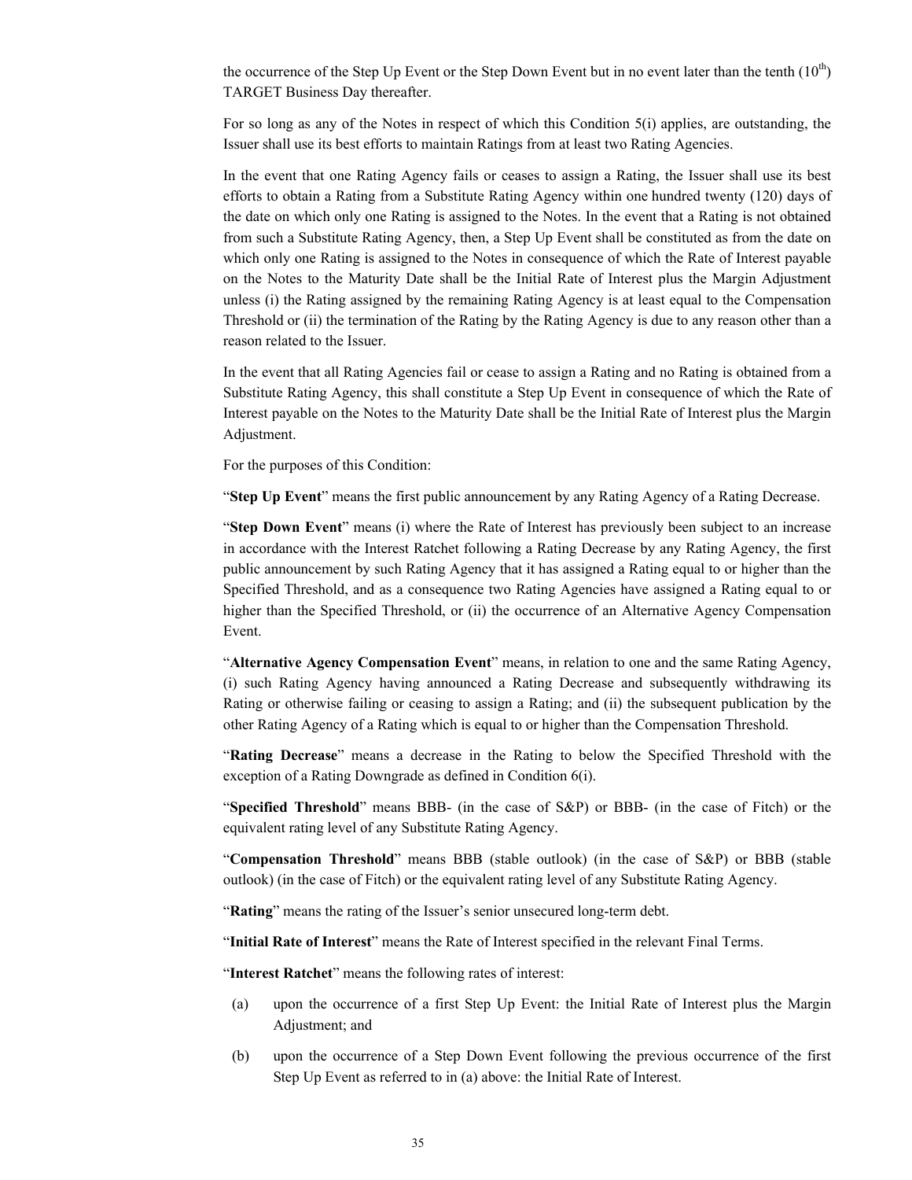the occurrence of the Step Up Event or the Step Down Event but in no event later than the tenth  $(10<sup>th</sup>)$ TARGET Business Day thereafter.

For so long as any of the Notes in respect of which this Condition 5(i) applies, are outstanding, the Issuer shall use its best efforts to maintain Ratings from at least two Rating Agencies.

In the event that one Rating Agency fails or ceases to assign a Rating, the Issuer shall use its best efforts to obtain a Rating from a Substitute Rating Agency within one hundred twenty (120) days of the date on which only one Rating is assigned to the Notes. In the event that a Rating is not obtained from such a Substitute Rating Agency, then, a Step Up Event shall be constituted as from the date on which only one Rating is assigned to the Notes in consequence of which the Rate of Interest payable on the Notes to the Maturity Date shall be the Initial Rate of Interest plus the Margin Adjustment unless (i) the Rating assigned by the remaining Rating Agency is at least equal to the Compensation Threshold or (ii) the termination of the Rating by the Rating Agency is due to any reason other than a reason related to the Issuer.

In the event that all Rating Agencies fail or cease to assign a Rating and no Rating is obtained from a Substitute Rating Agency, this shall constitute a Step Up Event in consequence of which the Rate of Interest payable on the Notes to the Maturity Date shall be the Initial Rate of Interest plus the Margin Adjustment.

For the purposes of this Condition:

"**Step Up Event**" means the first public announcement by any Rating Agency of a Rating Decrease.

"**Step Down Event**" means (i) where the Rate of Interest has previously been subject to an increase in accordance with the Interest Ratchet following a Rating Decrease by any Rating Agency, the first public announcement by such Rating Agency that it has assigned a Rating equal to or higher than the Specified Threshold, and as a consequence two Rating Agencies have assigned a Rating equal to or higher than the Specified Threshold, or (ii) the occurrence of an Alternative Agency Compensation Event.

"**Alternative Agency Compensation Event**" means, in relation to one and the same Rating Agency, (i) such Rating Agency having announced a Rating Decrease and subsequently withdrawing its Rating or otherwise failing or ceasing to assign a Rating; and (ii) the subsequent publication by the other Rating Agency of a Rating which is equal to or higher than the Compensation Threshold.

"**Rating Decrease**" means a decrease in the Rating to below the Specified Threshold with the exception of a Rating Downgrade as defined in Condition 6(i).

"**Specified Threshold**" means BBB- (in the case of S&P) or BBB- (in the case of Fitch) or the equivalent rating level of any Substitute Rating Agency.

"**Compensation Threshold**" means BBB (stable outlook) (in the case of S&P) or BBB (stable outlook) (in the case of Fitch) or the equivalent rating level of any Substitute Rating Agency.

"**Rating**" means the rating of the Issuer's senior unsecured long-term debt.

"**Initial Rate of Interest**" means the Rate of Interest specified in the relevant Final Terms.

"**Interest Ratchet**" means the following rates of interest:

- (a) upon the occurrence of a first Step Up Event: the Initial Rate of Interest plus the Margin Adjustment; and
- (b) upon the occurrence of a Step Down Event following the previous occurrence of the first Step Up Event as referred to in (a) above: the Initial Rate of Interest.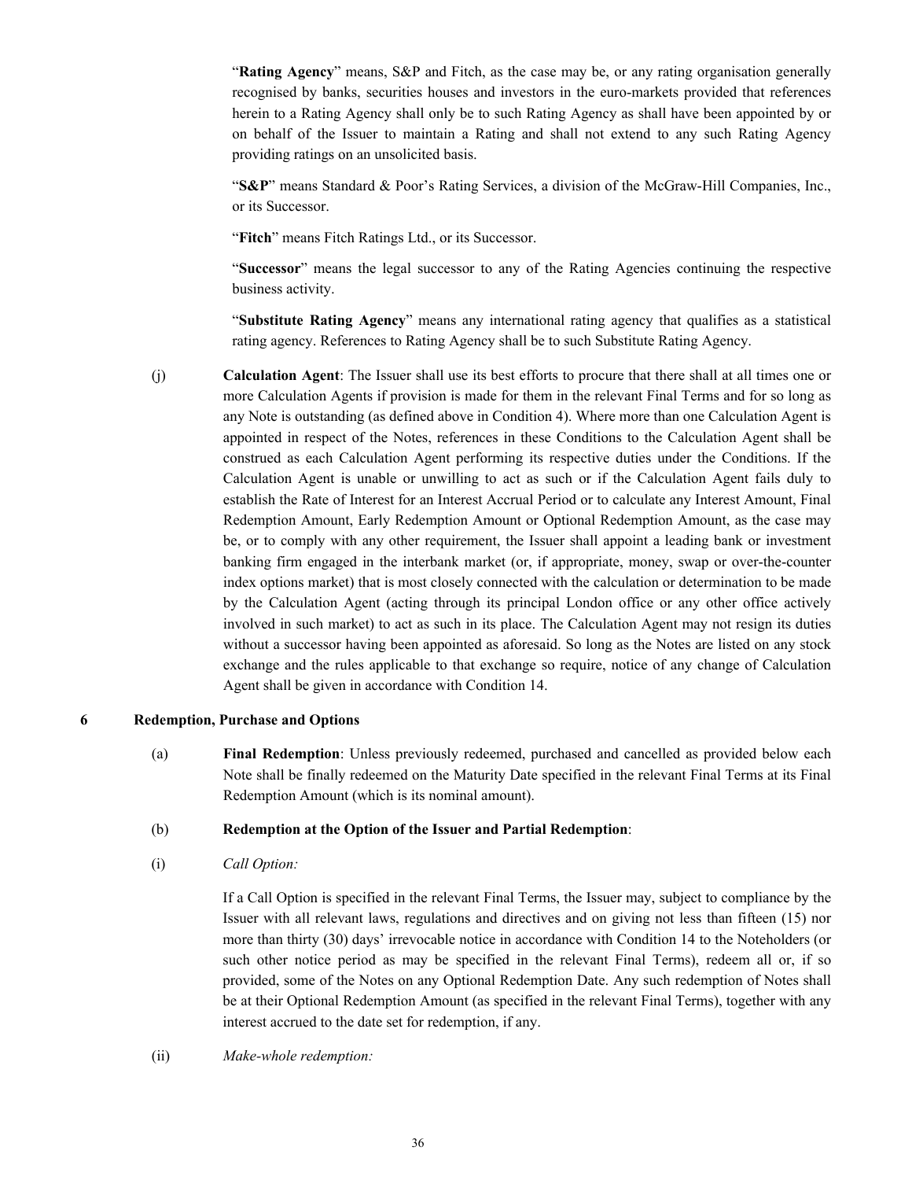"**Rating Agency**" means, S&P and Fitch, as the case may be, or any rating organisation generally recognised by banks, securities houses and investors in the euro-markets provided that references herein to a Rating Agency shall only be to such Rating Agency as shall have been appointed by or on behalf of the Issuer to maintain a Rating and shall not extend to any such Rating Agency providing ratings on an unsolicited basis.

"**S&P**" means Standard & Poor's Rating Services, a division of the McGraw-Hill Companies, Inc., or its Successor.

"**Fitch**" means Fitch Ratings Ltd., or its Successor.

"**Successor**" means the legal successor to any of the Rating Agencies continuing the respective business activity.

"**Substitute Rating Agency**" means any international rating agency that qualifies as a statistical rating agency. References to Rating Agency shall be to such Substitute Rating Agency.

(j) **Calculation Agent**: The Issuer shall use its best efforts to procure that there shall at all times one or more Calculation Agents if provision is made for them in the relevant Final Terms and for so long as any Note is outstanding (as defined above in Condition 4). Where more than one Calculation Agent is appointed in respect of the Notes, references in these Conditions to the Calculation Agent shall be construed as each Calculation Agent performing its respective duties under the Conditions. If the Calculation Agent is unable or unwilling to act as such or if the Calculation Agent fails duly to establish the Rate of Interest for an Interest Accrual Period or to calculate any Interest Amount, Final Redemption Amount, Early Redemption Amount or Optional Redemption Amount, as the case may be, or to comply with any other requirement, the Issuer shall appoint a leading bank or investment banking firm engaged in the interbank market (or, if appropriate, money, swap or over-the-counter index options market) that is most closely connected with the calculation or determination to be made by the Calculation Agent (acting through its principal London office or any other office actively involved in such market) to act as such in its place. The Calculation Agent may not resign its duties without a successor having been appointed as aforesaid. So long as the Notes are listed on any stock exchange and the rules applicable to that exchange so require, notice of any change of Calculation Agent shall be given in accordance with Condition 14.

# **6 Redemption, Purchase and Options**

(a) **Final Redemption**: Unless previously redeemed, purchased and cancelled as provided below each Note shall be finally redeemed on the Maturity Date specified in the relevant Final Terms at its Final Redemption Amount (which is its nominal amount).

#### (b) **Redemption at the Option of the Issuer and Partial Redemption**:

(i) *Call Option:*

If a Call Option is specified in the relevant Final Terms, the Issuer may, subject to compliance by the Issuer with all relevant laws, regulations and directives and on giving not less than fifteen (15) nor more than thirty (30) days' irrevocable notice in accordance with Condition 14 to the Noteholders (or such other notice period as may be specified in the relevant Final Terms), redeem all or, if so provided, some of the Notes on any Optional Redemption Date. Any such redemption of Notes shall be at their Optional Redemption Amount (as specified in the relevant Final Terms), together with any interest accrued to the date set for redemption, if any.

# (ii) *Make-whole redemption:*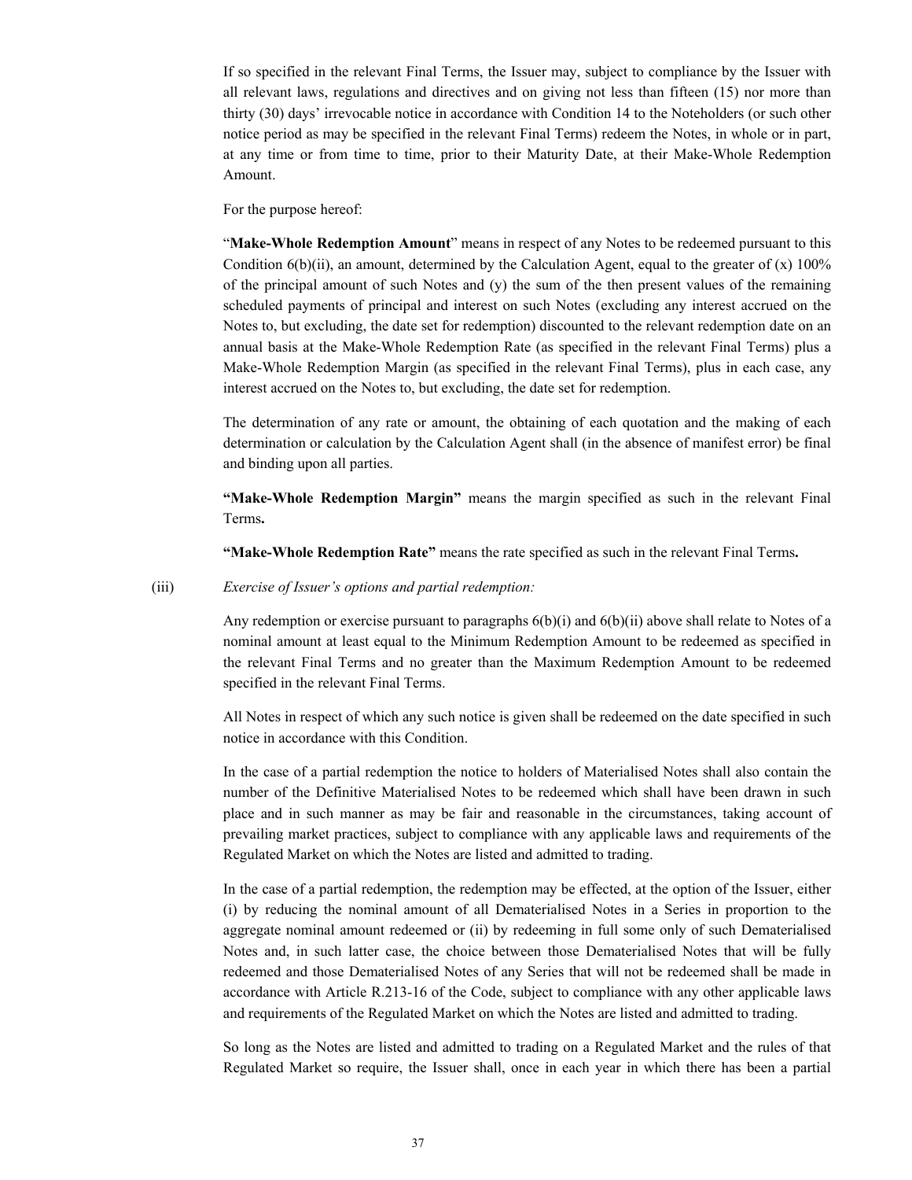If so specified in the relevant Final Terms, the Issuer may, subject to compliance by the Issuer with all relevant laws, regulations and directives and on giving not less than fifteen (15) nor more than thirty (30) days' irrevocable notice in accordance with Condition 14 to the Noteholders (or such other notice period as may be specified in the relevant Final Terms) redeem the Notes, in whole or in part, at any time or from time to time, prior to their Maturity Date, at their Make-Whole Redemption Amount.

For the purpose hereof:

"**Make-Whole Redemption Amount**" means in respect of any Notes to be redeemed pursuant to this Condition  $6(b)(ii)$ , an amount, determined by the Calculation Agent, equal to the greater of (x) 100% of the principal amount of such Notes and (y) the sum of the then present values of the remaining scheduled payments of principal and interest on such Notes (excluding any interest accrued on the Notes to, but excluding, the date set for redemption) discounted to the relevant redemption date on an annual basis at the Make-Whole Redemption Rate (as specified in the relevant Final Terms) plus a Make-Whole Redemption Margin (as specified in the relevant Final Terms), plus in each case, any interest accrued on the Notes to, but excluding, the date set for redemption.

The determination of any rate or amount, the obtaining of each quotation and the making of each determination or calculation by the Calculation Agent shall (in the absence of manifest error) be final and binding upon all parties.

**"Make-Whole Redemption Margin"** means the margin specified as such in the relevant Final Terms**.**

**"Make-Whole Redemption Rate"** means the rate specified as such in the relevant Final Terms**.**

#### (iii) *Exercise of Issuer's options and partial redemption:*

Any redemption or exercise pursuant to paragraphs 6(b)(i) and 6(b)(ii) above shall relate to Notes of a nominal amount at least equal to the Minimum Redemption Amount to be redeemed as specified in the relevant Final Terms and no greater than the Maximum Redemption Amount to be redeemed specified in the relevant Final Terms.

All Notes in respect of which any such notice is given shall be redeemed on the date specified in such notice in accordance with this Condition.

In the case of a partial redemption the notice to holders of Materialised Notes shall also contain the number of the Definitive Materialised Notes to be redeemed which shall have been drawn in such place and in such manner as may be fair and reasonable in the circumstances, taking account of prevailing market practices, subject to compliance with any applicable laws and requirements of the Regulated Market on which the Notes are listed and admitted to trading.

In the case of a partial redemption, the redemption may be effected, at the option of the Issuer, either (i) by reducing the nominal amount of all Dematerialised Notes in a Series in proportion to the aggregate nominal amount redeemed or (ii) by redeeming in full some only of such Dematerialised Notes and, in such latter case, the choice between those Dematerialised Notes that will be fully redeemed and those Dematerialised Notes of any Series that will not be redeemed shall be made in accordance with Article R.213-16 of the Code, subject to compliance with any other applicable laws and requirements of the Regulated Market on which the Notes are listed and admitted to trading.

So long as the Notes are listed and admitted to trading on a Regulated Market and the rules of that Regulated Market so require, the Issuer shall, once in each year in which there has been a partial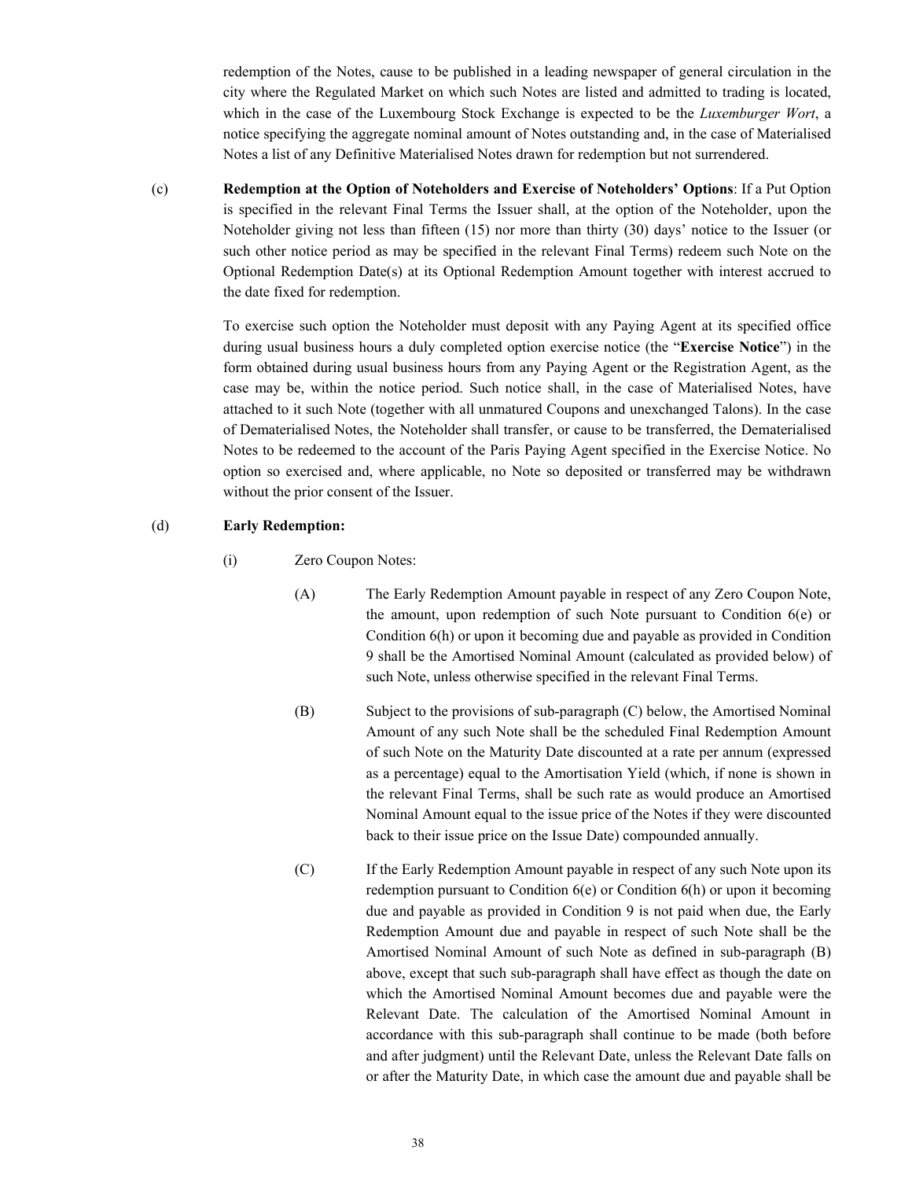redemption of the Notes, cause to be published in a leading newspaper of general circulation in the city where the Regulated Market on which such Notes are listed and admitted to trading is located, which in the case of the Luxembourg Stock Exchange is expected to be the *Luxemburger Wort*, a notice specifying the aggregate nominal amount of Notes outstanding and, in the case of Materialised Notes a list of any Definitive Materialised Notes drawn for redemption but not surrendered.

(c) **Redemption at the Option of Noteholders and Exercise of Noteholders' Options**: If a Put Option is specified in the relevant Final Terms the Issuer shall, at the option of the Noteholder, upon the Noteholder giving not less than fifteen (15) nor more than thirty (30) days' notice to the Issuer (or such other notice period as may be specified in the relevant Final Terms) redeem such Note on the Optional Redemption Date(s) at its Optional Redemption Amount together with interest accrued to the date fixed for redemption.

> To exercise such option the Noteholder must deposit with any Paying Agent at its specified office during usual business hours a duly completed option exercise notice (the "**Exercise Notice**") in the form obtained during usual business hours from any Paying Agent or the Registration Agent, as the case may be, within the notice period. Such notice shall, in the case of Materialised Notes, have attached to it such Note (together with all unmatured Coupons and unexchanged Talons). In the case of Dematerialised Notes, the Noteholder shall transfer, or cause to be transferred, the Dematerialised Notes to be redeemed to the account of the Paris Paying Agent specified in the Exercise Notice. No option so exercised and, where applicable, no Note so deposited or transferred may be withdrawn without the prior consent of the Issuer.

#### (d) **Early Redemption:**

- (i) Zero Coupon Notes:
	- (A) The Early Redemption Amount payable in respect of any Zero Coupon Note, the amount, upon redemption of such Note pursuant to Condition 6(e) or Condition 6(h) or upon it becoming due and payable as provided in Condition 9 shall be the Amortised Nominal Amount (calculated as provided below) of such Note, unless otherwise specified in the relevant Final Terms.
	- (B) Subject to the provisions of sub-paragraph (C) below, the Amortised Nominal Amount of any such Note shall be the scheduled Final Redemption Amount of such Note on the Maturity Date discounted at a rate per annum (expressed as a percentage) equal to the Amortisation Yield (which, if none is shown in the relevant Final Terms, shall be such rate as would produce an Amortised Nominal Amount equal to the issue price of the Notes if they were discounted back to their issue price on the Issue Date) compounded annually.
	- (C) If the Early Redemption Amount payable in respect of any such Note upon its redemption pursuant to Condition 6(e) or Condition 6(h) or upon it becoming due and payable as provided in Condition 9 is not paid when due, the Early Redemption Amount due and payable in respect of such Note shall be the Amortised Nominal Amount of such Note as defined in sub-paragraph (B) above, except that such sub-paragraph shall have effect as though the date on which the Amortised Nominal Amount becomes due and payable were the Relevant Date. The calculation of the Amortised Nominal Amount in accordance with this sub-paragraph shall continue to be made (both before and after judgment) until the Relevant Date, unless the Relevant Date falls on or after the Maturity Date, in which case the amount due and payable shall be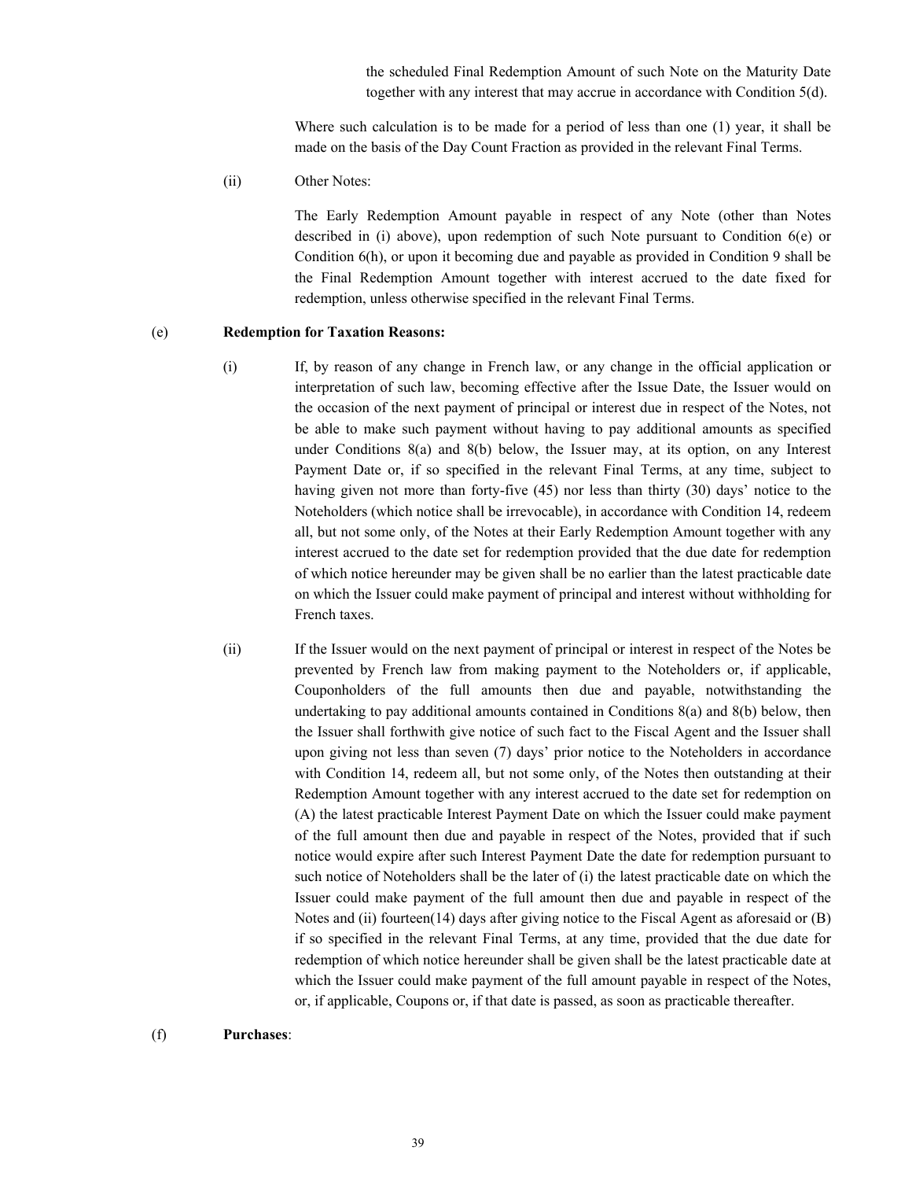the scheduled Final Redemption Amount of such Note on the Maturity Date together with any interest that may accrue in accordance with Condition 5(d).

Where such calculation is to be made for a period of less than one (1) year, it shall be made on the basis of the Day Count Fraction as provided in the relevant Final Terms.

(ii) Other Notes:

The Early Redemption Amount payable in respect of any Note (other than Notes described in (i) above), upon redemption of such Note pursuant to Condition 6(e) or Condition 6(h), or upon it becoming due and payable as provided in Condition 9 shall be the Final Redemption Amount together with interest accrued to the date fixed for redemption, unless otherwise specified in the relevant Final Terms.

#### (e) **Redemption for Taxation Reasons:**

- (i) If, by reason of any change in French law, or any change in the official application or interpretation of such law, becoming effective after the Issue Date, the Issuer would on the occasion of the next payment of principal or interest due in respect of the Notes, not be able to make such payment without having to pay additional amounts as specified under Conditions 8(a) and 8(b) below, the Issuer may, at its option, on any Interest Payment Date or, if so specified in the relevant Final Terms, at any time, subject to having given not more than forty-five (45) nor less than thirty (30) days' notice to the Noteholders (which notice shall be irrevocable), in accordance with Condition 14, redeem all, but not some only, of the Notes at their Early Redemption Amount together with any interest accrued to the date set for redemption provided that the due date for redemption of which notice hereunder may be given shall be no earlier than the latest practicable date on which the Issuer could make payment of principal and interest without withholding for French taxes.
- (ii) If the Issuer would on the next payment of principal or interest in respect of the Notes be prevented by French law from making payment to the Noteholders or, if applicable, Couponholders of the full amounts then due and payable, notwithstanding the undertaking to pay additional amounts contained in Conditions 8(a) and 8(b) below, then the Issuer shall forthwith give notice of such fact to the Fiscal Agent and the Issuer shall upon giving not less than seven (7) days' prior notice to the Noteholders in accordance with Condition 14, redeem all, but not some only, of the Notes then outstanding at their Redemption Amount together with any interest accrued to the date set for redemption on (A) the latest practicable Interest Payment Date on which the Issuer could make payment of the full amount then due and payable in respect of the Notes, provided that if such notice would expire after such Interest Payment Date the date for redemption pursuant to such notice of Noteholders shall be the later of  $(i)$  the latest practicable date on which the Issuer could make payment of the full amount then due and payable in respect of the Notes and (ii) fourteen(14) days after giving notice to the Fiscal Agent as aforesaid or (B) if so specified in the relevant Final Terms, at any time, provided that the due date for redemption of which notice hereunder shall be given shall be the latest practicable date at which the Issuer could make payment of the full amount payable in respect of the Notes, or, if applicable, Coupons or, if that date is passed, as soon as practicable thereafter.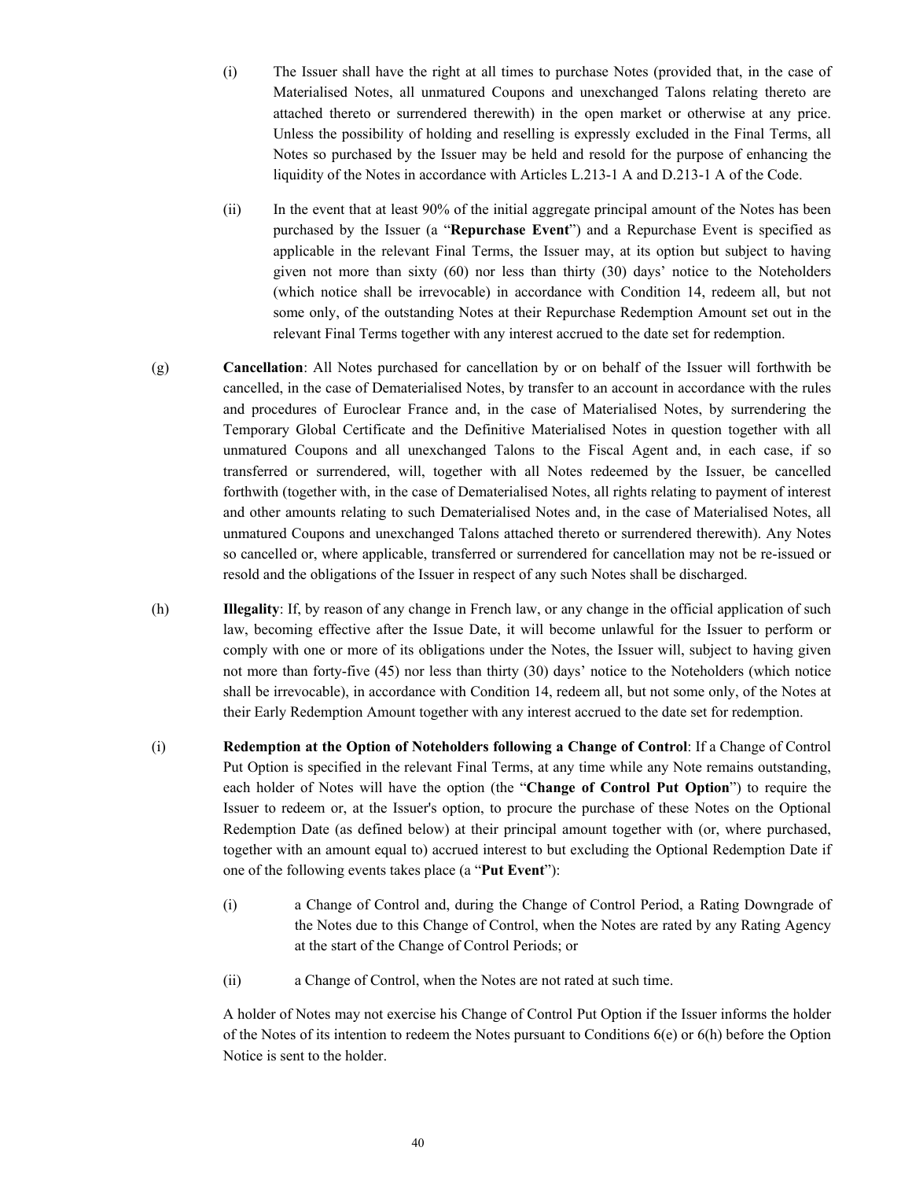(i) The Issuer shall have the right at all times to purchase Notes (provided that, in the case of Materialised Notes, all unmatured Coupons and unexchanged Talons relating thereto are attached thereto or surrendered therewith) in the open market or otherwise at any price. Unless the possibility of holding and reselling is expressly excluded in the Final Terms, all Notes so purchased by the Issuer may be held and resold for the purpose of enhancing the liquidity of the Notes in accordance with Articles L.213-1 A and D.213-1 A of the Code.

- (ii) In the event that at least 90% of the initial aggregate principal amount of the Notes has been purchased by the Issuer (a "**Repurchase Event**") and a Repurchase Event is specified as applicable in the relevant Final Terms, the Issuer may, at its option but subject to having given not more than sixty (60) nor less than thirty (30) days' notice to the Noteholders (which notice shall be irrevocable) in accordance with Condition 14, redeem all, but not some only, of the outstanding Notes at their Repurchase Redemption Amount set out in the relevant Final Terms together with any interest accrued to the date set for redemption.
- (g) **Cancellation**: All Notes purchased for cancellation by or on behalf of the Issuer will forthwith be cancelled, in the case of Dematerialised Notes, by transfer to an account in accordance with the rules and procedures of Euroclear France and, in the case of Materialised Notes, by surrendering the Temporary Global Certificate and the Definitive Materialised Notes in question together with all unmatured Coupons and all unexchanged Talons to the Fiscal Agent and, in each case, if so transferred or surrendered, will, together with all Notes redeemed by the Issuer, be cancelled forthwith (together with, in the case of Dematerialised Notes, all rights relating to payment of interest and other amounts relating to such Dematerialised Notes and, in the case of Materialised Notes, all unmatured Coupons and unexchanged Talons attached thereto or surrendered therewith). Any Notes so cancelled or, where applicable, transferred or surrendered for cancellation may not be re-issued or resold and the obligations of the Issuer in respect of any such Notes shall be discharged.
- (h) **Illegality**: If, by reason of any change in French law, or any change in the official application of such law, becoming effective after the Issue Date, it will become unlawful for the Issuer to perform or comply with one or more of its obligations under the Notes, the Issuer will, subject to having given not more than forty-five (45) nor less than thirty (30) days' notice to the Noteholders (which notice shall be irrevocable), in accordance with Condition 14, redeem all, but not some only, of the Notes at their Early Redemption Amount together with any interest accrued to the date set for redemption.
- (i) **Redemption at the Option of Noteholders following a Change of Control**: If a Change of Control Put Option is specified in the relevant Final Terms, at any time while any Note remains outstanding, each holder of Notes will have the option (the "**Change of Control Put Option**") to require the Issuer to redeem or, at the Issuer's option, to procure the purchase of these Notes on the Optional Redemption Date (as defined below) at their principal amount together with (or, where purchased, together with an amount equal to) accrued interest to but excluding the Optional Redemption Date if one of the following events takes place (a "**Put Event**"):
	- (i) a Change of Control and, during the Change of Control Period, a Rating Downgrade of the Notes due to this Change of Control, when the Notes are rated by any Rating Agency at the start of the Change of Control Periods; or
	- (ii) a Change of Control, when the Notes are not rated at such time.

A holder of Notes may not exercise his Change of Control Put Option if the Issuer informs the holder of the Notes of its intention to redeem the Notes pursuant to Conditions 6(e) or 6(h) before the Option Notice is sent to the holder.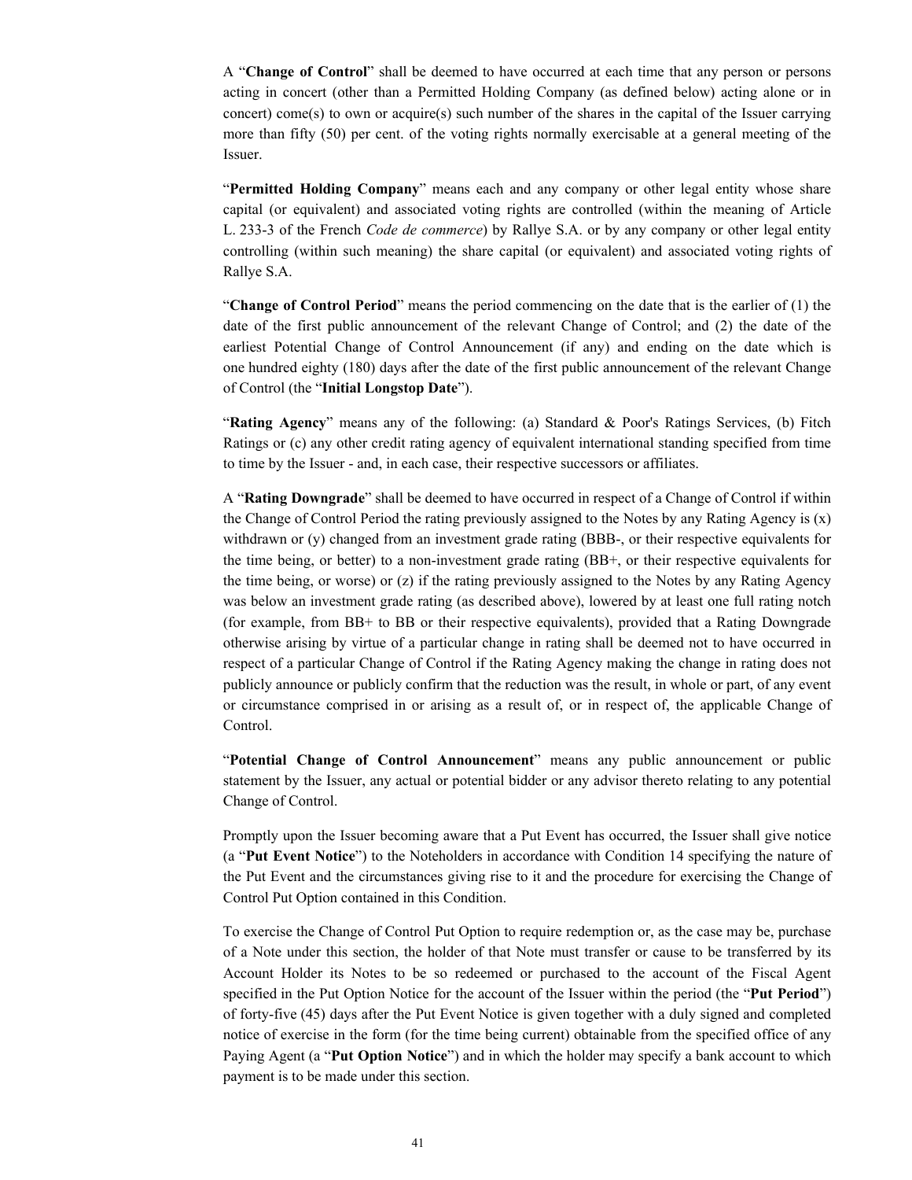A "**Change of Control**" shall be deemed to have occurred at each time that any person or persons acting in concert (other than a Permitted Holding Company (as defined below) acting alone or in concert) come(s) to own or acquire(s) such number of the shares in the capital of the Issuer carrying more than fifty (50) per cent. of the voting rights normally exercisable at a general meeting of the Issuer.

"**Permitted Holding Company**" means each and any company or other legal entity whose share capital (or equivalent) and associated voting rights are controlled (within the meaning of Article L. 233-3 of the French *Code de commerce*) by Rallye S.A. or by any company or other legal entity controlling (within such meaning) the share capital (or equivalent) and associated voting rights of Rallye S.A.

"**Change of Control Period**" means the period commencing on the date that is the earlier of (1) the date of the first public announcement of the relevant Change of Control; and (2) the date of the earliest Potential Change of Control Announcement (if any) and ending on the date which is one hundred eighty (180) days after the date of the first public announcement of the relevant Change of Control (the "**Initial Longstop Date**").

"**Rating Agency**" means any of the following: (a) Standard & Poor's Ratings Services, (b) Fitch Ratings or (c) any other credit rating agency of equivalent international standing specified from time to time by the Issuer - and, in each case, their respective successors or affiliates.

A "**Rating Downgrade**" shall be deemed to have occurred in respect of a Change of Control if within the Change of Control Period the rating previously assigned to the Notes by any Rating Agency is  $(x)$ withdrawn or (y) changed from an investment grade rating (BBB-, or their respective equivalents for the time being, or better) to a non-investment grade rating (BB+, or their respective equivalents for the time being, or worse) or (z) if the rating previously assigned to the Notes by any Rating Agency was below an investment grade rating (as described above), lowered by at least one full rating notch (for example, from BB+ to BB or their respective equivalents), provided that a Rating Downgrade otherwise arising by virtue of a particular change in rating shall be deemed not to have occurred in respect of a particular Change of Control if the Rating Agency making the change in rating does not publicly announce or publicly confirm that the reduction was the result, in whole or part, of any event or circumstance comprised in or arising as a result of, or in respect of, the applicable Change of Control.

"**Potential Change of Control Announcement**" means any public announcement or public statement by the Issuer, any actual or potential bidder or any advisor thereto relating to any potential Change of Control.

Promptly upon the Issuer becoming aware that a Put Event has occurred, the Issuer shall give notice (a "**Put Event Notice**") to the Noteholders in accordance with Condition 14 specifying the nature of the Put Event and the circumstances giving rise to it and the procedure for exercising the Change of Control Put Option contained in this Condition.

To exercise the Change of Control Put Option to require redemption or, as the case may be, purchase of a Note under this section, the holder of that Note must transfer or cause to be transferred by its Account Holder its Notes to be so redeemed or purchased to the account of the Fiscal Agent specified in the Put Option Notice for the account of the Issuer within the period (the "**Put Period**") of forty-five (45) days after the Put Event Notice is given together with a duly signed and completed notice of exercise in the form (for the time being current) obtainable from the specified office of any Paying Agent (a "**Put Option Notice**") and in which the holder may specify a bank account to which payment is to be made under this section.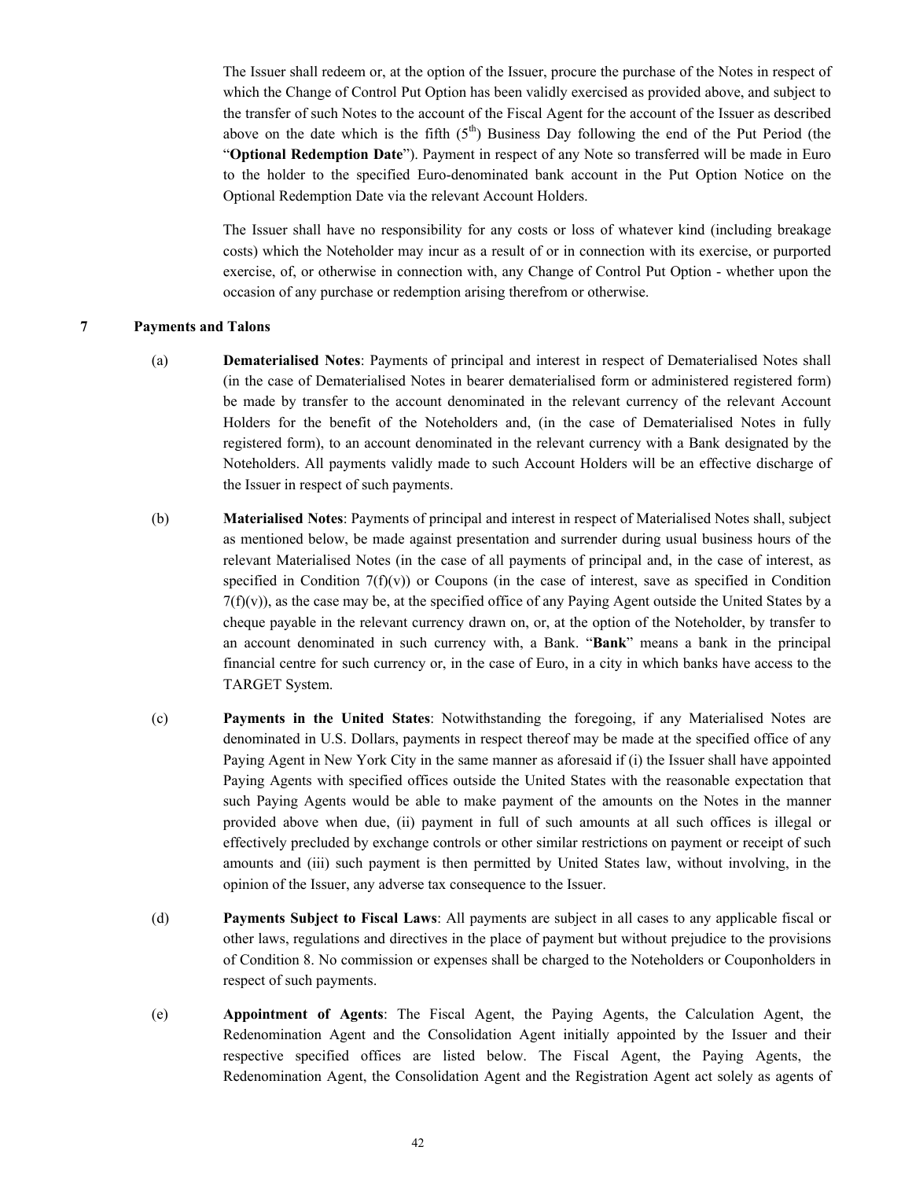The Issuer shall redeem or, at the option of the Issuer, procure the purchase of the Notes in respect of which the Change of Control Put Option has been validly exercised as provided above, and subject to the transfer of such Notes to the account of the Fiscal Agent for the account of the Issuer as described above on the date which is the fifth  $(5<sup>th</sup>)$  Business Day following the end of the Put Period (the "**Optional Redemption Date**"). Payment in respect of any Note so transferred will be made in Euro to the holder to the specified Euro-denominated bank account in the Put Option Notice on the Optional Redemption Date via the relevant Account Holders.

The Issuer shall have no responsibility for any costs or loss of whatever kind (including breakage costs) which the Noteholder may incur as a result of or in connection with its exercise, or purported exercise, of, or otherwise in connection with, any Change of Control Put Option - whether upon the occasion of any purchase or redemption arising therefrom or otherwise.

#### **7 Payments and Talons**

- (a) **Dematerialised Notes**: Payments of principal and interest in respect of Dematerialised Notes shall (in the case of Dematerialised Notes in bearer dematerialised form or administered registered form) be made by transfer to the account denominated in the relevant currency of the relevant Account Holders for the benefit of the Noteholders and, (in the case of Dematerialised Notes in fully registered form), to an account denominated in the relevant currency with a Bank designated by the Noteholders. All payments validly made to such Account Holders will be an effective discharge of the Issuer in respect of such payments.
- (b) **Materialised Notes**: Payments of principal and interest in respect of Materialised Notes shall, subject as mentioned below, be made against presentation and surrender during usual business hours of the relevant Materialised Notes (in the case of all payments of principal and, in the case of interest, as specified in Condition  $7(f)(v)$  or Coupons (in the case of interest, save as specified in Condition  $7(f)(v)$ , as the case may be, at the specified office of any Paying Agent outside the United States by a cheque payable in the relevant currency drawn on, or, at the option of the Noteholder, by transfer to an account denominated in such currency with, a Bank. "**Bank**" means a bank in the principal financial centre for such currency or, in the case of Euro, in a city in which banks have access to the TARGET System.
- (c) **Payments in the United States**: Notwithstanding the foregoing, if any Materialised Notes are denominated in U.S. Dollars, payments in respect thereof may be made at the specified office of any Paying Agent in New York City in the same manner as aforesaid if (i) the Issuer shall have appointed Paying Agents with specified offices outside the United States with the reasonable expectation that such Paying Agents would be able to make payment of the amounts on the Notes in the manner provided above when due, (ii) payment in full of such amounts at all such offices is illegal or effectively precluded by exchange controls or other similar restrictions on payment or receipt of such amounts and (iii) such payment is then permitted by United States law, without involving, in the opinion of the Issuer, any adverse tax consequence to the Issuer.
- (d) **Payments Subject to Fiscal Laws**: All payments are subject in all cases to any applicable fiscal or other laws, regulations and directives in the place of payment but without prejudice to the provisions of Condition 8. No commission or expenses shall be charged to the Noteholders or Couponholders in respect of such payments.
- (e) **Appointment of Agents**: The Fiscal Agent, the Paying Agents, the Calculation Agent, the Redenomination Agent and the Consolidation Agent initially appointed by the Issuer and their respective specified offices are listed below. The Fiscal Agent, the Paying Agents, the Redenomination Agent, the Consolidation Agent and the Registration Agent act solely as agents of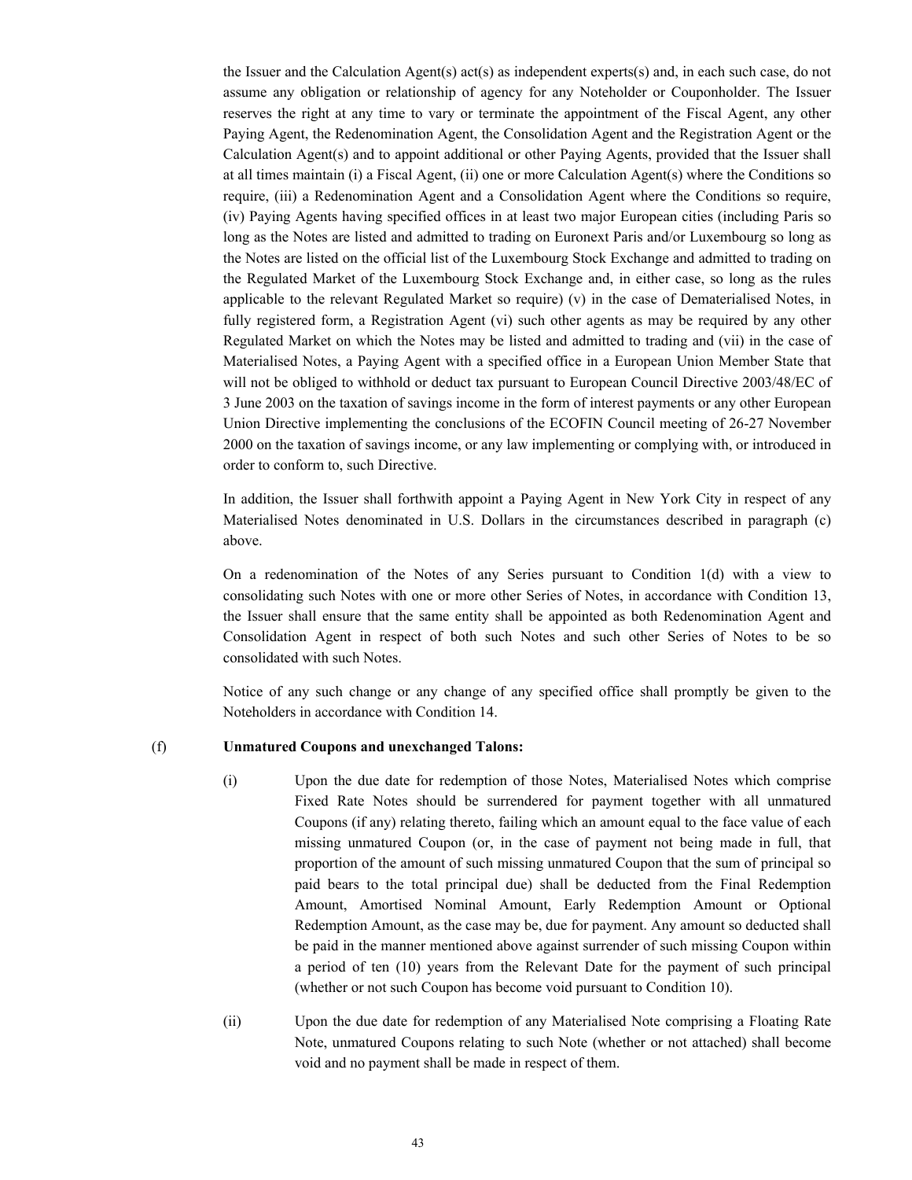the Issuer and the Calculation Agent(s) act(s) as independent experts(s) and, in each such case, do not assume any obligation or relationship of agency for any Noteholder or Couponholder. The Issuer reserves the right at any time to vary or terminate the appointment of the Fiscal Agent, any other Paying Agent, the Redenomination Agent, the Consolidation Agent and the Registration Agent or the Calculation Agent(s) and to appoint additional or other Paying Agents, provided that the Issuer shall at all times maintain (i) a Fiscal Agent, (ii) one or more Calculation Agent(s) where the Conditions so require, (iii) a Redenomination Agent and a Consolidation Agent where the Conditions so require, (iv) Paying Agents having specified offices in at least two major European cities (including Paris so long as the Notes are listed and admitted to trading on Euronext Paris and/or Luxembourg so long as the Notes are listed on the official list of the Luxembourg Stock Exchange and admitted to trading on the Regulated Market of the Luxembourg Stock Exchange and, in either case, so long as the rules applicable to the relevant Regulated Market so require) (v) in the case of Dematerialised Notes, in fully registered form, a Registration Agent (vi) such other agents as may be required by any other Regulated Market on which the Notes may be listed and admitted to trading and (vii) in the case of Materialised Notes, a Paying Agent with a specified office in a European Union Member State that will not be obliged to withhold or deduct tax pursuant to European Council Directive 2003/48/EC of 3 June 2003 on the taxation of savings income in the form of interest payments or any other European Union Directive implementing the conclusions of the ECOFIN Council meeting of 26-27 November 2000 on the taxation of savings income, or any law implementing or complying with, or introduced in order to conform to, such Directive.

In addition, the Issuer shall forthwith appoint a Paying Agent in New York City in respect of any Materialised Notes denominated in U.S. Dollars in the circumstances described in paragraph (c) above.

On a redenomination of the Notes of any Series pursuant to Condition 1(d) with a view to consolidating such Notes with one or more other Series of Notes, in accordance with Condition 13, the Issuer shall ensure that the same entity shall be appointed as both Redenomination Agent and Consolidation Agent in respect of both such Notes and such other Series of Notes to be so consolidated with such Notes.

Notice of any such change or any change of any specified office shall promptly be given to the Noteholders in accordance with Condition 14.

# (f) **Unmatured Coupons and unexchanged Talons:**

- (i) Upon the due date for redemption of those Notes, Materialised Notes which comprise Fixed Rate Notes should be surrendered for payment together with all unmatured Coupons (if any) relating thereto, failing which an amount equal to the face value of each missing unmatured Coupon (or, in the case of payment not being made in full, that proportion of the amount of such missing unmatured Coupon that the sum of principal so paid bears to the total principal due) shall be deducted from the Final Redemption Amount, Amortised Nominal Amount, Early Redemption Amount or Optional Redemption Amount, as the case may be, due for payment. Any amount so deducted shall be paid in the manner mentioned above against surrender of such missing Coupon within a period of ten (10) years from the Relevant Date for the payment of such principal (whether or not such Coupon has become void pursuant to Condition 10).
- (ii) Upon the due date for redemption of any Materialised Note comprising a Floating Rate Note, unmatured Coupons relating to such Note (whether or not attached) shall become void and no payment shall be made in respect of them.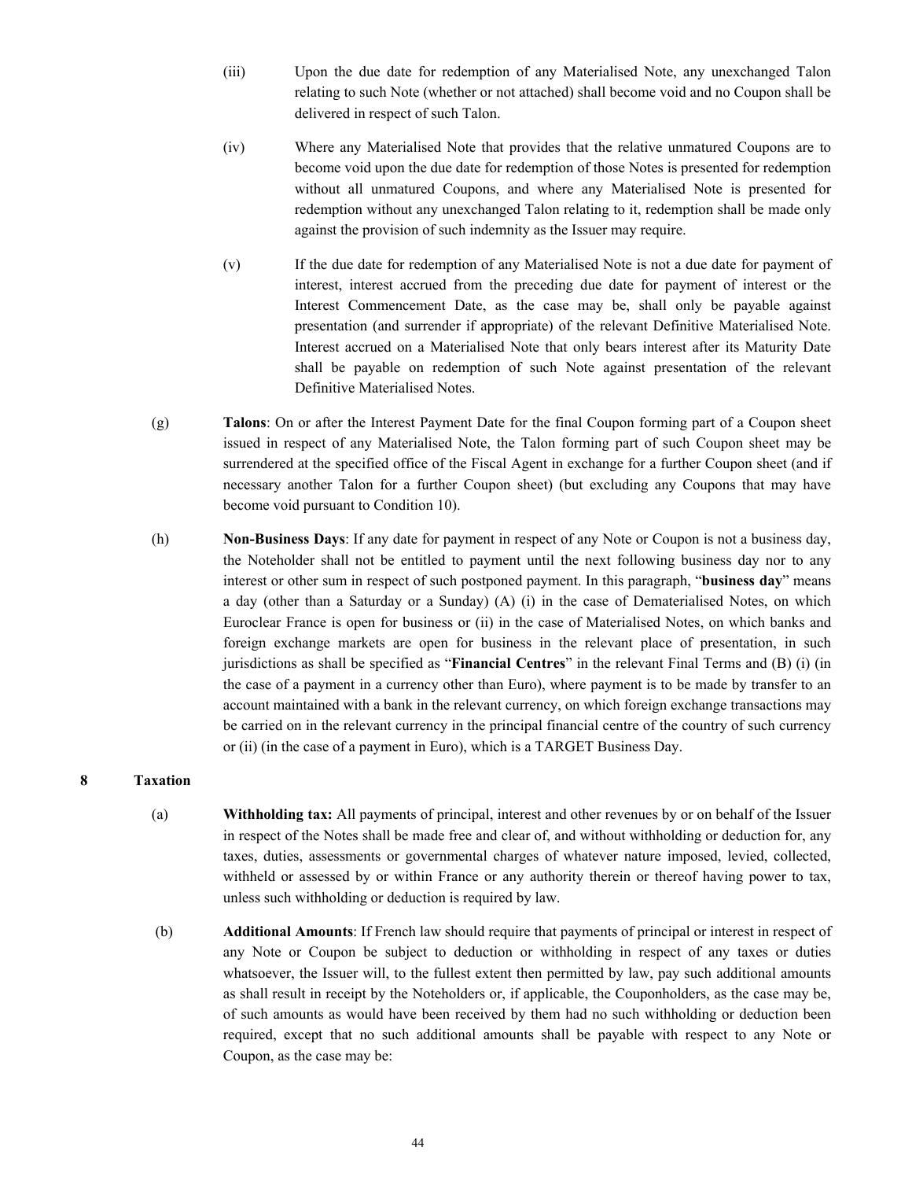- (iii) Upon the due date for redemption of any Materialised Note, any unexchanged Talon relating to such Note (whether or not attached) shall become void and no Coupon shall be delivered in respect of such Talon.
- (iv) Where any Materialised Note that provides that the relative unmatured Coupons are to become void upon the due date for redemption of those Notes is presented for redemption without all unmatured Coupons, and where any Materialised Note is presented for redemption without any unexchanged Talon relating to it, redemption shall be made only against the provision of such indemnity as the Issuer may require.
- (v) If the due date for redemption of any Materialised Note is not a due date for payment of interest, interest accrued from the preceding due date for payment of interest or the Interest Commencement Date, as the case may be, shall only be payable against presentation (and surrender if appropriate) of the relevant Definitive Materialised Note. Interest accrued on a Materialised Note that only bears interest after its Maturity Date shall be payable on redemption of such Note against presentation of the relevant Definitive Materialised Notes.
- (g) **Talons**: On or after the Interest Payment Date for the final Coupon forming part of a Coupon sheet issued in respect of any Materialised Note, the Talon forming part of such Coupon sheet may be surrendered at the specified office of the Fiscal Agent in exchange for a further Coupon sheet (and if necessary another Talon for a further Coupon sheet) (but excluding any Coupons that may have become void pursuant to Condition 10).
- (h) **Non-Business Days**: If any date for payment in respect of any Note or Coupon is not a business day, the Noteholder shall not be entitled to payment until the next following business day nor to any interest or other sum in respect of such postponed payment. In this paragraph, "**business day**" means a day (other than a Saturday or a Sunday) (A) (i) in the case of Dematerialised Notes, on which Euroclear France is open for business or (ii) in the case of Materialised Notes, on which banks and foreign exchange markets are open for business in the relevant place of presentation, in such jurisdictions as shall be specified as "**Financial Centres**" in the relevant Final Terms and (B) (i) (in the case of a payment in a currency other than Euro), where payment is to be made by transfer to an account maintained with a bank in the relevant currency, on which foreign exchange transactions may be carried on in the relevant currency in the principal financial centre of the country of such currency or (ii) (in the case of a payment in Euro), which is a TARGET Business Day.

# **8 Taxation**

- (a) **Withholding tax:** All payments of principal, interest and other revenues by or on behalf of the Issuer in respect of the Notes shall be made free and clear of, and without withholding or deduction for, any taxes, duties, assessments or governmental charges of whatever nature imposed, levied, collected, withheld or assessed by or within France or any authority therein or thereof having power to tax, unless such withholding or deduction is required by law.
- (b) **Additional Amounts**: If French law should require that payments of principal or interest in respect of any Note or Coupon be subject to deduction or withholding in respect of any taxes or duties whatsoever, the Issuer will, to the fullest extent then permitted by law, pay such additional amounts as shall result in receipt by the Noteholders or, if applicable, the Couponholders, as the case may be, of such amounts as would have been received by them had no such withholding or deduction been required, except that no such additional amounts shall be payable with respect to any Note or Coupon, as the case may be: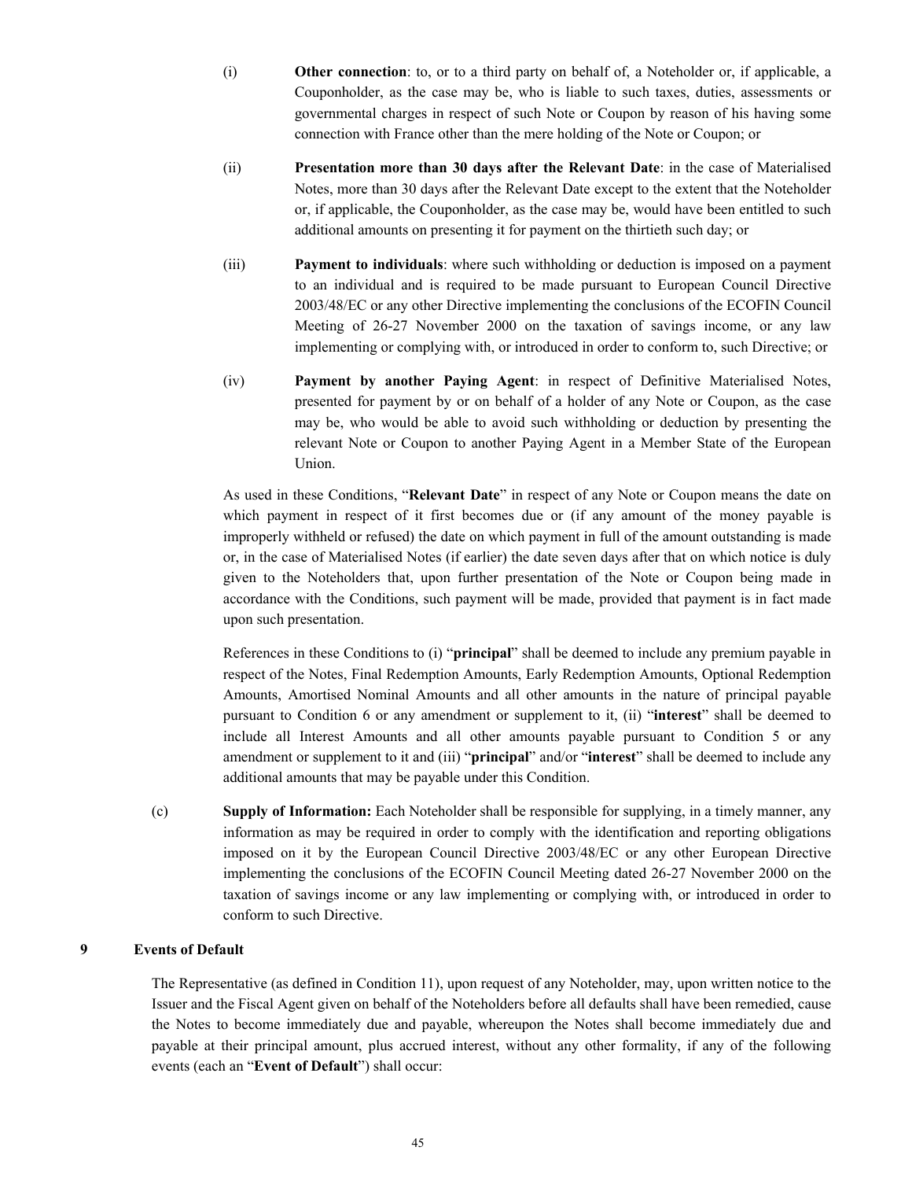- (i) **Other connection**: to, or to a third party on behalf of, a Noteholder or, if applicable, a Couponholder, as the case may be, who is liable to such taxes, duties, assessments or governmental charges in respect of such Note or Coupon by reason of his having some connection with France other than the mere holding of the Note or Coupon; or
- (ii) **Presentation more than 30 days after the Relevant Date**: in the case of Materialised Notes, more than 30 days after the Relevant Date except to the extent that the Noteholder or, if applicable, the Couponholder, as the case may be, would have been entitled to such additional amounts on presenting it for payment on the thirtieth such day; or
- (iii) **Payment to individuals**: where such withholding or deduction is imposed on a payment to an individual and is required to be made pursuant to European Council Directive 2003/48/EC or any other Directive implementing the conclusions of the ECOFIN Council Meeting of 26-27 November 2000 on the taxation of savings income, or any law implementing or complying with, or introduced in order to conform to, such Directive; or
- (iv) **Payment by another Paying Agent**: in respect of Definitive Materialised Notes, presented for payment by or on behalf of a holder of any Note or Coupon, as the case may be, who would be able to avoid such withholding or deduction by presenting the relevant Note or Coupon to another Paying Agent in a Member State of the European Union.

As used in these Conditions, "**Relevant Date**" in respect of any Note or Coupon means the date on which payment in respect of it first becomes due or (if any amount of the money payable is improperly withheld or refused) the date on which payment in full of the amount outstanding is made or, in the case of Materialised Notes (if earlier) the date seven days after that on which notice is duly given to the Noteholders that, upon further presentation of the Note or Coupon being made in accordance with the Conditions, such payment will be made, provided that payment is in fact made upon such presentation.

References in these Conditions to (i) "**principal**" shall be deemed to include any premium payable in respect of the Notes, Final Redemption Amounts, Early Redemption Amounts, Optional Redemption Amounts, Amortised Nominal Amounts and all other amounts in the nature of principal payable pursuant to Condition 6 or any amendment or supplement to it, (ii) "**interest**" shall be deemed to include all Interest Amounts and all other amounts payable pursuant to Condition 5 or any amendment or supplement to it and (iii) "**principal**" and/or "**interest**" shall be deemed to include any additional amounts that may be payable under this Condition.

(c) **Supply of Information:** Each Noteholder shall be responsible for supplying, in a timely manner, any information as may be required in order to comply with the identification and reporting obligations imposed on it by the European Council Directive 2003/48/EC or any other European Directive implementing the conclusions of the ECOFIN Council Meeting dated 26-27 November 2000 on the taxation of savings income or any law implementing or complying with, or introduced in order to conform to such Directive.

# **9 Events of Default**

The Representative (as defined in Condition 11), upon request of any Noteholder, may, upon written notice to the Issuer and the Fiscal Agent given on behalf of the Noteholders before all defaults shall have been remedied, cause the Notes to become immediately due and payable, whereupon the Notes shall become immediately due and payable at their principal amount, plus accrued interest, without any other formality, if any of the following events (each an "**Event of Default**") shall occur: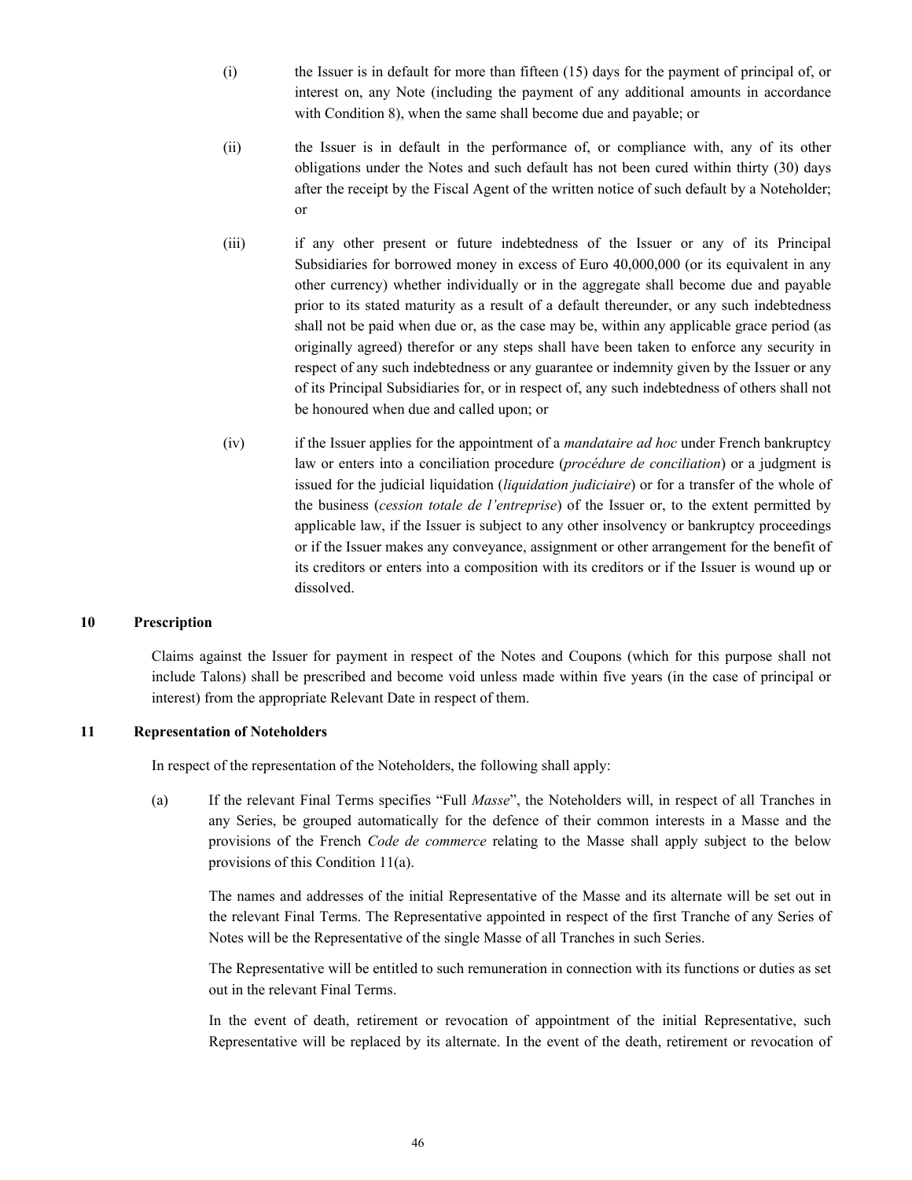- (i) the Issuer is in default for more than fifteen (15) days for the payment of principal of, or interest on, any Note (including the payment of any additional amounts in accordance with Condition 8), when the same shall become due and payable; or
- (ii) the Issuer is in default in the performance of, or compliance with, any of its other obligations under the Notes and such default has not been cured within thirty (30) days after the receipt by the Fiscal Agent of the written notice of such default by a Noteholder; or
- (iii) if any other present or future indebtedness of the Issuer or any of its Principal Subsidiaries for borrowed money in excess of Euro 40,000,000 (or its equivalent in any other currency) whether individually or in the aggregate shall become due and payable prior to its stated maturity as a result of a default thereunder, or any such indebtedness shall not be paid when due or, as the case may be, within any applicable grace period (as originally agreed) therefor or any steps shall have been taken to enforce any security in respect of any such indebtedness or any guarantee or indemnity given by the Issuer or any of its Principal Subsidiaries for, or in respect of, any such indebtedness of others shall not be honoured when due and called upon; or
- (iv) if the Issuer applies for the appointment of a *mandataire ad hoc* under French bankruptcy law or enters into a conciliation procedure (*procédure de conciliation*) or a judgment is issued for the judicial liquidation (*liquidation judiciaire*) or for a transfer of the whole of the business (*cession totale de l'entreprise*) of the Issuer or, to the extent permitted by applicable law, if the Issuer is subject to any other insolvency or bankruptcy proceedings or if the Issuer makes any conveyance, assignment or other arrangement for the benefit of its creditors or enters into a composition with its creditors or if the Issuer is wound up or dissolved.

## **10 Prescription**

Claims against the Issuer for payment in respect of the Notes and Coupons (which for this purpose shall not include Talons) shall be prescribed and become void unless made within five years (in the case of principal or interest) from the appropriate Relevant Date in respect of them.

#### **11 Representation of Noteholders**

In respect of the representation of the Noteholders, the following shall apply:

(a) If the relevant Final Terms specifies "Full *Masse*", the Noteholders will, in respect of all Tranches in any Series, be grouped automatically for the defence of their common interests in a Masse and the provisions of the French *Code de commerce* relating to the Masse shall apply subject to the below provisions of this Condition 11(a).

The names and addresses of the initial Representative of the Masse and its alternate will be set out in the relevant Final Terms. The Representative appointed in respect of the first Tranche of any Series of Notes will be the Representative of the single Masse of all Tranches in such Series.

The Representative will be entitled to such remuneration in connection with its functions or duties as set out in the relevant Final Terms.

In the event of death, retirement or revocation of appointment of the initial Representative, such Representative will be replaced by its alternate. In the event of the death, retirement or revocation of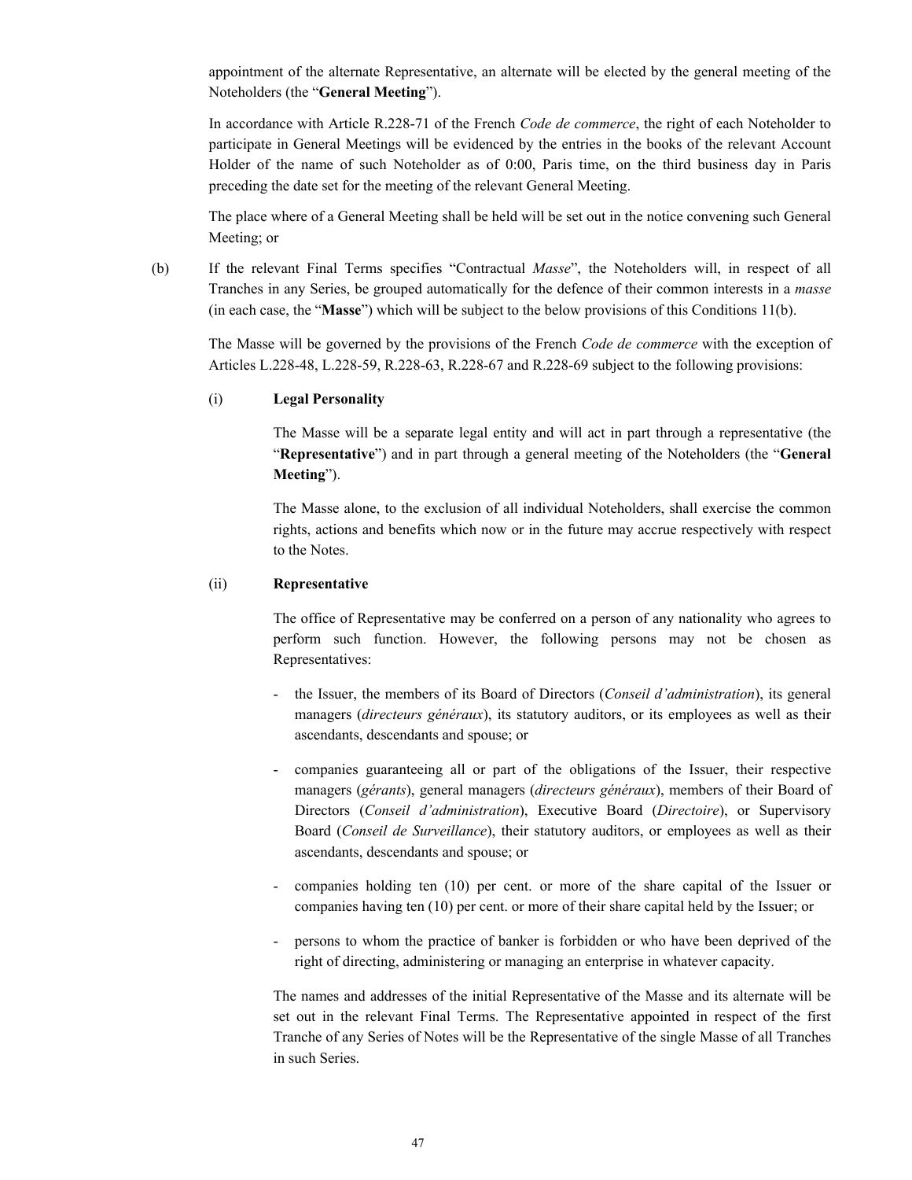appointment of the alternate Representative, an alternate will be elected by the general meeting of the Noteholders (the "**General Meeting**").

In accordance with Article R.228-71 of the French *Code de commerce*, the right of each Noteholder to participate in General Meetings will be evidenced by the entries in the books of the relevant Account Holder of the name of such Noteholder as of 0:00, Paris time, on the third business day in Paris preceding the date set for the meeting of the relevant General Meeting.

The place where of a General Meeting shall be held will be set out in the notice convening such General Meeting; or

(b) If the relevant Final Terms specifies "Contractual *Masse*", the Noteholders will, in respect of all Tranches in any Series, be grouped automatically for the defence of their common interests in a *masse* (in each case, the "**Masse**") which will be subject to the below provisions of this Conditions 11(b).

The Masse will be governed by the provisions of the French *Code de commerce* with the exception of Articles L.228-48, L.228-59, R.228-63, R.228-67 and R.228-69 subject to the following provisions:

## (i) **Legal Personality**

The Masse will be a separate legal entity and will act in part through a representative (the "**Representative**") and in part through a general meeting of the Noteholders (the "**General Meeting**").

The Masse alone, to the exclusion of all individual Noteholders, shall exercise the common rights, actions and benefits which now or in the future may accrue respectively with respect to the Notes.

# (ii) **Representative**

The office of Representative may be conferred on a person of any nationality who agrees to perform such function. However, the following persons may not be chosen as Representatives:

- the Issuer, the members of its Board of Directors (*Conseil d'administration*), its general managers (*directeurs généraux*), its statutory auditors, or its employees as well as their ascendants, descendants and spouse; or
- companies guaranteeing all or part of the obligations of the Issuer, their respective managers (*gérants*), general managers (*directeurs généraux*), members of their Board of Directors (*Conseil d'administration*), Executive Board (*Directoire*), or Supervisory Board (*Conseil de Surveillance*), their statutory auditors, or employees as well as their ascendants, descendants and spouse; or
- companies holding ten (10) per cent. or more of the share capital of the Issuer or companies having ten (10) per cent. or more of their share capital held by the Issuer; or
- persons to whom the practice of banker is forbidden or who have been deprived of the right of directing, administering or managing an enterprise in whatever capacity.

The names and addresses of the initial Representative of the Masse and its alternate will be set out in the relevant Final Terms. The Representative appointed in respect of the first Tranche of any Series of Notes will be the Representative of the single Masse of all Tranches in such Series.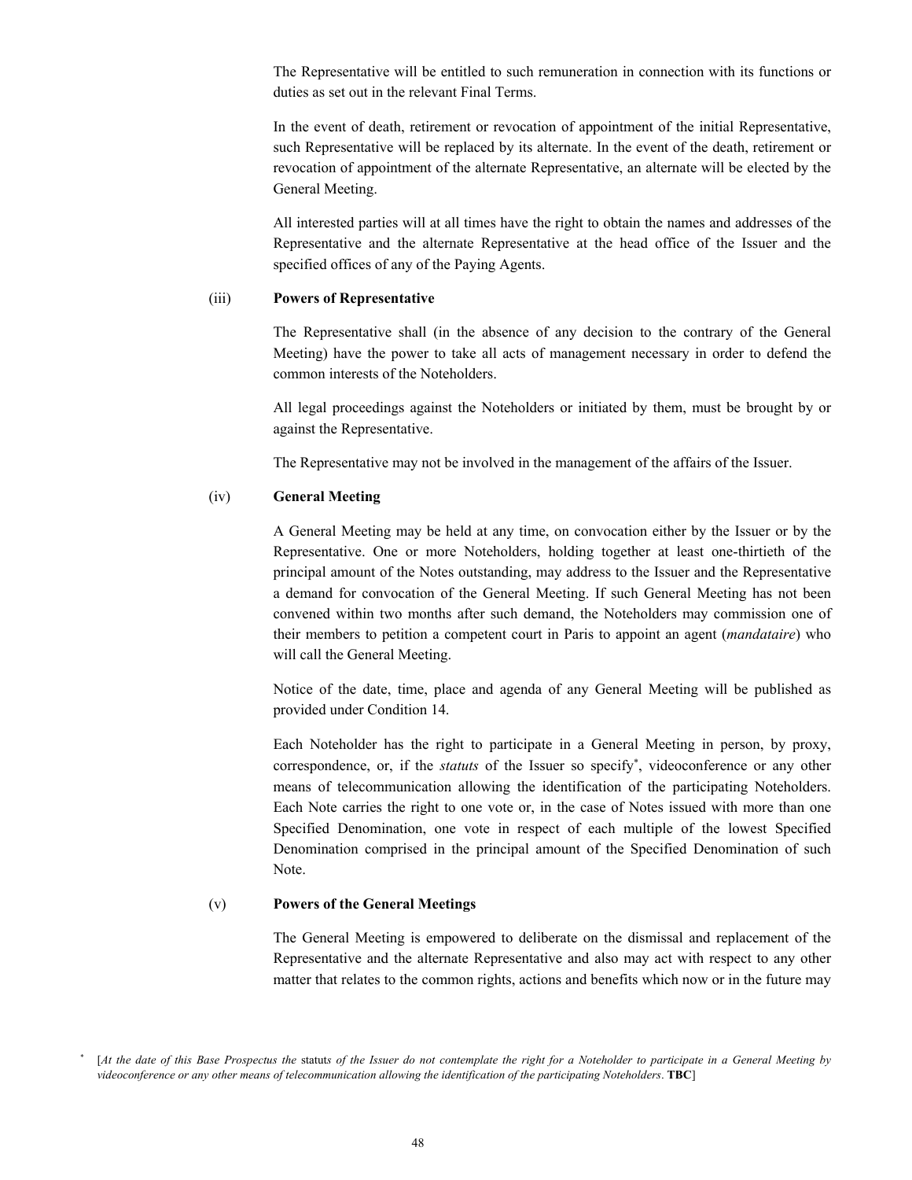The Representative will be entitled to such remuneration in connection with its functions or duties as set out in the relevant Final Terms.

In the event of death, retirement or revocation of appointment of the initial Representative, such Representative will be replaced by its alternate. In the event of the death, retirement or revocation of appointment of the alternate Representative, an alternate will be elected by the General Meeting.

All interested parties will at all times have the right to obtain the names and addresses of the Representative and the alternate Representative at the head office of the Issuer and the specified offices of any of the Paying Agents.

#### (iii) **Powers of Representative**

The Representative shall (in the absence of any decision to the contrary of the General Meeting) have the power to take all acts of management necessary in order to defend the common interests of the Noteholders.

All legal proceedings against the Noteholders or initiated by them, must be brought by or against the Representative.

The Representative may not be involved in the management of the affairs of the Issuer.

#### (iv) **General Meeting**

A General Meeting may be held at any time, on convocation either by the Issuer or by the Representative. One or more Noteholders, holding together at least one-thirtieth of the principal amount of the Notes outstanding, may address to the Issuer and the Representative a demand for convocation of the General Meeting. If such General Meeting has not been convened within two months after such demand, the Noteholders may commission one of their members to petition a competent court in Paris to appoint an agent (*mandataire*) who will call the General Meeting.

Notice of the date, time, place and agenda of any General Meeting will be published as provided under Condition 14.

Each Noteholder has the right to participate in a General Meeting in person, by proxy, correspondence, or, if the *statuts* of the Issuer so specify , videoconference or any other means of telecommunication allowing the identification of the participating Noteholders. Each Note carries the right to one vote or, in the case of Notes issued with more than one Specified Denomination, one vote in respect of each multiple of the lowest Specified Denomination comprised in the principal amount of the Specified Denomination of such Note.

#### (v) **Powers of the General Meetings**

The General Meeting is empowered to deliberate on the dismissal and replacement of the Representative and the alternate Representative and also may act with respect to any other matter that relates to the common rights, actions and benefits which now or in the future may

<sup>\*</sup> [*At the date of this Base Prospectus the* statut*s of the Issuer do not contemplate the right for a Noteholder to participate in a General Meeting by videoconference or any other means of telecommunication allowing the identification of the participating Noteholders*. **TBC**]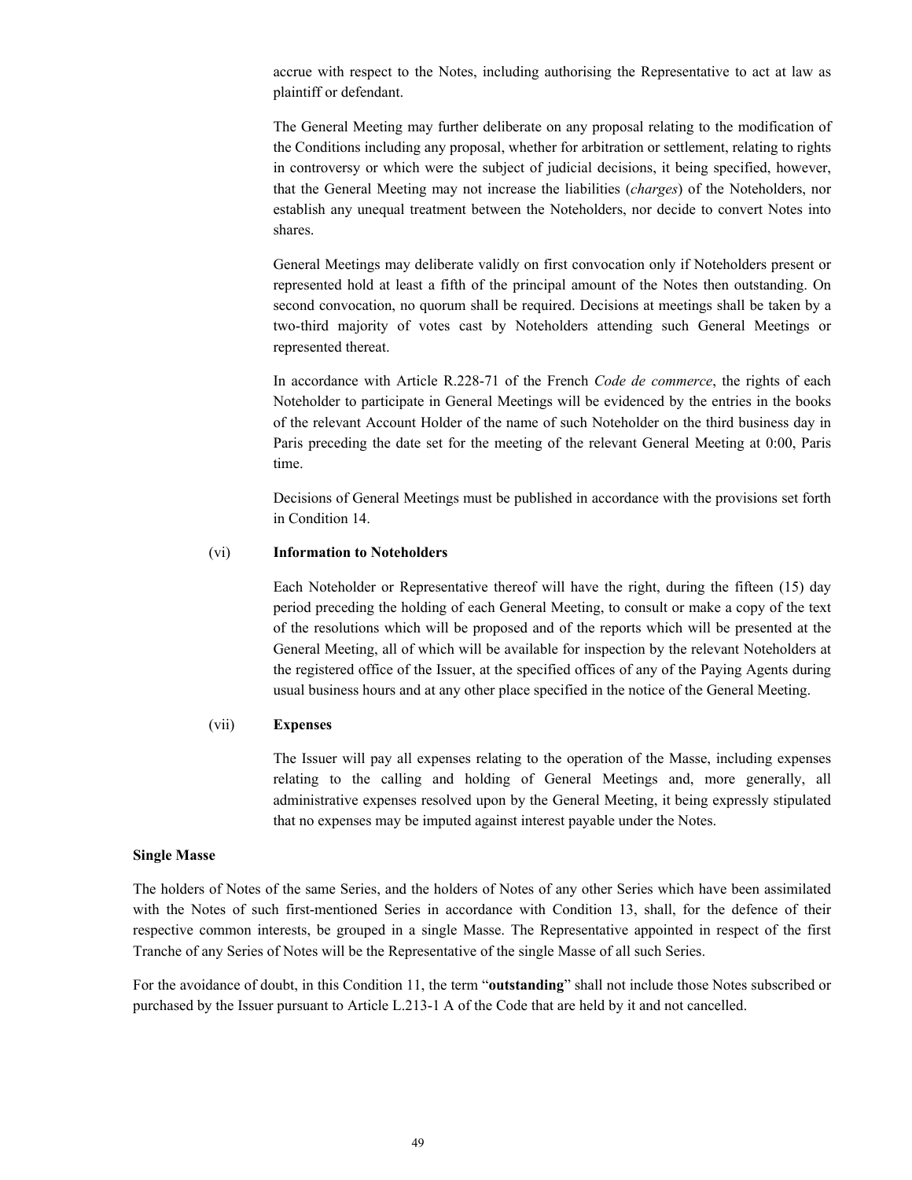accrue with respect to the Notes, including authorising the Representative to act at law as plaintiff or defendant.

The General Meeting may further deliberate on any proposal relating to the modification of the Conditions including any proposal, whether for arbitration or settlement, relating to rights in controversy or which were the subject of judicial decisions, it being specified, however, that the General Meeting may not increase the liabilities (*charges*) of the Noteholders, nor establish any unequal treatment between the Noteholders, nor decide to convert Notes into shares.

General Meetings may deliberate validly on first convocation only if Noteholders present or represented hold at least a fifth of the principal amount of the Notes then outstanding. On second convocation, no quorum shall be required. Decisions at meetings shall be taken by a two-third majority of votes cast by Noteholders attending such General Meetings or represented thereat.

In accordance with Article R.228-71 of the French *Code de commerce*, the rights of each Noteholder to participate in General Meetings will be evidenced by the entries in the books of the relevant Account Holder of the name of such Noteholder on the third business day in Paris preceding the date set for the meeting of the relevant General Meeting at 0:00, Paris time.

Decisions of General Meetings must be published in accordance with the provisions set forth in Condition 14.

## (vi) **Information to Noteholders**

Each Noteholder or Representative thereof will have the right, during the fifteen (15) day period preceding the holding of each General Meeting, to consult or make a copy of the text of the resolutions which will be proposed and of the reports which will be presented at the General Meeting, all of which will be available for inspection by the relevant Noteholders at the registered office of the Issuer, at the specified offices of any of the Paying Agents during usual business hours and at any other place specified in the notice of the General Meeting.

### (vii) **Expenses**

The Issuer will pay all expenses relating to the operation of the Masse, including expenses relating to the calling and holding of General Meetings and, more generally, all administrative expenses resolved upon by the General Meeting, it being expressly stipulated that no expenses may be imputed against interest payable under the Notes.

#### **Single Masse**

The holders of Notes of the same Series, and the holders of Notes of any other Series which have been assimilated with the Notes of such first-mentioned Series in accordance with Condition 13, shall, for the defence of their respective common interests, be grouped in a single Masse. The Representative appointed in respect of the first Tranche of any Series of Notes will be the Representative of the single Masse of all such Series.

For the avoidance of doubt, in this Condition 11, the term "**outstanding**" shall not include those Notes subscribed or purchased by the Issuer pursuant to Article L.213-1 A of the Code that are held by it and not cancelled.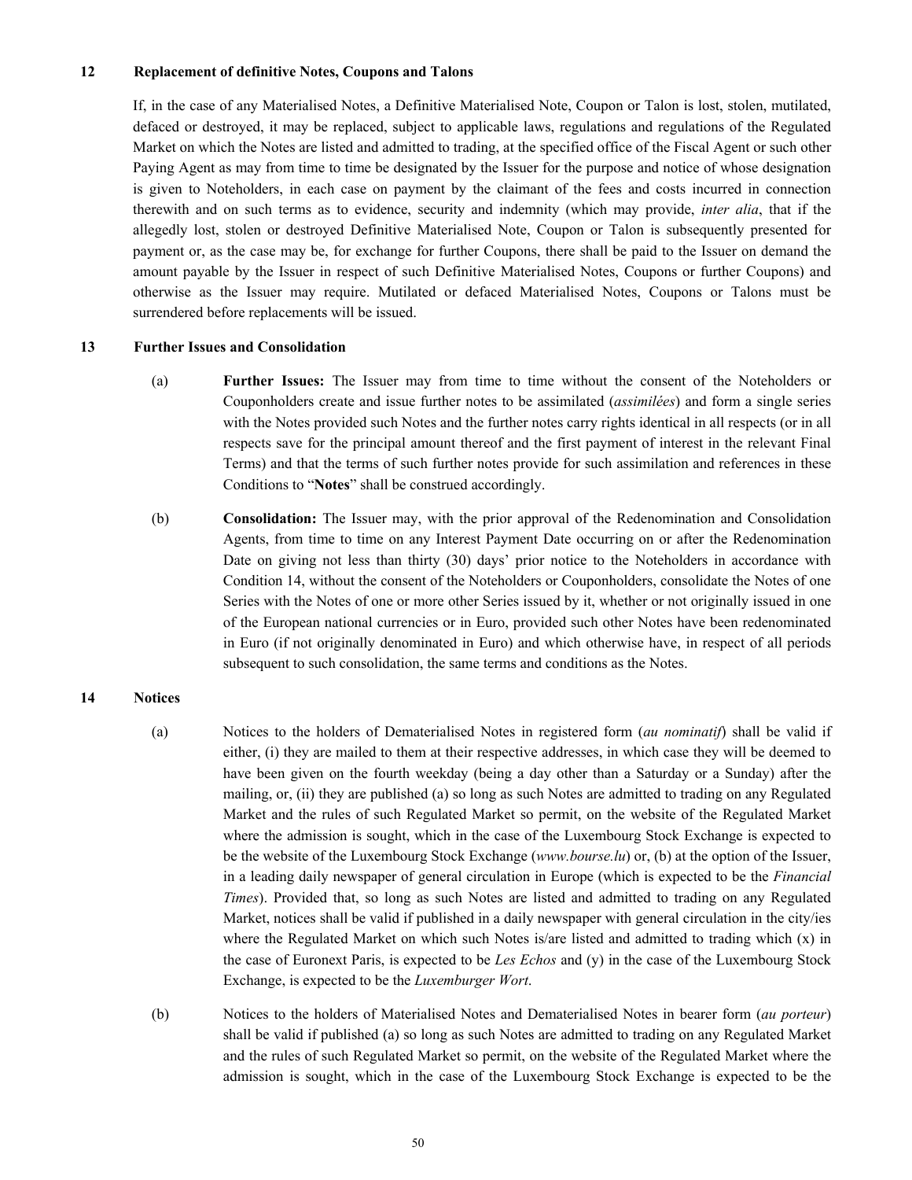## **12 Replacement of definitive Notes, Coupons and Talons**

If, in the case of any Materialised Notes, a Definitive Materialised Note, Coupon or Talon is lost, stolen, mutilated, defaced or destroyed, it may be replaced, subject to applicable laws, regulations and regulations of the Regulated Market on which the Notes are listed and admitted to trading, at the specified office of the Fiscal Agent or such other Paying Agent as may from time to time be designated by the Issuer for the purpose and notice of whose designation is given to Noteholders, in each case on payment by the claimant of the fees and costs incurred in connection therewith and on such terms as to evidence, security and indemnity (which may provide, *inter alia*, that if the allegedly lost, stolen or destroyed Definitive Materialised Note, Coupon or Talon is subsequently presented for payment or, as the case may be, for exchange for further Coupons, there shall be paid to the Issuer on demand the amount payable by the Issuer in respect of such Definitive Materialised Notes, Coupons or further Coupons) and otherwise as the Issuer may require. Mutilated or defaced Materialised Notes, Coupons or Talons must be surrendered before replacements will be issued.

# **13 Further Issues and Consolidation**

- (a) **Further Issues:** The Issuer may from time to time without the consent of the Noteholders or Couponholders create and issue further notes to be assimilated (*assimilées*) and form a single series with the Notes provided such Notes and the further notes carry rights identical in all respects (or in all respects save for the principal amount thereof and the first payment of interest in the relevant Final Terms) and that the terms of such further notes provide for such assimilation and references in these Conditions to "**Notes**" shall be construed accordingly.
- (b) **Consolidation:** The Issuer may, with the prior approval of the Redenomination and Consolidation Agents, from time to time on any Interest Payment Date occurring on or after the Redenomination Date on giving not less than thirty (30) days' prior notice to the Noteholders in accordance with Condition 14, without the consent of the Noteholders or Couponholders, consolidate the Notes of one Series with the Notes of one or more other Series issued by it, whether or not originally issued in one of the European national currencies or in Euro, provided such other Notes have been redenominated in Euro (if not originally denominated in Euro) and which otherwise have, in respect of all periods subsequent to such consolidation, the same terms and conditions as the Notes.

# **14 Notices**

- (a) Notices to the holders of Dematerialised Notes in registered form (*au nominatif*) shall be valid if either, (i) they are mailed to them at their respective addresses, in which case they will be deemed to have been given on the fourth weekday (being a day other than a Saturday or a Sunday) after the mailing, or, (ii) they are published (a) so long as such Notes are admitted to trading on any Regulated Market and the rules of such Regulated Market so permit, on the website of the Regulated Market where the admission is sought, which in the case of the Luxembourg Stock Exchange is expected to be the website of the Luxembourg Stock Exchange (*www.bourse.lu*) or, (b) at the option of the Issuer, in a leading daily newspaper of general circulation in Europe (which is expected to be the *Financial Times*). Provided that, so long as such Notes are listed and admitted to trading on any Regulated Market, notices shall be valid if published in a daily newspaper with general circulation in the city/ies where the Regulated Market on which such Notes is/are listed and admitted to trading which  $(x)$  in the case of Euronext Paris, is expected to be *Les Echos* and (y) in the case of the Luxembourg Stock Exchange, is expected to be the *Luxemburger Wort*.
- (b) Notices to the holders of Materialised Notes and Dematerialised Notes in bearer form (*au porteur*) shall be valid if published (a) so long as such Notes are admitted to trading on any Regulated Market and the rules of such Regulated Market so permit, on the website of the Regulated Market where the admission is sought, which in the case of the Luxembourg Stock Exchange is expected to be the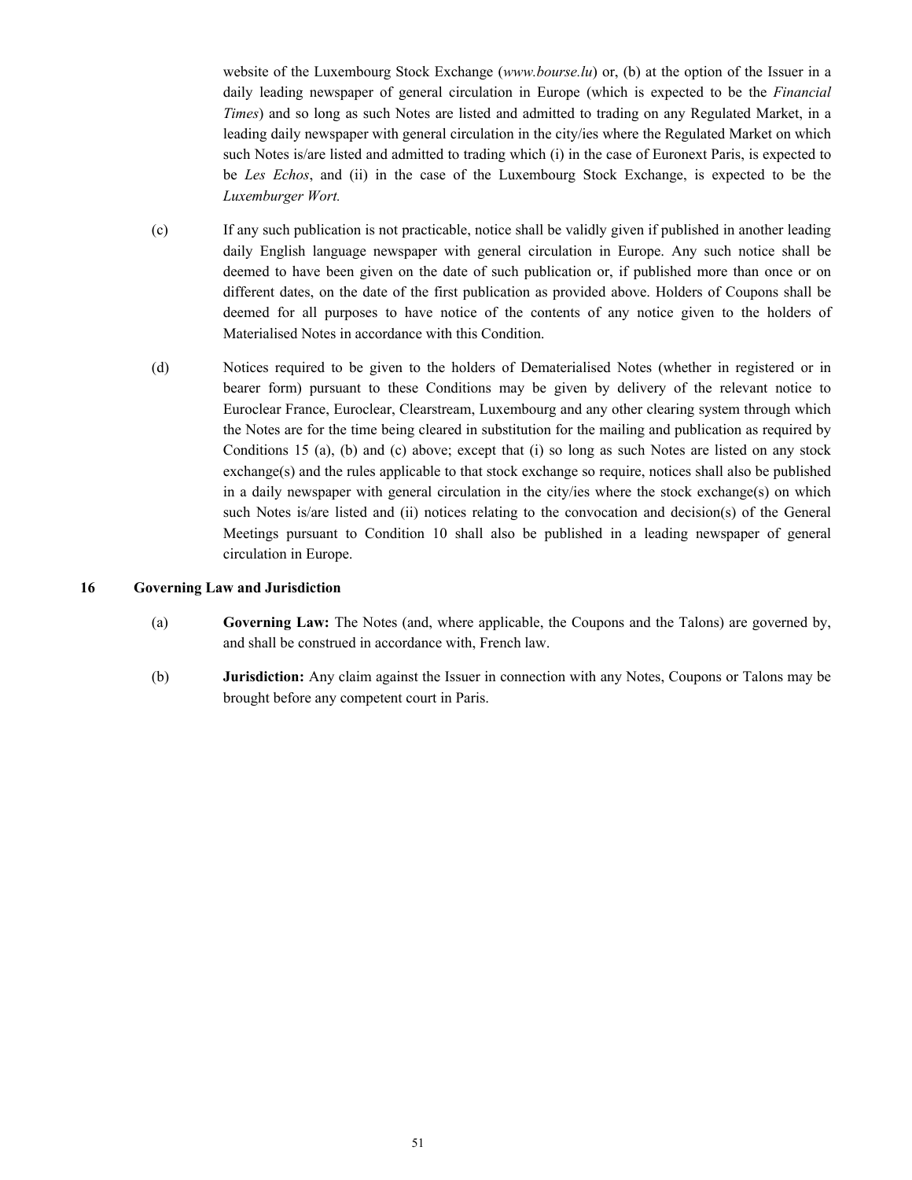website of the Luxembourg Stock Exchange (*www.bourse.lu*) or, (b) at the option of the Issuer in a daily leading newspaper of general circulation in Europe (which is expected to be the *Financial Times*) and so long as such Notes are listed and admitted to trading on any Regulated Market, in a leading daily newspaper with general circulation in the city/ies where the Regulated Market on which such Notes is/are listed and admitted to trading which (i) in the case of Euronext Paris, is expected to be *Les Echos*, and (ii) in the case of the Luxembourg Stock Exchange, is expected to be the *Luxemburger Wort.*

- (c) If any such publication is not practicable, notice shall be validly given if published in another leading daily English language newspaper with general circulation in Europe. Any such notice shall be deemed to have been given on the date of such publication or, if published more than once or on different dates, on the date of the first publication as provided above. Holders of Coupons shall be deemed for all purposes to have notice of the contents of any notice given to the holders of Materialised Notes in accordance with this Condition.
- (d) Notices required to be given to the holders of Dematerialised Notes (whether in registered or in bearer form) pursuant to these Conditions may be given by delivery of the relevant notice to Euroclear France, Euroclear, Clearstream, Luxembourg and any other clearing system through which the Notes are for the time being cleared in substitution for the mailing and publication as required by Conditions 15 (a), (b) and (c) above; except that (i) so long as such Notes are listed on any stock exchange(s) and the rules applicable to that stock exchange so require, notices shall also be published in a daily newspaper with general circulation in the city/ies where the stock exchange(s) on which such Notes is/are listed and (ii) notices relating to the convocation and decision(s) of the General Meetings pursuant to Condition 10 shall also be published in a leading newspaper of general circulation in Europe.

# **16 Governing Law and Jurisdiction**

- (a) **Governing Law:** The Notes (and, where applicable, the Coupons and the Talons) are governed by, and shall be construed in accordance with, French law.
- (b) **Jurisdiction:** Any claim against the Issuer in connection with any Notes, Coupons or Talons may be brought before any competent court in Paris.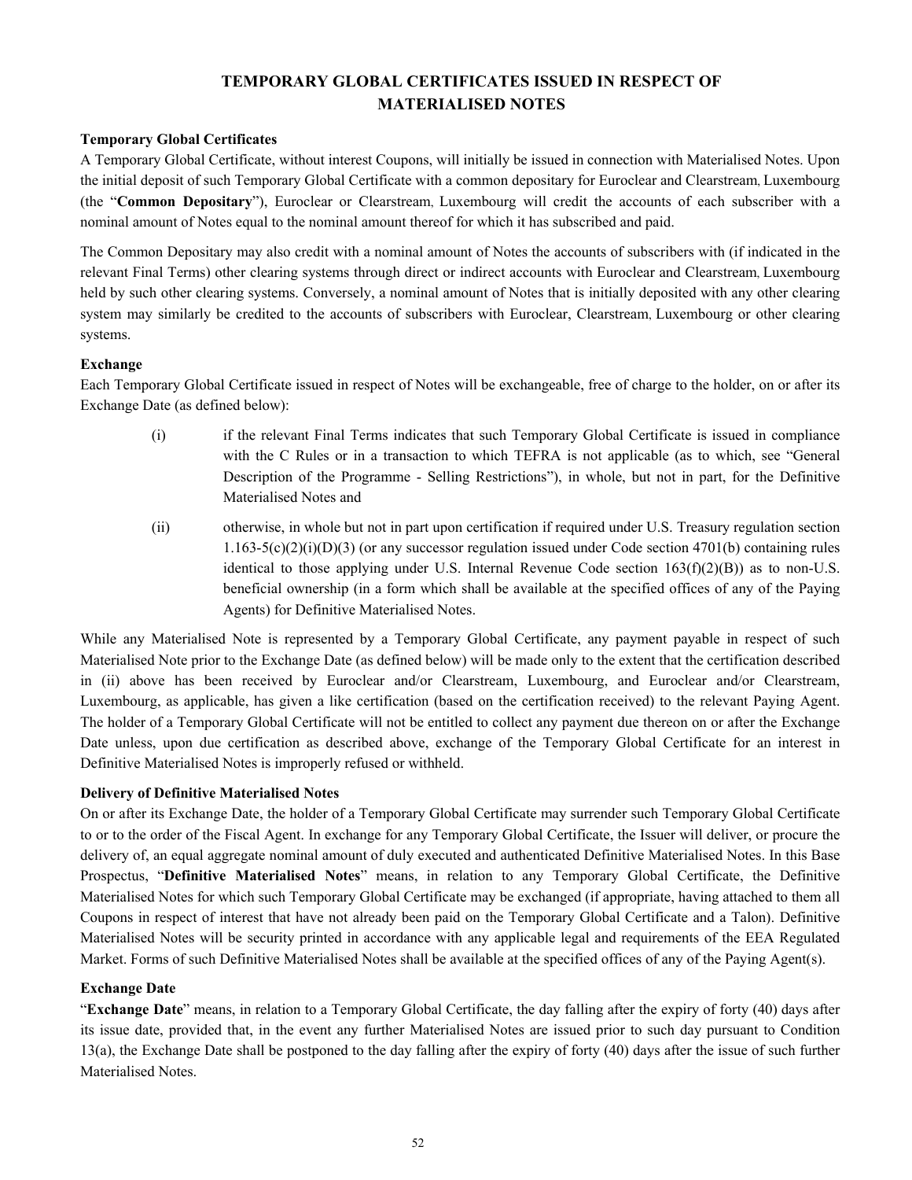# **TEMPORARY GLOBAL CERTIFICATES ISSUED IN RESPECT OF MATERIALISED NOTES**

# **Temporary Global Certificates**

A Temporary Global Certificate, without interest Coupons, will initially be issued in connection with Materialised Notes. Upon the initial deposit of such Temporary Global Certificate with a common depositary for Euroclear and Clearstream, Luxembourg (the "**Common Depositary**"), Euroclear or Clearstream, Luxembourg will credit the accounts of each subscriber with a nominal amount of Notes equal to the nominal amount thereof for which it has subscribed and paid.

The Common Depositary may also credit with a nominal amount of Notes the accounts of subscribers with (if indicated in the relevant Final Terms) other clearing systems through direct or indirect accounts with Euroclear and Clearstream, Luxembourg held by such other clearing systems. Conversely, a nominal amount of Notes that is initially deposited with any other clearing system may similarly be credited to the accounts of subscribers with Euroclear, Clearstream, Luxembourg or other clearing systems.

# **Exchange**

Each Temporary Global Certificate issued in respect of Notes will be exchangeable, free of charge to the holder, on or after its Exchange Date (as defined below):

- (i) if the relevant Final Terms indicates that such Temporary Global Certificate is issued in compliance with the C Rules or in a transaction to which TEFRA is not applicable (as to which, see "General Description of the Programme - Selling Restrictions"), in whole, but not in part, for the Definitive Materialised Notes and
- (ii) otherwise, in whole but not in part upon certification if required under U.S. Treasury regulation section  $1.163-5(c)(2)(i)(D)(3)$  (or any successor regulation issued under Code section 4701(b) containing rules identical to those applying under U.S. Internal Revenue Code section  $163(f)(2)(B)$ ) as to non-U.S. beneficial ownership (in a form which shall be available at the specified offices of any of the Paying Agents) for Definitive Materialised Notes.

While any Materialised Note is represented by a Temporary Global Certificate, any payment payable in respect of such Materialised Note prior to the Exchange Date (as defined below) will be made only to the extent that the certification described in (ii) above has been received by Euroclear and/or Clearstream, Luxembourg, and Euroclear and/or Clearstream, Luxembourg, as applicable, has given a like certification (based on the certification received) to the relevant Paying Agent. The holder of a Temporary Global Certificate will not be entitled to collect any payment due thereon on or after the Exchange Date unless, upon due certification as described above, exchange of the Temporary Global Certificate for an interest in Definitive Materialised Notes is improperly refused or withheld.

# **Delivery of Definitive Materialised Notes**

On or after its Exchange Date, the holder of a Temporary Global Certificate may surrender such Temporary Global Certificate to or to the order of the Fiscal Agent. In exchange for any Temporary Global Certificate, the Issuer will deliver, or procure the delivery of, an equal aggregate nominal amount of duly executed and authenticated Definitive Materialised Notes. In this Base Prospectus, "**Definitive Materialised Notes**" means, in relation to any Temporary Global Certificate, the Definitive Materialised Notes for which such Temporary Global Certificate may be exchanged (if appropriate, having attached to them all Coupons in respect of interest that have not already been paid on the Temporary Global Certificate and a Talon). Definitive Materialised Notes will be security printed in accordance with any applicable legal and requirements of the EEA Regulated Market. Forms of such Definitive Materialised Notes shall be available at the specified offices of any of the Paying Agent(s).

# **Exchange Date**

"**Exchange Date**" means, in relation to a Temporary Global Certificate, the day falling after the expiry of forty (40) days after its issue date, provided that, in the event any further Materialised Notes are issued prior to such day pursuant to Condition 13(a), the Exchange Date shall be postponed to the day falling after the expiry of forty (40) days after the issue of such further Materialised Notes.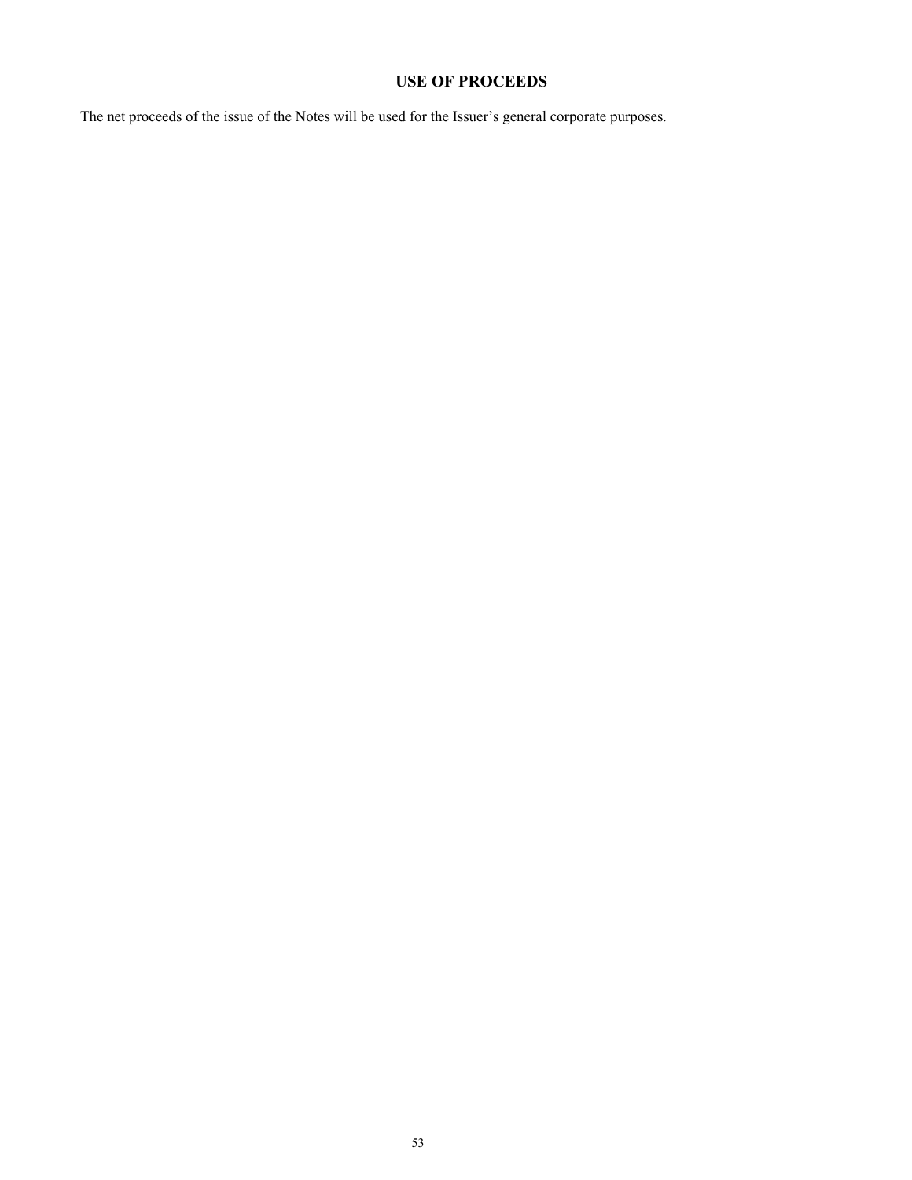# **USE OF PROCEEDS**

The net proceeds of the issue of the Notes will be used for the Issuer's general corporate purposes.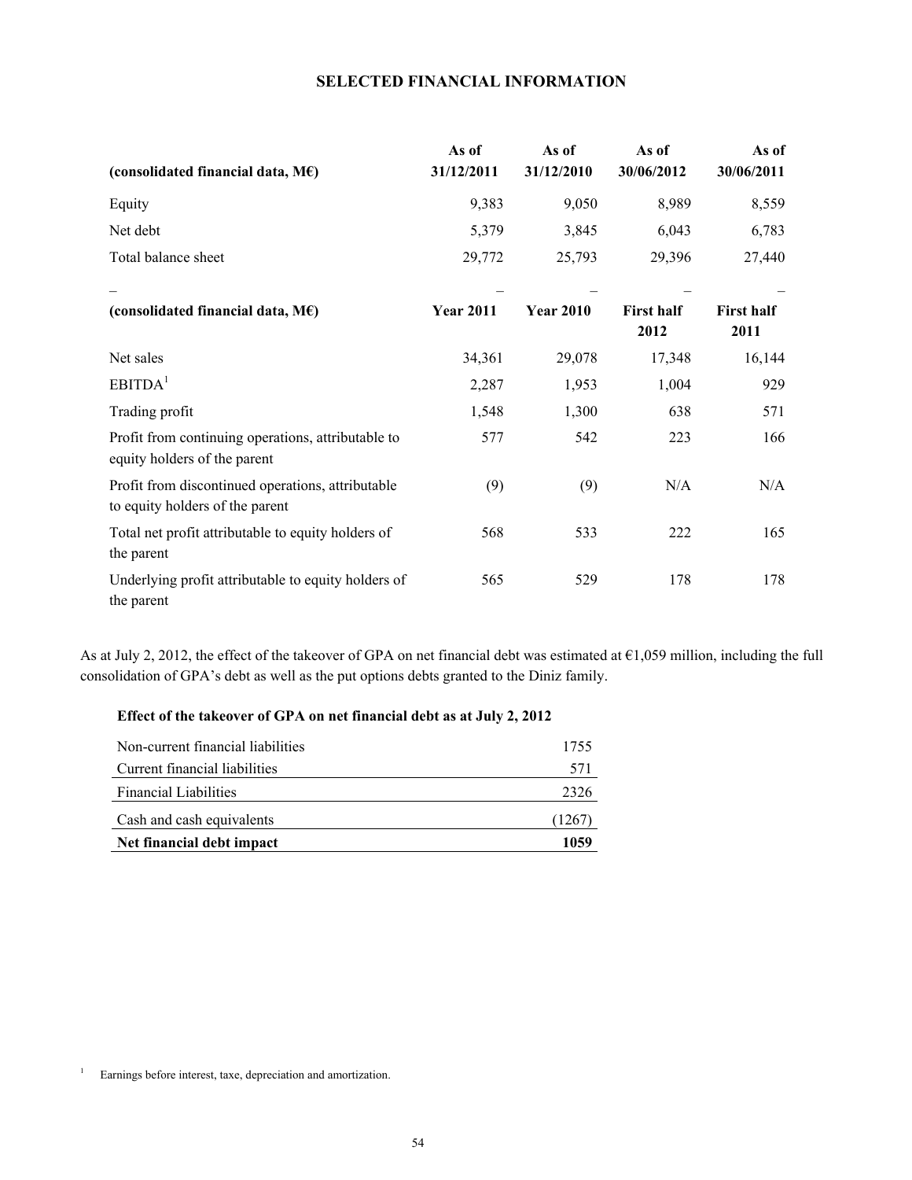# **SELECTED FINANCIAL INFORMATION**

| (consolidated financial data, $M\epsilon$ )                                          | As of<br>31/12/2011 | As of<br>31/12/2010 | As of<br>30/06/2012 | As of<br>30/06/2011 |
|--------------------------------------------------------------------------------------|---------------------|---------------------|---------------------|---------------------|
| Equity                                                                               | 9,383               | 9,050               | 8,989               | 8,559               |
| Net debt                                                                             | 5,379               | 3,845               | 6,043               | 6,783               |
| Total balance sheet                                                                  | 29,772              | 25,793              | 29,396              | 27,440              |
| (consolidated financial data, $M\epsilon$ )                                          | <b>Year 2011</b>    | <b>Year 2010</b>    | <b>First half</b>   | <b>First half</b>   |
|                                                                                      |                     |                     | 2012                | 2011                |
| Net sales                                                                            | 34,361              | 29,078              | 17,348              | 16,144              |
| EBITDA <sup>1</sup>                                                                  | 2,287               | 1,953               | 1,004               | 929                 |
| Trading profit                                                                       | 1,548               | 1,300               | 638                 | 571                 |
| Profit from continuing operations, attributable to<br>equity holders of the parent   | 577                 | 542                 | 223                 | 166                 |
| Profit from discontinued operations, attributable<br>to equity holders of the parent | (9)                 | (9)                 | N/A                 | N/A                 |
| Total net profit attributable to equity holders of<br>the parent                     | 568                 | 533                 | 222                 | 165                 |
| Underlying profit attributable to equity holders of<br>the parent                    | 565                 | 529                 | 178                 | 178                 |

As at July 2, 2012, the effect of the takeover of GPA on net financial debt was estimated at €1,059 million, including the full consolidation of GPA's debt as well as the put options debts granted to the Diniz family.

# **Effect of the takeover of GPA on net financial debt as at July 2, 2012**

| Net financial debt impact         | 1059 |
|-----------------------------------|------|
| Cash and cash equivalents         | 1267 |
| <b>Financial Liabilities</b>      | 2326 |
| Current financial liabilities     | 571  |
| Non-current financial liabilities | 1755 |

<sup>&</sup>lt;sup>1</sup> Earnings before interest, taxe, depreciation and amortization.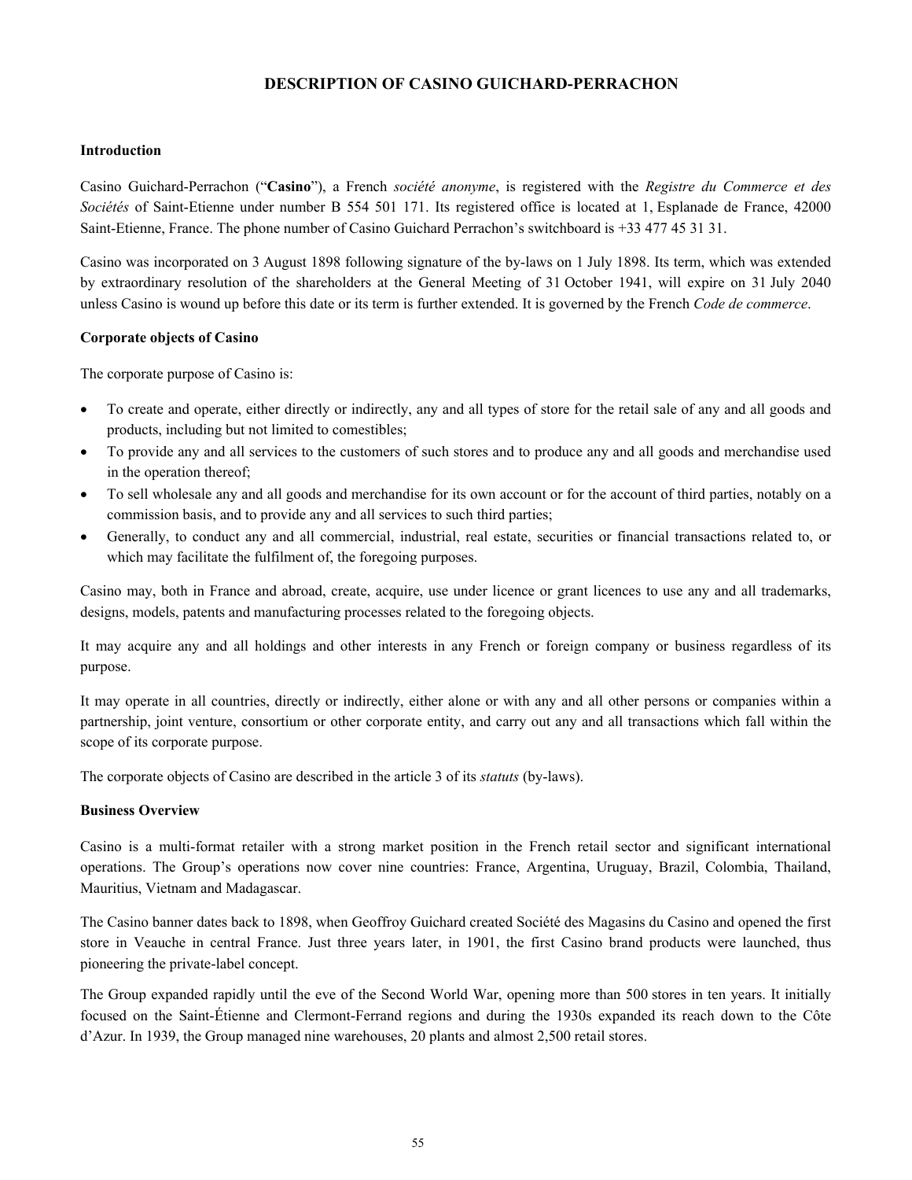# **DESCRIPTION OF CASINO GUICHARD-PERRACHON**

## **Introduction**

Casino Guichard-Perrachon ("**Casino**"), a French *société anonyme*, is registered with the *Registre du Commerce et des Sociétés* of Saint-Etienne under number B 554 501 171. Its registered office is located at 1, Esplanade de France, 42000 Saint-Etienne, France. The phone number of Casino Guichard Perrachon's switchboard is +33 477 45 31 31.

Casino was incorporated on 3 August 1898 following signature of the by-laws on 1 July 1898. Its term, which was extended by extraordinary resolution of the shareholders at the General Meeting of 31 October 1941, will expire on 31 July 2040 unless Casino is wound up before this date or its term is further extended. It is governed by the French *Code de commerce*.

## **Corporate objects of Casino**

The corporate purpose of Casino is:

- To create and operate, either directly or indirectly, any and all types of store for the retail sale of any and all goods and products, including but not limited to comestibles;
- To provide any and all services to the customers of such stores and to produce any and all goods and merchandise used in the operation thereof;
- To sell wholesale any and all goods and merchandise for its own account or for the account of third parties, notably on a commission basis, and to provide any and all services to such third parties;
- Generally, to conduct any and all commercial, industrial, real estate, securities or financial transactions related to, or which may facilitate the fulfilment of, the foregoing purposes.

Casino may, both in France and abroad, create, acquire, use under licence or grant licences to use any and all trademarks, designs, models, patents and manufacturing processes related to the foregoing objects.

It may acquire any and all holdings and other interests in any French or foreign company or business regardless of its purpose.

It may operate in all countries, directly or indirectly, either alone or with any and all other persons or companies within a partnership, joint venture, consortium or other corporate entity, and carry out any and all transactions which fall within the scope of its corporate purpose.

The corporate objects of Casino are described in the article 3 of its *statuts* (by-laws).

# **Business Overview**

Casino is a multi-format retailer with a strong market position in the French retail sector and significant international operations. The Group's operations now cover nine countries: France, Argentina, Uruguay, Brazil, Colombia, Thailand, Mauritius, Vietnam and Madagascar.

The Casino banner dates back to 1898, when Geoffroy Guichard created Société des Magasins du Casino and opened the first store in Veauche in central France. Just three years later, in 1901, the first Casino brand products were launched, thus pioneering the private-label concept.

The Group expanded rapidly until the eve of the Second World War, opening more than 500 stores in ten years. It initially focused on the Saint-Étienne and Clermont-Ferrand regions and during the 1930s expanded its reach down to the Côte d'Azur. In 1939, the Group managed nine warehouses, 20 plants and almost 2,500 retail stores.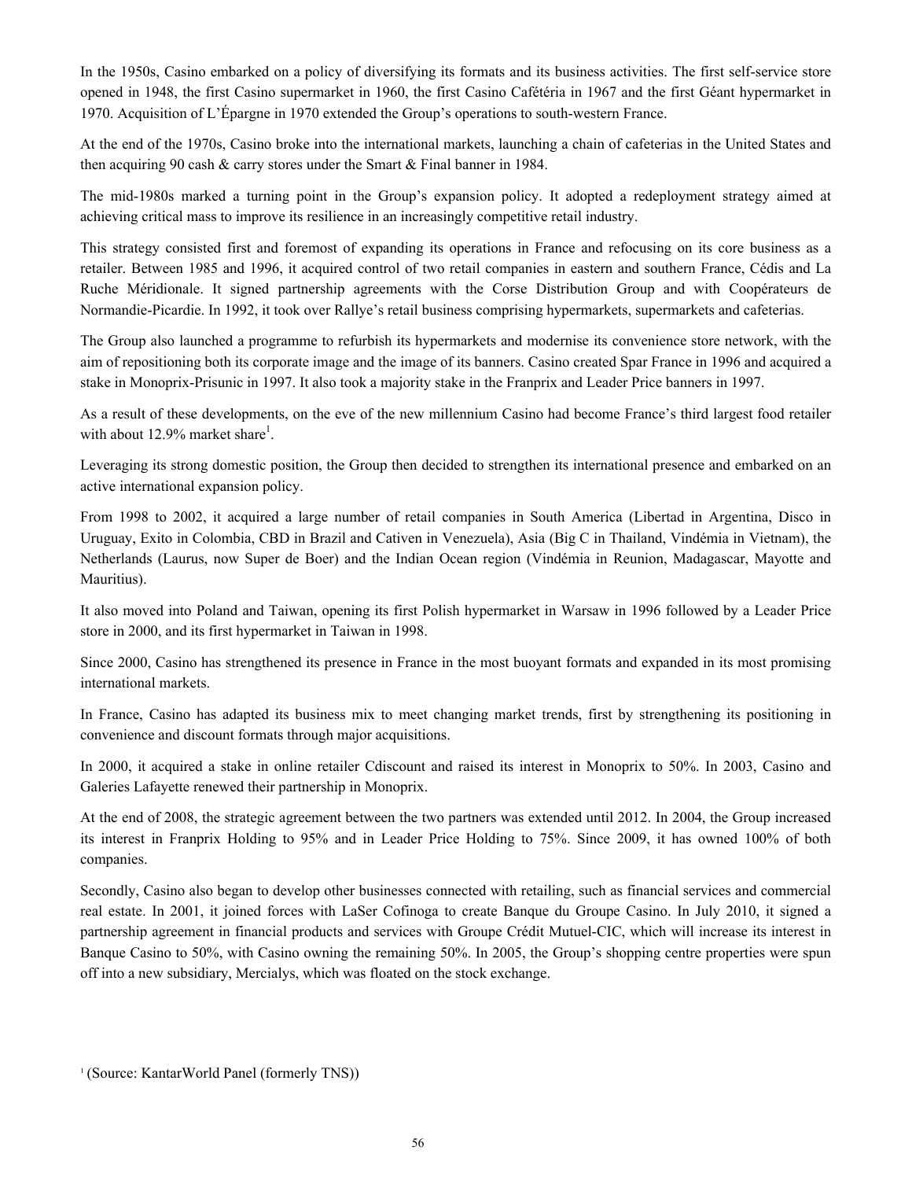In the 1950s, Casino embarked on a policy of diversifying its formats and its business activities. The first self-service store opened in 1948, the first Casino supermarket in 1960, the first Casino Cafétéria in 1967 and the first Géant hypermarket in 1970. Acquisition of L'Épargne in 1970 extended the Group's operations to south-western France.

At the end of the 1970s, Casino broke into the international markets, launching a chain of cafeterias in the United States and then acquiring 90 cash & carry stores under the Smart & Final banner in 1984.

The mid-1980s marked a turning point in the Group's expansion policy. It adopted a redeployment strategy aimed at achieving critical mass to improve its resilience in an increasingly competitive retail industry.

This strategy consisted first and foremost of expanding its operations in France and refocusing on its core business as a retailer. Between 1985 and 1996, it acquired control of two retail companies in eastern and southern France, Cédis and La Ruche Méridionale. It signed partnership agreements with the Corse Distribution Group and with Coopérateurs de Normandie-Picardie. In 1992, it took over Rallye's retail business comprising hypermarkets, supermarkets and cafeterias.

The Group also launched a programme to refurbish its hypermarkets and modernise its convenience store network, with the aim of repositioning both its corporate image and the image of its banners. Casino created Spar France in 1996 and acquired a stake in Monoprix-Prisunic in 1997. It also took a majority stake in the Franprix and Leader Price banners in 1997.

As a result of these developments, on the eve of the new millennium Casino had become France's third largest food retailer with about  $12.9\%$  market share<sup>1</sup>.

Leveraging its strong domestic position, the Group then decided to strengthen its international presence and embarked on an active international expansion policy.

From 1998 to 2002, it acquired a large number of retail companies in South America (Libertad in Argentina, Disco in Uruguay, Exito in Colombia, CBD in Brazil and Cativen in Venezuela), Asia (Big C in Thailand, Vindémia in Vietnam), the Netherlands (Laurus, now Super de Boer) and the Indian Ocean region (Vindémia in Reunion, Madagascar, Mayotte and Mauritius).

It also moved into Poland and Taiwan, opening its first Polish hypermarket in Warsaw in 1996 followed by a Leader Price store in 2000, and its first hypermarket in Taiwan in 1998.

Since 2000, Casino has strengthened its presence in France in the most buoyant formats and expanded in its most promising international markets.

In France, Casino has adapted its business mix to meet changing market trends, first by strengthening its positioning in convenience and discount formats through major acquisitions.

In 2000, it acquired a stake in online retailer Cdiscount and raised its interest in Monoprix to 50%. In 2003, Casino and Galeries Lafayette renewed their partnership in Monoprix.

At the end of 2008, the strategic agreement between the two partners was extended until 2012. In 2004, the Group increased its interest in Franprix Holding to 95% and in Leader Price Holding to 75%. Since 2009, it has owned 100% of both companies.

Secondly, Casino also began to develop other businesses connected with retailing, such as financial services and commercial real estate. In 2001, it joined forces with LaSer Cofinoga to create Banque du Groupe Casino. In July 2010, it signed a partnership agreement in financial products and services with Groupe Crédit Mutuel-CIC, which will increase its interest in Banque Casino to 50%, with Casino owning the remaining 50%. In 2005, the Group's shopping centre properties were spun off into a new subsidiary, Mercialys, which was floated on the stock exchange.

1 (Source: KantarWorld Panel (formerly TNS))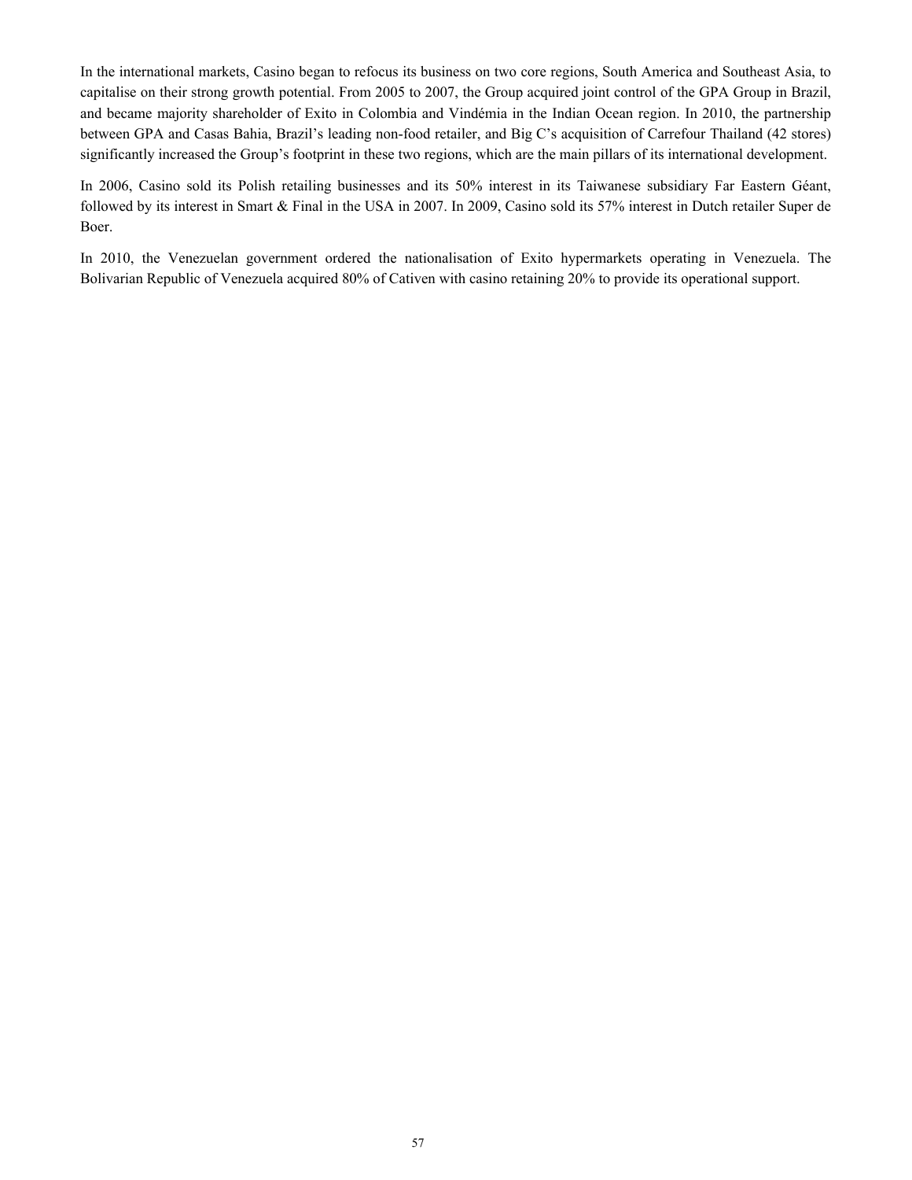In the international markets, Casino began to refocus its business on two core regions, South America and Southeast Asia, to capitalise on their strong growth potential. From 2005 to 2007, the Group acquired joint control of the GPA Group in Brazil, and became majority shareholder of Exito in Colombia and Vindémia in the Indian Ocean region. In 2010, the partnership between GPA and Casas Bahia, Brazil's leading non-food retailer, and Big C's acquisition of Carrefour Thailand (42 stores) significantly increased the Group's footprint in these two regions, which are the main pillars of its international development.

In 2006, Casino sold its Polish retailing businesses and its 50% interest in its Taiwanese subsidiary Far Eastern Géant, followed by its interest in Smart & Final in the USA in 2007. In 2009, Casino sold its 57% interest in Dutch retailer Super de Boer.

In 2010, the Venezuelan government ordered the nationalisation of Exito hypermarkets operating in Venezuela. The Bolivarian Republic of Venezuela acquired 80% of Cativen with casino retaining 20% to provide its operational support.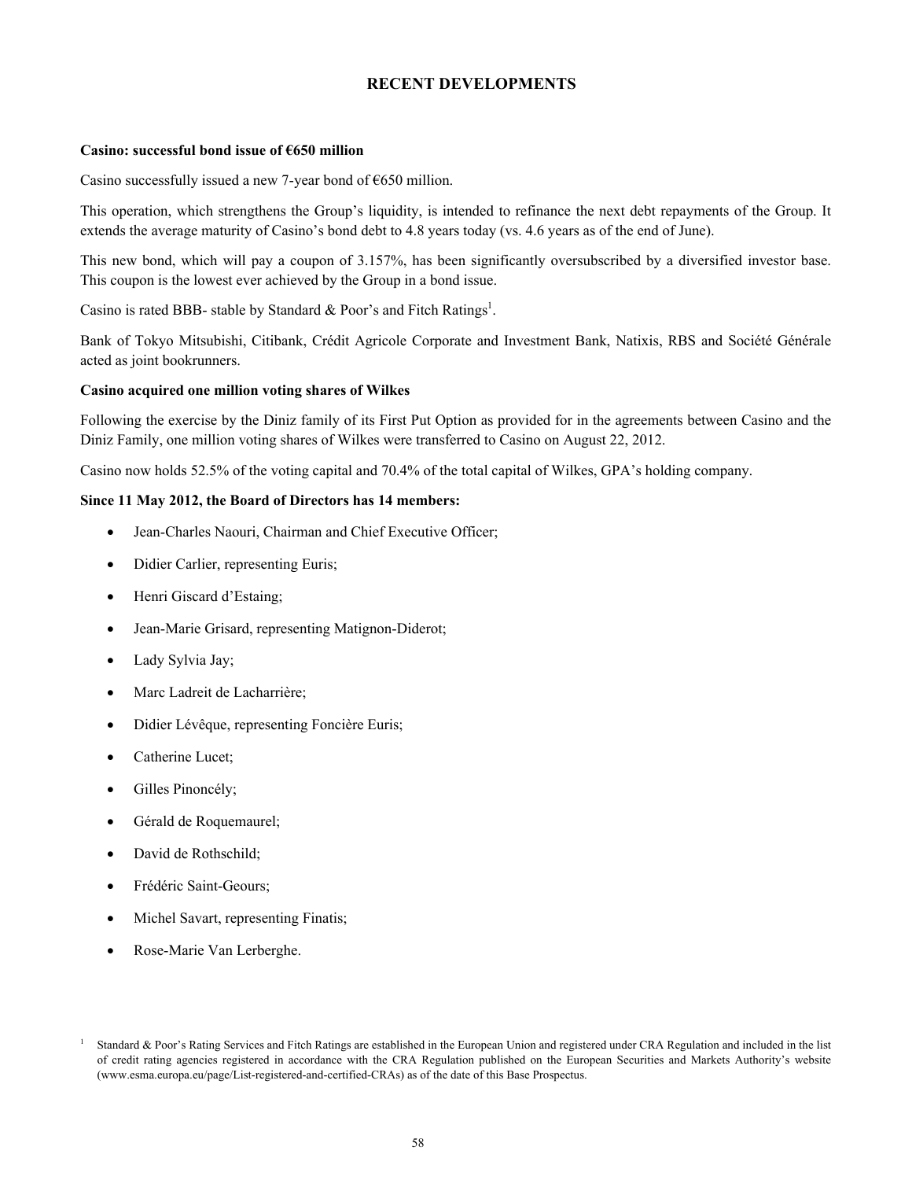# **RECENT DEVELOPMENTS**

#### **Casino: successful bond issue of €650 million**

Casino successfully issued a new 7-year bond of  $\epsilon$ 650 million.

This operation, which strengthens the Group's liquidity, is intended to refinance the next debt repayments of the Group. It extends the average maturity of Casino's bond debt to 4.8 years today (vs. 4.6 years as of the end of June).

This new bond, which will pay a coupon of 3.157%, has been significantly oversubscribed by a diversified investor base. This coupon is the lowest ever achieved by the Group in a bond issue.

Casino is rated BBB- stable by Standard & Poor's and Fitch Ratings<sup>1</sup>.

Bank of Tokyo Mitsubishi, Citibank, Crédit Agricole Corporate and Investment Bank, Natixis, RBS and Société Générale acted as joint bookrunners.

## **Casino acquired one million voting shares of Wilkes**

Following the exercise by the Diniz family of its First Put Option as provided for in the agreements between Casino and the Diniz Family, one million voting shares of Wilkes were transferred to Casino on August 22, 2012.

Casino now holds 52.5% of the voting capital and 70.4% of the total capital of Wilkes, GPA's holding company.

## **Since 11 May 2012, the Board of Directors has 14 members:**

- Jean-Charles Naouri, Chairman and Chief Executive Officer;
- Didier Carlier, representing Euris;
- Henri Giscard d'Estaing;
- Jean-Marie Grisard, representing Matignon-Diderot;
- Lady Sylvia Jay;
- Marc Ladreit de Lacharrière;
- Didier Lévêque, representing Foncière Euris;
- Catherine Lucet;
- Gilles Pinoncély;
- Gérald de Roquemaurel;
- David de Rothschild;
- Frédéric Saint-Geours;
- Michel Savart, representing Finatis;
- Rose-Marie Van Lerberghe.

<sup>1</sup> Standard & Poor's Rating Services and Fitch Ratings are established in the European Union and registered under CRA Regulation and included in the list of credit rating agencies registered in accordance with the CRA Regulation published on the European Securities and Markets Authority's website (www.esma.europa.eu/page/List-registered-and-certified-CRAs) as of the date of this Base Prospectus.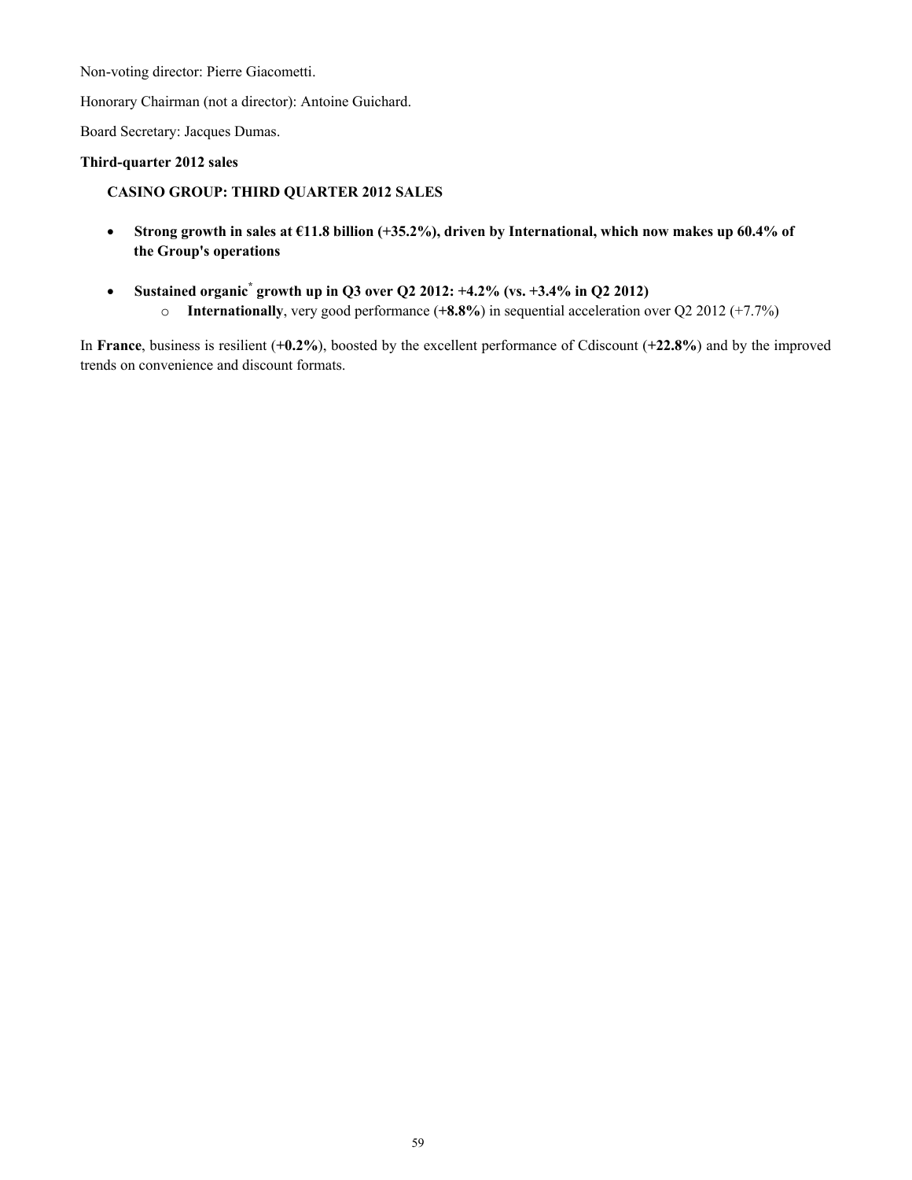Non-voting director: Pierre Giacometti.

Honorary Chairman (not a director): Antoine Guichard.

Board Secretary: Jacques Dumas.

# **Third-quarter 2012 sales**

# **CASINO GROUP: THIRD QUARTER 2012 SALES**

- **Strong growth in sales at €11.8 billion (+35.2%), driven by International, which now makes up 60.4% of the Group's operations**
- **Sustained organic\* growth up in Q3 over Q2 2012: +4.2% (vs. +3.4% in Q2 2012)** o **Internationally**, very good performance (**+8.8%**) in sequential acceleration over Q2 2012 (+7.7%)

In **France**, business is resilient (**+0.2%**), boosted by the excellent performance of Cdiscount (**+22.8%**) and by the improved trends on convenience and discount formats.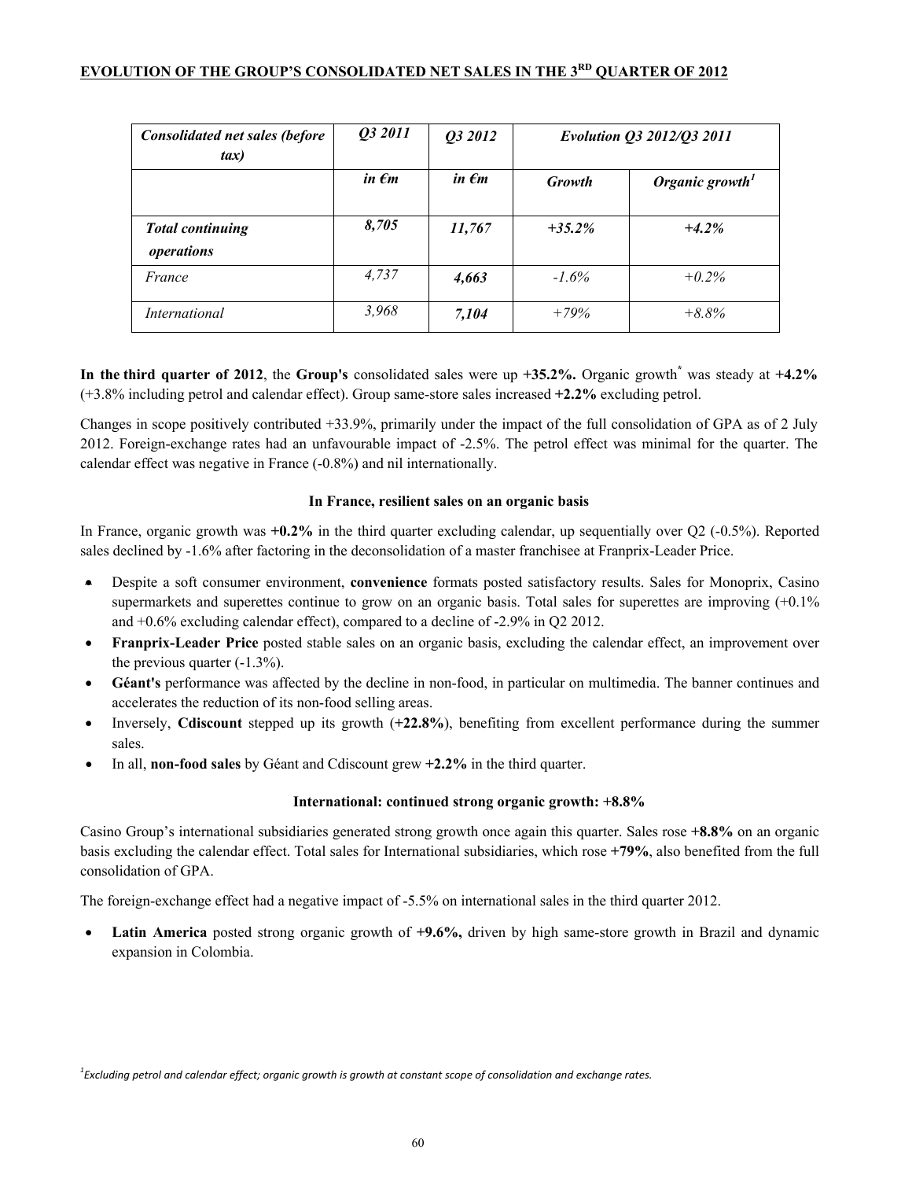# **EVOLUTION OF THE GROUP'S CONSOLIDATED NET SALES IN THE 3RD QUARTER OF 2012**

| <b>Consolidated net sales (before</b><br>$\mathit{tax})$ | Q3 2011         | Q3 2012         | Evolution Q3 2012/Q3 2011 |                             |
|----------------------------------------------------------|-----------------|-----------------|---------------------------|-----------------------------|
|                                                          | in $\epsilon$ m | in $\epsilon$ m | Growth                    | Organic growth <sup>1</sup> |
| <b>Total continuing</b><br>operations                    | 8,705           | 11,767          | $+35.2%$                  | $+4.2%$                     |
| France                                                   | 4,737           | 4,663           | $-1.6\%$                  | $+0.2\%$                    |
| International                                            | 3,968           | 7,104           | $+79%$                    | $+8.8\%$                    |

**In the third quarter of 2012**, the **Group's** consolidated sales were up **+35.2%.** Organic growth**\*** was steady at **+4.2%**  (+3.8% including petrol and calendar effect). Group same-store sales increased **+2.2%** excluding petrol.

Changes in scope positively contributed +33.9%, primarily under the impact of the full consolidation of GPA as of 2 July 2012. Foreign-exchange rates had an unfavourable impact of -2.5%. The petrol effect was minimal for the quarter. The calendar effect was negative in France (-0.8%) and nil internationally.

# **In France, resilient sales on an organic basis**

In France, organic growth was **+0.2%** in the third quarter excluding calendar, up sequentially over Q2 (-0.5%). Reported sales declined by -1.6% after factoring in the deconsolidation of a master franchisee at Franprix-Leader Price.

- Despite a soft consumer environment, **convenience** formats posted satisfactory results. Sales for Monoprix, Casino supermarkets and superettes continue to grow on an organic basis. Total sales for superettes are improving  $(+0.1\%)$ and +0.6% excluding calendar effect), compared to a decline of -2.9% in Q2 2012.
- **Franprix-Leader Price** posted stable sales on an organic basis, excluding the calendar effect, an improvement over the previous quarter  $(-1.3\%)$ .
- **Géant's** performance was affected by the decline in non-food, in particular on multimedia. The banner continues and accelerates the reduction of its non-food selling areas.
- Inversely, **Cdiscount** stepped up its growth (**+22.8%**), benefiting from excellent performance during the summer sales.
- In all, **non-food sales** by Géant and Cdiscount grew **+2.2%** in the third quarter.

# **International: continued strong organic growth: +8.8%**

Casino Group's international subsidiaries generated strong growth once again this quarter. Sales rose **+8.8%** on an organic basis excluding the calendar effect. Total sales for International subsidiaries, which rose **+79%**, also benefited from the full consolidation of GPA.

The foreign-exchange effect had a negative impact of -5.5% on international sales in the third quarter 2012.

 **Latin America** posted strong organic growth of **+9.6%,** driven by high same-store growth in Brazil and dynamic expansion in Colombia.

*1 Excluding petrol and calendar effect; organic growth is growth at constant scope of consolidation and exchange rates.*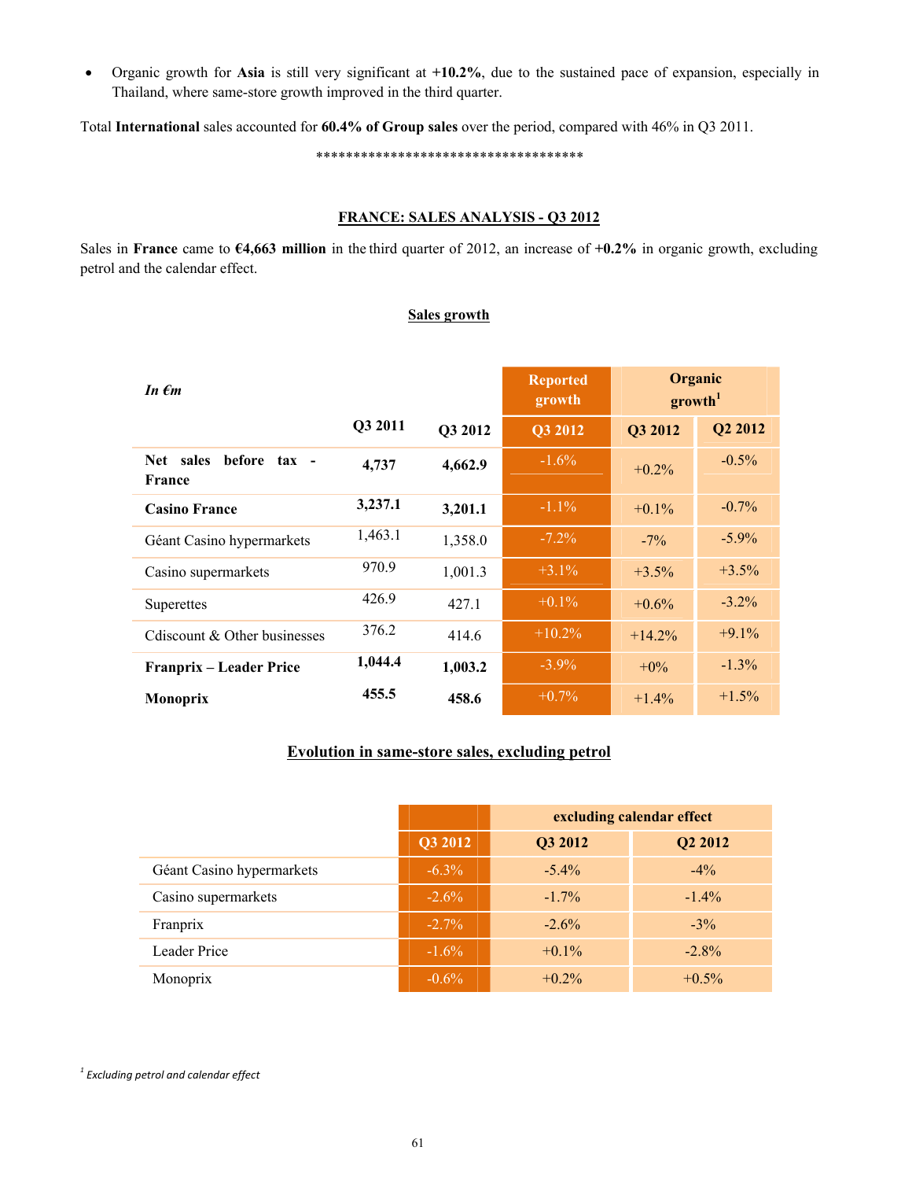Organic growth for **Asia** is still very significant at **+10.2%**, due to the sustained pace of expansion, especially in Thailand, where same-store growth improved in the third quarter.

Total **International** sales accounted for **60.4% of Group sales** over the period, compared with 46% in Q3 2011.

\*\*\*\*\*\*\*\*\*\*\*\*\*\*\*\*\*\*\*\*\*\*\*\*\*\*\*\*\*\*\*\*\*\*\*\*

## **FRANCE: SALES ANALYSIS - Q3 2012**

Sales in **France** came to **€4,663 million** in the third quarter of 2012, an increase of **+0.2%** in organic growth, excluding petrol and the calendar effect.

## **Sales growth**

| In $\epsilon$ m                               |         |         | <b>Reported</b><br>growth |          | Organic<br>growth <sup>1</sup> |
|-----------------------------------------------|---------|---------|---------------------------|----------|--------------------------------|
|                                               | Q3 2011 | Q3 2012 | <b>Q3 2012</b>            | Q3 2012  | Q2 2012                        |
| before tax -<br>sales<br><b>Net</b><br>France | 4,737   | 4,662.9 | $-1.6\%$                  | $+0.2\%$ | $-0.5\%$                       |
| <b>Casino France</b>                          | 3,237.1 | 3,201.1 | $-1.1\%$                  | $+0.1\%$ | $-0.7\%$                       |
| Géant Casino hypermarkets                     | 1,463.1 | 1,358.0 | $-7.2\%$                  | $-7\%$   | $-5.9\%$                       |
| Casino supermarkets                           | 970.9   | 1,001.3 | $+3.1\%$                  | $+3.5%$  | $+3.5%$                        |
| Superettes                                    | 426.9   | 427.1   | $+0.1\%$                  | $+0.6\%$ | $-3.2\%$                       |
| Cdiscount & Other businesses                  | 376.2   | 414.6   | $+10.2\%$                 | $+14.2%$ | $+9.1%$                        |
| Franprix – Leader Price                       | 1,044.4 | 1,003.2 | $-3.9\%$                  | $+0\%$   | $-1.3\%$                       |
| <b>Monoprix</b>                               | 455.5   | 458.6   | $+0.7\%$                  | $+1.4%$  | $+1.5%$                        |

# **Evolution in same-store sales, excluding petrol**

|                           |          | excluding calendar effect |                     |  |  |
|---------------------------|----------|---------------------------|---------------------|--|--|
|                           | Q3 2012  | Q3 2012                   | Q <sub>2</sub> 2012 |  |  |
| Géant Casino hypermarkets | $-6.3\%$ | $-5.4\%$                  | $-4\%$              |  |  |
| Casino supermarkets       | $-2.6\%$ | $-1.7\%$                  | $-1.4\%$            |  |  |
| Franprix                  | $-2.7\%$ | $-2.6\%$                  | $-3\%$              |  |  |
| <b>Leader Price</b>       | $-1.6\%$ | $+0.1\%$                  | $-2.8\%$            |  |  |
| Monoprix                  | $-0.6\%$ | $+0.2\%$                  | $+0.5\%$            |  |  |

*1 Excluding petrol and calendar effect*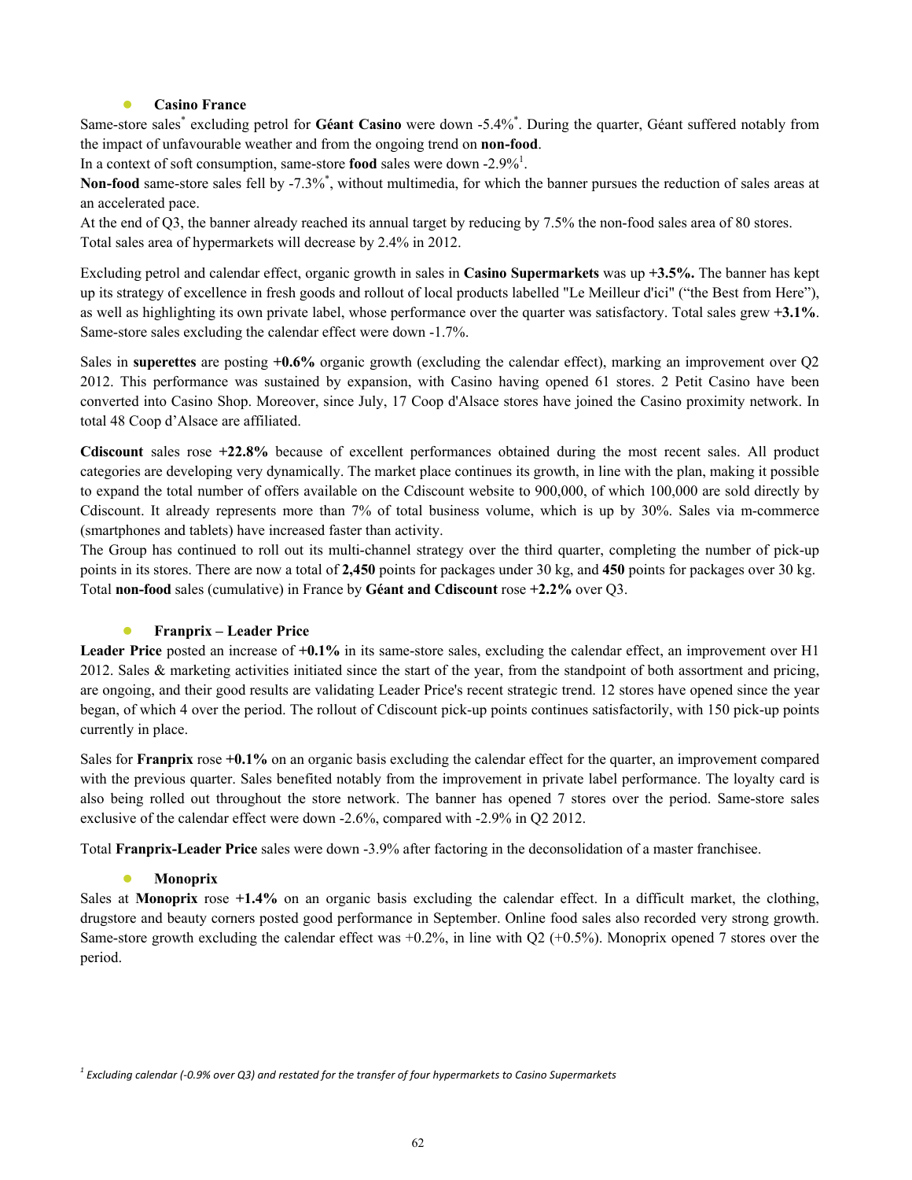# **Casino France**

Same-store sales<sup>\*</sup> excluding petrol for Géant Casino were down -5.4%<sup>\*</sup>. During the quarter, Géant suffered notably from the impact of unfavourable weather and from the ongoing trend on **non-food**.

In a context of soft consumption, same-store **food** sales were down -2.9%<sup>1</sup>.

Non-food same-store sales fell by -7.3%<sup>\*</sup>, without multimedia, for which the banner pursues the reduction of sales areas at an accelerated pace.

At the end of Q3, the banner already reached its annual target by reducing by 7.5% the non-food sales area of 80 stores. Total sales area of hypermarkets will decrease by 2.4% in 2012.

Excluding petrol and calendar effect, organic growth in sales in **Casino Supermarkets** was up **+3.5%.** The banner has kept up its strategy of excellence in fresh goods and rollout of local products labelled "Le Meilleur d'ici" ("the Best from Here"), as well as highlighting its own private label, whose performance over the quarter was satisfactory. Total sales grew **+3.1%**. Same-store sales excluding the calendar effect were down -1.7%.

Sales in **superettes** are posting **+0.6%** organic growth (excluding the calendar effect), marking an improvement over Q2 2012. This performance was sustained by expansion, with Casino having opened 61 stores. 2 Petit Casino have been converted into Casino Shop. Moreover, since July, 17 Coop d'Alsace stores have joined the Casino proximity network. In total 48 Coop d'Alsace are affiliated.

**Cdiscount** sales rose **+22.8%** because of excellent performances obtained during the most recent sales. All product categories are developing very dynamically. The market place continues its growth, in line with the plan, making it possible to expand the total number of offers available on the Cdiscount website to 900,000, of which 100,000 are sold directly by Cdiscount. It already represents more than 7% of total business volume, which is up by 30%. Sales via m-commerce (smartphones and tablets) have increased faster than activity.

The Group has continued to roll out its multi-channel strategy over the third quarter, completing the number of pick-up points in its stores. There are now a total of **2,450** points for packages under 30 kg, and **450** points for packages over 30 kg. Total **non-food** sales (cumulative) in France by **Géant and Cdiscount** rose **+2.2%** over Q3.

# **Franprix – Leader Price**

**Leader Price** posted an increase of **+0.1%** in its same-store sales, excluding the calendar effect, an improvement over H1 2012. Sales  $\&$  marketing activities initiated since the start of the year, from the standpoint of both assortment and pricing, are ongoing, and their good results are validating Leader Price's recent strategic trend. 12 stores have opened since the year began, of which 4 over the period. The rollout of Cdiscount pick-up points continues satisfactorily, with 150 pick-up points currently in place.

Sales for **Franprix** rose **+0.1%** on an organic basis excluding the calendar effect for the quarter, an improvement compared with the previous quarter. Sales benefited notably from the improvement in private label performance. The loyalty card is also being rolled out throughout the store network. The banner has opened 7 stores over the period. Same-store sales exclusive of the calendar effect were down -2.6%, compared with -2.9% in Q2 2012.

Total **Franprix-Leader Price** sales were down -3.9% after factoring in the deconsolidation of a master franchisee.

# **•** Monoprix

Sales at **Monoprix** rose **+1.4%** on an organic basis excluding the calendar effect. In a difficult market, the clothing, drugstore and beauty corners posted good performance in September. Online food sales also recorded very strong growth. Same-store growth excluding the calendar effect was  $+0.2\%$ , in line with Q2 ( $+0.5\%$ ). Monoprix opened 7 stores over the period.

*<sup>1</sup> Excluding calendar (-0.9% over Q3) and restated for the transfer of four hypermarkets to Casino Supermarkets*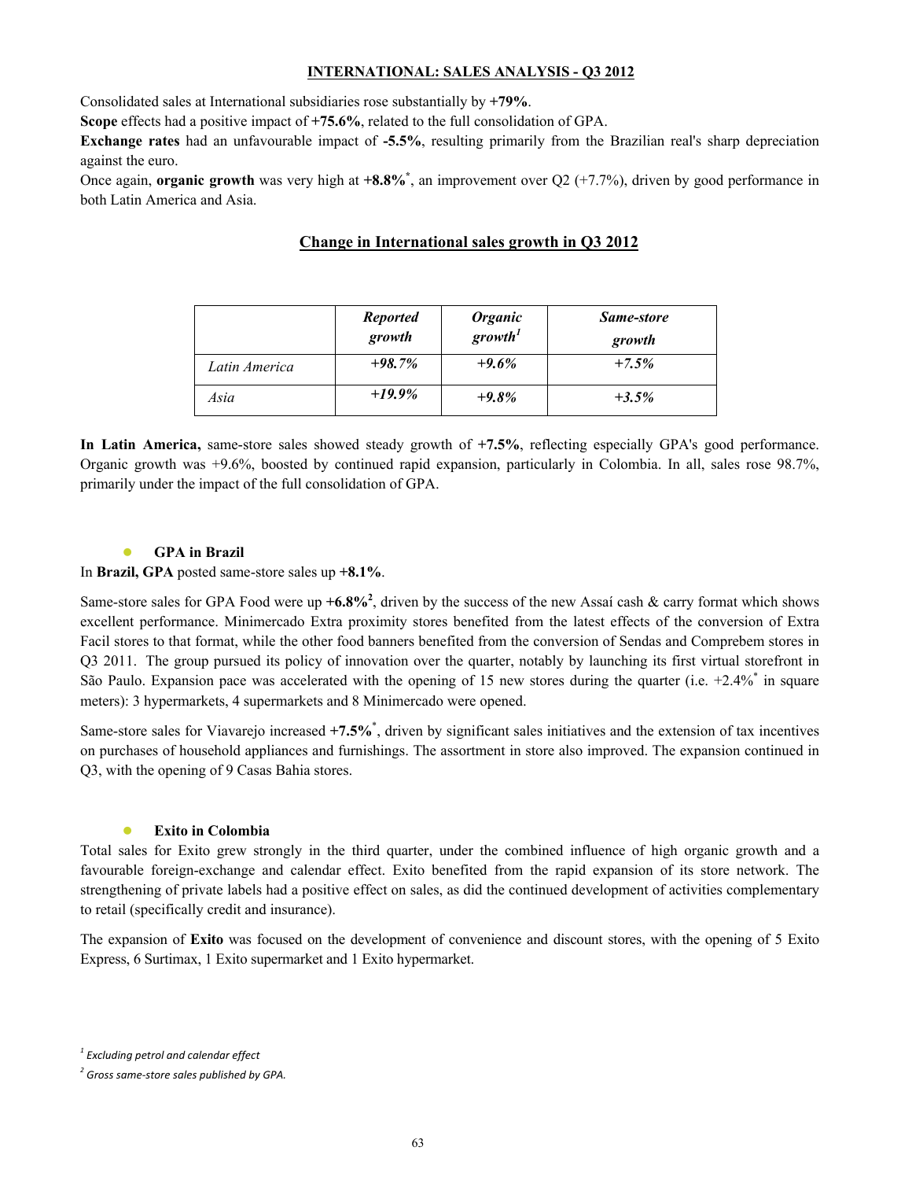## **INTERNATIONAL: SALES ANALYSIS - Q3 2012**

Consolidated sales at International subsidiaries rose substantially by **+79%**.

**Scope** effects had a positive impact of **+75.6%**, related to the full consolidation of GPA.

**Exchange rates** had an unfavourable impact of **-5.5%**, resulting primarily from the Brazilian real's sharp depreciation against the euro.

Once again, **organic growth** was very high at **+8.8%\*** , an improvement over Q2 (+7.7%), driven by good performance in both Latin America and Asia.

# **Change in International sales growth in Q3 2012**

|               | <b>Reported</b><br>growth | <b>Organic</b><br>growth <sup>1</sup> | Same-store<br>growth |
|---------------|---------------------------|---------------------------------------|----------------------|
| Latin America | $+98.7\%$                 | $+9.6%$                               | $+7.5%$              |
| Asia          | $+19.9\%$                 | $+9.8%$                               | $+3.5%$              |

**In Latin America,** same-store sales showed steady growth of **+7.5%**, reflecting especially GPA's good performance. Organic growth was +9.6%, boosted by continued rapid expansion, particularly in Colombia. In all, sales rose 98.7%, primarily under the impact of the full consolidation of GPA.

# **GPA** in Brazil

In **Brazil, GPA** posted same-store sales up **+8.1%**.

Same-store sales for GPA Food were up  $+6.8\%^2$ , driven by the success of the new Assaí cash & carry format which shows excellent performance. Minimercado Extra proximity stores benefited from the latest effects of the conversion of Extra Facil stores to that format, while the other food banners benefited from the conversion of Sendas and Comprebem stores in Q3 2011. The group pursued its policy of innovation over the quarter, notably by launching its first virtual storefront in São Paulo. Expansion pace was accelerated with the opening of 15 new stores during the quarter (i.e.  $+2.4\%$  in square meters): 3 hypermarkets, 4 supermarkets and 8 Minimercado were opened.

Same-store sales for Viavarejo increased +7.5%<sup>\*</sup>, driven by significant sales initiatives and the extension of tax incentives on purchases of household appliances and furnishings. The assortment in store also improved. The expansion continued in Q3, with the opening of 9 Casas Bahia stores.

#### **Exito in Colombia**

Total sales for Exito grew strongly in the third quarter, under the combined influence of high organic growth and a favourable foreign-exchange and calendar effect. Exito benefited from the rapid expansion of its store network. The strengthening of private labels had a positive effect on sales, as did the continued development of activities complementary to retail (specifically credit and insurance).

The expansion of **Exito** was focused on the development of convenience and discount stores, with the opening of 5 Exito Express, 6 Surtimax, 1 Exito supermarket and 1 Exito hypermarket.

*<sup>1</sup> Excluding petrol and calendar effect*

*<sup>2</sup> Gross same-store sales published by GPA.*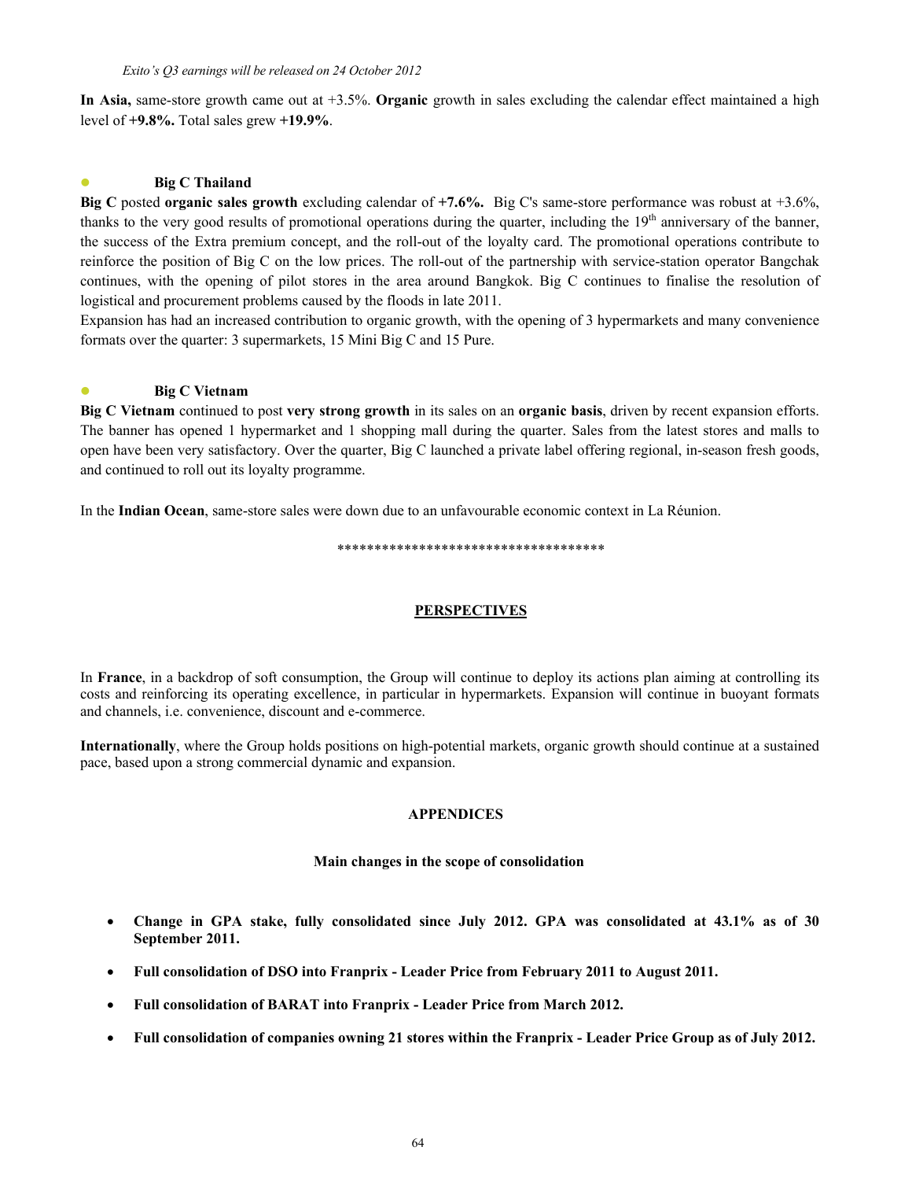**In Asia,** same-store growth came out at +3.5%. **Organic** growth in sales excluding the calendar effect maintained a high level of **+9.8%.** Total sales grew **+19.9%**.

# **Big C Thailand**

**Big C** posted **organic sales growth** excluding calendar of **+7.6%.** Big C's same-store performance was robust at +3.6%, thanks to the very good results of promotional operations during the quarter, including the  $19<sup>th</sup>$  anniversary of the banner, the success of the Extra premium concept, and the roll-out of the loyalty card. The promotional operations contribute to reinforce the position of Big C on the low prices. The roll-out of the partnership with service-station operator Bangchak continues, with the opening of pilot stores in the area around Bangkok. Big C continues to finalise the resolution of logistical and procurement problems caused by the floods in late 2011.

Expansion has had an increased contribution to organic growth, with the opening of 3 hypermarkets and many convenience formats over the quarter: 3 supermarkets, 15 Mini Big C and 15 Pure.

## **Big C Vietnam**

**Big C Vietnam** continued to post **very strong growth** in its sales on an **organic basis**, driven by recent expansion efforts. The banner has opened 1 hypermarket and 1 shopping mall during the quarter. Sales from the latest stores and malls to open have been very satisfactory. Over the quarter, Big C launched a private label offering regional, in-season fresh goods, and continued to roll out its loyalty programme.

In the **Indian Ocean**, same-store sales were down due to an unfavourable economic context in La Réunion.

#### \*\*\*\*\*\*\*\*\*\*\*\*\*\*\*\*\*\*\*\*\*\*\*\*\*\*\*\*\*\*\*\*\*\*\*\*

# **PERSPECTIVES**

In **France**, in a backdrop of soft consumption, the Group will continue to deploy its actions plan aiming at controlling its costs and reinforcing its operating excellence, in particular in hypermarkets. Expansion will continue in buoyant formats and channels, i.e. convenience, discount and e-commerce.

**Internationally**, where the Group holds positions on high-potential markets, organic growth should continue at a sustained pace, based upon a strong commercial dynamic and expansion.

#### **APPENDICES**

#### **Main changes in the scope of consolidation**

- **Change in GPA stake, fully consolidated since July 2012. GPA was consolidated at 43.1% as of 30 September 2011.**
- **Full consolidation of DSO into Franprix - Leader Price from February 2011 to August 2011.**
- **Full consolidation of BARAT into Franprix - Leader Price from March 2012.**
- **Full consolidation of companies owning 21 stores within the Franprix - Leader Price Group as of July 2012.**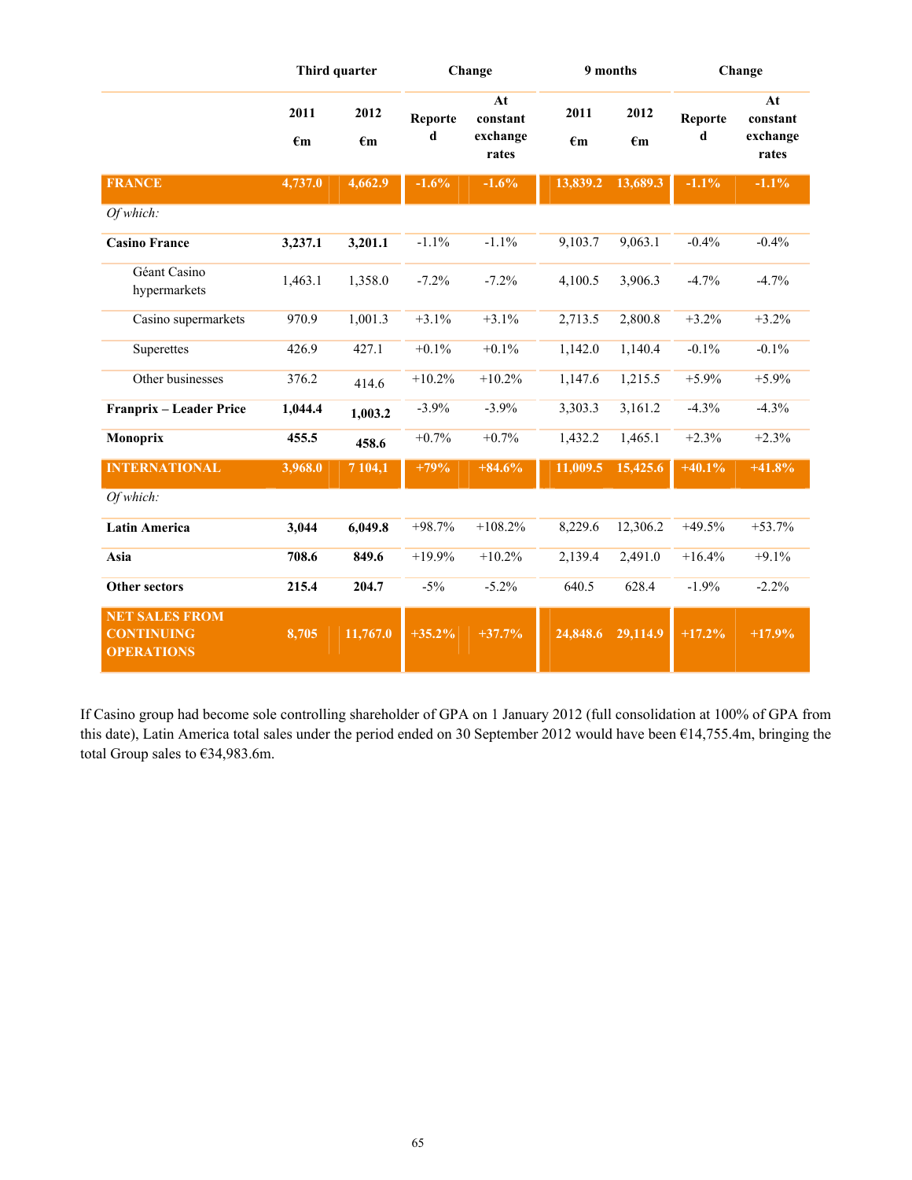|                                                                 |                      | Third quarter        |              | Change                              |                      | 9 months             |              | Change                              |
|-----------------------------------------------------------------|----------------------|----------------------|--------------|-------------------------------------|----------------------|----------------------|--------------|-------------------------------------|
|                                                                 | 2011<br>$\epsilon$ m | 2012<br>$\epsilon$ m | Reporte<br>d | At<br>constant<br>exchange<br>rates | 2011<br>$\epsilon$ m | 2012<br>$\epsilon$ m | Reporte<br>d | At<br>constant<br>exchange<br>rates |
| <b>FRANCE</b>                                                   | 4,737.0              | 4,662.9              | $-1.6%$      | $-1.6%$                             | 13,839.2             | 13,689.3             | $-1.1\%$     | $-1.1\%$                            |
| Of which:                                                       |                      |                      |              |                                     |                      |                      |              |                                     |
| <b>Casino France</b>                                            | 3,237.1              | 3,201.1              | $-1.1%$      | $-1.1%$                             | 9,103.7              | 9,063.1              | $-0.4%$      | $-0.4%$                             |
| Géant Casino<br>hypermarkets                                    | 1,463.1              | 1,358.0              | $-7.2%$      | $-7.2%$                             | 4,100.5              | 3,906.3              | $-4.7%$      | $-4.7%$                             |
| Casino supermarkets                                             | 970.9                | 1,001.3              | $+3.1%$      | $+3.1%$                             | 2,713.5              | 2,800.8              | $+3.2%$      | $+3.2%$                             |
| Superettes                                                      | 426.9                | 427.1                | $+0.1%$      | $+0.1%$                             | 1,142.0              | 1,140.4              | $-0.1%$      | $-0.1%$                             |
| Other businesses                                                | 376.2                | 414.6                | $+10.2%$     | $+10.2%$                            | 1,147.6              | 1,215.5              | $+5.9%$      | $+5.9%$                             |
| Franprix - Leader Price                                         | 1,044.4              | 1,003.2              | $-3.9%$      | $-3.9%$                             | 3,303.3              | 3,161.2              | $-4.3%$      | $-4.3%$                             |
| Monoprix                                                        | 455.5                | 458.6                | $+0.7%$      | $+0.7%$                             | 1,432.2              | 1,465.1              | $+2.3%$      | $+2.3%$                             |
| <b>INTERNATIONAL</b>                                            | 3,968.0              | 7 104,1              | $+79%$       | $+84.6%$                            | 11,009.5             | 15,425.6             | $+40.1%$     | $+41.8%$                            |
| Of which:                                                       |                      |                      |              |                                     |                      |                      |              |                                     |
| <b>Latin America</b>                                            | 3,044                | 6,049.8              | $+98.7%$     | $+108.2%$                           | 8,229.6              | 12,306.2             | $+49.5%$     | $+53.7%$                            |
| Asia                                                            | 708.6                | 849.6                | $+19.9%$     | $+10.2%$                            | 2,139.4              | 2,491.0              | $+16.4%$     | $+9.1%$                             |
| <b>Other sectors</b>                                            | 215.4                | 204.7                | $-5%$        | $-5.2%$                             | 640.5                | 628.4                | $-1.9%$      | $-2.2%$                             |
| <b>NET SALES FROM</b><br><b>CONTINUING</b><br><b>OPERATIONS</b> | 8,705                | 11,767.0             | $+35.2%$     | $+37.7%$                            | 24,848.6             | 29,114.9             | $+17.2%$     | $+17.9%$                            |

If Casino group had become sole controlling shareholder of GPA on 1 January 2012 (full consolidation at 100% of GPA from this date), Latin America total sales under the period ended on 30 September 2012 would have been €14,755.4m, bringing the total Group sales to €34,983.6m.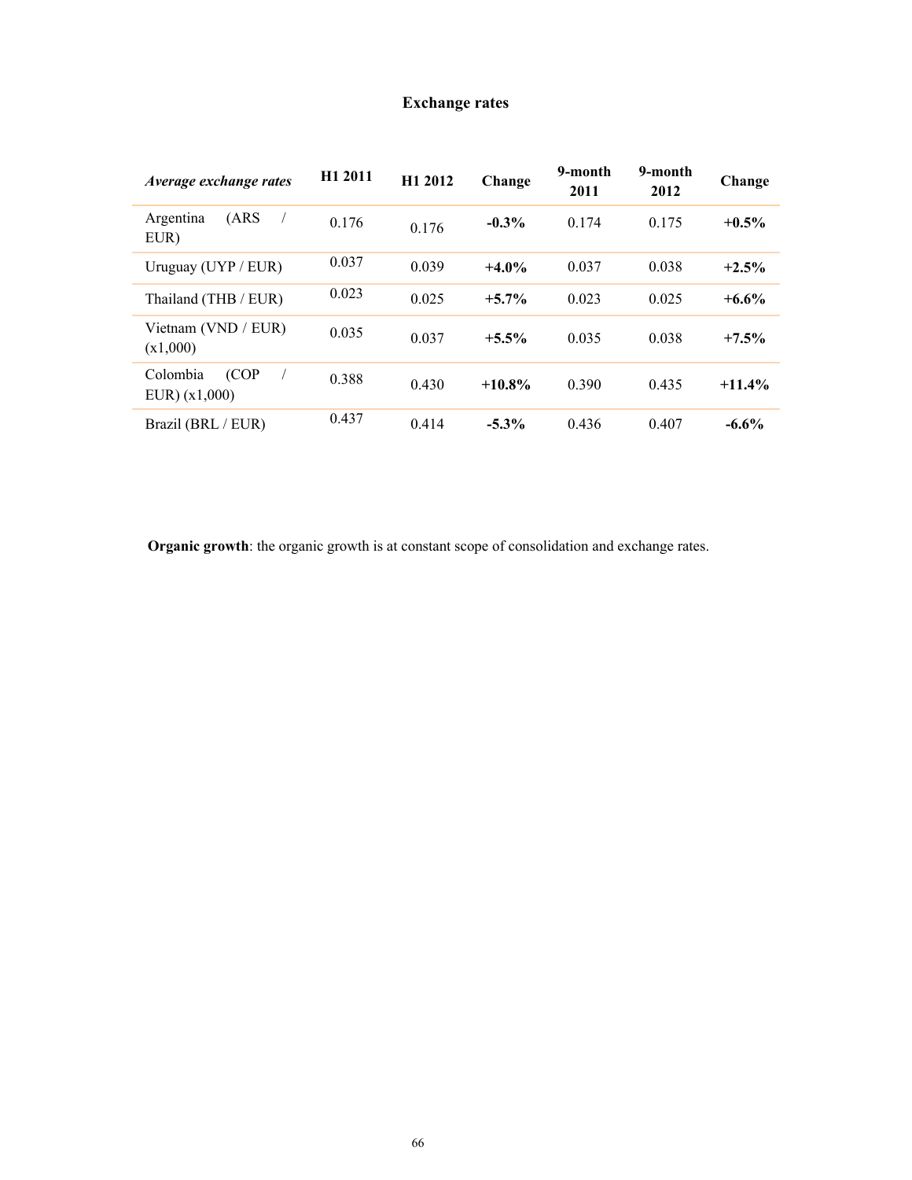# **Exchange rates**

| Average exchange rates          | H <sub>1</sub> 2011 | H1 2012 | Change    | 9-month<br>2011 | 9-month<br>2012 | Change   |
|---------------------------------|---------------------|---------|-----------|-----------------|-----------------|----------|
| (ARS<br>Argentina<br>EUR)       | 0.176               | 0.176   | $-0.3%$   | 0.174           | 0.175           | $+0.5\%$ |
| Uruguay $(UYP / EUR)$           | 0.037               | 0.039   | $+4.0%$   | 0.037           | 0.038           | $+2.5%$  |
| Thailand (THB / EUR)            | 0.023               | 0.025   | $+5.7\%$  | 0.023           | 0.025           | $+6.6%$  |
| Vietnam (VND / EUR)<br>(x1,000) | 0.035               | 0.037   | $+5.5\%$  | 0.035           | 0.038           | $+7.5%$  |
| (COP<br>Colombia<br>EUR(x1,000) | 0.388               | 0.430   | $+10.8\%$ | 0.390           | 0.435           | $+11.4%$ |
| Brazil (BRL / EUR)              | 0.437               | 0.414   | $-5.3\%$  | 0.436           | 0.407           | $-6.6%$  |

**Organic growth**: the organic growth is at constant scope of consolidation and exchange rates.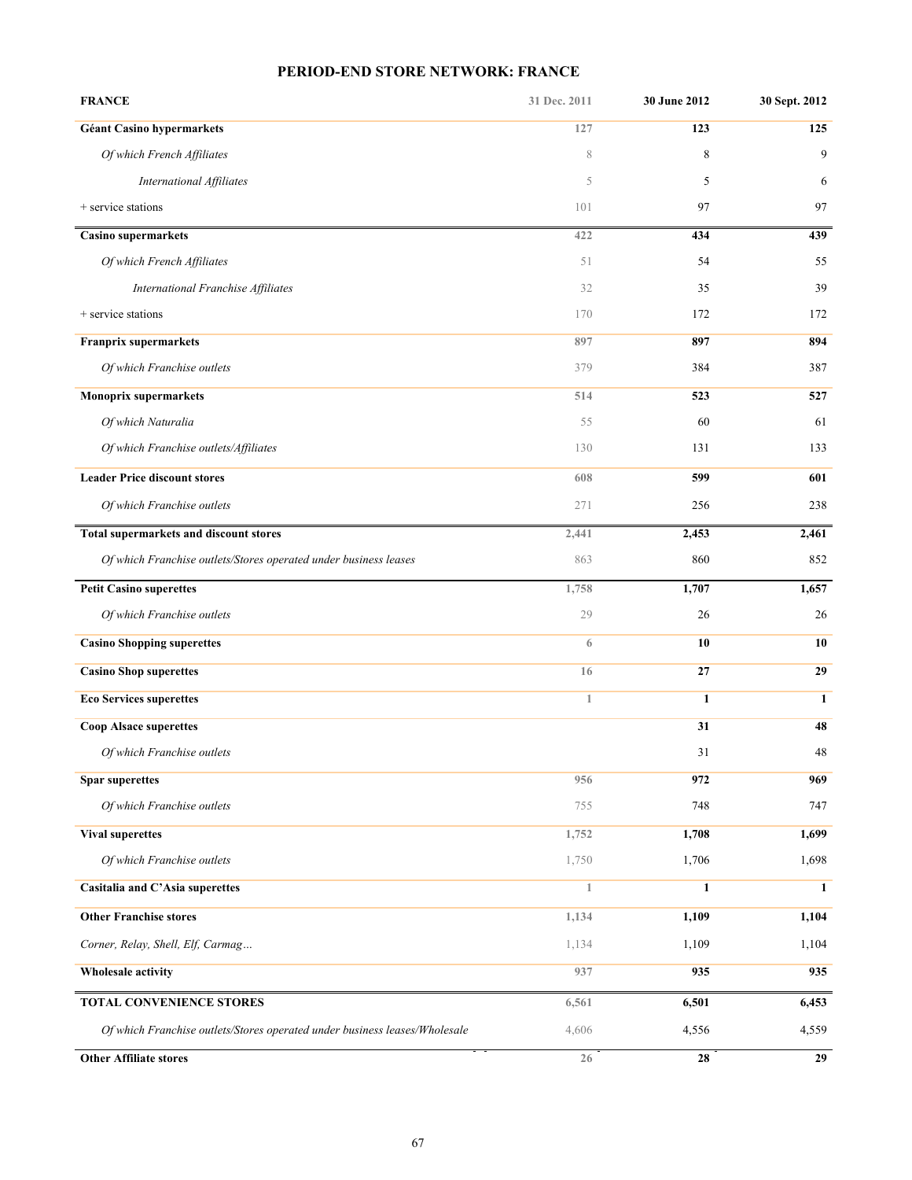# **PERIOD-END STORE NETWORK: FRANCE**

| <b>FRANCE</b>                                                              | 31 Dec. 2011 | 30 June 2012 | 30 Sept. 2012 |
|----------------------------------------------------------------------------|--------------|--------------|---------------|
| <b>Géant Casino hypermarkets</b>                                           | 127          | 123          | 125           |
| Of which French Affiliates                                                 | 8            | 8            | 9             |
| International Affiliates                                                   | 5            | 5            | 6             |
| + service stations                                                         | 101          | 97           | 97            |
| Casino supermarkets                                                        | 422          | 434          | 439           |
| Of which French Affiliates                                                 | 51           | 54           | 55            |
| International Franchise Affiliates                                         | 32           | 35           | 39            |
| + service stations                                                         | 170          | 172          | 172           |
| <b>Franprix supermarkets</b>                                               | 897          | 897          | 894           |
| Of which Franchise outlets                                                 | 379          | 384          | 387           |
| <b>Monoprix supermarkets</b>                                               | 514          | 523          | 527           |
| Of which Naturalia                                                         | 55           | 60           | 61            |
| Of which Franchise outlets/Affiliates                                      | 130          | 131          | 133           |
| <b>Leader Price discount stores</b>                                        | 608          | 599          | 601           |
| Of which Franchise outlets                                                 | 271          | 256          | 238           |
| Total supermarkets and discount stores                                     | 2,441        | 2,453        | 2,461         |
| Of which Franchise outlets/Stores operated under business leases           | 863          | 860          | 852           |
| <b>Petit Casino superettes</b>                                             | 1,758        | 1,707        | 1,657         |
| Of which Franchise outlets                                                 | 29           | 26           | 26            |
| <b>Casino Shopping superettes</b>                                          | 6            | 10           | 10            |
| <b>Casino Shop superettes</b>                                              | 16           | 27           | 29            |
| <b>Eco Services superettes</b>                                             | $\mathbf{1}$ | $\mathbf{1}$ | $\mathbf{1}$  |
| <b>Coop Alsace superettes</b>                                              |              | 31           | 48            |
| Of which Franchise outlets                                                 |              | 31           | 48            |
| <b>Spar superettes</b>                                                     | 956          | 972          | 969           |
| Of which Franchise outlets                                                 | 755          | 748          | 747           |
| <b>Vival superettes</b>                                                    | 1,752        | 1,708        | 1,699         |
| Of which Franchise outlets                                                 | 1,750        | 1,706        | 1,698         |
| Casitalia and C'Asia superettes                                            | 1            | $\mathbf{1}$ | $\mathbf{1}$  |
| <b>Other Franchise stores</b>                                              | 1,134        | 1,109        | 1,104         |
| Corner, Relay, Shell, Elf, Carmag                                          | 1,134        | 1,109        | 1,104         |
| Wholesale activity                                                         | 937          | 935          | 935           |
| TOTAL CONVENIENCE STORES                                                   | 6,561        | 6,501        | 6,453         |
| Of which Franchise outlets/Stores operated under business leases/Wholesale | 4,606        | 4,556        | 4,559         |
| <b>Other Affiliate stores</b>                                              | 26           | 28           | 29            |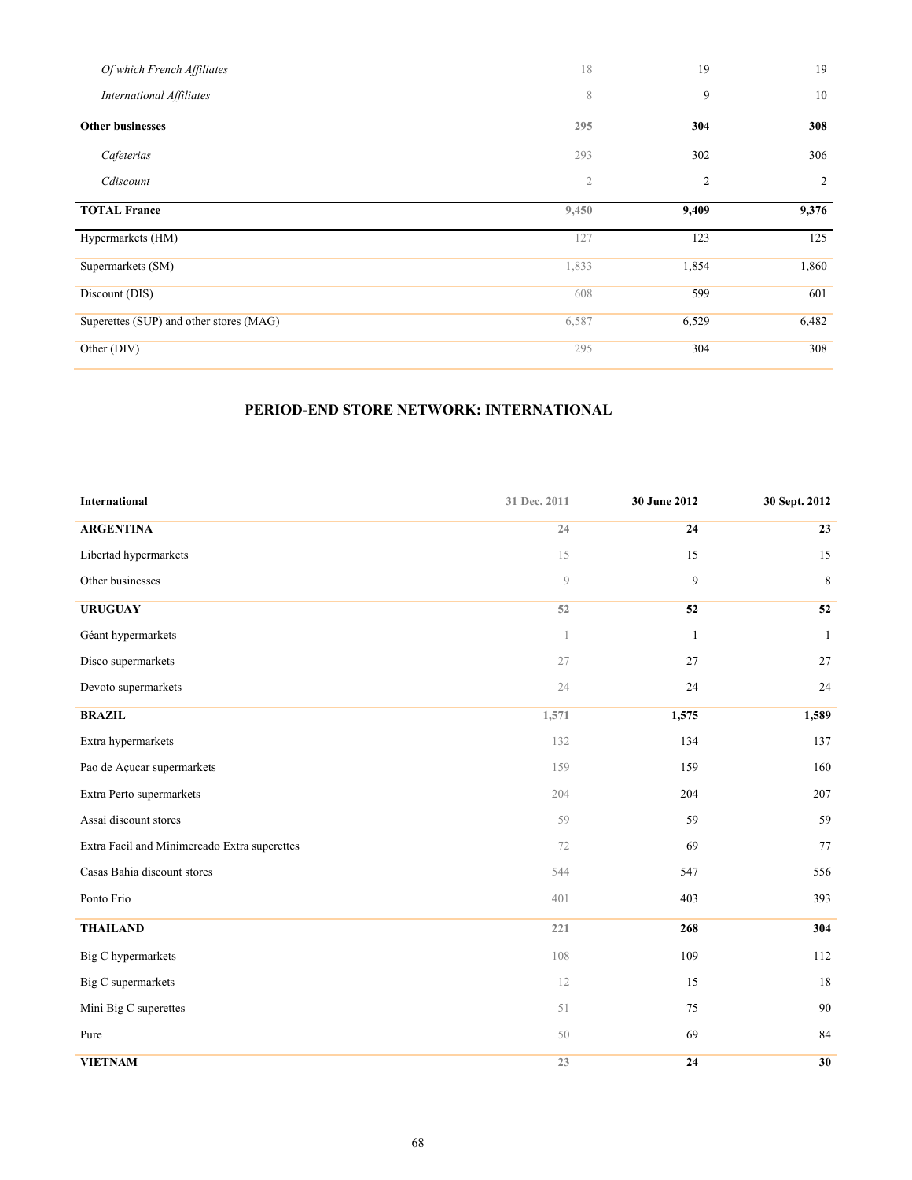| Of which French Affiliates              | 18             | 19             | 19             |
|-----------------------------------------|----------------|----------------|----------------|
| <b>International Affiliates</b>         | 8              | 9              | 10             |
| <b>Other businesses</b>                 | 295            | 304            | 308            |
| Cafeterias                              | 293            | 302            | 306            |
| Cdiscount                               | $\mathfrak{2}$ | $\overline{c}$ | $\overline{c}$ |
| <b>TOTAL France</b>                     | 9,450          | 9,409          | 9,376          |
| Hypermarkets (HM)                       | 127            | 123            | 125            |
| Supermarkets (SM)                       | 1,833          | 1,854          | 1,860          |
| Discount (DIS)                          | 608            | 599            | 601            |
| Superettes (SUP) and other stores (MAG) | 6,587          | 6,529          | 6,482          |
| Other (DIV)                             | 295            | 304            | 308            |

# **PERIOD-END STORE NETWORK: INTERNATIONAL**

| International                                | 31 Dec. 2011 | 30 June 2012 | 30 Sept. 2012 |
|----------------------------------------------|--------------|--------------|---------------|
| <b>ARGENTINA</b>                             | 24           | 24           | 23            |
| Libertad hypermarkets                        | 15           | 15           | 15            |
| Other businesses                             | 9            | 9            | $\,8\,$       |
| <b>URUGUAY</b>                               | 52           | 52           | 52            |
| Géant hypermarkets                           | $\,1$        | $\mathbf{1}$ | $\mathbf{1}$  |
| Disco supermarkets                           | 27           | 27           | 27            |
| Devoto supermarkets                          | 24           | 24           | 24            |
| <b>BRAZIL</b>                                | 1,571        | 1,575        | 1,589         |
| Extra hypermarkets                           | 132          | 134          | 137           |
| Pao de Açucar supermarkets                   | 159          | 159          | 160           |
| Extra Perto supermarkets                     | 204          | 204          | 207           |
| Assai discount stores                        | 59           | 59           | 59            |
| Extra Facil and Minimercado Extra superettes | 72           | 69           | 77            |
| Casas Bahia discount stores                  | 544          | 547          | 556           |
| Ponto Frio                                   | 401          | 403          | 393           |
| <b>THAILAND</b>                              | 221          | 268          | 304           |
| <b>Big C</b> hypermarkets                    | 108          | 109          | 112           |
| Big C supermarkets                           | 12           | 15           | 18            |
| Mini Big C superettes                        | 51           | $75\,$       | 90            |
| Pure                                         | 50           | 69           | 84            |
| <b>VIETNAM</b>                               | 23           | 24           | 30            |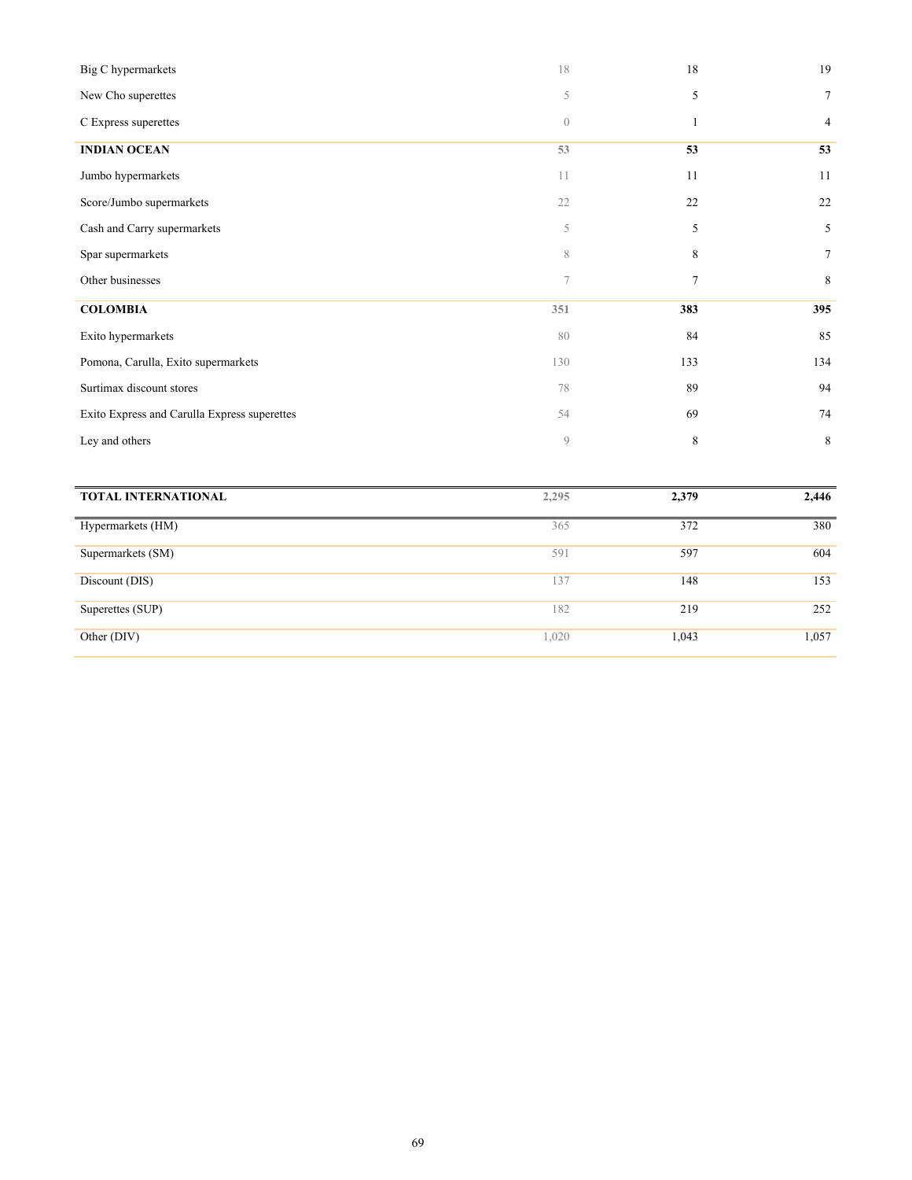| Big C hypermarkets                           | 18               | 18             | 19             |
|----------------------------------------------|------------------|----------------|----------------|
| New Cho superettes                           | 5                | 5              | $\tau$         |
| C Express superettes                         | $\boldsymbol{0}$ | $\mathbf{1}$   | $\overline{4}$ |
| <b>INDIAN OCEAN</b>                          | 53               | 53             | 53             |
| Jumbo hypermarkets                           | 11               | 11             | 11             |
| Score/Jumbo supermarkets                     | 22               | 22             | 22             |
| Cash and Carry supermarkets                  | 5                | 5              | 5              |
| Spar supermarkets                            | $\,$ $\,$        | 8              | $\tau$         |
| Other businesses                             | 7                | $\overline{7}$ | 8              |
| <b>COLOMBIA</b>                              | 351              | 383            | 395            |
| Exito hypermarkets                           | 80               | 84             | 85             |
| Pomona, Carulla, Exito supermarkets          | 130              | 133            | 134            |
| Surtimax discount stores                     | 78               | 89             | 94             |
| Exito Express and Carulla Express superettes | 54               | 69             | 74             |
| Ley and others                               | $\mathcal{G}$    | 8              | $\,8\,$        |
|                                              |                  |                |                |
| <b>TOTAL INTERNATIONAL</b>                   | 2,295            | 2,379          | 2,446          |
| Hypermarkets (HM)                            | 365              | 372            | 380            |
| Supermarkets (SM)                            | 591              | 597            | 604            |
| Discount (DIS)                               | 137              | 148            | 153            |

Superettes (SUP) 252

Other (DIV) 1,020 1,043 1,057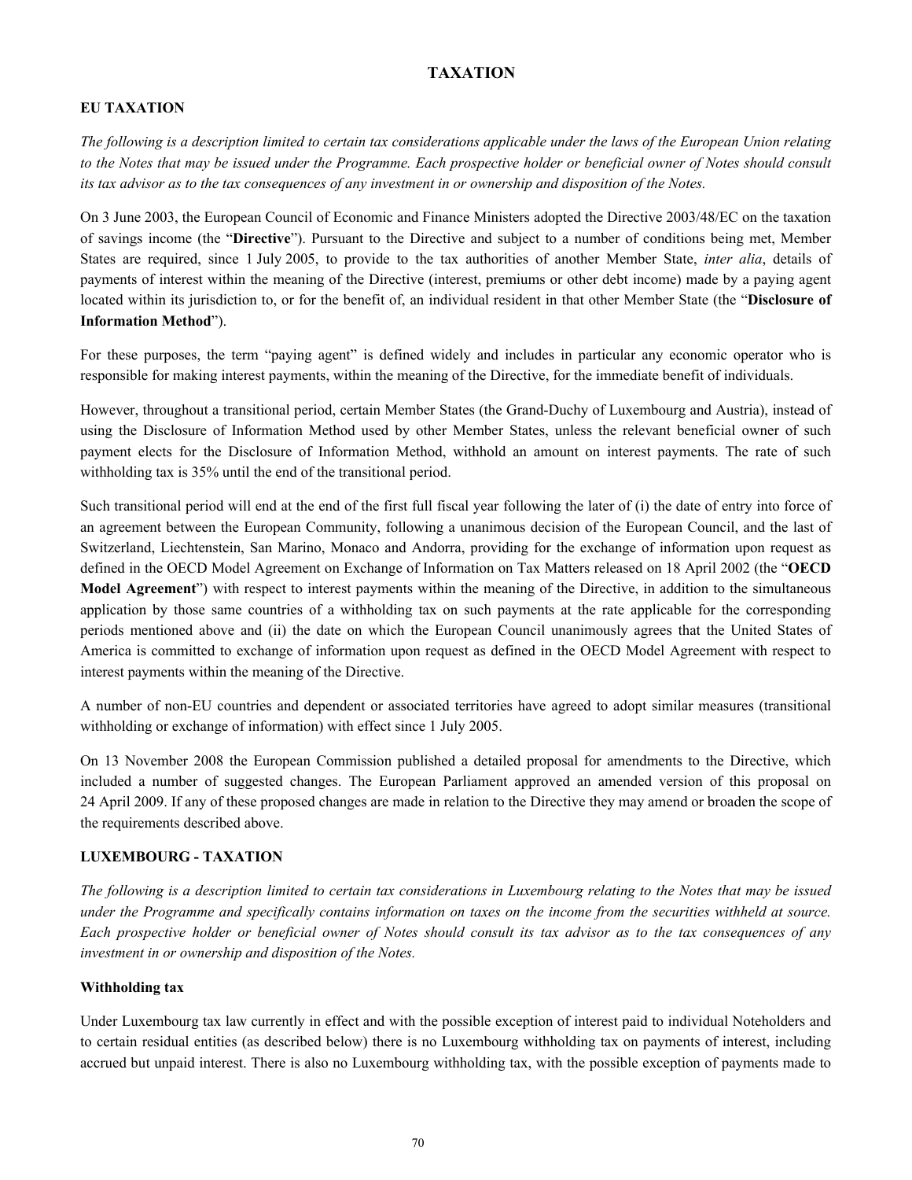# **TAXATION**

# **EU TAXATION**

*The following is a description limited to certain tax considerations applicable under the laws of the European Union relating*  to the Notes that may be issued under the Programme. Each prospective holder or beneficial owner of Notes should consult *its tax advisor as to the tax consequences of any investment in or ownership and disposition of the Notes.*

On 3 June 2003, the European Council of Economic and Finance Ministers adopted the Directive 2003/48/EC on the taxation of savings income (the "**Directive**"). Pursuant to the Directive and subject to a number of conditions being met, Member States are required, since 1 July 2005, to provide to the tax authorities of another Member State, *inter alia*, details of payments of interest within the meaning of the Directive (interest, premiums or other debt income) made by a paying agent located within its jurisdiction to, or for the benefit of, an individual resident in that other Member State (the "**Disclosure of Information Method**").

For these purposes, the term "paying agent" is defined widely and includes in particular any economic operator who is responsible for making interest payments, within the meaning of the Directive, for the immediate benefit of individuals.

However, throughout a transitional period, certain Member States (the Grand-Duchy of Luxembourg and Austria), instead of using the Disclosure of Information Method used by other Member States, unless the relevant beneficial owner of such payment elects for the Disclosure of Information Method, withhold an amount on interest payments. The rate of such withholding tax is 35% until the end of the transitional period.

Such transitional period will end at the end of the first full fiscal year following the later of (i) the date of entry into force of an agreement between the European Community, following a unanimous decision of the European Council, and the last of Switzerland, Liechtenstein, San Marino, Monaco and Andorra, providing for the exchange of information upon request as defined in the OECD Model Agreement on Exchange of Information on Tax Matters released on 18 April 2002 (the "**OECD Model Agreement**") with respect to interest payments within the meaning of the Directive, in addition to the simultaneous application by those same countries of a withholding tax on such payments at the rate applicable for the corresponding periods mentioned above and (ii) the date on which the European Council unanimously agrees that the United States of America is committed to exchange of information upon request as defined in the OECD Model Agreement with respect to interest payments within the meaning of the Directive.

A number of non-EU countries and dependent or associated territories have agreed to adopt similar measures (transitional withholding or exchange of information) with effect since 1 July 2005.

On 13 November 2008 the European Commission published a detailed proposal for amendments to the Directive, which included a number of suggested changes. The European Parliament approved an amended version of this proposal on 24 April 2009. If any of these proposed changes are made in relation to the Directive they may amend or broaden the scope of the requirements described above.

# **LUXEMBOURG - TAXATION**

*The following is a description limited to certain tax considerations in Luxembourg relating to the Notes that may be issued under the Programme and specifically contains information on taxes on the income from the securities withheld at source. Each prospective holder or beneficial owner of Notes should consult its tax advisor as to the tax consequences of any investment in or ownership and disposition of the Notes.*

# **Withholding tax**

Under Luxembourg tax law currently in effect and with the possible exception of interest paid to individual Noteholders and to certain residual entities (as described below) there is no Luxembourg withholding tax on payments of interest, including accrued but unpaid interest. There is also no Luxembourg withholding tax, with the possible exception of payments made to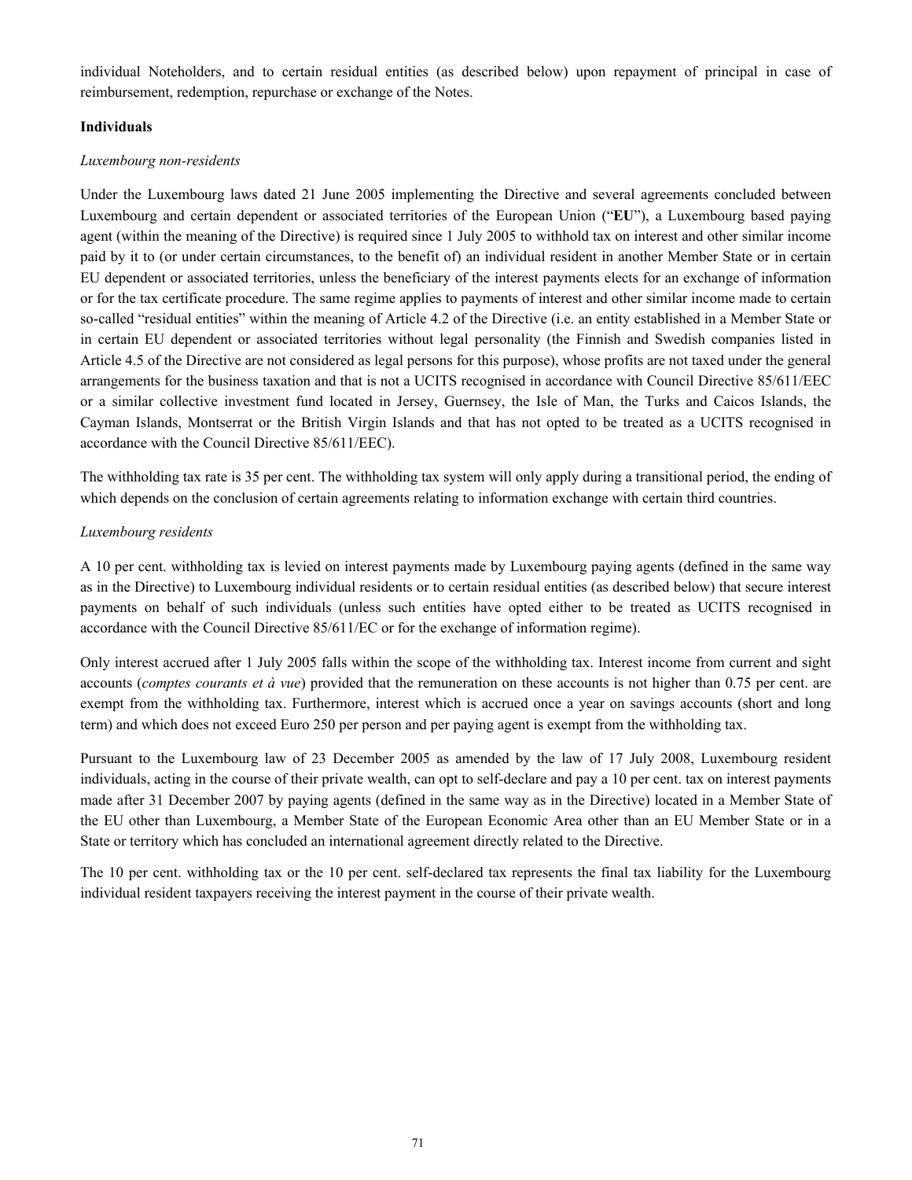individual Noteholders, and to certain residual entities (as described below) upon repayment of principal in case of reimbursement, redemption, repurchase or exchange of the Notes.

#### **Individuals**

## *Luxembourg non-residents*

Under the Luxembourg laws dated 21 June 2005 implementing the Directive and several agreements concluded between Luxembourg and certain dependent or associated territories of the European Union ("**EU**"), a Luxembourg based paying agent (within the meaning of the Directive) is required since 1 July 2005 to withhold tax on interest and other similar income paid by it to (or under certain circumstances, to the benefit of) an individual resident in another Member State or in certain EU dependent or associated territories, unless the beneficiary of the interest payments elects for an exchange of information or for the tax certificate procedure. The same regime applies to payments of interest and other similar income made to certain so-called "residual entities" within the meaning of Article 4.2 of the Directive (i.e. an entity established in a Member State or in certain EU dependent or associated territories without legal personality (the Finnish and Swedish companies listed in Article 4.5 of the Directive are not considered as legal persons for this purpose), whose profits are not taxed under the general arrangements for the business taxation and that is not a UCITS recognised in accordance with Council Directive 85/611/EEC or a similar collective investment fund located in Jersey, Guernsey, the Isle of Man, the Turks and Caicos Islands, the Cayman Islands, Montserrat or the British Virgin Islands and that has not opted to be treated as a UCITS recognised in accordance with the Council Directive 85/611/EEC).

The withholding tax rate is 35 per cent. The withholding tax system will only apply during a transitional period, the ending of which depends on the conclusion of certain agreements relating to information exchange with certain third countries.

# *Luxembourg residents*

A 10 per cent. withholding tax is levied on interest payments made by Luxembourg paying agents (defined in the same way as in the Directive) to Luxembourg individual residents or to certain residual entities (as described below) that secure interest payments on behalf of such individuals (unless such entities have opted either to be treated as UCITS recognised in accordance with the Council Directive 85/611/EC or for the exchange of information regime).

Only interest accrued after 1 July 2005 falls within the scope of the withholding tax. Interest income from current and sight accounts (*comptes courants et à vue*) provided that the remuneration on these accounts is not higher than 0.75 per cent. are exempt from the withholding tax. Furthermore, interest which is accrued once a year on savings accounts (short and long term) and which does not exceed Euro 250 per person and per paying agent is exempt from the withholding tax.

Pursuant to the Luxembourg law of 23 December 2005 as amended by the law of 17 July 2008, Luxembourg resident individuals, acting in the course of their private wealth, can opt to self-declare and pay a 10 per cent. tax on interest payments made after 31 December 2007 by paying agents (defined in the same way as in the Directive) located in a Member State of the EU other than Luxembourg, a Member State of the European Economic Area other than an EU Member State or in a State or territory which has concluded an international agreement directly related to the Directive.

The 10 per cent. withholding tax or the 10 per cent. self-declared tax represents the final tax liability for the Luxembourg individual resident taxpayers receiving the interest payment in the course of their private wealth.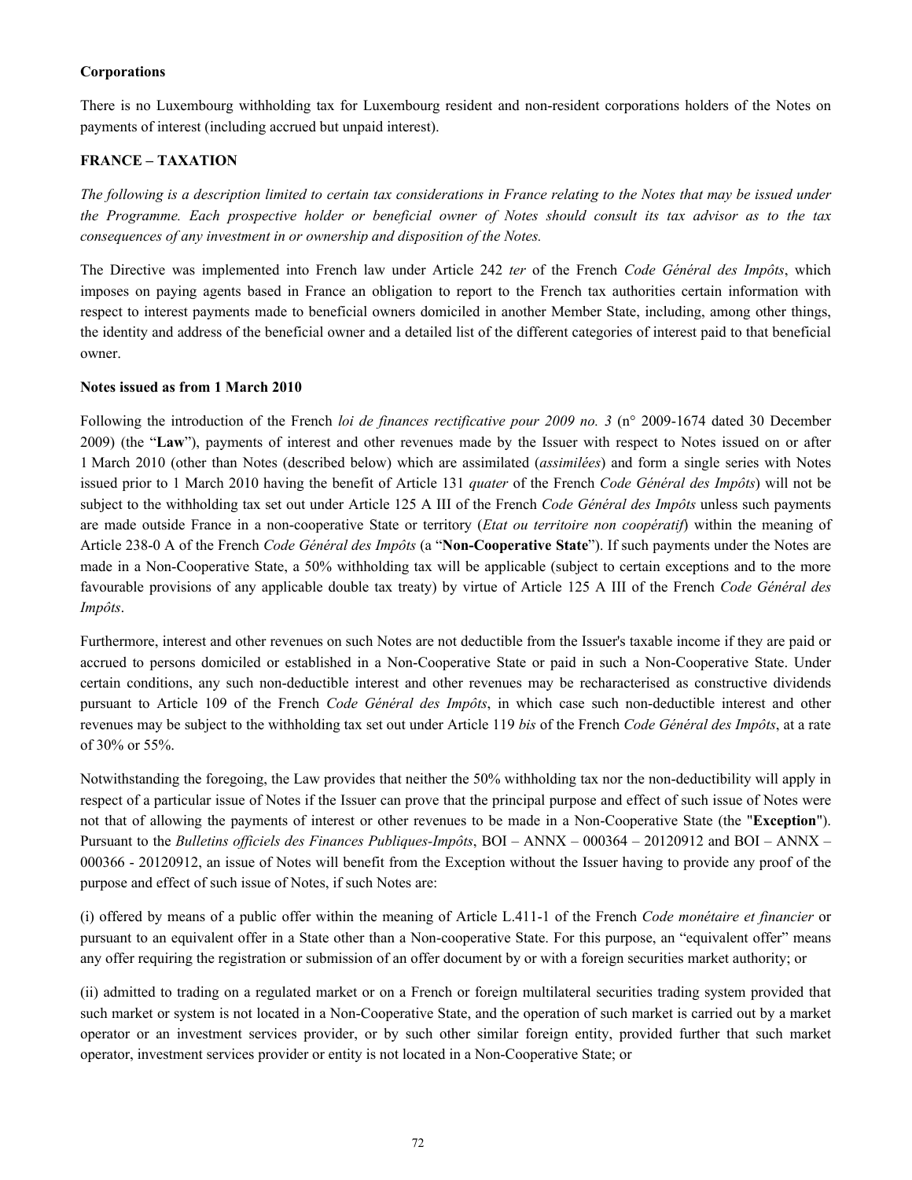#### **Corporations**

There is no Luxembourg withholding tax for Luxembourg resident and non-resident corporations holders of the Notes on payments of interest (including accrued but unpaid interest).

#### **FRANCE – TAXATION**

*The following is a description limited to certain tax considerations in France relating to the Notes that may be issued under the Programme. Each prospective holder or beneficial owner of Notes should consult its tax advisor as to the tax consequences of any investment in or ownership and disposition of the Notes.*

The Directive was implemented into French law under Article 242 *ter* of the French *Code Général des Impôts*, which imposes on paying agents based in France an obligation to report to the French tax authorities certain information with respect to interest payments made to beneficial owners domiciled in another Member State, including, among other things, the identity and address of the beneficial owner and a detailed list of the different categories of interest paid to that beneficial owner.

#### **Notes issued as from 1 March 2010**

Following the introduction of the French *loi de finances rectificative pour 2009 no. 3* (n° 2009-1674 dated 30 December 2009) (the "**Law**"), payments of interest and other revenues made by the Issuer with respect to Notes issued on or after 1 March 2010 (other than Notes (described below) which are assimilated (*assimilées*) and form a single series with Notes issued prior to 1 March 2010 having the benefit of Article 131 *quater* of the French *Code Général des Impôts*) will not be subject to the withholding tax set out under Article 125 A III of the French *Code Général des Impôts* unless such payments are made outside France in a non-cooperative State or territory (*Etat ou territoire non coopératif*) within the meaning of Article 238-0 A of the French *Code Général des Impôts* (a "**Non-Cooperative State**"). If such payments under the Notes are made in a Non-Cooperative State, a 50% withholding tax will be applicable (subject to certain exceptions and to the more favourable provisions of any applicable double tax treaty) by virtue of Article 125 A III of the French *Code Général des Impôts*.

Furthermore, interest and other revenues on such Notes are not deductible from the Issuer's taxable income if they are paid or accrued to persons domiciled or established in a Non-Cooperative State or paid in such a Non-Cooperative State. Under certain conditions, any such non-deductible interest and other revenues may be recharacterised as constructive dividends pursuant to Article 109 of the French *Code Général des Impôts*, in which case such non-deductible interest and other revenues may be subject to the withholding tax set out under Article 119 *bis* of the French *Code Général des Impôts*, at a rate of 30% or 55%.

Notwithstanding the foregoing, the Law provides that neither the 50% withholding tax nor the non-deductibility will apply in respect of a particular issue of Notes if the Issuer can prove that the principal purpose and effect of such issue of Notes were not that of allowing the payments of interest or other revenues to be made in a Non-Cooperative State (the "**Exception**"). Pursuant to the *Bulletins officiels des Finances Publiques-Impôts*, BOI – ANNX – 000364 – 20120912 and BOI – ANNX – 000366 - 20120912, an issue of Notes will benefit from the Exception without the Issuer having to provide any proof of the purpose and effect of such issue of Notes, if such Notes are:

(i) offered by means of a public offer within the meaning of Article L.411-1 of the French *Code monétaire et financier* or pursuant to an equivalent offer in a State other than a Non-cooperative State. For this purpose, an "equivalent offer" means any offer requiring the registration or submission of an offer document by or with a foreign securities market authority; or

(ii) admitted to trading on a regulated market or on a French or foreign multilateral securities trading system provided that such market or system is not located in a Non-Cooperative State, and the operation of such market is carried out by a market operator or an investment services provider, or by such other similar foreign entity, provided further that such market operator, investment services provider or entity is not located in a Non-Cooperative State; or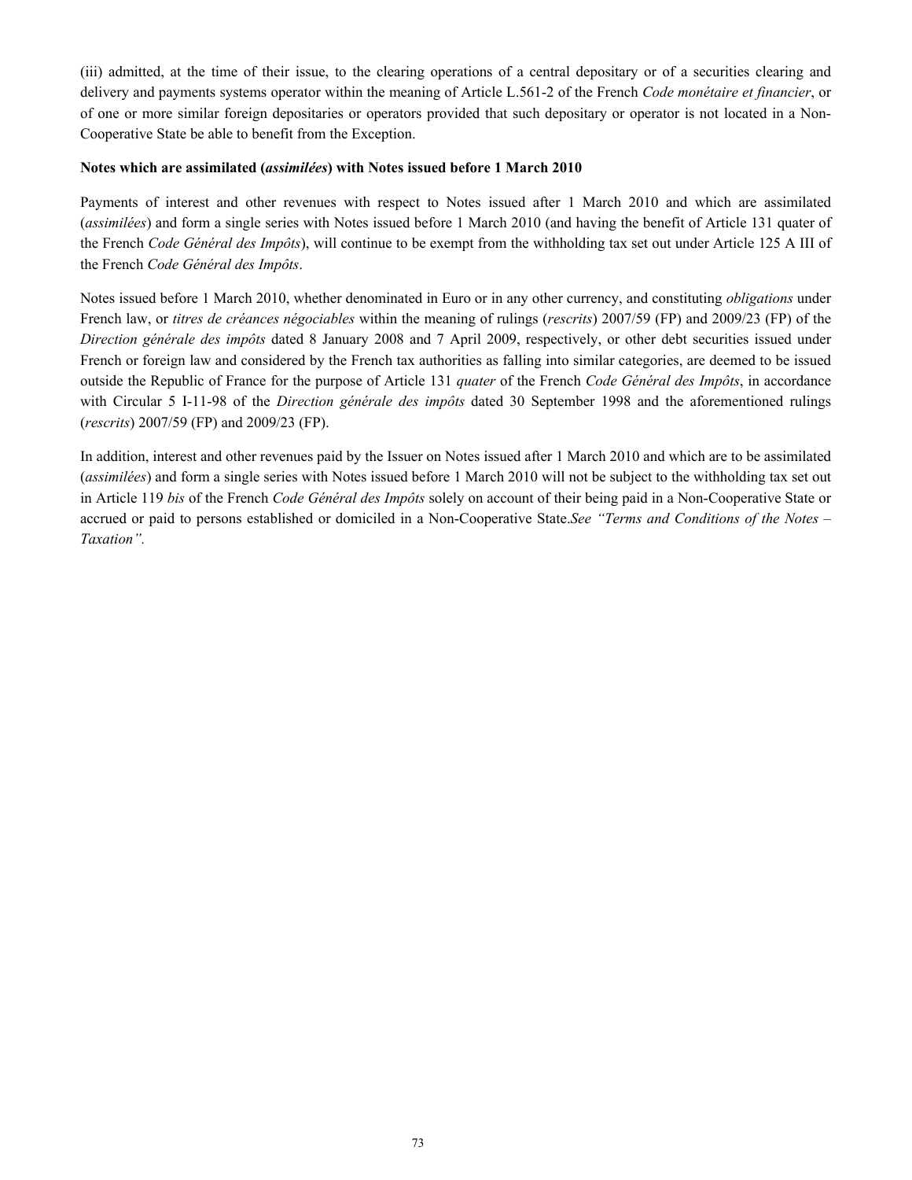(iii) admitted, at the time of their issue, to the clearing operations of a central depositary or of a securities clearing and delivery and payments systems operator within the meaning of Article L.561-2 of the French *Code monétaire et financier*, or of one or more similar foreign depositaries or operators provided that such depositary or operator is not located in a Non-Cooperative State be able to benefit from the Exception.

#### **Notes which are assimilated (***assimilées***) with Notes issued before 1 March 2010**

Payments of interest and other revenues with respect to Notes issued after 1 March 2010 and which are assimilated (*assimilées*) and form a single series with Notes issued before 1 March 2010 (and having the benefit of Article 131 quater of the French *Code Général des Impôts*), will continue to be exempt from the withholding tax set out under Article 125 A III of the French *Code Général des Impôts*.

Notes issued before 1 March 2010, whether denominated in Euro or in any other currency, and constituting *obligations* under French law, or *titres de créances négociables* within the meaning of rulings (*rescrits*) 2007/59 (FP) and 2009/23 (FP) of the *Direction générale des impôts* dated 8 January 2008 and 7 April 2009, respectively, or other debt securities issued under French or foreign law and considered by the French tax authorities as falling into similar categories, are deemed to be issued outside the Republic of France for the purpose of Article 131 *quater* of the French *Code Général des Impôts*, in accordance with Circular 5 I-11-98 of the *Direction générale des impôts* dated 30 September 1998 and the aforementioned rulings (*rescrits*) 2007/59 (FP) and 2009/23 (FP).

In addition, interest and other revenues paid by the Issuer on Notes issued after 1 March 2010 and which are to be assimilated (*assimilées*) and form a single series with Notes issued before 1 March 2010 will not be subject to the withholding tax set out in Article 119 *bis* of the French *Code Général des Impôts* solely on account of their being paid in a Non-Cooperative State or accrued or paid to persons established or domiciled in a Non-Cooperative State.*See "Terms and Conditions of the Notes – Taxation".*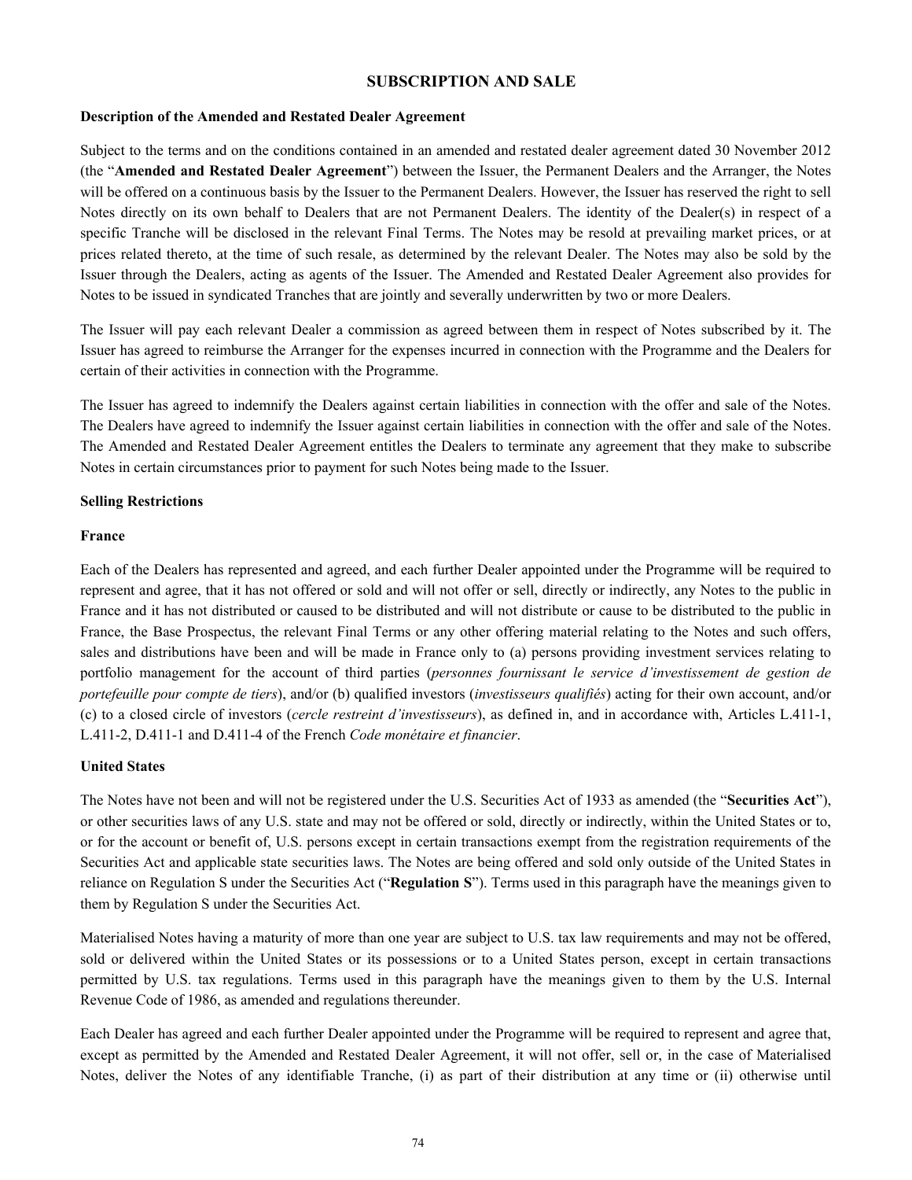### **SUBSCRIPTION AND SALE**

#### **Description of the Amended and Restated Dealer Agreement**

Subject to the terms and on the conditions contained in an amended and restated dealer agreement dated 30 November 2012 (the "**Amended and Restated Dealer Agreement**") between the Issuer, the Permanent Dealers and the Arranger, the Notes will be offered on a continuous basis by the Issuer to the Permanent Dealers. However, the Issuer has reserved the right to sell Notes directly on its own behalf to Dealers that are not Permanent Dealers. The identity of the Dealer(s) in respect of a specific Tranche will be disclosed in the relevant Final Terms. The Notes may be resold at prevailing market prices, or at prices related thereto, at the time of such resale, as determined by the relevant Dealer. The Notes may also be sold by the Issuer through the Dealers, acting as agents of the Issuer. The Amended and Restated Dealer Agreement also provides for Notes to be issued in syndicated Tranches that are jointly and severally underwritten by two or more Dealers.

The Issuer will pay each relevant Dealer a commission as agreed between them in respect of Notes subscribed by it. The Issuer has agreed to reimburse the Arranger for the expenses incurred in connection with the Programme and the Dealers for certain of their activities in connection with the Programme.

The Issuer has agreed to indemnify the Dealers against certain liabilities in connection with the offer and sale of the Notes. The Dealers have agreed to indemnify the Issuer against certain liabilities in connection with the offer and sale of the Notes. The Amended and Restated Dealer Agreement entitles the Dealers to terminate any agreement that they make to subscribe Notes in certain circumstances prior to payment for such Notes being made to the Issuer.

#### **Selling Restrictions**

#### **France**

Each of the Dealers has represented and agreed, and each further Dealer appointed under the Programme will be required to represent and agree, that it has not offered or sold and will not offer or sell, directly or indirectly, any Notes to the public in France and it has not distributed or caused to be distributed and will not distribute or cause to be distributed to the public in France, the Base Prospectus, the relevant Final Terms or any other offering material relating to the Notes and such offers, sales and distributions have been and will be made in France only to (a) persons providing investment services relating to portfolio management for the account of third parties (*personnes fournissant le service d'investissement de gestion de portefeuille pour compte de tiers*), and/or (b) qualified investors (*investisseurs qualifiés*) acting for their own account, and/or (c) to a closed circle of investors (*cercle restreint d'investisseurs*), as defined in, and in accordance with, Articles L.411-1, L.411-2, D.411-1 and D.411-4 of the French *Code monétaire et financier*.

#### **United States**

The Notes have not been and will not be registered under the U.S. Securities Act of 1933 as amended (the "**Securities Act**"), or other securities laws of any U.S. state and may not be offered or sold, directly or indirectly, within the United States or to, or for the account or benefit of, U.S. persons except in certain transactions exempt from the registration requirements of the Securities Act and applicable state securities laws. The Notes are being offered and sold only outside of the United States in reliance on Regulation S under the Securities Act ("**Regulation S**"). Terms used in this paragraph have the meanings given to them by Regulation S under the Securities Act.

Materialised Notes having a maturity of more than one year are subject to U.S. tax law requirements and may not be offered, sold or delivered within the United States or its possessions or to a United States person, except in certain transactions permitted by U.S. tax regulations. Terms used in this paragraph have the meanings given to them by the U.S. Internal Revenue Code of 1986, as amended and regulations thereunder.

Each Dealer has agreed and each further Dealer appointed under the Programme will be required to represent and agree that, except as permitted by the Amended and Restated Dealer Agreement, it will not offer, sell or, in the case of Materialised Notes, deliver the Notes of any identifiable Tranche, (i) as part of their distribution at any time or (ii) otherwise until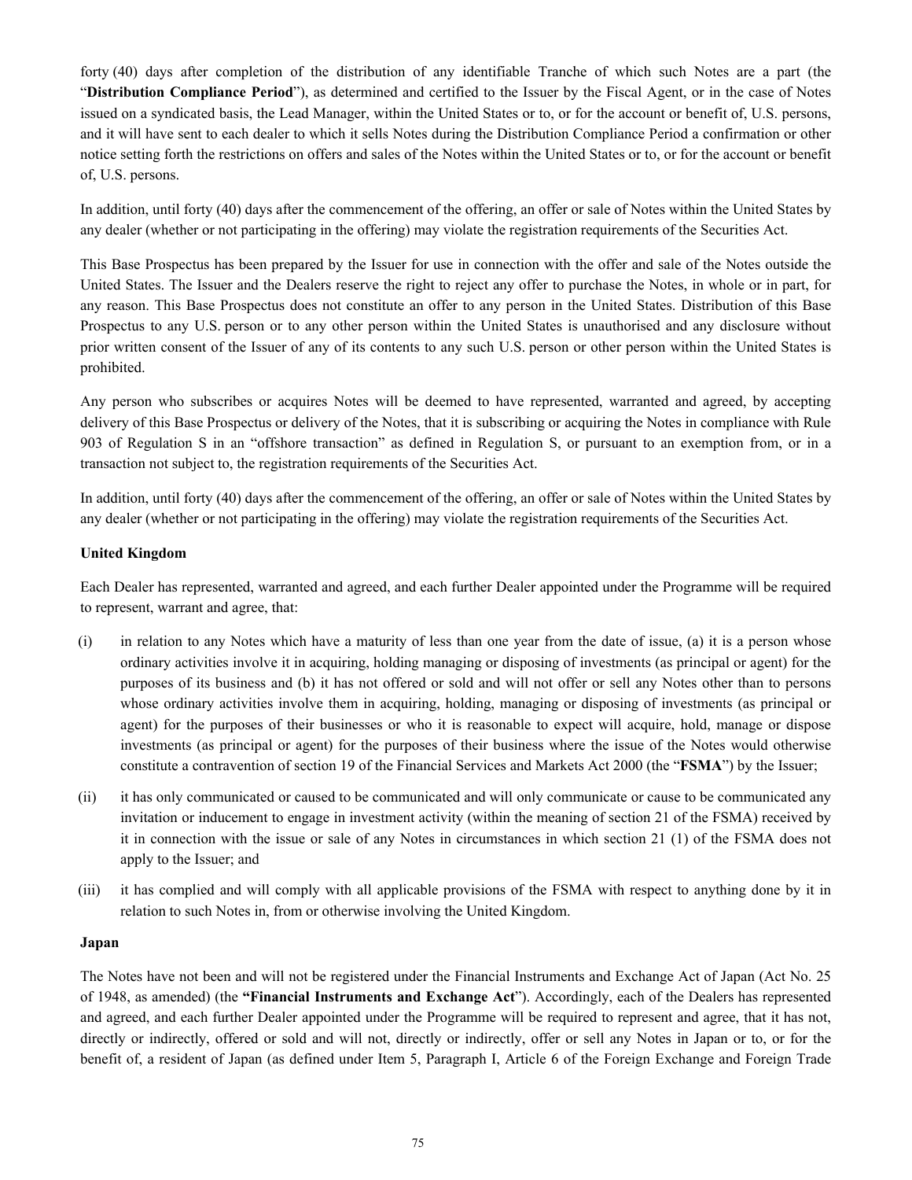forty (40) days after completion of the distribution of any identifiable Tranche of which such Notes are a part (the "**Distribution Compliance Period**"), as determined and certified to the Issuer by the Fiscal Agent, or in the case of Notes issued on a syndicated basis, the Lead Manager, within the United States or to, or for the account or benefit of, U.S. persons, and it will have sent to each dealer to which it sells Notes during the Distribution Compliance Period a confirmation or other notice setting forth the restrictions on offers and sales of the Notes within the United States or to, or for the account or benefit of, U.S. persons.

In addition, until forty (40) days after the commencement of the offering, an offer or sale of Notes within the United States by any dealer (whether or not participating in the offering) may violate the registration requirements of the Securities Act.

This Base Prospectus has been prepared by the Issuer for use in connection with the offer and sale of the Notes outside the United States. The Issuer and the Dealers reserve the right to reject any offer to purchase the Notes, in whole or in part, for any reason. This Base Prospectus does not constitute an offer to any person in the United States. Distribution of this Base Prospectus to any U.S. person or to any other person within the United States is unauthorised and any disclosure without prior written consent of the Issuer of any of its contents to any such U.S. person or other person within the United States is prohibited.

Any person who subscribes or acquires Notes will be deemed to have represented, warranted and agreed, by accepting delivery of this Base Prospectus or delivery of the Notes, that it is subscribing or acquiring the Notes in compliance with Rule 903 of Regulation S in an "offshore transaction" as defined in Regulation S, or pursuant to an exemption from, or in a transaction not subject to, the registration requirements of the Securities Act.

In addition, until forty (40) days after the commencement of the offering, an offer or sale of Notes within the United States by any dealer (whether or not participating in the offering) may violate the registration requirements of the Securities Act.

### **United Kingdom**

Each Dealer has represented, warranted and agreed, and each further Dealer appointed under the Programme will be required to represent, warrant and agree, that:

- (i) in relation to any Notes which have a maturity of less than one year from the date of issue, (a) it is a person whose ordinary activities involve it in acquiring, holding managing or disposing of investments (as principal or agent) for the purposes of its business and (b) it has not offered or sold and will not offer or sell any Notes other than to persons whose ordinary activities involve them in acquiring, holding, managing or disposing of investments (as principal or agent) for the purposes of their businesses or who it is reasonable to expect will acquire, hold, manage or dispose investments (as principal or agent) for the purposes of their business where the issue of the Notes would otherwise constitute a contravention of section 19 of the Financial Services and Markets Act 2000 (the "**FSMA**") by the Issuer;
- (ii) it has only communicated or caused to be communicated and will only communicate or cause to be communicated any invitation or inducement to engage in investment activity (within the meaning of section 21 of the FSMA) received by it in connection with the issue or sale of any Notes in circumstances in which section 21 (1) of the FSMA does not apply to the Issuer; and
- (iii) it has complied and will comply with all applicable provisions of the FSMA with respect to anything done by it in relation to such Notes in, from or otherwise involving the United Kingdom.

#### **Japan**

The Notes have not been and will not be registered under the Financial Instruments and Exchange Act of Japan (Act No. 25 of 1948, as amended) (the **"Financial Instruments and Exchange Act**"). Accordingly, each of the Dealers has represented and agreed, and each further Dealer appointed under the Programme will be required to represent and agree, that it has not, directly or indirectly, offered or sold and will not, directly or indirectly, offer or sell any Notes in Japan or to, or for the benefit of, a resident of Japan (as defined under Item 5, Paragraph I, Article 6 of the Foreign Exchange and Foreign Trade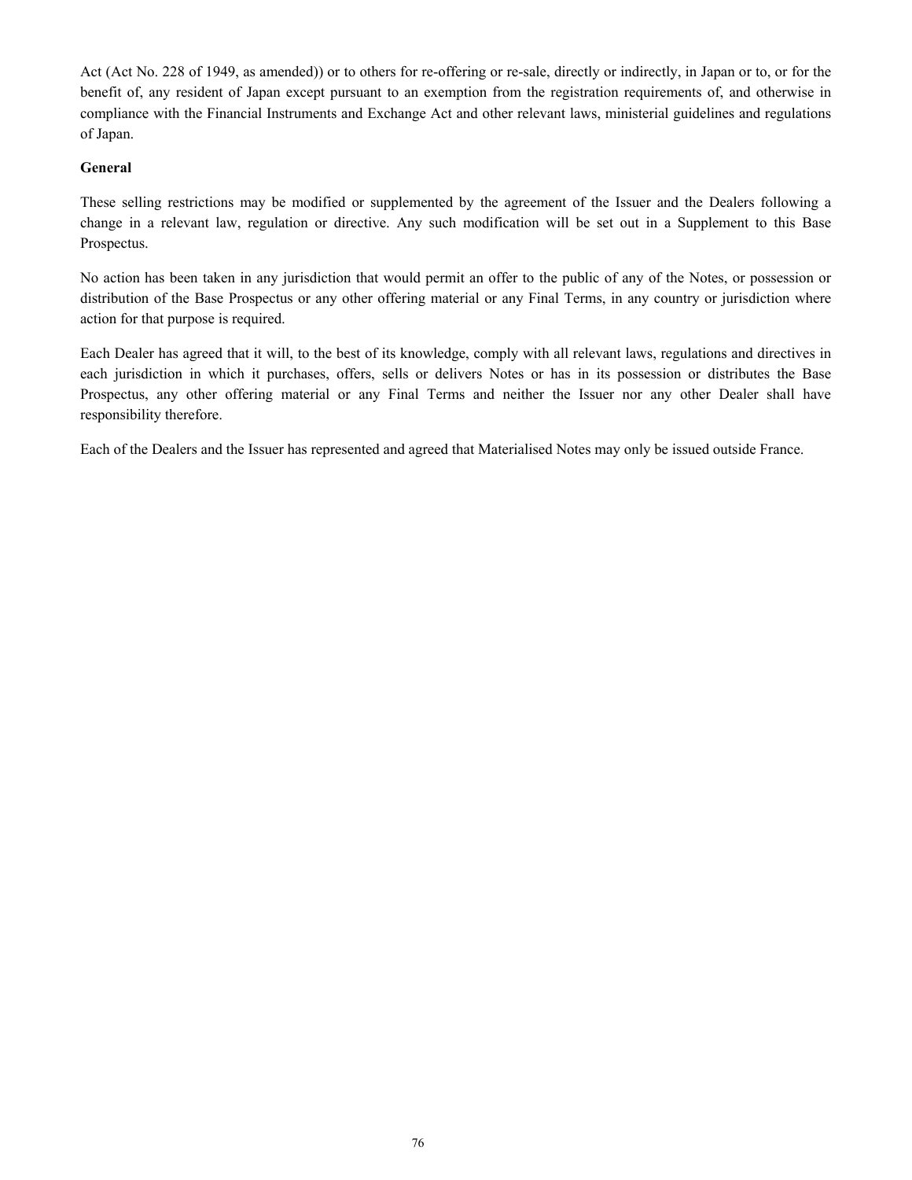Act (Act No. 228 of 1949, as amended)) or to others for re-offering or re-sale, directly or indirectly, in Japan or to, or for the benefit of, any resident of Japan except pursuant to an exemption from the registration requirements of, and otherwise in compliance with the Financial Instruments and Exchange Act and other relevant laws, ministerial guidelines and regulations of Japan.

#### **General**

These selling restrictions may be modified or supplemented by the agreement of the Issuer and the Dealers following a change in a relevant law, regulation or directive. Any such modification will be set out in a Supplement to this Base Prospectus.

No action has been taken in any jurisdiction that would permit an offer to the public of any of the Notes, or possession or distribution of the Base Prospectus or any other offering material or any Final Terms, in any country or jurisdiction where action for that purpose is required.

Each Dealer has agreed that it will, to the best of its knowledge, comply with all relevant laws, regulations and directives in each jurisdiction in which it purchases, offers, sells or delivers Notes or has in its possession or distributes the Base Prospectus, any other offering material or any Final Terms and neither the Issuer nor any other Dealer shall have responsibility therefore.

Each of the Dealers and the Issuer has represented and agreed that Materialised Notes may only be issued outside France.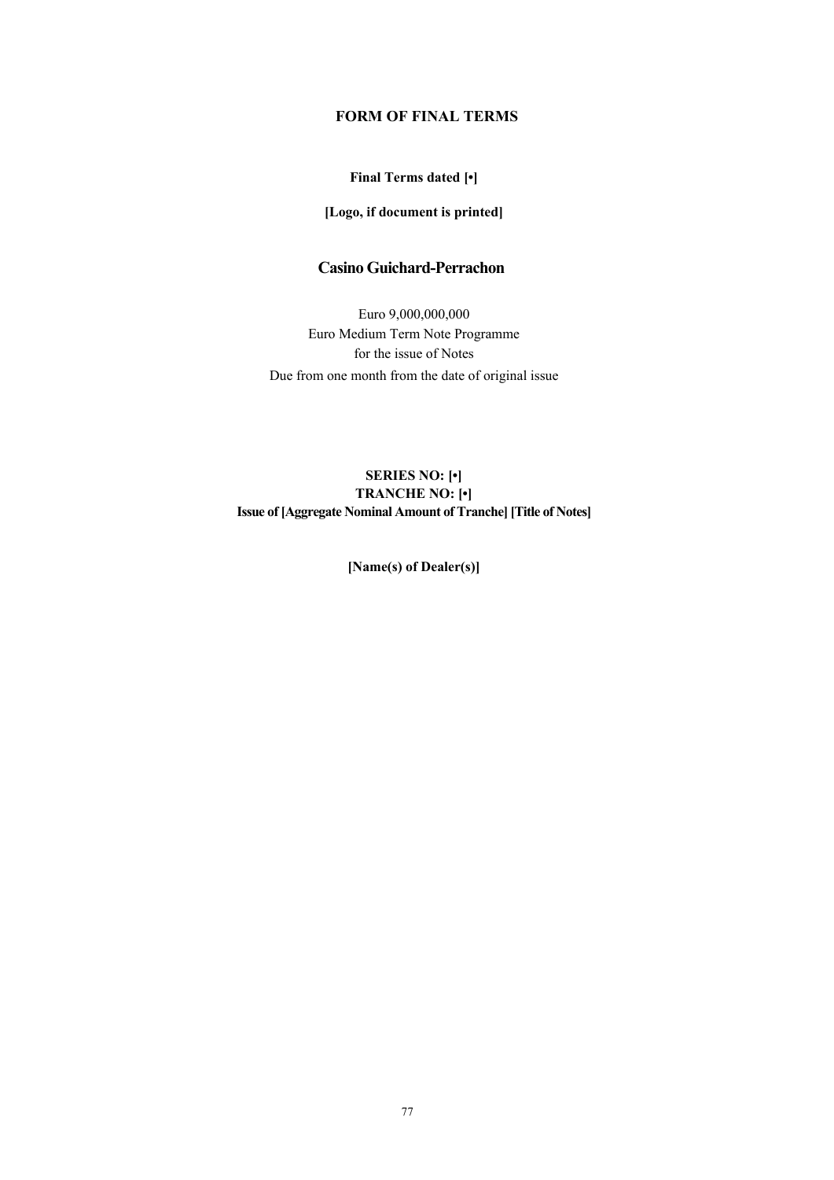# **FORM OF FINAL TERMS**

### **Final Terms dated [•]**

### **[Logo, if document is printed]**

# **Casino Guichard-Perrachon**

Euro 9,000,000,000 Euro Medium Term Note Programme for the issue of Notes Due from one month from the date of original issue

## **SERIES NO: [•] TRANCHE NO: [•] Issue of [Aggregate Nominal Amount of Tranche] [Title of Notes]**

**[Name(s) of Dealer(s)]**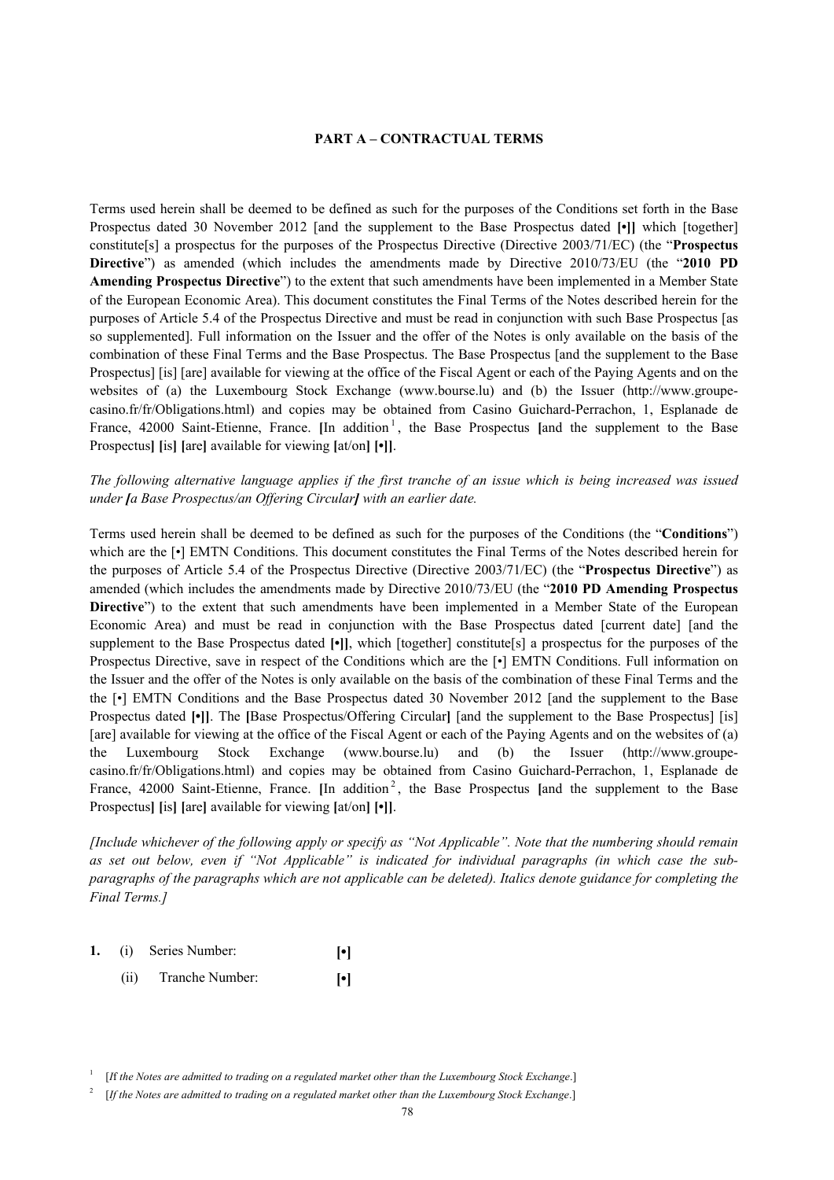#### **PART A – CONTRACTUAL TERMS**

Terms used herein shall be deemed to be defined as such for the purposes of the Conditions set forth in the Base Prospectus dated 30 November 2012 [and the supplement to the Base Prospectus dated **[•]]** which [together] constitute[s] a prospectus for the purposes of the Prospectus Directive (Directive 2003/71/EC) (the "**Prospectus Directive**") as amended (which includes the amendments made by Directive 2010/73/EU (the "**2010 PD Amending Prospectus Directive**") to the extent that such amendments have been implemented in a Member State of the European Economic Area). This document constitutes the Final Terms of the Notes described herein for the purposes of Article 5.4 of the Prospectus Directive and must be read in conjunction with such Base Prospectus [as so supplemented]. Full information on the Issuer and the offer of the Notes is only available on the basis of the combination of these Final Terms and the Base Prospectus. The Base Prospectus [and the supplement to the Base Prospectus] [is] [are] available for viewing at the office of the Fiscal Agent or each of the Paying Agents and on the websites of (a) the Luxembourg Stock Exchange (www.bourse.lu) and (b) the Issuer (http://www.groupecasino.fr/fr/Obligations.html) and copies may be obtained from Casino Guichard-Perrachon, 1, Esplanade de France, 42000 Saint-Etienne, France. [In addition<sup>1</sup>, the Base Prospectus [and the supplement to the Base Prospectus**] [**is**] [**are**]** available for viewing **[**at/on**] [•]]**.

*The following alternative language applies if the first tranche of an issue which is being increased was issued under [a Base Prospectus/an Offering Circular] with an earlier date.* 

Terms used herein shall be deemed to be defined as such for the purposes of the Conditions (the "**Conditions**") which are the  $\lceil \cdot \rceil$  EMTN Conditions. This document constitutes the Final Terms of the Notes described herein for the purposes of Article 5.4 of the Prospectus Directive (Directive 2003/71/EC) (the "**Prospectus Directive**") as amended (which includes the amendments made by Directive 2010/73/EU (the "**2010 PD Amending Prospectus Directive**") to the extent that such amendments have been implemented in a Member State of the European Economic Area) and must be read in conjunction with the Base Prospectus dated [current date] [and the supplement to the Base Prospectus dated **[•]]**, which [together] constitute[s] a prospectus for the purposes of the Prospectus Directive, save in respect of the Conditions which are the [•] EMTN Conditions. Full information on the Issuer and the offer of the Notes is only available on the basis of the combination of these Final Terms and the the [•] EMTN Conditions and the Base Prospectus dated 30 November 2012 [and the supplement to the Base Prospectus dated **[•]]**. The **[**Base Prospectus/Offering Circular**]** [and the supplement to the Base Prospectus] [is] [are] available for viewing at the office of the Fiscal Agent or each of the Paying Agents and on the websites of (a) the Luxembourg Stock Exchange (www.bourse.lu) and (b) the Issuer (http://www.groupecasino.fr/fr/Obligations.html) and copies may be obtained from Casino Guichard-Perrachon, 1, Esplanade de France, 42000 Saint-Etienne, France. [In addition<sup>2</sup>, the Base Prospectus [and the supplement to the Base Prospectus**] [**is**] [**are**]** available for viewing **[**at/on**] [•]]**.

*[Include whichever of the following apply or specify as "Not Applicable". Note that the numbering should remain as set out below, even if "Not Applicable" is indicated for individual paragraphs (in which case the subparagraphs of the paragraphs which are not applicable can be deleted). Italics denote guidance for completing the Final Terms.]*

- **1.** (i) Series Number: **[•]**
	- (ii) Tranche Number: **[•]**

<sup>1</sup> [*I*f *the Notes are admitted to trading on a regulated market other than the Luxembourg Stock Exchange*.]

<sup>2</sup> [*If the Notes are admitted to trading on a regulated market other than the Luxembourg Stock Exchange*.]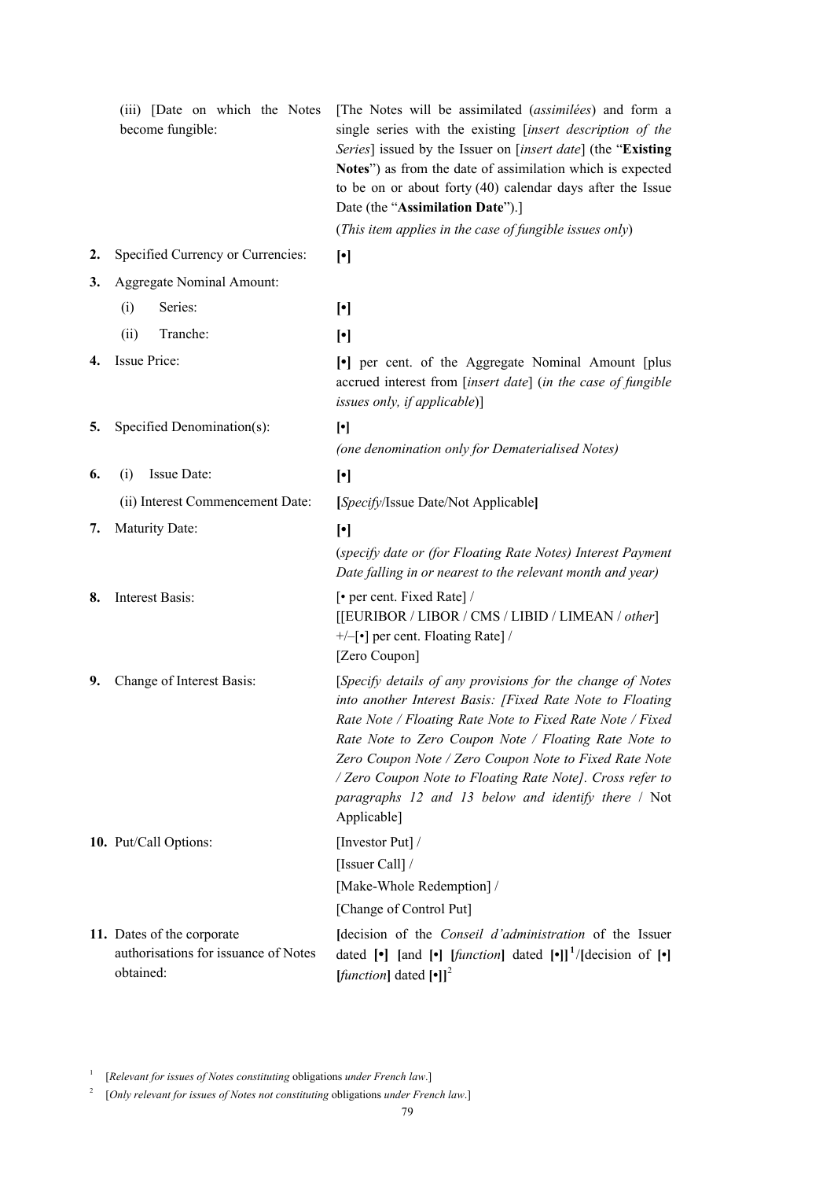|    | (iii) [Date on which the Notes<br>become fungible:                              | [The Notes will be assimilated (assimilées) and form a<br>single series with the existing [insert description of the<br>Series] issued by the Issuer on [insert date] (the "Existing<br>Notes") as from the date of assimilation which is expected<br>to be on or about forty $(40)$ calendar days after the Issue<br>Date (the "Assimilation Date").]                                                                                     |
|----|---------------------------------------------------------------------------------|--------------------------------------------------------------------------------------------------------------------------------------------------------------------------------------------------------------------------------------------------------------------------------------------------------------------------------------------------------------------------------------------------------------------------------------------|
|    |                                                                                 | (This item applies in the case of fungible issues only)                                                                                                                                                                                                                                                                                                                                                                                    |
| 2. | Specified Currency or Currencies:                                               | $[\cdot]$                                                                                                                                                                                                                                                                                                                                                                                                                                  |
| 3. | Aggregate Nominal Amount:                                                       |                                                                                                                                                                                                                                                                                                                                                                                                                                            |
|    | Series:<br>(i)                                                                  | $[\cdot]$                                                                                                                                                                                                                                                                                                                                                                                                                                  |
|    | (ii)<br>Tranche:                                                                | $[\cdot]$                                                                                                                                                                                                                                                                                                                                                                                                                                  |
| 4. | Issue Price:                                                                    | • per cent. of the Aggregate Nominal Amount [plus]<br>accrued interest from [insert date] (in the case of fungible<br>issues only, if applicable)]                                                                                                                                                                                                                                                                                         |
| 5. | Specified Denomination(s):                                                      | $[\cdot]$                                                                                                                                                                                                                                                                                                                                                                                                                                  |
|    |                                                                                 | (one denomination only for Dematerialised Notes)                                                                                                                                                                                                                                                                                                                                                                                           |
| 6. | Issue Date:<br>(i)                                                              | $[\cdot]$                                                                                                                                                                                                                                                                                                                                                                                                                                  |
|    | (ii) Interest Commencement Date:                                                | [Specify/Issue Date/Not Applicable]                                                                                                                                                                                                                                                                                                                                                                                                        |
| 7. | <b>Maturity Date:</b>                                                           | $[\cdot]$                                                                                                                                                                                                                                                                                                                                                                                                                                  |
|    |                                                                                 | (specify date or (for Floating Rate Notes) Interest Payment<br>Date falling in or nearest to the relevant month and year)                                                                                                                                                                                                                                                                                                                  |
| 8. | Interest Basis:                                                                 | [• per cent. Fixed Rate] /<br>[[EURIBOR / LIBOR / CMS / LIBID / LIMEAN / other]<br>$+/-$ [•] per cent. Floating Rate] /<br>[Zero Coupon]                                                                                                                                                                                                                                                                                                   |
| 9. | Change of Interest Basis:                                                       | [Specify details of any provisions for the change of Notes<br>into another Interest Basis: [Fixed Rate Note to Floating<br>Rate Note / Floating Rate Note to Fixed Rate Note / Fixed<br>Rate Note to Zero Coupon Note / Floating Rate Note to<br>Zero Coupon Note / Zero Coupon Note to Fixed Rate Note<br>/ Zero Coupon Note to Floating Rate Note]. Cross refer to<br>paragraphs 12 and 13 below and identify there / Not<br>Applicable] |
|    | 10. Put/Call Options:                                                           | [Investor Put] /<br>[Issuer Call] /<br>[Make-Whole Redemption] /<br>[Change of Control Put]                                                                                                                                                                                                                                                                                                                                                |
|    | 11. Dates of the corporate<br>authorisations for issuance of Notes<br>obtained: | Idecision of the <i>Conseil d'administration</i> of the Issuer<br>dated $[\bullet]$ [and $[\bullet]$ [ <i>function</i> ] dated $[\bullet]]^1$ /[decision of $[\bullet]$ ]<br>[ <i>function</i> ] dated $[\cdot]$ ] <sup>2</sup>                                                                                                                                                                                                            |

1 [*Relevant for issues of Notes constituting* obligations *under French law*.]

2 [*Only relevant for issues of Notes not constituting* obligations *under French law*.]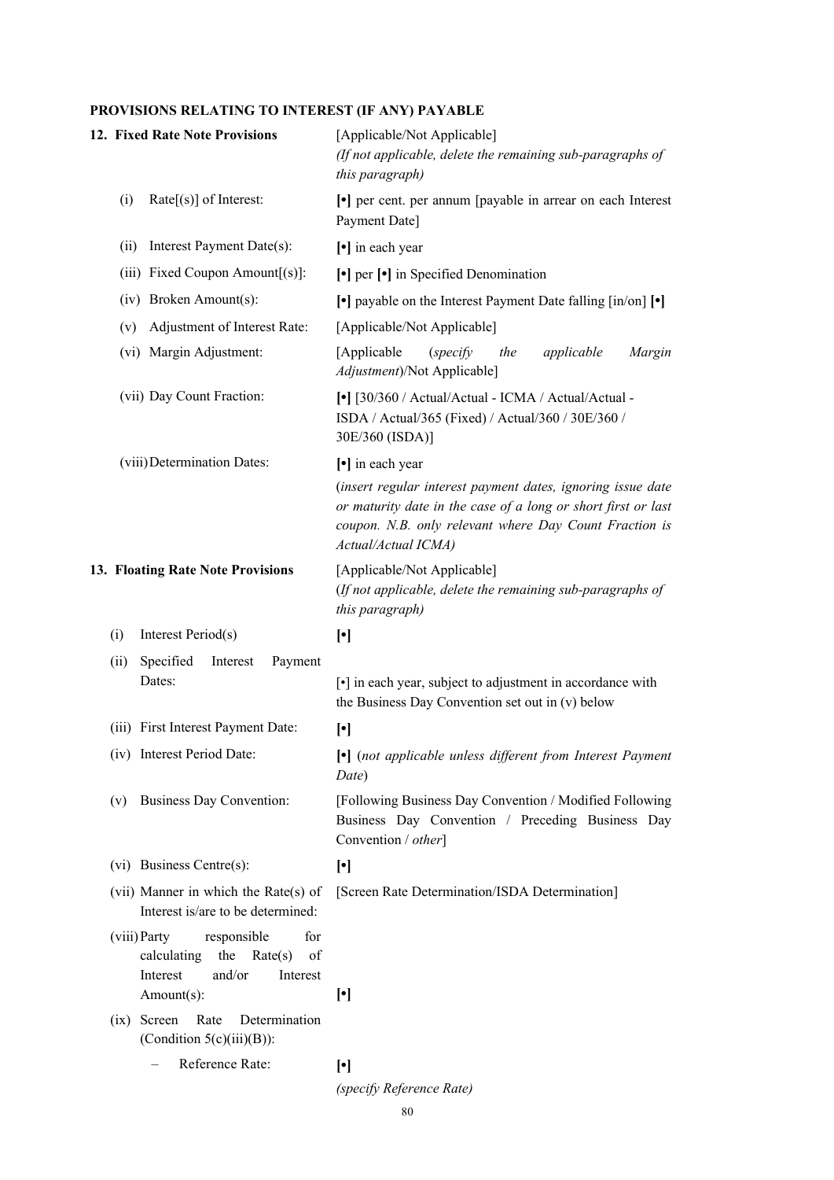# **PROVISIONS RELATING TO INTEREST (IF ANY) PAYABLE**

|                           | 12. Fixed Rate Note Provisions                                                                                            | [Applicable/Not Applicable]<br>(If not applicable, delete the remaining sub-paragraphs of<br>this paragraph)                                                                                                                      |
|---------------------------|---------------------------------------------------------------------------------------------------------------------------|-----------------------------------------------------------------------------------------------------------------------------------------------------------------------------------------------------------------------------------|
|                           | $Rate[s]$ of Interest:<br>(i)                                                                                             | • per cent. per annum [payable in arrear on each Interest]<br>Payment Date]                                                                                                                                                       |
|                           | Interest Payment Date(s):<br>(ii)                                                                                         | [•] in each year                                                                                                                                                                                                                  |
|                           | (iii) Fixed Coupon Amount[(s)]:                                                                                           | $\lceil \cdot \rceil$ per $\lceil \cdot \rceil$ in Specified Denomination                                                                                                                                                         |
|                           | (iv) Broken Amount(s):                                                                                                    | $\lceil \cdot \rceil$ payable on the Interest Payment Date falling $\lceil \cdot \rceil$ $\lceil \cdot \rceil$                                                                                                                    |
|                           | Adjustment of Interest Rate:<br>(v)                                                                                       | [Applicable/Not Applicable]                                                                                                                                                                                                       |
|                           | (vi) Margin Adjustment:                                                                                                   | [Applicable]<br>Margin<br>(specify)<br>the<br>applicable<br>Adjustment)/Not Applicable]                                                                                                                                           |
| (vii) Day Count Fraction: |                                                                                                                           | [•] [30/360 / Actual/Actual - ICMA / Actual/Actual -<br>ISDA / Actual/365 (Fixed) / Actual/360 / 30E/360 /<br>30E/360 (ISDA)]                                                                                                     |
|                           | (viii) Determination Dates:                                                                                               | [•] in each year<br>(insert regular interest payment dates, ignoring issue date<br>or maturity date in the case of a long or short first or last<br>coupon. N.B. only relevant where Day Count Fraction is<br>Actual/Actual ICMA) |
|                           | 13. Floating Rate Note Provisions                                                                                         | [Applicable/Not Applicable]<br>(If not applicable, delete the remaining sub-paragraphs of<br>this paragraph)                                                                                                                      |
|                           | Interest Period(s)<br>(i)                                                                                                 | $[\cdot]$                                                                                                                                                                                                                         |
|                           | Specified<br>(ii)<br>Payment<br>Interest<br>Dates:                                                                        | [•] in each year, subject to adjustment in accordance with<br>the Business Day Convention set out in (v) below                                                                                                                    |
|                           | (iii) First Interest Payment Date:                                                                                        | $[\cdot]$                                                                                                                                                                                                                         |
|                           | (iv) Interest Period Date:                                                                                                | [•] (not applicable unless different from Interest Payment<br>Date)                                                                                                                                                               |
|                           | <b>Business Day Convention:</b><br>(v)                                                                                    | [Following Business Day Convention / Modified Following<br>Business Day Convention / Preceding Business Day<br>Convention / other]                                                                                                |
|                           | (vi) Business Centre(s):                                                                                                  | $[\cdot]$                                                                                                                                                                                                                         |
|                           | (vii) Manner in which the Rate(s) of<br>Interest is/are to be determined:                                                 | [Screen Rate Determination/ISDA Determination]                                                                                                                                                                                    |
|                           | (viii) Party<br>for<br>responsible<br>calculating<br>the<br>Rate(s)<br>of<br>and/or<br>Interest<br>Interest<br>Amount(s): | $[\cdot]$                                                                                                                                                                                                                         |
|                           | $(ix)$ Screen<br>Rate<br>Determination<br>(Condition $5(c)(iii)(B)$ ):                                                    |                                                                                                                                                                                                                                   |
|                           | Reference Rate:                                                                                                           | $[\cdot]$                                                                                                                                                                                                                         |
|                           |                                                                                                                           | (specify Reference Rate)                                                                                                                                                                                                          |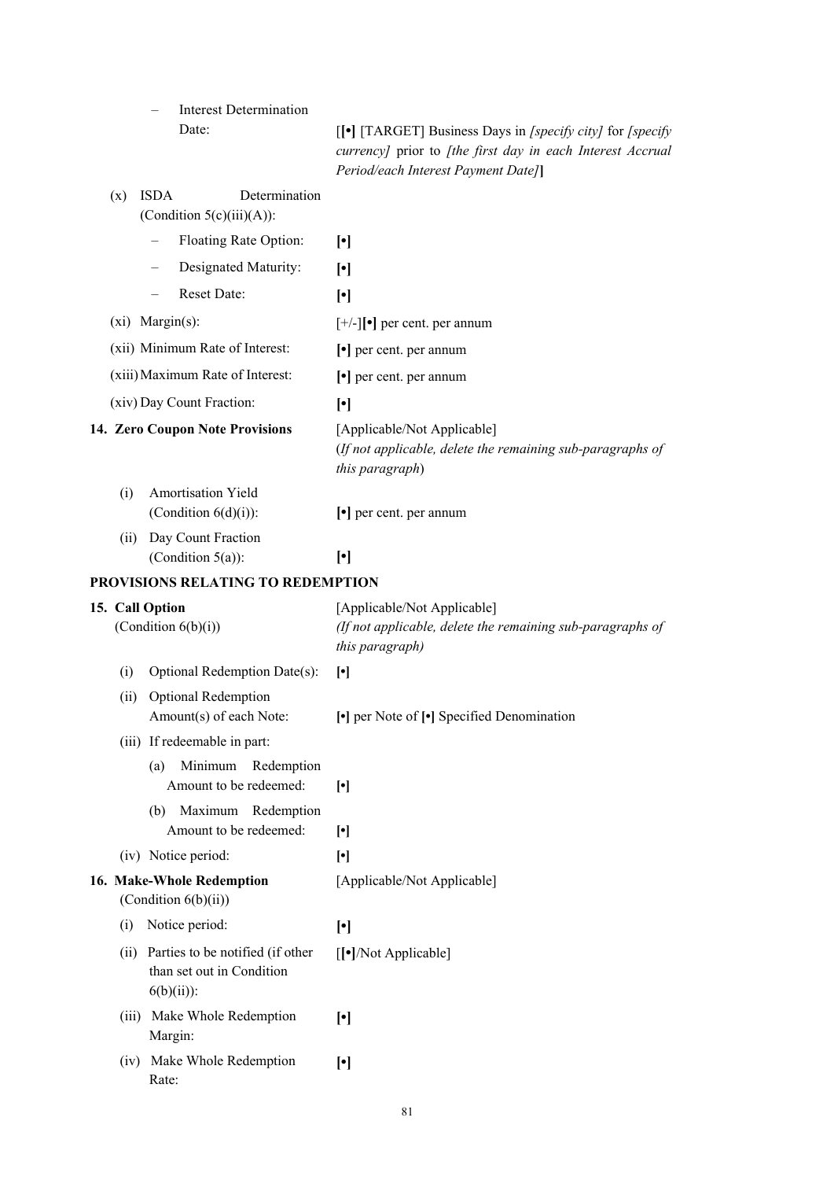– Interest Determination

Date: **[[•]** [TARGET] Business Days in *[specify city]* for *[specify currency]* prior to *[the first day in each Interest Accrual Period/each Interest Payment Date]***]**

| (x)   | <b>ISDA</b><br>Determination<br>(Condition $5(c)(iii)(A)$ ):                   |                                                                                                              |
|-------|--------------------------------------------------------------------------------|--------------------------------------------------------------------------------------------------------------|
|       | Floating Rate Option:                                                          | $\lceil \cdot \rceil$                                                                                        |
|       | Designated Maturity:                                                           | $\lceil \cdot \rceil$                                                                                        |
|       | Reset Date:                                                                    | $[\cdot]$                                                                                                    |
|       | (xi) Margin(s):                                                                | $[+/$ ] $\bullet$ ] per cent. per annum                                                                      |
|       | (xii) Minimum Rate of Interest:                                                | $\lceil \cdot \rceil$ per cent. per annum                                                                    |
|       | (xiii) Maximum Rate of Interest:                                               | $\left[\bullet\right]$ per cent. per annum                                                                   |
|       | (xiv) Day Count Fraction:                                                      | $\lceil \cdot \rceil$                                                                                        |
|       | 14. Zero Coupon Note Provisions                                                | [Applicable/Not Applicable]<br>(If not applicable, delete the remaining sub-paragraphs of<br>this paragraph) |
| (i)   | Amortisation Yield<br>(Condition $6(d)(i)$ ):                                  | $\left[\bullet\right]$ per cent. per annum                                                                   |
| (ii)  | Day Count Fraction<br>(Condition $5(a)$ ):                                     | $[\cdot]$                                                                                                    |
|       | PROVISIONS RELATING TO REDEMPTION                                              |                                                                                                              |
|       | 15. Call Option<br>(Condition $6(b)(i)$ )                                      | [Applicable/Not Applicable]<br>(If not applicable, delete the remaining sub-paragraphs of<br>this paragraph) |
| (i)   | Optional Redemption Date(s):                                                   | $[\cdot]$                                                                                                    |
| (ii)  | Optional Redemption<br>Amount(s) of each Note:                                 | • per Note of [•] Specified Denomination                                                                     |
|       | (iii) If redeemable in part:                                                   |                                                                                                              |
|       | Minimum<br>Redemption<br>(a)<br>Amount to be redeemed:                         | $[\cdot]$                                                                                                    |
|       | Maximum<br>(b)<br>Redemption<br>Amount to be redeemed:                         | $[\cdot]$                                                                                                    |
|       | (iv) Notice period:                                                            | $[\cdot]$                                                                                                    |
|       | 16. Make-Whole Redemption<br>(Condition 6(b)(ii))                              | [Applicable/Not Applicable]                                                                                  |
| (i)   | Notice period:                                                                 | $[\cdot]$                                                                                                    |
| (ii)  | Parties to be notified (if other<br>than set out in Condition<br>$6(b)(ii))$ : | [[ $\bullet$ ]/Not Applicable]                                                                               |
| (iii) | Make Whole Redemption<br>Margin:                                               | $[\cdot]$                                                                                                    |
|       | (iv) Make Whole Redemption<br>Rate:                                            | $[\cdot]$                                                                                                    |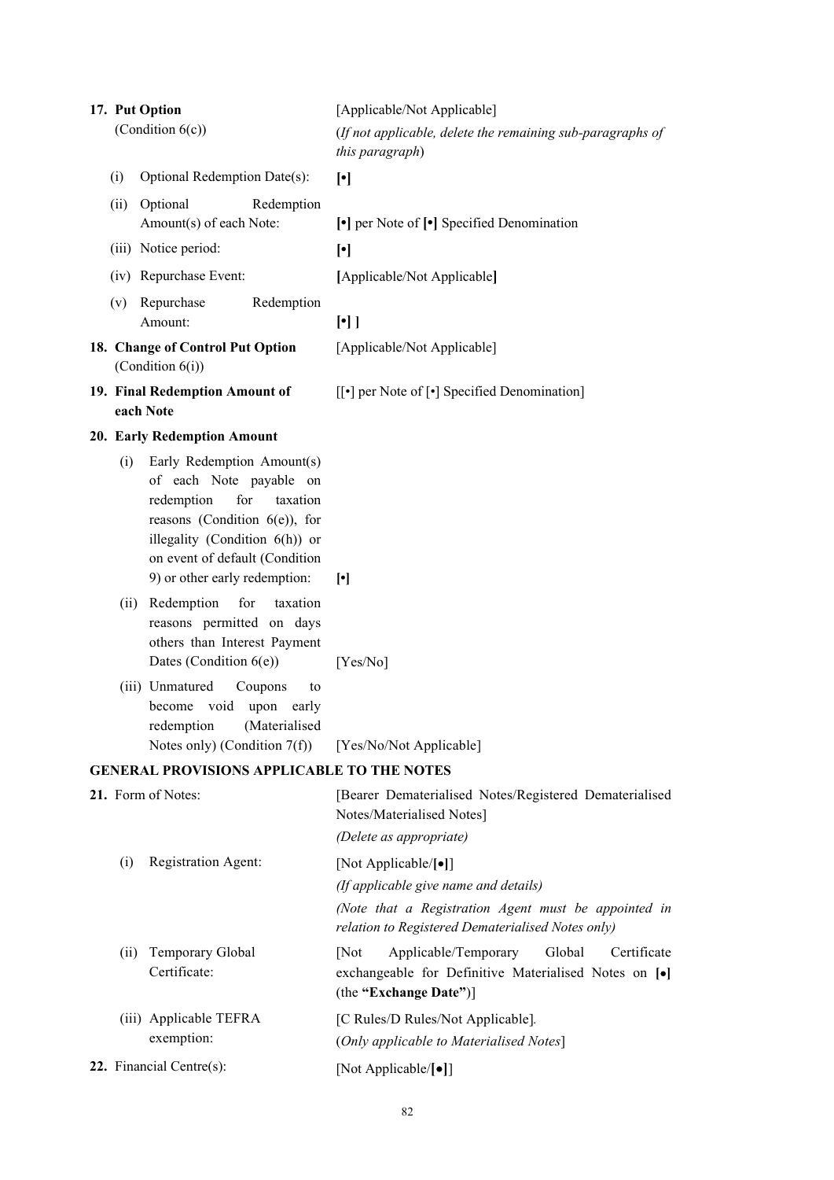| 17. Put Option                                       |                                             |                                                                                                                                                                                                                                 | [Applicable/Not Applicable]                                                                                                                                                |
|------------------------------------------------------|---------------------------------------------|---------------------------------------------------------------------------------------------------------------------------------------------------------------------------------------------------------------------------------|----------------------------------------------------------------------------------------------------------------------------------------------------------------------------|
|                                                      | (Condition $6(c)$ )                         |                                                                                                                                                                                                                                 | (If not applicable, delete the remaining sub-paragraphs of<br>this paragraph)                                                                                              |
|                                                      | (i)                                         | Optional Redemption Date(s):                                                                                                                                                                                                    | $[\cdot]$                                                                                                                                                                  |
|                                                      | (ii)                                        | Optional<br>Redemption<br>Amount(s) of each Note:                                                                                                                                                                               | $\lceil \cdot \rceil$ per Note of $\lceil \cdot \rceil$ Specified Denomination                                                                                             |
|                                                      |                                             | (iii) Notice period:                                                                                                                                                                                                            | $[\cdot]$                                                                                                                                                                  |
|                                                      |                                             | (iv) Repurchase Event:                                                                                                                                                                                                          | [Applicable/Not Applicable]                                                                                                                                                |
|                                                      |                                             | (v) Repurchase<br>Redemption<br>Amount:                                                                                                                                                                                         | $[\cdot]$                                                                                                                                                                  |
| 18. Change of Control Put Option<br>(Condition 6(i)) |                                             |                                                                                                                                                                                                                                 | [Applicable/Not Applicable]                                                                                                                                                |
|                                                      | 19. Final Redemption Amount of<br>each Note |                                                                                                                                                                                                                                 | $\left[\left[\bullet\right]$ per Note of $\left[\bullet\right]$ Specified Denomination]                                                                                    |
|                                                      |                                             | 20. Early Redemption Amount                                                                                                                                                                                                     |                                                                                                                                                                            |
|                                                      | (i)                                         | Early Redemption Amount(s)<br>of each Note payable on<br>for<br>redemption<br>taxation<br>reasons (Condition $6(e)$ ), for<br>illegality (Condition 6(h)) or<br>on event of default (Condition<br>9) or other early redemption: | $\lceil \cdot \rceil$                                                                                                                                                      |
|                                                      |                                             | (ii) Redemption<br>for<br>taxation<br>reasons permitted on days<br>others than Interest Payment<br>Dates (Condition $6(e)$ )                                                                                                    | [Yes/No]                                                                                                                                                                   |
|                                                      |                                             | (iii) Unmatured<br>Coupons<br>to<br>become void upon early<br>redemption (Materialised<br>Notes only) (Condition $7(f)$ )                                                                                                       | [Yes/No/Not Applicable]                                                                                                                                                    |
|                                                      |                                             | <b>GENERAL PROVISIONS APPLICABLE TO THE NOTES</b>                                                                                                                                                                               |                                                                                                                                                                            |
|                                                      |                                             | 21. Form of Notes:                                                                                                                                                                                                              | [Bearer Dematerialised Notes/Registered Dematerialised<br>Notes/Materialised Notes]<br>(Delete as appropriate)                                                             |
|                                                      | (i)                                         | Registration Agent:                                                                                                                                                                                                             | [Not Applicable/[•]]<br>(If applicable give name and details)<br>(Note that a Registration Agent must be appointed in<br>relation to Registered Dematerialised Notes only) |
|                                                      | (ii)                                        | Temporary Global<br>Certificate:                                                                                                                                                                                                | Applicable/Temporary<br>Global<br>[Not]<br>Certificate<br>exchangeable for Definitive Materialised Notes on [·]<br>(the "Exchange Date")]                                  |
|                                                      |                                             | (iii) Applicable TEFRA                                                                                                                                                                                                          | [C Rules/D Rules/Not Applicable].                                                                                                                                          |
|                                                      |                                             | exemption:                                                                                                                                                                                                                      | (Only applicable to Materialised Notes]                                                                                                                                    |
| 22. Financial Centre $(s)$ :                         |                                             |                                                                                                                                                                                                                                 | [Not Applicable/[•]]                                                                                                                                                       |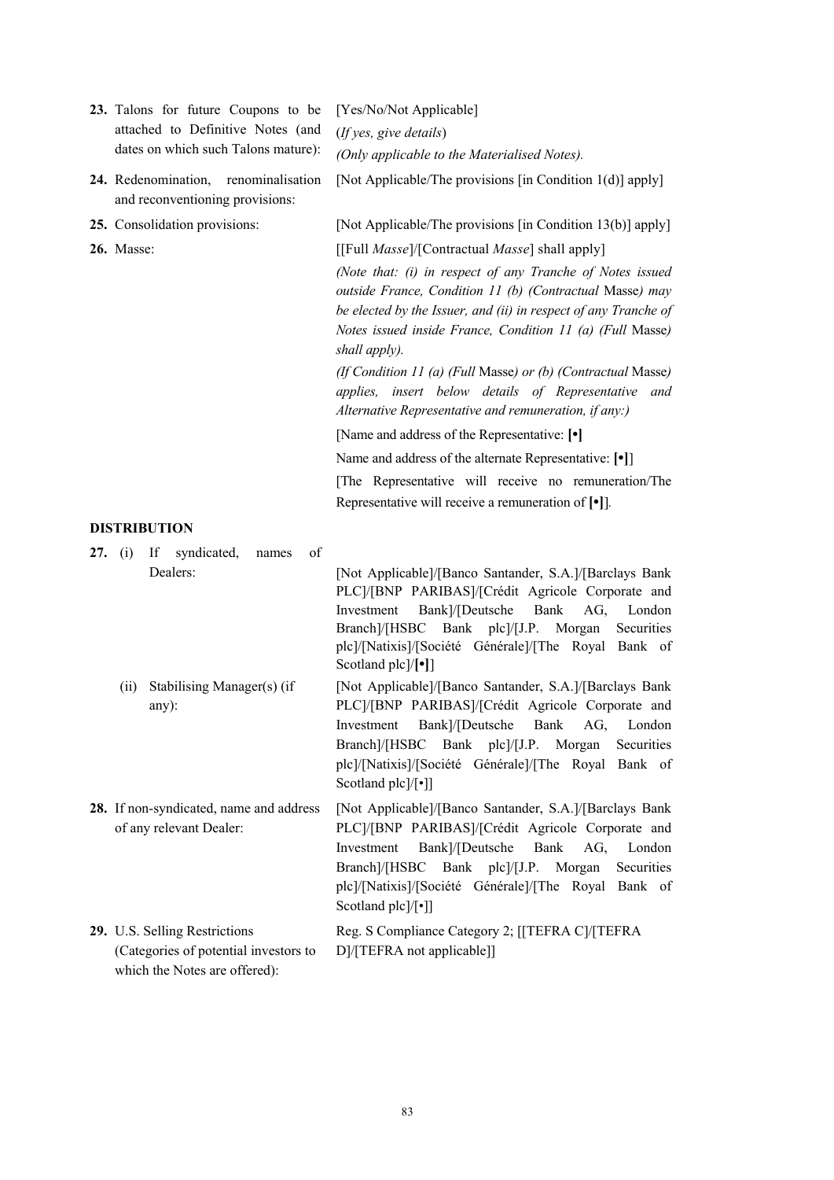|  | 23. Talons for future Coupons to be                                                                     | [Yes/No/Not Applicable]                                                                                                                                                                                                                                                                                        |
|--|---------------------------------------------------------------------------------------------------------|----------------------------------------------------------------------------------------------------------------------------------------------------------------------------------------------------------------------------------------------------------------------------------------------------------------|
|  | attached to Definitive Notes (and                                                                       | (If yes, give details)                                                                                                                                                                                                                                                                                         |
|  | dates on which such Talons mature):                                                                     | (Only applicable to the Materialised Notes).                                                                                                                                                                                                                                                                   |
|  | 24. Redenomination, renominalisation<br>and reconventioning provisions:                                 | [Not Applicable/The provisions [in Condition 1(d)] apply]                                                                                                                                                                                                                                                      |
|  | 25. Consolidation provisions:                                                                           | [Not Applicable/The provisions [in Condition 13(b)] apply]                                                                                                                                                                                                                                                     |
|  | <b>26.</b> Masse:                                                                                       | [[Full <i>Masse</i> ]/[Contractual <i>Masse</i> ] shall apply]                                                                                                                                                                                                                                                 |
|  |                                                                                                         | (Note that: (i) in respect of any Tranche of Notes issued<br>outside France, Condition 11 (b) (Contractual Masse) may<br>be elected by the Issuer, and (ii) in respect of any Tranche of<br>Notes issued inside France, Condition 11 (a) (Full Masse)<br>shall apply).                                         |
|  |                                                                                                         | (If Condition 11 (a) (Full Masse) or (b) (Contractual Masse)<br>applies, insert below details of Representative<br>and<br>Alternative Representative and remuneration, if any:)                                                                                                                                |
|  |                                                                                                         | [Name and address of the Representative: [ $\bullet$ ]                                                                                                                                                                                                                                                         |
|  |                                                                                                         | Name and address of the alternate Representative: [ $\bullet$ ]                                                                                                                                                                                                                                                |
|  |                                                                                                         | [The Representative will receive no remuneration/The                                                                                                                                                                                                                                                           |
|  |                                                                                                         | Representative will receive a remuneration of $[\bullet]$ ].                                                                                                                                                                                                                                                   |
|  | <b>DISTRIBUTION</b>                                                                                     |                                                                                                                                                                                                                                                                                                                |
|  | If -<br>syndicated,<br>of<br>27. (i)<br>names<br>Dealers:                                               | [Not Applicable]/[Banco Santander, S.A.]/[Barclays Bank<br>PLC]/[BNP PARIBAS]/[Crédit Agricole Corporate and<br>Bank]/[Deutsche<br>Bank<br>Investment<br>AG,<br>London<br>Branch]/[HSBC Bank plc]/[J.P. Morgan<br>Securities<br>plc]/[Natixis]/[Société Générale]/[The Royal Bank of<br>Scotland plc]/[•]]     |
|  | Stabilising Manager(s) (if<br>(ii)<br>$any)$ :                                                          | [Not Applicable]/[Banco Santander, S.A.]/[Barclays Bank]<br>PLC]/[BNP PARIBAS]/[Crédit Agricole Corporate and<br>Investment Bank]/[Deutsche Bank AG, London<br>Branch]/[HSBC Bank plc]/[J.P. Morgan<br>Securities<br>plc]/[Natixis]/[Société Générale]/[The Royal Bank of<br>Scotland plc]/[•]]                |
|  | 28. If non-syndicated, name and address<br>of any relevant Dealer:                                      | [Not Applicable]/[Banco Santander, S.A.]/[Barclays Bank]<br>PLC]/[BNP PARIBAS]/[Crédit Agricole Corporate and<br>Bank]/[Deutsche<br>Bank<br>Investment<br>AG,<br>London<br>Branch]/[HSBC Bank plc]/[J.P.<br>Morgan<br>Securities<br>plc]/[Natixis]/[Société Générale]/[The Royal Bank of<br>Scotland plc]/[•]] |
|  | 29. U.S. Selling Restrictions<br>(Categories of potential investors to<br>which the Notes are offered): | Reg. S Compliance Category 2; [[TEFRA C]/[TEFRA<br>D]/[TEFRA not applicable]]                                                                                                                                                                                                                                  |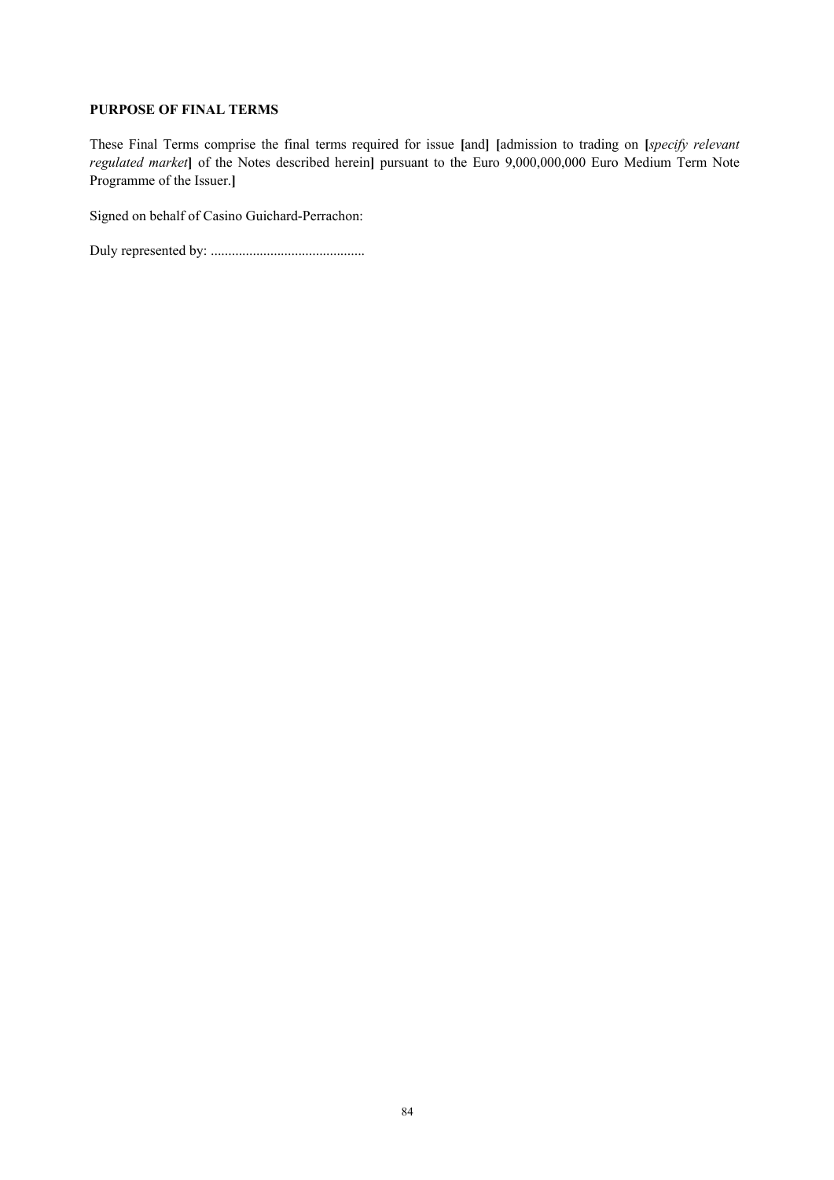### **PURPOSE OF FINAL TERMS**

These Final Terms comprise the final terms required for issue **[**and**] [**admission to trading on **[***specify relevant regulated market***]** of the Notes described herein**]** pursuant to the Euro 9,000,000,000 Euro Medium Term Note Programme of the Issuer.**]**

Signed on behalf of Casino Guichard-Perrachon:

Duly represented by: ............................................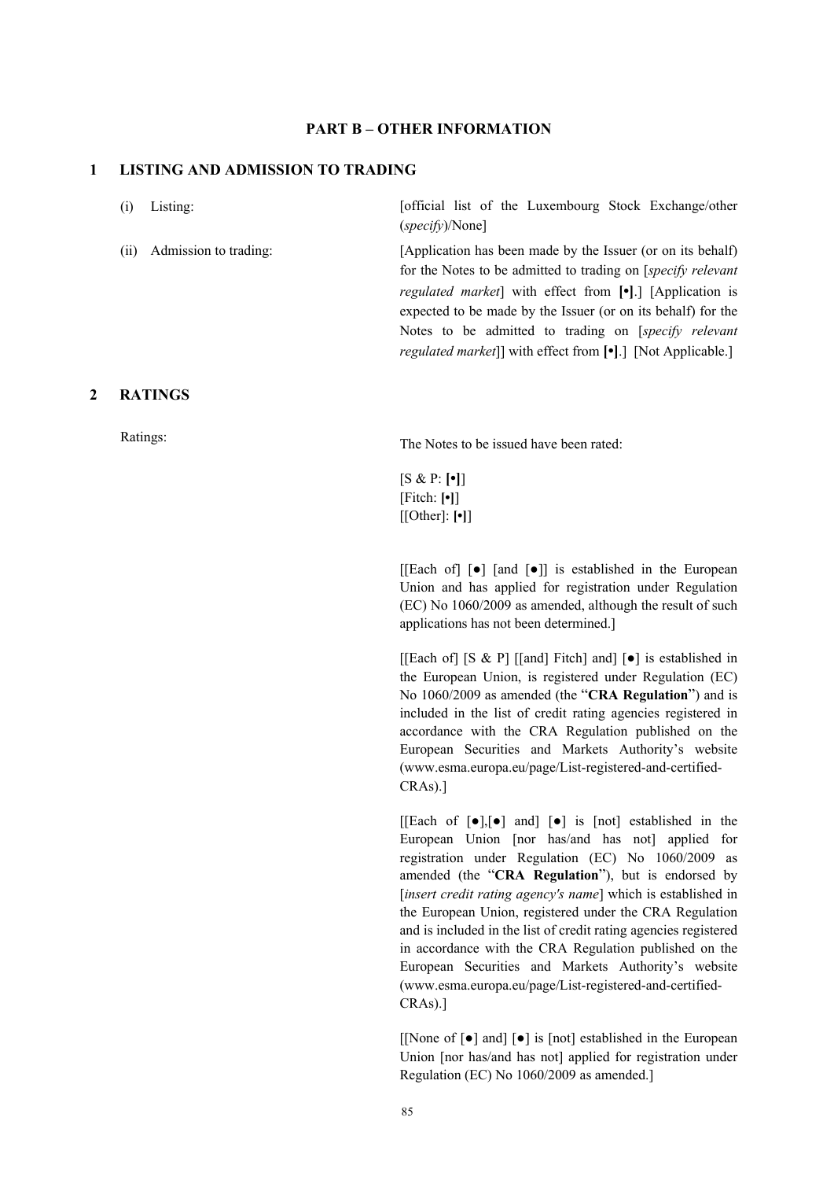### **PART B – OTHER INFORMATION**

#### **1 LISTING AND ADMISSION TO TRADING**

(i) Listing: [official list of the Luxembourg Stock Exchange/other (*specify*)/None]

(ii) Admission to trading: [Application has been made by the Issuer (or on its behalf) for the Notes to be admitted to trading on [*specify relevant regulated market*] with effect from **[•]**.] [Application is expected to be made by the Issuer (or on its behalf) for the Notes to be admitted to trading on [*specify relevant regulated market*]] with effect from **[•]**.] [Not Applicable.]

#### **2 RATINGS**

Ratings: The Notes to be issued have been rated:

[S & P: **[•]**] [Fitch: **[•]**] [[Other]: **[•]**]

[[Each of]  $\lceil \bullet \rceil$  [and  $\lceil \bullet \rceil$ ] is established in the European Union and has applied for registration under Regulation (EC) No 1060/2009 as amended, although the result of such applications has not been determined.]

[[Each of] [S & P] [[and] Fitch] and] [●] is established in the European Union, is registered under Regulation (EC) No 1060/2009 as amended (the "**CRA Regulation**") and is included in the list of credit rating agencies registered in accordance with the CRA Regulation published on the European Securities and Markets Authority's website (www.esma.europa.eu/page/List-registered-and-certified-CRAs).]

 $[[\text{Each of } [\bullet],[\bullet]]$  and  $[\bullet]$  is [not] established in the European Union [nor has/and has not] applied for registration under Regulation (EC) No 1060/2009 as amended (the "**CRA Regulation**"), but is endorsed by [*insert credit rating agency's name*] which is established in the European Union, registered under the CRA Regulation and is included in the list of credit rating agencies registered in accordance with the CRA Regulation published on the European Securities and Markets Authority's website (www.esma.europa.eu/page/List-registered-and-certified-CRAs).]

[[None of [●] and] [●] is [not] established in the European Union [nor has/and has not] applied for registration under Regulation (EC) No 1060/2009 as amended.]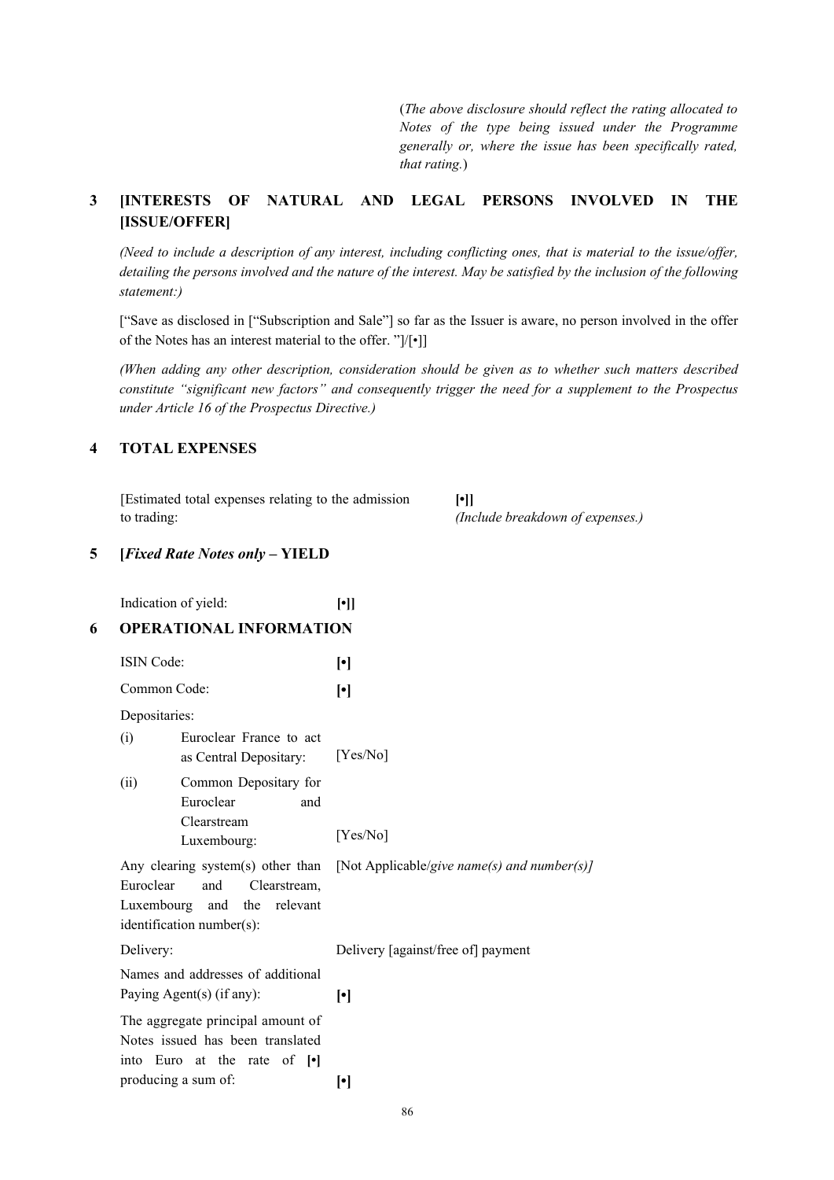(*The above disclosure should reflect the rating allocated to Notes of the type being issued under the Programme generally or, where the issue has been specifically rated, that rating.*)

# **3 [INTERESTS OF NATURAL AND LEGAL PERSONS INVOLVED IN THE [ISSUE/OFFER]**

*(Need to include a description of any interest, including conflicting ones, that is material to the issue/offer, detailing the persons involved and the nature of the interest. May be satisfied by the inclusion of the following statement:)*

["Save as disclosed in ["Subscription and Sale"] so far as the Issuer is aware, no person involved in the offer of the Notes has an interest material to the offer. "]/[•]]

*(When adding any other description, consideration should be given as to whether such matters described constitute "significant new factors" and consequently trigger the need for a supplement to the Prospectus under Article 16 of the Prospectus Directive.)*

### **4 TOTAL EXPENSES**

[Estimated total expenses relating to the admission to trading:

**[•]]** *(Include breakdown of expenses.)*

### **5 [***Fixed Rate Notes only* **– YIELD**

|   |                                                                                                                                                         | Indication of yield:                                           | $[\cdot]$                                   |
|---|---------------------------------------------------------------------------------------------------------------------------------------------------------|----------------------------------------------------------------|---------------------------------------------|
| 6 |                                                                                                                                                         | <b>OPERATIONAL INFORMATION</b>                                 |                                             |
|   | <b>ISIN Code:</b>                                                                                                                                       |                                                                | $[\cdot]$                                   |
|   | Common Code:<br>Depositaries:                                                                                                                           |                                                                | $[\cdot]$                                   |
|   |                                                                                                                                                         |                                                                |                                             |
|   | (i)                                                                                                                                                     | Euroclear France to act<br>as Central Depositary:              | [Yes/No]                                    |
|   | (ii)                                                                                                                                                    | Common Depositary for<br>Euroclear<br>and                      |                                             |
|   |                                                                                                                                                         | Clearstream<br>Luxembourg:                                     | [Yes/No]                                    |
|   | Any clearing system(s) other than<br>Euroclear<br>and<br>Clearstream,<br>Luxembourg<br>the<br>relevant<br>and<br>identification number(s):<br>Delivery: |                                                                | [Not Applicable/give name(s) and number(s)] |
|   |                                                                                                                                                         |                                                                | Delivery [against/free of] payment          |
|   |                                                                                                                                                         | Names and addresses of additional<br>Paying Agent(s) (if any): | $\lceil \cdot \rceil$                       |
|   | The aggregate principal amount of<br>Notes issued has been translated<br>into Euro at the rate of [.]                                                   |                                                                |                                             |
|   | producing a sum of:                                                                                                                                     |                                                                | $\bullet$                                   |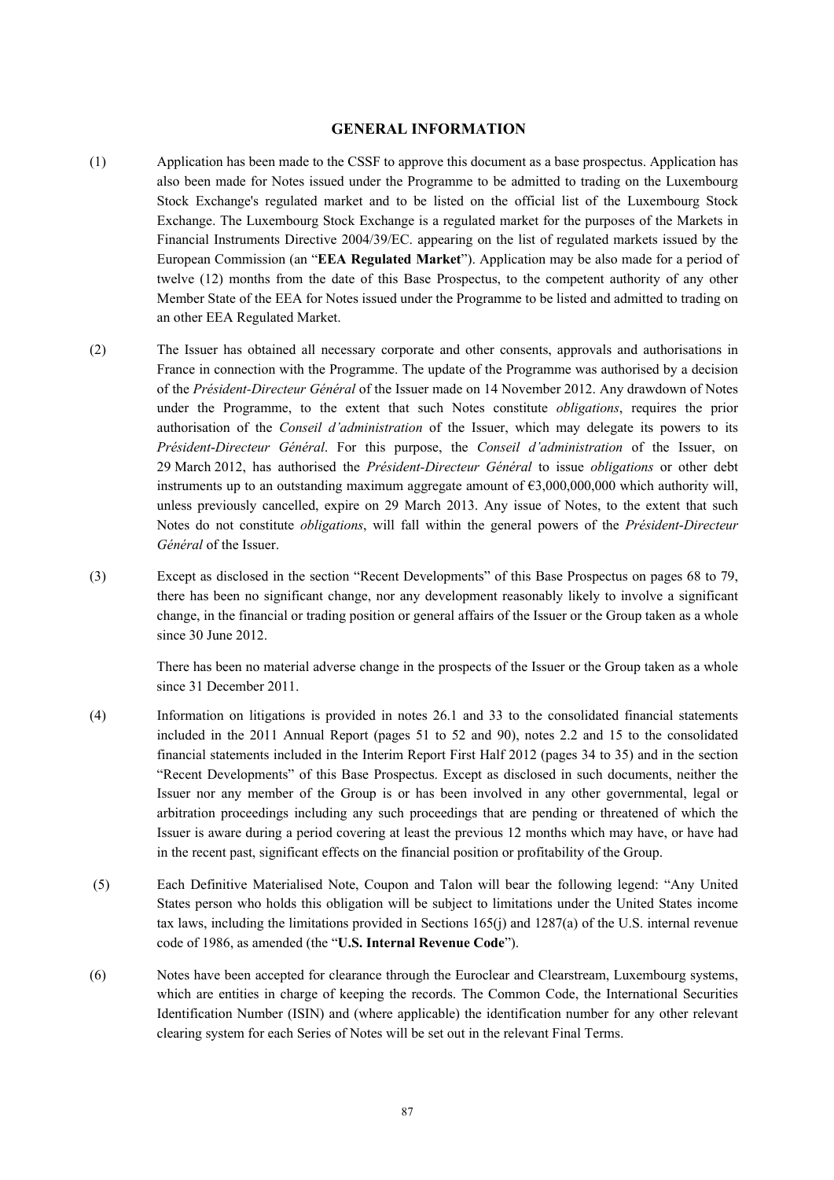#### **GENERAL INFORMATION**

- (1) Application has been made to the CSSF to approve this document as a base prospectus. Application has also been made for Notes issued under the Programme to be admitted to trading on the Luxembourg Stock Exchange's regulated market and to be listed on the official list of the Luxembourg Stock Exchange. The Luxembourg Stock Exchange is a regulated market for the purposes of the Markets in Financial Instruments Directive 2004/39/EC. appearing on the list of regulated markets issued by the European Commission (an "**EEA Regulated Market**"). Application may be also made for a period of twelve (12) months from the date of this Base Prospectus, to the competent authority of any other Member State of the EEA for Notes issued under the Programme to be listed and admitted to trading on an other EEA Regulated Market.
- (2) The Issuer has obtained all necessary corporate and other consents, approvals and authorisations in France in connection with the Programme. The update of the Programme was authorised by a decision of the *Président-Directeur Général* of the Issuer made on 14 November 2012. Any drawdown of Notes under the Programme, to the extent that such Notes constitute *obligations*, requires the prior authorisation of the *Conseil d'administration* of the Issuer, which may delegate its powers to its *Président*-*Directeur Général*. For this purpose, the *Conseil d'administration* of the Issuer, on 29 March 2012, has authorised the *Président-Directeur Général* to issue *obligations* or other debt instruments up to an outstanding maximum aggregate amount of  $63,000,000,000$  which authority will, unless previously cancelled, expire on 29 March 2013. Any issue of Notes, to the extent that such Notes do not constitute *obligations*, will fall within the general powers of the *Président*-*Directeur Général* of the Issuer.
- (3) Except as disclosed in the section "Recent Developments" of this Base Prospectus on pages 68 to 79, there has been no significant change, nor any development reasonably likely to involve a significant change, in the financial or trading position or general affairs of the Issuer or the Group taken as a whole since 30 June 2012.

There has been no material adverse change in the prospects of the Issuer or the Group taken as a whole since 31 December 2011.

- (4) Information on litigations is provided in notes 26.1 and 33 to the consolidated financial statements included in the 2011 Annual Report (pages 51 to 52 and 90), notes 2.2 and 15 to the consolidated financial statements included in the Interim Report First Half 2012 (pages 34 to 35) and in the section "Recent Developments" of this Base Prospectus. Except as disclosed in such documents, neither the Issuer nor any member of the Group is or has been involved in any other governmental, legal or arbitration proceedings including any such proceedings that are pending or threatened of which the Issuer is aware during a period covering at least the previous 12 months which may have, or have had in the recent past, significant effects on the financial position or profitability of the Group.
- (5) Each Definitive Materialised Note, Coupon and Talon will bear the following legend: "Any United States person who holds this obligation will be subject to limitations under the United States income tax laws, including the limitations provided in Sections 165(j) and 1287(a) of the U.S. internal revenue code of 1986, as amended (the "**U.S. Internal Revenue Code**").
- (6) Notes have been accepted for clearance through the Euroclear and Clearstream, Luxembourg systems, which are entities in charge of keeping the records. The Common Code, the International Securities Identification Number (ISIN) and (where applicable) the identification number for any other relevant clearing system for each Series of Notes will be set out in the relevant Final Terms.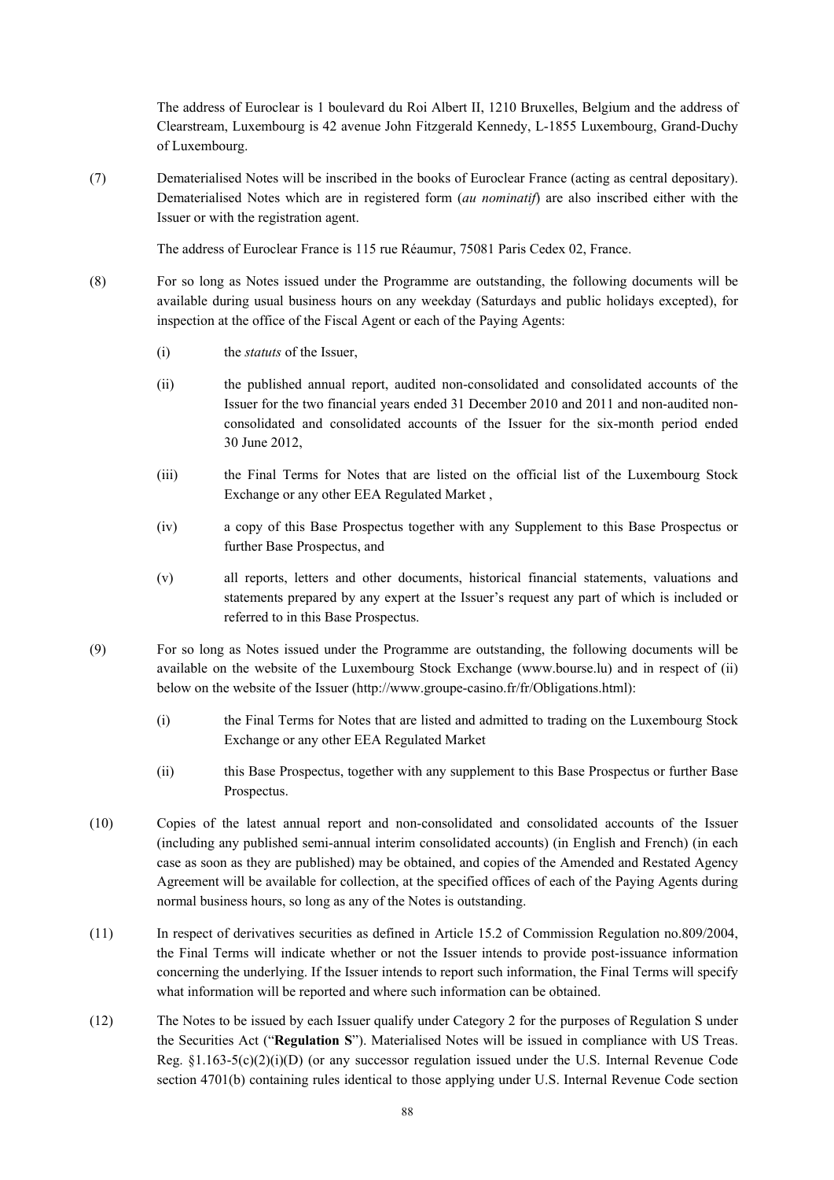The address of Euroclear is 1 boulevard du Roi Albert II, 1210 Bruxelles, Belgium and the address of Clearstream, Luxembourg is 42 avenue John Fitzgerald Kennedy, L-1855 Luxembourg, Grand-Duchy of Luxembourg.

(7) Dematerialised Notes will be inscribed in the books of Euroclear France (acting as central depositary). Dematerialised Notes which are in registered form (*au nominatif*) are also inscribed either with the Issuer or with the registration agent.

The address of Euroclear France is 115 rue Réaumur, 75081 Paris Cedex 02, France.

- (8) For so long as Notes issued under the Programme are outstanding, the following documents will be available during usual business hours on any weekday (Saturdays and public holidays excepted), for inspection at the office of the Fiscal Agent or each of the Paying Agents:
	- (i) the *statuts* of the Issuer,
	- (ii) the published annual report, audited non-consolidated and consolidated accounts of the Issuer for the two financial years ended 31 December 2010 and 2011 and non-audited nonconsolidated and consolidated accounts of the Issuer for the six-month period ended 30 June 2012,
	- (iii) the Final Terms for Notes that are listed on the official list of the Luxembourg Stock Exchange or any other EEA Regulated Market ,
	- (iv) a copy of this Base Prospectus together with any Supplement to this Base Prospectus or further Base Prospectus, and
	- (v) all reports, letters and other documents, historical financial statements, valuations and statements prepared by any expert at the Issuer's request any part of which is included or referred to in this Base Prospectus.
- (9) For so long as Notes issued under the Programme are outstanding, the following documents will be available on the website of the Luxembourg Stock Exchange (www.bourse.lu) and in respect of (ii) below on the website of the Issuer (http://www.groupe-casino.fr/fr/Obligations.html):
	- (i) the Final Terms for Notes that are listed and admitted to trading on the Luxembourg Stock Exchange or any other EEA Regulated Market
	- (ii) this Base Prospectus, together with any supplement to this Base Prospectus or further Base Prospectus.
- (10) Copies of the latest annual report and non-consolidated and consolidated accounts of the Issuer (including any published semi-annual interim consolidated accounts) (in English and French) (in each case as soon as they are published) may be obtained, and copies of the Amended and Restated Agency Agreement will be available for collection, at the specified offices of each of the Paying Agents during normal business hours, so long as any of the Notes is outstanding.
- (11) In respect of derivatives securities as defined in Article 15.2 of Commission Regulation no.809/2004, the Final Terms will indicate whether or not the Issuer intends to provide post-issuance information concerning the underlying. If the Issuer intends to report such information, the Final Terms will specify what information will be reported and where such information can be obtained.
- (12) The Notes to be issued by each Issuer qualify under Category 2 for the purposes of Regulation S under the Securities Act ("**Regulation S**"). Materialised Notes will be issued in compliance with US Treas. Reg.  $\S1.163-5(c)(2)(i)(D)$  (or any successor regulation issued under the U.S. Internal Revenue Code section 4701(b) containing rules identical to those applying under U.S. Internal Revenue Code section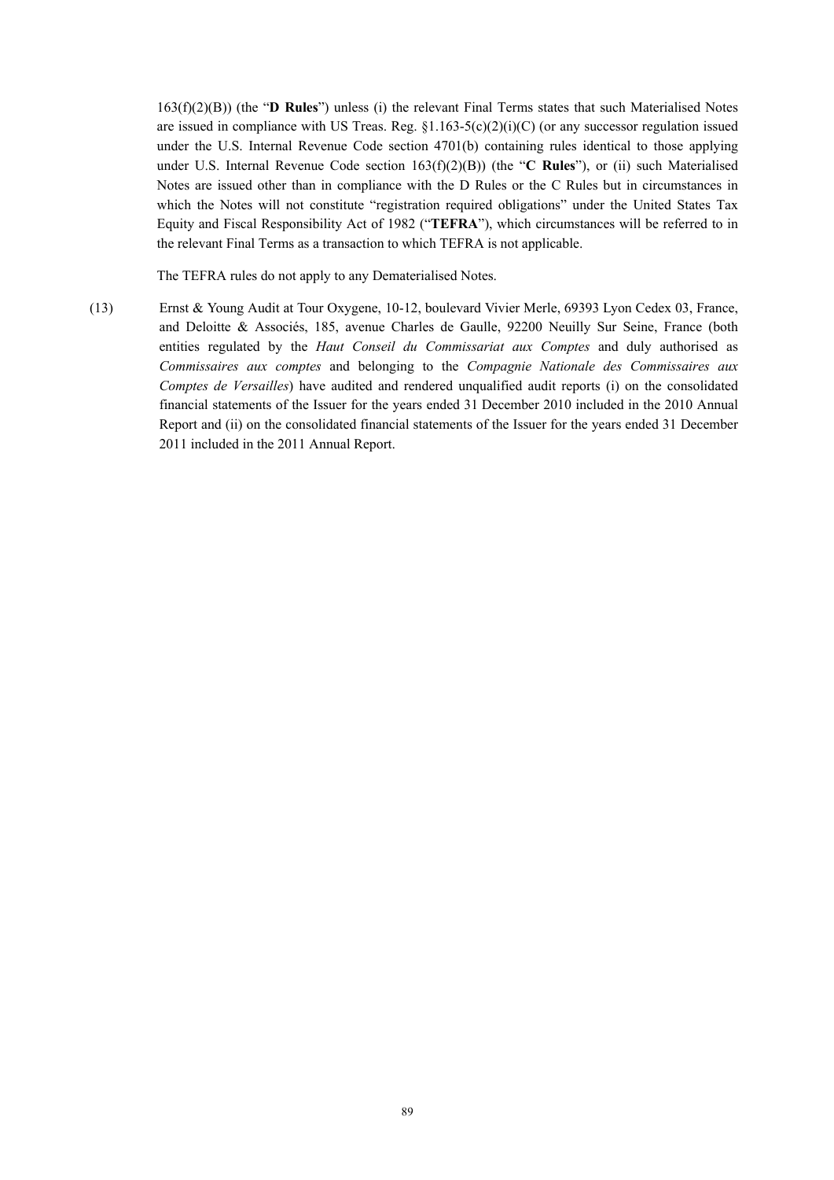163(f)(2)(B)) (the "**D Rules**") unless (i) the relevant Final Terms states that such Materialised Notes are issued in compliance with US Treas. Reg.  $\S1.163-5(c)(2)(i)(C)$  (or any successor regulation issued under the U.S. Internal Revenue Code section 4701(b) containing rules identical to those applying under U.S. Internal Revenue Code section 163(f)(2)(B)) (the "**C Rules**"), or (ii) such Materialised Notes are issued other than in compliance with the D Rules or the C Rules but in circumstances in which the Notes will not constitute "registration required obligations" under the United States Tax Equity and Fiscal Responsibility Act of 1982 ("**TEFRA**"), which circumstances will be referred to in the relevant Final Terms as a transaction to which TEFRA is not applicable.

The TEFRA rules do not apply to any Dematerialised Notes.

(13) Ernst & Young Audit at Tour Oxygene, 10-12, boulevard Vivier Merle, 69393 Lyon Cedex 03, France, and Deloitte & Associés, 185, avenue Charles de Gaulle, 92200 Neuilly Sur Seine, France (both entities regulated by the *Haut Conseil du Commissariat aux Comptes* and duly authorised as *Commissaires aux comptes* and belonging to the *Compagnie Nationale des Commissaires aux Comptes de Versailles*) have audited and rendered unqualified audit reports (i) on the consolidated financial statements of the Issuer for the years ended 31 December 2010 included in the 2010 Annual Report and (ii) on the consolidated financial statements of the Issuer for the years ended 31 December 2011 included in the 2011 Annual Report.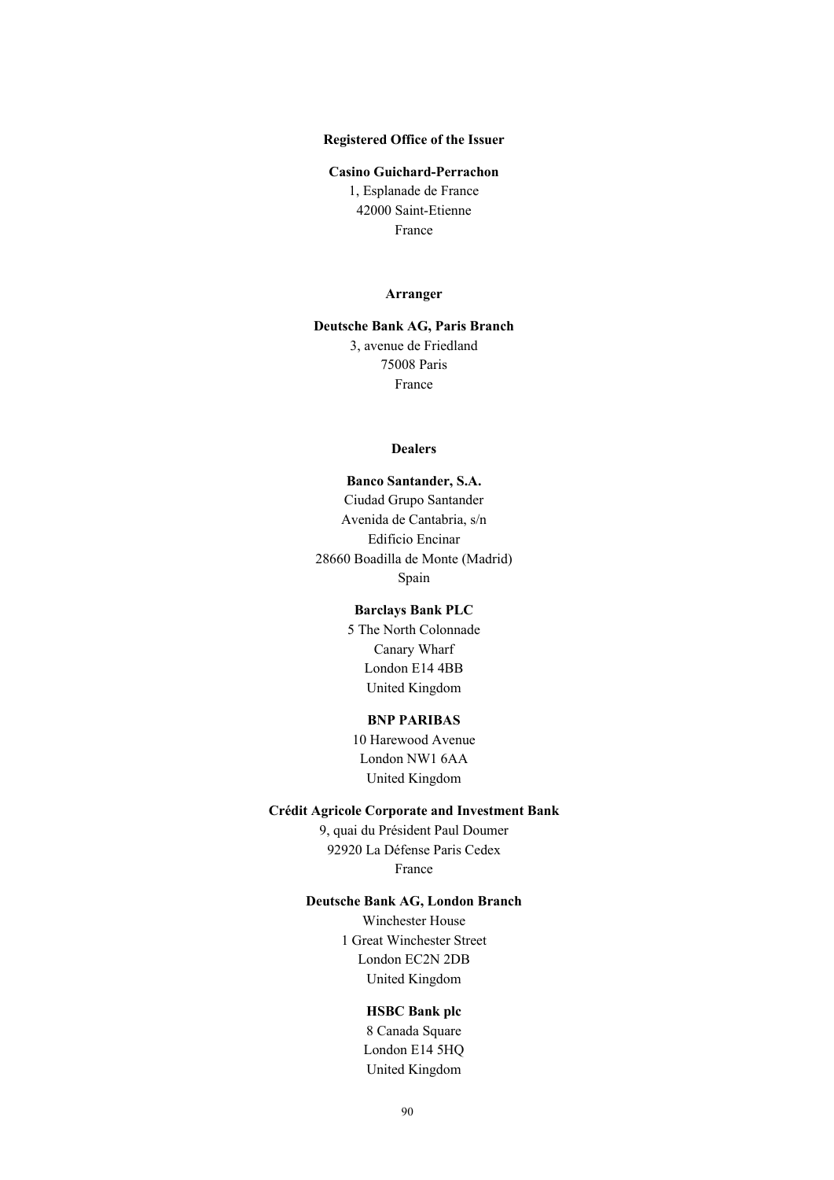### **Registered Office of the Issuer**

#### **Casino Guichard-Perrachon**

1, Esplanade de France 42000 Saint-Etienne France

#### **Arranger**

## **Deutsche Bank AG, Paris Branch** 3, avenue de Friedland 75008 Paris France

#### **Dealers**

**Banco Santander, S.A.** Ciudad Grupo Santander Avenida de Cantabria, s/n Edificio Encinar 28660 Boadilla de Monte (Madrid) Spain

# **Barclays Bank PLC**

5 The North Colonnade Canary Wharf London E14 4BB United Kingdom

### **BNP PARIBAS**

10 Harewood Avenue London NW1 6AA United Kingdom

#### **Crédit Agricole Corporate and Investment Bank**

9, quai du Président Paul Doumer 92920 La Défense Paris Cedex France

### **Deutsche Bank AG, London Branch**

Winchester House 1 Great Winchester Street London EC2N 2DB United Kingdom

#### **HSBC Bank plc**

8 Canada Square London E14 5HQ United Kingdom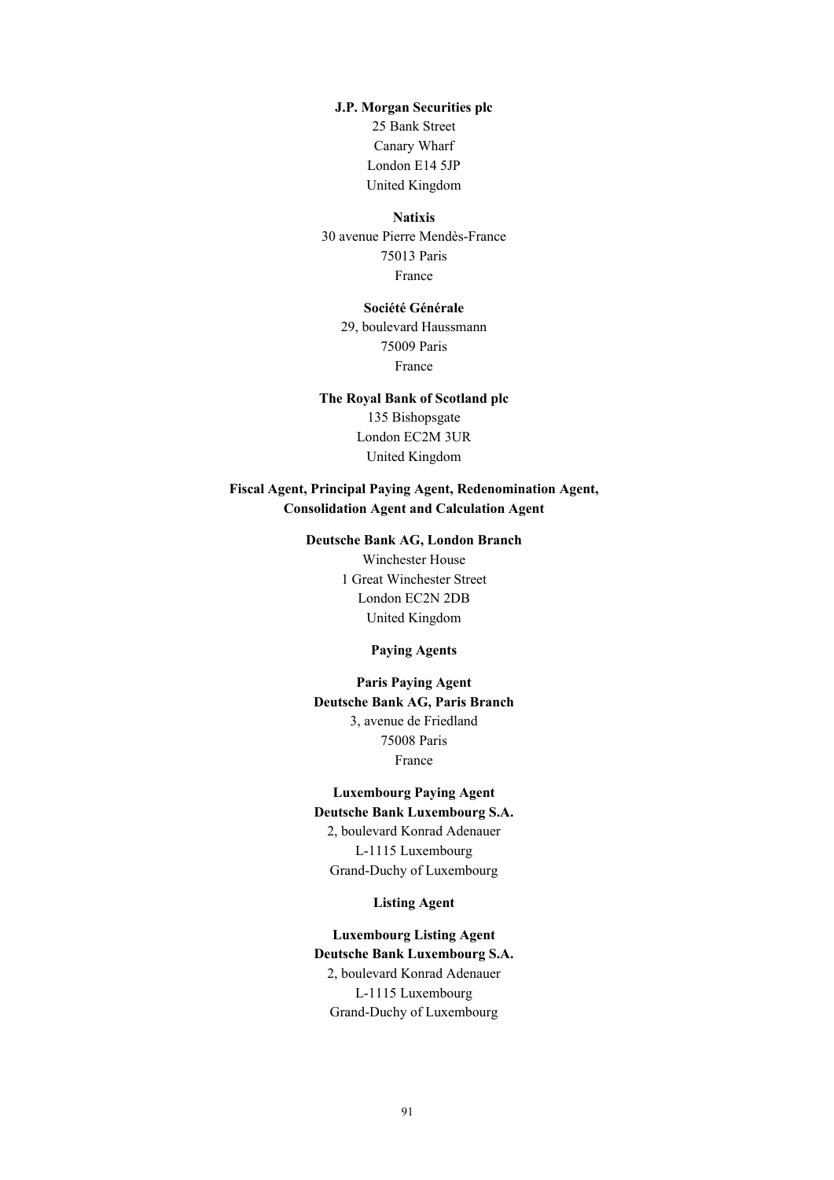### **J.P. Morgan Securities plc**

25 Bank Street Canary Wharf London E14 5JP United Kingdom

#### **Natixis**

30 avenue Pierre Mendès-France 75013 Paris France

### **Société Générale**

29, boulevard Haussmann 75009 Paris France

# **The Royal Bank of Scotland plc** 135 Bishopsgate London EC2M 3UR United Kingdom

### **Fiscal Agent, Principal Paying Agent, Redenomination Agent, Consolidation Agent and Calculation Agent**

# **Deutsche Bank AG, London Branch** Winchester House 1 Great Winchester Street London EC2N 2DB United Kingdom

#### **Paying Agents**

**Paris Paying Agent Deutsche Bank AG, Paris Branch** 3, avenue de Friedland 75008 Paris France

# **Luxembourg Paying Agent**

**Deutsche Bank Luxembourg S.A.** 2, boulevard Konrad Adenauer

L-1115 Luxembourg Grand-Duchy of Luxembourg

### **Listing Agent**

**Luxembourg Listing Agent Deutsche Bank Luxembourg S.A.** 2, boulevard Konrad Adenauer L-1115 Luxembourg Grand-Duchy of Luxembourg